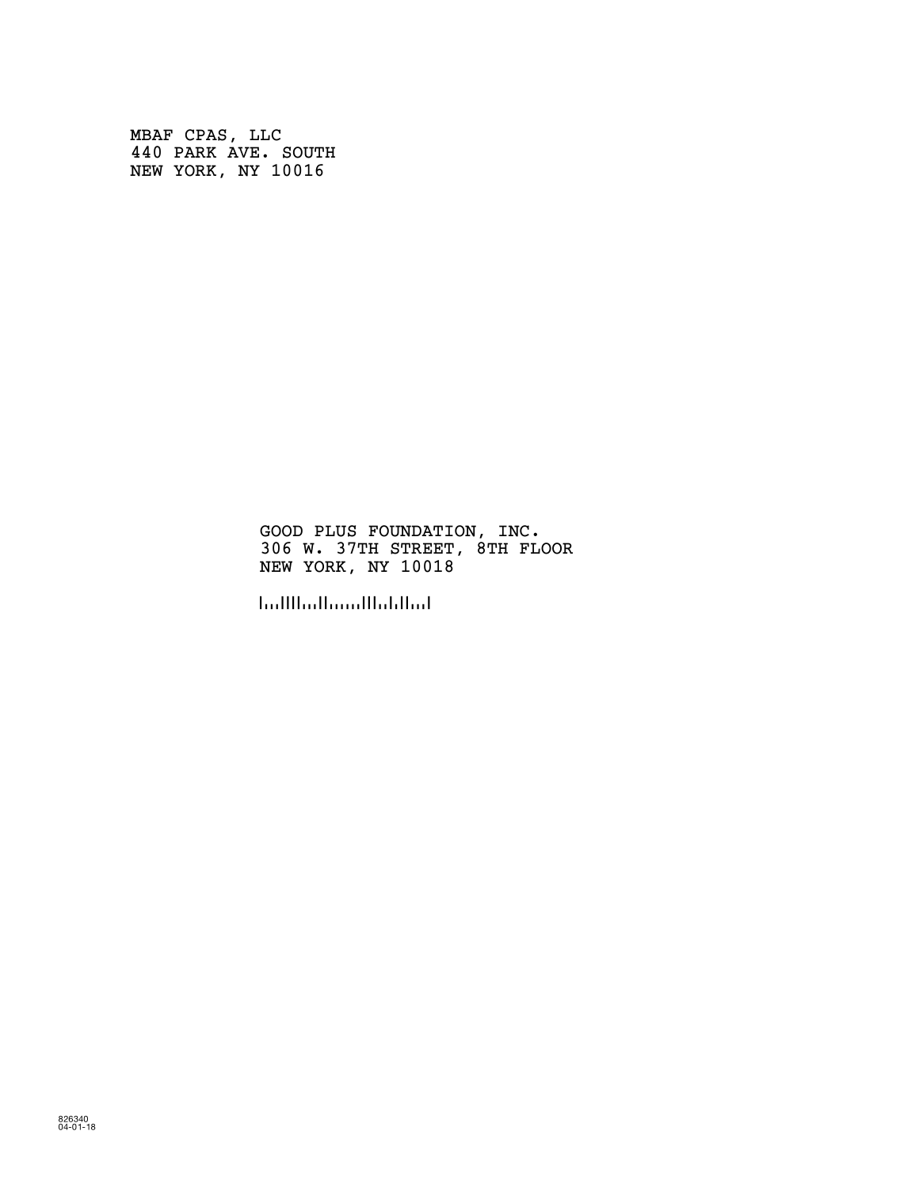MBAF CPAS, LLC 440 PARK AVE. SOUTH NEW YORK, NY 10016

> GOOD PLUS FOUNDATION, INC. 306 W. 37TH STREET, 8TH FLOOR NEW YORK, NY 10018

!100180!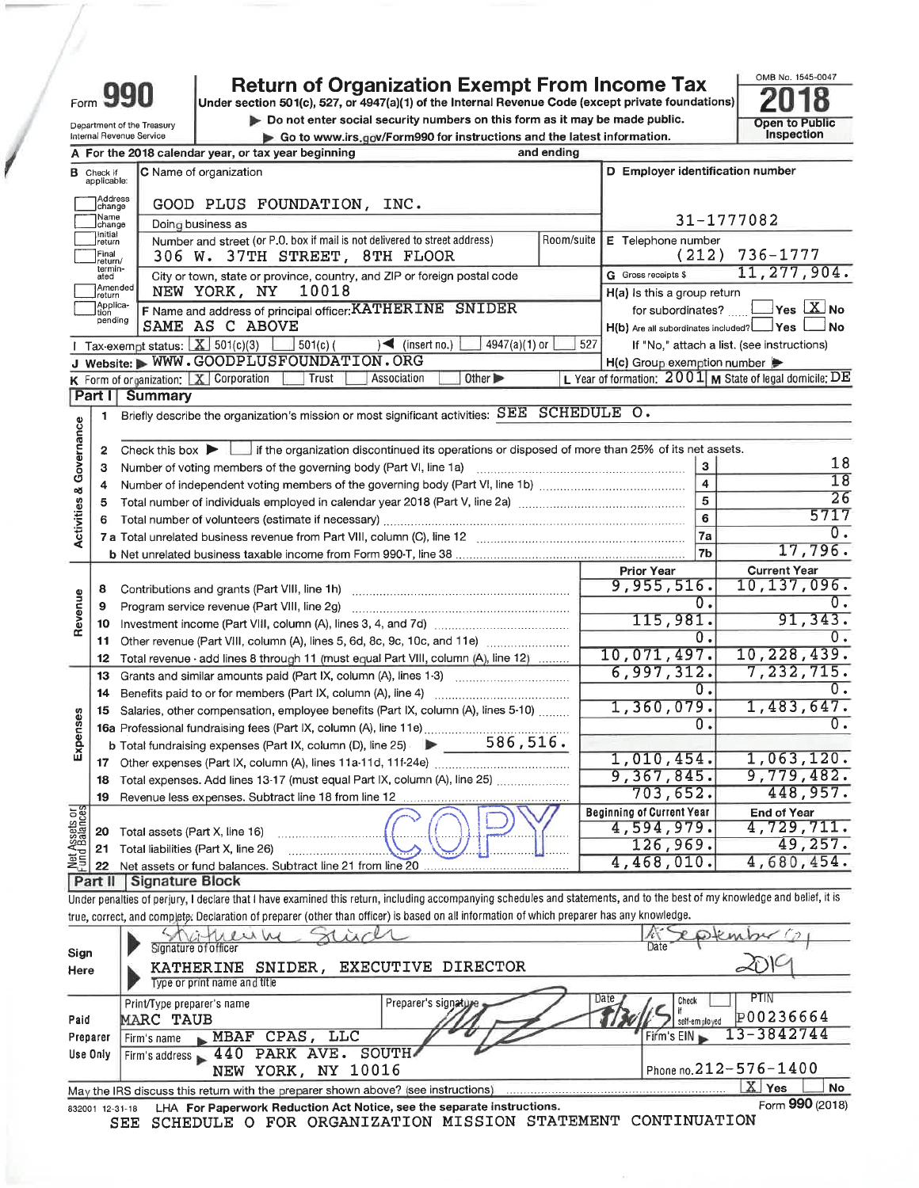| <b>Return of Organization Exempt From Income Tax</b> |  |  |  |
|------------------------------------------------------|--|--|--|
|                                                      |  |  |  |

Form 990

Department of the Treasury

Internal Revenue Service

Under section 501(c), 527, or 4947(a)(1) of the Internal Revenue Code (except private foundations) Do not enter social security numbers on this form as it may be made public. Go to www.irs.gov/Form990 for instructions and the latest information.



| D Employer identification number<br>C Name of organization<br><b>B</b> Check if<br>applicable:<br>Address<br>change<br>GOOD PLUS FOUNDATION, INC.<br>Name<br>31-1777082<br>Doing business as<br>change<br>Initial<br>Number and street (or P.O. box if mail is not delivered to street address)<br>Room/suite<br>E Telephone number<br>return<br>$736 - 1777$<br>(212)<br>Final<br>306 W. 37TH STREET, 8TH FLOOR<br>return/<br>termin-<br>ated<br>G Gross receipts \$<br>City or town, state or province, country, and ZIP or foreign postal code<br>Amended<br>NEW YORK, NY<br>10018<br>H(a) Is this a group return<br>Ireturn<br>Applica-<br>$Yes$ X No<br>F Name and address of principal officer: KATHERINE SNIDER<br>for subordinates?<br>tion<br>pending<br>SAME AS C ABOVE<br>H(b) Are all subordinates included? 18 Ves<br>$\Box$ No<br>I Tax-exempt status: $X$ 501(c)(3) $361(c)$<br>$\left( \text{insert no.} \right)$<br>4947(a)(1) or<br>527<br>If "No," attach a list. (see instructions)<br>J Website: WWW.GOODPLUSFOUNDATION.ORG<br>$H(c)$ Group exemption number<br>L Year of formation: $2001$ M State of legal domicile: DE<br>Other $\blacktriangleright$<br><b>K</b> Form of organization: $X$ Corporation<br>Trust<br>Association<br>Part I<br><b>Summary</b><br>Briefly describe the organization's mission or most significant activities: SEE SCHEDULE O.<br>1<br>Activities & Governance<br>Check this box if the organization discontinued its operations or disposed of more than 25% of its net assets.<br>2<br>18<br>$\mathbf{3}$<br>Number of voting members of the governing body (Part VI, line 1a)<br>з<br>18<br>$\overline{\mathbf{4}}$<br>4<br>26<br>5<br>5<br>5717<br>6<br>6<br>$\overline{0}$ .<br>7a<br><b>7 a</b> Total unrelated business revenue from Part VIII, column (C), line 12<br>17,796.<br>7b<br><b>Current Year</b><br><b>Prior Year</b><br>10, 137, 096.<br>9,955,516.<br>8<br>Revenue<br>0.<br>0.<br>Program service revenue (Part VIII, line 2g)<br>9<br>91, 343.<br>115,981.<br>10<br>0.<br>0.<br>Other revenue (Part VIII, column (A), lines 5, 6d, 8c, 9c, 10c, and 11e)<br>11<br>10,071,497.<br>10, 228, 439.<br>Total revenue - add lines 8 through 11 (must equal Part VIII, column (A), line 12)<br>12<br>6,997,312.<br>7,232,715.<br>Grants and similar amounts paid (Part IX, column (A), lines 1-3)<br>13<br>0.<br>$\overline{0}$ .<br>Benefits paid to or for members (Part IX, column (A), line 4)<br>14<br>1,483,647.<br>1,360,079.<br>Salaries, other compensation, employee benefits (Part IX, column (A), lines 5-10)<br>15<br>Expenses<br>0.<br>ο.<br>16a Professional fundraising fees (Part IX, column (A), line 11e)<br><b>b</b> Total fundraising expenses (Part IX, column (D), line 25) $\triangleright$ 586, 516.<br>1,063,120.<br>1,010,454.<br>17<br>9,367,845.<br>9,779,482.<br>Total expenses. Add lines 13-17 (must equal Part IX, column (A), line 25)<br>18<br>448,957.<br>703,652.<br>19<br>ρğ,<br><b>Beginning of Current Year</b><br><b>End of Year</b><br>Met Assets<br>Fund Balanc<br>4,594,979.<br>4,729,711.<br>Total assets (Part X, line 16)<br>20<br>126,969.<br>49,257.<br>Total liabilities (Part X, line 26)<br>21<br>4,680,454.<br>4,468,010.<br>Net assets or fund balances. Subtract line 21 from line 20<br>22<br>Part II<br>Signature Block<br>Under penalties of perjury, I declare that I have examined this return, including accompanying schedules and statements, and to the best of my knowledge and belief, it is<br>true, correct, and complete. Declaration of preparer (other than officer) is based on all information of which preparer has any knowledge.<br>Signature of officer<br>Date<br>Sign |  | A For the 2018 calendar year, or tax year beginning | and ending |               |
|------------------------------------------------------------------------------------------------------------------------------------------------------------------------------------------------------------------------------------------------------------------------------------------------------------------------------------------------------------------------------------------------------------------------------------------------------------------------------------------------------------------------------------------------------------------------------------------------------------------------------------------------------------------------------------------------------------------------------------------------------------------------------------------------------------------------------------------------------------------------------------------------------------------------------------------------------------------------------------------------------------------------------------------------------------------------------------------------------------------------------------------------------------------------------------------------------------------------------------------------------------------------------------------------------------------------------------------------------------------------------------------------------------------------------------------------------------------------------------------------------------------------------------------------------------------------------------------------------------------------------------------------------------------------------------------------------------------------------------------------------------------------------------------------------------------------------------------------------------------------------------------------------------------------------------------------------------------------------------------------------------------------------------------------------------------------------------------------------------------------------------------------------------------------------------------------------------------------------------------------------------------------------------------------------------------------------------------------------------------------------------------------------------------------------------------------------------------------------------------------------------------------------------------------------------------------------------------------------------------------------------------------------------------------------------------------------------------------------------------------------------------------------------------------------------------------------------------------------------------------------------------------------------------------------------------------------------------------------------------------------------------------------------------------------------------------------------------------------------------------------------------------------------------------------------------------------------------------------------------------------------------------------------------------------------------------------------------------------------------------------------------------------------------------------------------------------------------------------------------------------------------------------------------------------------------------------------------------------------------------------------------------------------------------------------------------------------------------|--|-----------------------------------------------------|------------|---------------|
|                                                                                                                                                                                                                                                                                                                                                                                                                                                                                                                                                                                                                                                                                                                                                                                                                                                                                                                                                                                                                                                                                                                                                                                                                                                                                                                                                                                                                                                                                                                                                                                                                                                                                                                                                                                                                                                                                                                                                                                                                                                                                                                                                                                                                                                                                                                                                                                                                                                                                                                                                                                                                                                                                                                                                                                                                                                                                                                                                                                                                                                                                                                                                                                                                                                                                                                                                                                                                                                                                                                                                                                                                                                                                                                        |  |                                                     |            |               |
|                                                                                                                                                                                                                                                                                                                                                                                                                                                                                                                                                                                                                                                                                                                                                                                                                                                                                                                                                                                                                                                                                                                                                                                                                                                                                                                                                                                                                                                                                                                                                                                                                                                                                                                                                                                                                                                                                                                                                                                                                                                                                                                                                                                                                                                                                                                                                                                                                                                                                                                                                                                                                                                                                                                                                                                                                                                                                                                                                                                                                                                                                                                                                                                                                                                                                                                                                                                                                                                                                                                                                                                                                                                                                                                        |  |                                                     |            |               |
|                                                                                                                                                                                                                                                                                                                                                                                                                                                                                                                                                                                                                                                                                                                                                                                                                                                                                                                                                                                                                                                                                                                                                                                                                                                                                                                                                                                                                                                                                                                                                                                                                                                                                                                                                                                                                                                                                                                                                                                                                                                                                                                                                                                                                                                                                                                                                                                                                                                                                                                                                                                                                                                                                                                                                                                                                                                                                                                                                                                                                                                                                                                                                                                                                                                                                                                                                                                                                                                                                                                                                                                                                                                                                                                        |  |                                                     |            |               |
|                                                                                                                                                                                                                                                                                                                                                                                                                                                                                                                                                                                                                                                                                                                                                                                                                                                                                                                                                                                                                                                                                                                                                                                                                                                                                                                                                                                                                                                                                                                                                                                                                                                                                                                                                                                                                                                                                                                                                                                                                                                                                                                                                                                                                                                                                                                                                                                                                                                                                                                                                                                                                                                                                                                                                                                                                                                                                                                                                                                                                                                                                                                                                                                                                                                                                                                                                                                                                                                                                                                                                                                                                                                                                                                        |  |                                                     |            |               |
|                                                                                                                                                                                                                                                                                                                                                                                                                                                                                                                                                                                                                                                                                                                                                                                                                                                                                                                                                                                                                                                                                                                                                                                                                                                                                                                                                                                                                                                                                                                                                                                                                                                                                                                                                                                                                                                                                                                                                                                                                                                                                                                                                                                                                                                                                                                                                                                                                                                                                                                                                                                                                                                                                                                                                                                                                                                                                                                                                                                                                                                                                                                                                                                                                                                                                                                                                                                                                                                                                                                                                                                                                                                                                                                        |  |                                                     |            |               |
|                                                                                                                                                                                                                                                                                                                                                                                                                                                                                                                                                                                                                                                                                                                                                                                                                                                                                                                                                                                                                                                                                                                                                                                                                                                                                                                                                                                                                                                                                                                                                                                                                                                                                                                                                                                                                                                                                                                                                                                                                                                                                                                                                                                                                                                                                                                                                                                                                                                                                                                                                                                                                                                                                                                                                                                                                                                                                                                                                                                                                                                                                                                                                                                                                                                                                                                                                                                                                                                                                                                                                                                                                                                                                                                        |  |                                                     |            | 11, 277, 904. |
|                                                                                                                                                                                                                                                                                                                                                                                                                                                                                                                                                                                                                                                                                                                                                                                                                                                                                                                                                                                                                                                                                                                                                                                                                                                                                                                                                                                                                                                                                                                                                                                                                                                                                                                                                                                                                                                                                                                                                                                                                                                                                                                                                                                                                                                                                                                                                                                                                                                                                                                                                                                                                                                                                                                                                                                                                                                                                                                                                                                                                                                                                                                                                                                                                                                                                                                                                                                                                                                                                                                                                                                                                                                                                                                        |  |                                                     |            |               |
|                                                                                                                                                                                                                                                                                                                                                                                                                                                                                                                                                                                                                                                                                                                                                                                                                                                                                                                                                                                                                                                                                                                                                                                                                                                                                                                                                                                                                                                                                                                                                                                                                                                                                                                                                                                                                                                                                                                                                                                                                                                                                                                                                                                                                                                                                                                                                                                                                                                                                                                                                                                                                                                                                                                                                                                                                                                                                                                                                                                                                                                                                                                                                                                                                                                                                                                                                                                                                                                                                                                                                                                                                                                                                                                        |  |                                                     |            |               |
|                                                                                                                                                                                                                                                                                                                                                                                                                                                                                                                                                                                                                                                                                                                                                                                                                                                                                                                                                                                                                                                                                                                                                                                                                                                                                                                                                                                                                                                                                                                                                                                                                                                                                                                                                                                                                                                                                                                                                                                                                                                                                                                                                                                                                                                                                                                                                                                                                                                                                                                                                                                                                                                                                                                                                                                                                                                                                                                                                                                                                                                                                                                                                                                                                                                                                                                                                                                                                                                                                                                                                                                                                                                                                                                        |  |                                                     |            |               |
|                                                                                                                                                                                                                                                                                                                                                                                                                                                                                                                                                                                                                                                                                                                                                                                                                                                                                                                                                                                                                                                                                                                                                                                                                                                                                                                                                                                                                                                                                                                                                                                                                                                                                                                                                                                                                                                                                                                                                                                                                                                                                                                                                                                                                                                                                                                                                                                                                                                                                                                                                                                                                                                                                                                                                                                                                                                                                                                                                                                                                                                                                                                                                                                                                                                                                                                                                                                                                                                                                                                                                                                                                                                                                                                        |  |                                                     |            |               |
|                                                                                                                                                                                                                                                                                                                                                                                                                                                                                                                                                                                                                                                                                                                                                                                                                                                                                                                                                                                                                                                                                                                                                                                                                                                                                                                                                                                                                                                                                                                                                                                                                                                                                                                                                                                                                                                                                                                                                                                                                                                                                                                                                                                                                                                                                                                                                                                                                                                                                                                                                                                                                                                                                                                                                                                                                                                                                                                                                                                                                                                                                                                                                                                                                                                                                                                                                                                                                                                                                                                                                                                                                                                                                                                        |  |                                                     |            |               |
|                                                                                                                                                                                                                                                                                                                                                                                                                                                                                                                                                                                                                                                                                                                                                                                                                                                                                                                                                                                                                                                                                                                                                                                                                                                                                                                                                                                                                                                                                                                                                                                                                                                                                                                                                                                                                                                                                                                                                                                                                                                                                                                                                                                                                                                                                                                                                                                                                                                                                                                                                                                                                                                                                                                                                                                                                                                                                                                                                                                                                                                                                                                                                                                                                                                                                                                                                                                                                                                                                                                                                                                                                                                                                                                        |  |                                                     |            |               |
|                                                                                                                                                                                                                                                                                                                                                                                                                                                                                                                                                                                                                                                                                                                                                                                                                                                                                                                                                                                                                                                                                                                                                                                                                                                                                                                                                                                                                                                                                                                                                                                                                                                                                                                                                                                                                                                                                                                                                                                                                                                                                                                                                                                                                                                                                                                                                                                                                                                                                                                                                                                                                                                                                                                                                                                                                                                                                                                                                                                                                                                                                                                                                                                                                                                                                                                                                                                                                                                                                                                                                                                                                                                                                                                        |  |                                                     |            |               |
|                                                                                                                                                                                                                                                                                                                                                                                                                                                                                                                                                                                                                                                                                                                                                                                                                                                                                                                                                                                                                                                                                                                                                                                                                                                                                                                                                                                                                                                                                                                                                                                                                                                                                                                                                                                                                                                                                                                                                                                                                                                                                                                                                                                                                                                                                                                                                                                                                                                                                                                                                                                                                                                                                                                                                                                                                                                                                                                                                                                                                                                                                                                                                                                                                                                                                                                                                                                                                                                                                                                                                                                                                                                                                                                        |  |                                                     |            |               |
|                                                                                                                                                                                                                                                                                                                                                                                                                                                                                                                                                                                                                                                                                                                                                                                                                                                                                                                                                                                                                                                                                                                                                                                                                                                                                                                                                                                                                                                                                                                                                                                                                                                                                                                                                                                                                                                                                                                                                                                                                                                                                                                                                                                                                                                                                                                                                                                                                                                                                                                                                                                                                                                                                                                                                                                                                                                                                                                                                                                                                                                                                                                                                                                                                                                                                                                                                                                                                                                                                                                                                                                                                                                                                                                        |  |                                                     |            |               |
|                                                                                                                                                                                                                                                                                                                                                                                                                                                                                                                                                                                                                                                                                                                                                                                                                                                                                                                                                                                                                                                                                                                                                                                                                                                                                                                                                                                                                                                                                                                                                                                                                                                                                                                                                                                                                                                                                                                                                                                                                                                                                                                                                                                                                                                                                                                                                                                                                                                                                                                                                                                                                                                                                                                                                                                                                                                                                                                                                                                                                                                                                                                                                                                                                                                                                                                                                                                                                                                                                                                                                                                                                                                                                                                        |  |                                                     |            |               |
|                                                                                                                                                                                                                                                                                                                                                                                                                                                                                                                                                                                                                                                                                                                                                                                                                                                                                                                                                                                                                                                                                                                                                                                                                                                                                                                                                                                                                                                                                                                                                                                                                                                                                                                                                                                                                                                                                                                                                                                                                                                                                                                                                                                                                                                                                                                                                                                                                                                                                                                                                                                                                                                                                                                                                                                                                                                                                                                                                                                                                                                                                                                                                                                                                                                                                                                                                                                                                                                                                                                                                                                                                                                                                                                        |  |                                                     |            |               |
|                                                                                                                                                                                                                                                                                                                                                                                                                                                                                                                                                                                                                                                                                                                                                                                                                                                                                                                                                                                                                                                                                                                                                                                                                                                                                                                                                                                                                                                                                                                                                                                                                                                                                                                                                                                                                                                                                                                                                                                                                                                                                                                                                                                                                                                                                                                                                                                                                                                                                                                                                                                                                                                                                                                                                                                                                                                                                                                                                                                                                                                                                                                                                                                                                                                                                                                                                                                                                                                                                                                                                                                                                                                                                                                        |  |                                                     |            |               |
|                                                                                                                                                                                                                                                                                                                                                                                                                                                                                                                                                                                                                                                                                                                                                                                                                                                                                                                                                                                                                                                                                                                                                                                                                                                                                                                                                                                                                                                                                                                                                                                                                                                                                                                                                                                                                                                                                                                                                                                                                                                                                                                                                                                                                                                                                                                                                                                                                                                                                                                                                                                                                                                                                                                                                                                                                                                                                                                                                                                                                                                                                                                                                                                                                                                                                                                                                                                                                                                                                                                                                                                                                                                                                                                        |  |                                                     |            |               |
|                                                                                                                                                                                                                                                                                                                                                                                                                                                                                                                                                                                                                                                                                                                                                                                                                                                                                                                                                                                                                                                                                                                                                                                                                                                                                                                                                                                                                                                                                                                                                                                                                                                                                                                                                                                                                                                                                                                                                                                                                                                                                                                                                                                                                                                                                                                                                                                                                                                                                                                                                                                                                                                                                                                                                                                                                                                                                                                                                                                                                                                                                                                                                                                                                                                                                                                                                                                                                                                                                                                                                                                                                                                                                                                        |  |                                                     |            |               |
|                                                                                                                                                                                                                                                                                                                                                                                                                                                                                                                                                                                                                                                                                                                                                                                                                                                                                                                                                                                                                                                                                                                                                                                                                                                                                                                                                                                                                                                                                                                                                                                                                                                                                                                                                                                                                                                                                                                                                                                                                                                                                                                                                                                                                                                                                                                                                                                                                                                                                                                                                                                                                                                                                                                                                                                                                                                                                                                                                                                                                                                                                                                                                                                                                                                                                                                                                                                                                                                                                                                                                                                                                                                                                                                        |  |                                                     |            |               |
|                                                                                                                                                                                                                                                                                                                                                                                                                                                                                                                                                                                                                                                                                                                                                                                                                                                                                                                                                                                                                                                                                                                                                                                                                                                                                                                                                                                                                                                                                                                                                                                                                                                                                                                                                                                                                                                                                                                                                                                                                                                                                                                                                                                                                                                                                                                                                                                                                                                                                                                                                                                                                                                                                                                                                                                                                                                                                                                                                                                                                                                                                                                                                                                                                                                                                                                                                                                                                                                                                                                                                                                                                                                                                                                        |  |                                                     |            |               |
|                                                                                                                                                                                                                                                                                                                                                                                                                                                                                                                                                                                                                                                                                                                                                                                                                                                                                                                                                                                                                                                                                                                                                                                                                                                                                                                                                                                                                                                                                                                                                                                                                                                                                                                                                                                                                                                                                                                                                                                                                                                                                                                                                                                                                                                                                                                                                                                                                                                                                                                                                                                                                                                                                                                                                                                                                                                                                                                                                                                                                                                                                                                                                                                                                                                                                                                                                                                                                                                                                                                                                                                                                                                                                                                        |  |                                                     |            |               |
|                                                                                                                                                                                                                                                                                                                                                                                                                                                                                                                                                                                                                                                                                                                                                                                                                                                                                                                                                                                                                                                                                                                                                                                                                                                                                                                                                                                                                                                                                                                                                                                                                                                                                                                                                                                                                                                                                                                                                                                                                                                                                                                                                                                                                                                                                                                                                                                                                                                                                                                                                                                                                                                                                                                                                                                                                                                                                                                                                                                                                                                                                                                                                                                                                                                                                                                                                                                                                                                                                                                                                                                                                                                                                                                        |  |                                                     |            |               |
|                                                                                                                                                                                                                                                                                                                                                                                                                                                                                                                                                                                                                                                                                                                                                                                                                                                                                                                                                                                                                                                                                                                                                                                                                                                                                                                                                                                                                                                                                                                                                                                                                                                                                                                                                                                                                                                                                                                                                                                                                                                                                                                                                                                                                                                                                                                                                                                                                                                                                                                                                                                                                                                                                                                                                                                                                                                                                                                                                                                                                                                                                                                                                                                                                                                                                                                                                                                                                                                                                                                                                                                                                                                                                                                        |  |                                                     |            |               |
|                                                                                                                                                                                                                                                                                                                                                                                                                                                                                                                                                                                                                                                                                                                                                                                                                                                                                                                                                                                                                                                                                                                                                                                                                                                                                                                                                                                                                                                                                                                                                                                                                                                                                                                                                                                                                                                                                                                                                                                                                                                                                                                                                                                                                                                                                                                                                                                                                                                                                                                                                                                                                                                                                                                                                                                                                                                                                                                                                                                                                                                                                                                                                                                                                                                                                                                                                                                                                                                                                                                                                                                                                                                                                                                        |  |                                                     |            |               |
|                                                                                                                                                                                                                                                                                                                                                                                                                                                                                                                                                                                                                                                                                                                                                                                                                                                                                                                                                                                                                                                                                                                                                                                                                                                                                                                                                                                                                                                                                                                                                                                                                                                                                                                                                                                                                                                                                                                                                                                                                                                                                                                                                                                                                                                                                                                                                                                                                                                                                                                                                                                                                                                                                                                                                                                                                                                                                                                                                                                                                                                                                                                                                                                                                                                                                                                                                                                                                                                                                                                                                                                                                                                                                                                        |  |                                                     |            |               |
|                                                                                                                                                                                                                                                                                                                                                                                                                                                                                                                                                                                                                                                                                                                                                                                                                                                                                                                                                                                                                                                                                                                                                                                                                                                                                                                                                                                                                                                                                                                                                                                                                                                                                                                                                                                                                                                                                                                                                                                                                                                                                                                                                                                                                                                                                                                                                                                                                                                                                                                                                                                                                                                                                                                                                                                                                                                                                                                                                                                                                                                                                                                                                                                                                                                                                                                                                                                                                                                                                                                                                                                                                                                                                                                        |  |                                                     |            |               |
|                                                                                                                                                                                                                                                                                                                                                                                                                                                                                                                                                                                                                                                                                                                                                                                                                                                                                                                                                                                                                                                                                                                                                                                                                                                                                                                                                                                                                                                                                                                                                                                                                                                                                                                                                                                                                                                                                                                                                                                                                                                                                                                                                                                                                                                                                                                                                                                                                                                                                                                                                                                                                                                                                                                                                                                                                                                                                                                                                                                                                                                                                                                                                                                                                                                                                                                                                                                                                                                                                                                                                                                                                                                                                                                        |  |                                                     |            |               |
|                                                                                                                                                                                                                                                                                                                                                                                                                                                                                                                                                                                                                                                                                                                                                                                                                                                                                                                                                                                                                                                                                                                                                                                                                                                                                                                                                                                                                                                                                                                                                                                                                                                                                                                                                                                                                                                                                                                                                                                                                                                                                                                                                                                                                                                                                                                                                                                                                                                                                                                                                                                                                                                                                                                                                                                                                                                                                                                                                                                                                                                                                                                                                                                                                                                                                                                                                                                                                                                                                                                                                                                                                                                                                                                        |  |                                                     |            |               |
|                                                                                                                                                                                                                                                                                                                                                                                                                                                                                                                                                                                                                                                                                                                                                                                                                                                                                                                                                                                                                                                                                                                                                                                                                                                                                                                                                                                                                                                                                                                                                                                                                                                                                                                                                                                                                                                                                                                                                                                                                                                                                                                                                                                                                                                                                                                                                                                                                                                                                                                                                                                                                                                                                                                                                                                                                                                                                                                                                                                                                                                                                                                                                                                                                                                                                                                                                                                                                                                                                                                                                                                                                                                                                                                        |  |                                                     |            |               |
|                                                                                                                                                                                                                                                                                                                                                                                                                                                                                                                                                                                                                                                                                                                                                                                                                                                                                                                                                                                                                                                                                                                                                                                                                                                                                                                                                                                                                                                                                                                                                                                                                                                                                                                                                                                                                                                                                                                                                                                                                                                                                                                                                                                                                                                                                                                                                                                                                                                                                                                                                                                                                                                                                                                                                                                                                                                                                                                                                                                                                                                                                                                                                                                                                                                                                                                                                                                                                                                                                                                                                                                                                                                                                                                        |  |                                                     |            |               |
|                                                                                                                                                                                                                                                                                                                                                                                                                                                                                                                                                                                                                                                                                                                                                                                                                                                                                                                                                                                                                                                                                                                                                                                                                                                                                                                                                                                                                                                                                                                                                                                                                                                                                                                                                                                                                                                                                                                                                                                                                                                                                                                                                                                                                                                                                                                                                                                                                                                                                                                                                                                                                                                                                                                                                                                                                                                                                                                                                                                                                                                                                                                                                                                                                                                                                                                                                                                                                                                                                                                                                                                                                                                                                                                        |  |                                                     |            |               |
|                                                                                                                                                                                                                                                                                                                                                                                                                                                                                                                                                                                                                                                                                                                                                                                                                                                                                                                                                                                                                                                                                                                                                                                                                                                                                                                                                                                                                                                                                                                                                                                                                                                                                                                                                                                                                                                                                                                                                                                                                                                                                                                                                                                                                                                                                                                                                                                                                                                                                                                                                                                                                                                                                                                                                                                                                                                                                                                                                                                                                                                                                                                                                                                                                                                                                                                                                                                                                                                                                                                                                                                                                                                                                                                        |  |                                                     |            |               |
|                                                                                                                                                                                                                                                                                                                                                                                                                                                                                                                                                                                                                                                                                                                                                                                                                                                                                                                                                                                                                                                                                                                                                                                                                                                                                                                                                                                                                                                                                                                                                                                                                                                                                                                                                                                                                                                                                                                                                                                                                                                                                                                                                                                                                                                                                                                                                                                                                                                                                                                                                                                                                                                                                                                                                                                                                                                                                                                                                                                                                                                                                                                                                                                                                                                                                                                                                                                                                                                                                                                                                                                                                                                                                                                        |  |                                                     |            |               |
|                                                                                                                                                                                                                                                                                                                                                                                                                                                                                                                                                                                                                                                                                                                                                                                                                                                                                                                                                                                                                                                                                                                                                                                                                                                                                                                                                                                                                                                                                                                                                                                                                                                                                                                                                                                                                                                                                                                                                                                                                                                                                                                                                                                                                                                                                                                                                                                                                                                                                                                                                                                                                                                                                                                                                                                                                                                                                                                                                                                                                                                                                                                                                                                                                                                                                                                                                                                                                                                                                                                                                                                                                                                                                                                        |  |                                                     |            |               |
|                                                                                                                                                                                                                                                                                                                                                                                                                                                                                                                                                                                                                                                                                                                                                                                                                                                                                                                                                                                                                                                                                                                                                                                                                                                                                                                                                                                                                                                                                                                                                                                                                                                                                                                                                                                                                                                                                                                                                                                                                                                                                                                                                                                                                                                                                                                                                                                                                                                                                                                                                                                                                                                                                                                                                                                                                                                                                                                                                                                                                                                                                                                                                                                                                                                                                                                                                                                                                                                                                                                                                                                                                                                                                                                        |  |                                                     |            |               |
|                                                                                                                                                                                                                                                                                                                                                                                                                                                                                                                                                                                                                                                                                                                                                                                                                                                                                                                                                                                                                                                                                                                                                                                                                                                                                                                                                                                                                                                                                                                                                                                                                                                                                                                                                                                                                                                                                                                                                                                                                                                                                                                                                                                                                                                                                                                                                                                                                                                                                                                                                                                                                                                                                                                                                                                                                                                                                                                                                                                                                                                                                                                                                                                                                                                                                                                                                                                                                                                                                                                                                                                                                                                                                                                        |  |                                                     |            |               |
|                                                                                                                                                                                                                                                                                                                                                                                                                                                                                                                                                                                                                                                                                                                                                                                                                                                                                                                                                                                                                                                                                                                                                                                                                                                                                                                                                                                                                                                                                                                                                                                                                                                                                                                                                                                                                                                                                                                                                                                                                                                                                                                                                                                                                                                                                                                                                                                                                                                                                                                                                                                                                                                                                                                                                                                                                                                                                                                                                                                                                                                                                                                                                                                                                                                                                                                                                                                                                                                                                                                                                                                                                                                                                                                        |  |                                                     |            |               |
|                                                                                                                                                                                                                                                                                                                                                                                                                                                                                                                                                                                                                                                                                                                                                                                                                                                                                                                                                                                                                                                                                                                                                                                                                                                                                                                                                                                                                                                                                                                                                                                                                                                                                                                                                                                                                                                                                                                                                                                                                                                                                                                                                                                                                                                                                                                                                                                                                                                                                                                                                                                                                                                                                                                                                                                                                                                                                                                                                                                                                                                                                                                                                                                                                                                                                                                                                                                                                                                                                                                                                                                                                                                                                                                        |  |                                                     |            |               |
|                                                                                                                                                                                                                                                                                                                                                                                                                                                                                                                                                                                                                                                                                                                                                                                                                                                                                                                                                                                                                                                                                                                                                                                                                                                                                                                                                                                                                                                                                                                                                                                                                                                                                                                                                                                                                                                                                                                                                                                                                                                                                                                                                                                                                                                                                                                                                                                                                                                                                                                                                                                                                                                                                                                                                                                                                                                                                                                                                                                                                                                                                                                                                                                                                                                                                                                                                                                                                                                                                                                                                                                                                                                                                                                        |  |                                                     |            |               |
|                                                                                                                                                                                                                                                                                                                                                                                                                                                                                                                                                                                                                                                                                                                                                                                                                                                                                                                                                                                                                                                                                                                                                                                                                                                                                                                                                                                                                                                                                                                                                                                                                                                                                                                                                                                                                                                                                                                                                                                                                                                                                                                                                                                                                                                                                                                                                                                                                                                                                                                                                                                                                                                                                                                                                                                                                                                                                                                                                                                                                                                                                                                                                                                                                                                                                                                                                                                                                                                                                                                                                                                                                                                                                                                        |  |                                                     |            |               |
|                                                                                                                                                                                                                                                                                                                                                                                                                                                                                                                                                                                                                                                                                                                                                                                                                                                                                                                                                                                                                                                                                                                                                                                                                                                                                                                                                                                                                                                                                                                                                                                                                                                                                                                                                                                                                                                                                                                                                                                                                                                                                                                                                                                                                                                                                                                                                                                                                                                                                                                                                                                                                                                                                                                                                                                                                                                                                                                                                                                                                                                                                                                                                                                                                                                                                                                                                                                                                                                                                                                                                                                                                                                                                                                        |  |                                                     |            |               |
|                                                                                                                                                                                                                                                                                                                                                                                                                                                                                                                                                                                                                                                                                                                                                                                                                                                                                                                                                                                                                                                                                                                                                                                                                                                                                                                                                                                                                                                                                                                                                                                                                                                                                                                                                                                                                                                                                                                                                                                                                                                                                                                                                                                                                                                                                                                                                                                                                                                                                                                                                                                                                                                                                                                                                                                                                                                                                                                                                                                                                                                                                                                                                                                                                                                                                                                                                                                                                                                                                                                                                                                                                                                                                                                        |  |                                                     |            |               |

| Sign     | <b>DIGITAL ALLA DI ALLA DI ANNI</b>                                               |                              |
|----------|-----------------------------------------------------------------------------------|------------------------------|
| Here     | KATHERINE SNIDER, EXECUTIVE DIRECTOR                                              |                              |
|          | Type or print name and title                                                      |                              |
|          | Date<br>Preparer's signature<br>Print/Type preparer's name                        | PTIN<br>Check                |
| Paid     | MARC TAUB                                                                         | P00236664<br>self-employed   |
| Preparer | MBAF CPAS, LLC<br>Firm's name                                                     | 13-3842744<br>Firm's $EIN$   |
| Use Only | Firm's address 140 PARK AVE. SOUTH                                                |                              |
|          | YORK, NY 10016<br>NEW                                                             | Phone no. $212 - 576 - 1400$ |
|          | May the IRS discuss this return with the preparer shown above? (see instructions) | <b>No</b><br>Yes             |

Form 990 (2018)

LHA For Paperwork Reduction Act Notice, see the separate instructions. 832001 12-31-18 SEE SCHEDULE O FOR ORGANIZATION MISSION STATEMENT CONTINUATION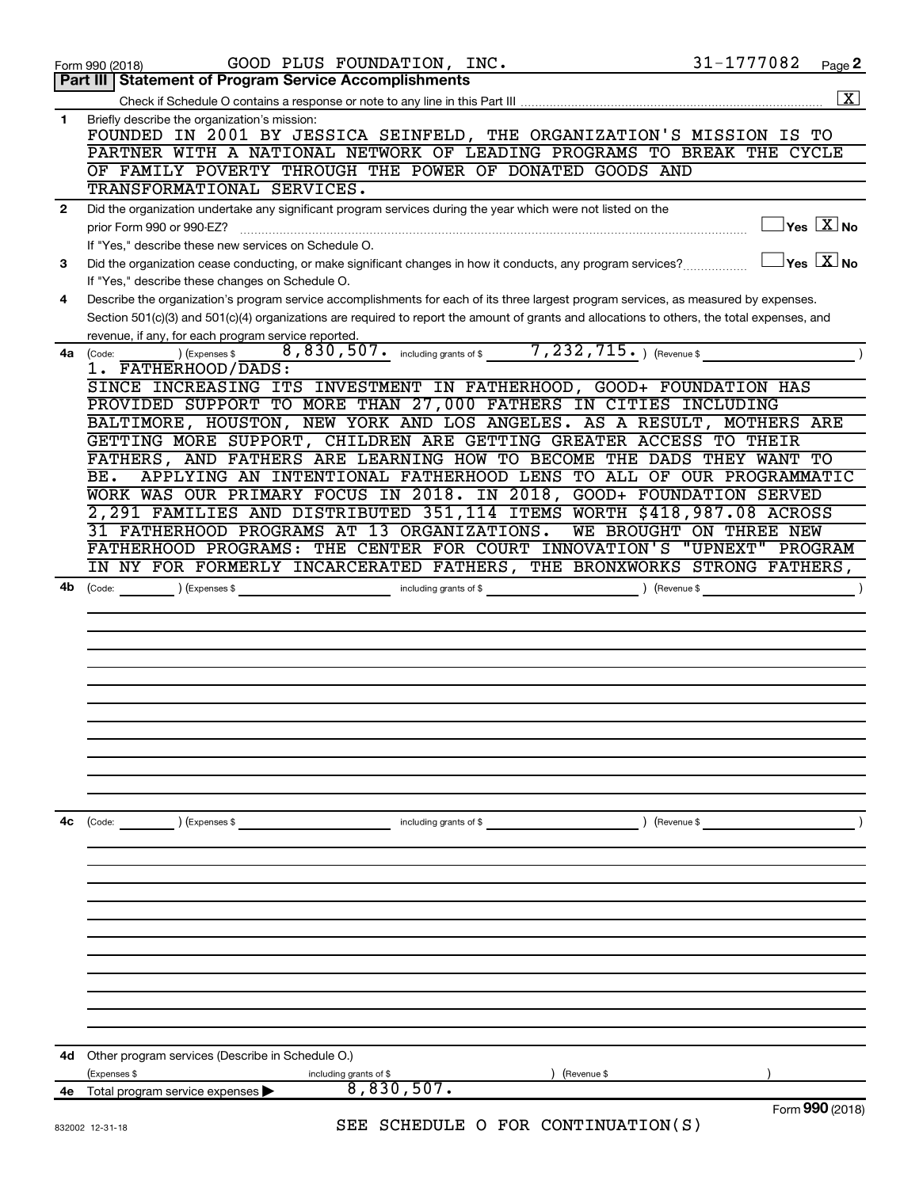|              | GOOD PLUS FOUNDATION, INC.<br>Form 990 (2018)                                                                                                                                                   | 31-1777082              | Page 2                                                             |
|--------------|-------------------------------------------------------------------------------------------------------------------------------------------------------------------------------------------------|-------------------------|--------------------------------------------------------------------|
|              | <b>Part III   Statement of Program Service Accomplishments</b>                                                                                                                                  |                         |                                                                    |
|              |                                                                                                                                                                                                 |                         | $\boxed{\text{X}}$                                                 |
| 1            | Briefly describe the organization's mission:<br>FOUNDED IN 2001 BY JESSICA SEINFELD, THE ORGANIZATION'S MISSION IS TO<br>PARTNER WITH A NATIONAL NETWORK OF LEADING PROGRAMS TO BREAK THE CYCLE |                         |                                                                    |
|              | OF FAMILY POVERTY THROUGH THE POWER OF DONATED GOODS AND                                                                                                                                        |                         |                                                                    |
|              | TRANSFORMATIONAL SERVICES.                                                                                                                                                                      |                         |                                                                    |
| $\mathbf{2}$ | Did the organization undertake any significant program services during the year which were not listed on the                                                                                    |                         |                                                                    |
|              | prior Form 990 or 990-EZ?                                                                                                                                                                       |                         | $\sqrt{\mathsf{Yes}\mathord{\;\mathbb{X}}\mathord{\;\mathsf{No}}}$ |
|              | If "Yes," describe these new services on Schedule O.                                                                                                                                            |                         |                                                                    |
| 3            | Did the organization cease conducting, or make significant changes in how it conducts, any program services?                                                                                    |                         | $\Box$ Yes $[\overline{\mathrm{X}}]$ No                            |
|              | If "Yes," describe these changes on Schedule O.                                                                                                                                                 |                         |                                                                    |
| 4            | Describe the organization's program service accomplishments for each of its three largest program services, as measured by expenses.                                                            |                         |                                                                    |
|              | Section 501(c)(3) and 501(c)(4) organizations are required to report the amount of grants and allocations to others, the total expenses, and                                                    |                         |                                                                    |
|              | revenue, if any, for each program service reported.                                                                                                                                             |                         |                                                                    |
| 4a           | 8,830,507. including grants of \$ _______ 7,232,715. ) (Revenue \$<br>) (Expenses \$<br>(Code:                                                                                                  |                         |                                                                    |
|              | 1. FATHERHOOD/DADS:                                                                                                                                                                             |                         |                                                                    |
|              | SINCE INCREASING ITS INVESTMENT IN FATHERHOOD, GOOD+ FOUNDATION HAS                                                                                                                             |                         |                                                                    |
|              | PROVIDED SUPPORT TO MORE THAN 27,000 FATHERS IN CITIES INCLUDING                                                                                                                                |                         |                                                                    |
|              | BALTIMORE, HOUSTON, NEW YORK AND LOS ANGELES. AS A RESULT, MOTHERS ARE                                                                                                                          |                         |                                                                    |
|              | GETTING MORE SUPPORT, CHILDREN ARE GETTING GREATER ACCESS TO THEIR<br>FATHERS, AND FATHERS ARE LEARNING HOW TO BECOME THE DADS THEY WANT TO                                                     |                         |                                                                    |
|              | APPLYING AN INTENTIONAL FATHERHOOD LENS TO ALL OF OUR PROGRAMMATIC<br>BE.                                                                                                                       |                         |                                                                    |
|              | WORK WAS OUR PRIMARY FOCUS IN 2018. IN 2018, GOOD+ FOUNDATION SERVED                                                                                                                            |                         |                                                                    |
|              | 2,291 FAMILIES AND DISTRIBUTED 351,114 ITEMS WORTH \$418,987.08 ACROSS                                                                                                                          |                         |                                                                    |
|              | 31 FATHERHOOD PROGRAMS AT 13 ORGANIZATIONS.                                                                                                                                                     | WE BROUGHT ON THREE NEW |                                                                    |
|              | FATHERHOOD PROGRAMS: THE CENTER FOR COURT INNOVATION'S "UPNEXT" PROGRAM                                                                                                                         |                         |                                                                    |
|              | IN NY FOR FORMERLY INCARCERATED FATHERS, THE BRONXWORKS STRONG FATHERS,                                                                                                                         |                         |                                                                    |
| 4b           | including grants of \$<br>$\left(\text{Code:} \right)$ $\left(\text{Expenses $}\right)$                                                                                                         | ) (Revenue \$           | $\lambda$                                                          |
|              |                                                                                                                                                                                                 |                         |                                                                    |
|              |                                                                                                                                                                                                 |                         |                                                                    |
|              |                                                                                                                                                                                                 |                         |                                                                    |
|              |                                                                                                                                                                                                 |                         |                                                                    |
|              |                                                                                                                                                                                                 |                         |                                                                    |
|              |                                                                                                                                                                                                 |                         |                                                                    |
|              |                                                                                                                                                                                                 |                         |                                                                    |
|              |                                                                                                                                                                                                 |                         |                                                                    |
|              |                                                                                                                                                                                                 |                         |                                                                    |
|              |                                                                                                                                                                                                 |                         |                                                                    |
|              |                                                                                                                                                                                                 |                         |                                                                    |
| 4с           | ) (Expenses \$<br>including grants of \$<br>(Code:                                                                                                                                              | ) (Revenue \$           |                                                                    |
|              |                                                                                                                                                                                                 |                         |                                                                    |
|              |                                                                                                                                                                                                 |                         |                                                                    |
|              |                                                                                                                                                                                                 |                         |                                                                    |
|              |                                                                                                                                                                                                 |                         |                                                                    |
|              |                                                                                                                                                                                                 |                         |                                                                    |
|              |                                                                                                                                                                                                 |                         |                                                                    |
|              |                                                                                                                                                                                                 |                         |                                                                    |
|              |                                                                                                                                                                                                 |                         |                                                                    |
|              |                                                                                                                                                                                                 |                         |                                                                    |
|              |                                                                                                                                                                                                 |                         |                                                                    |
|              |                                                                                                                                                                                                 |                         |                                                                    |
| 4d           | Other program services (Describe in Schedule O.)                                                                                                                                                |                         |                                                                    |
|              | (Expenses \$<br>(Revenue \$<br>including grants of \$                                                                                                                                           |                         |                                                                    |
| 4е           | 8,830,507.<br>Total program service expenses                                                                                                                                                    |                         |                                                                    |
|              | SEE SCHEDULE O FOR CONTINUATION(S)<br>022002 12.21                                                                                                                                              |                         | Form 990 (2018)                                                    |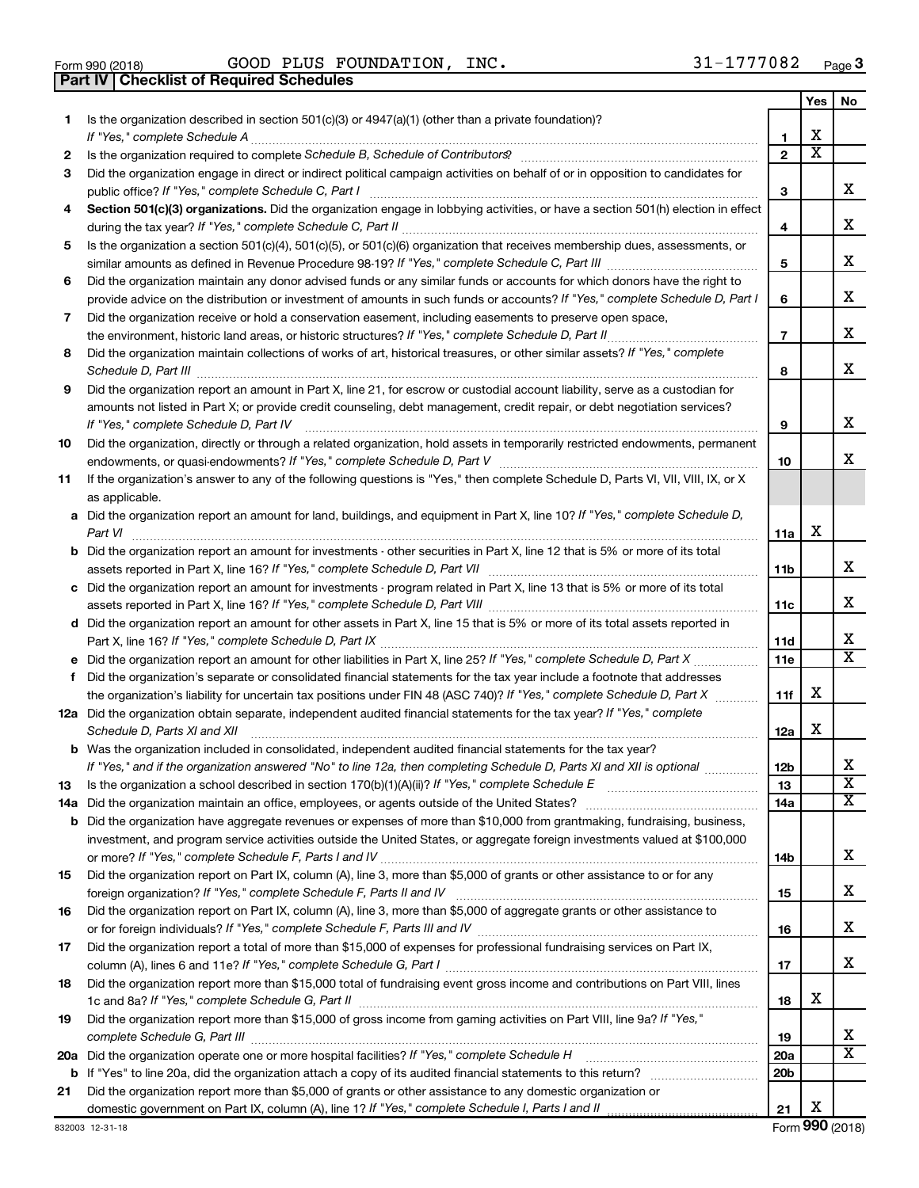| Form 990 (2018) |  |  |
|-----------------|--|--|

**Part IV Checklist of Required Schedules**

 $\frac{1}{1000}$   $\frac{1}{1000}$   $\frac{1}{1000}$   $\frac{1}{1000}$   $\frac{1}{1000}$   $\frac{1}{1000}$   $\frac{1}{1000}$   $\frac{1}{1000}$   $\frac{1}{1000}$   $\frac{1}{1000}$   $\frac{1}{1000}$   $\frac{1}{1000}$   $\frac{1}{1000}$   $\frac{1}{1000}$   $\frac{1}{1000}$   $\frac{1}{1000}$   $\frac{1}{1000}$  GOOD PLUS FOUNDATION, INC. 31-1777082

|    |                                                                                                                                                                                                                                                                |                               | Yes                        | No.                          |
|----|----------------------------------------------------------------------------------------------------------------------------------------------------------------------------------------------------------------------------------------------------------------|-------------------------------|----------------------------|------------------------------|
| 1. | Is the organization described in section $501(c)(3)$ or $4947(a)(1)$ (other than a private foundation)?                                                                                                                                                        |                               |                            |                              |
|    |                                                                                                                                                                                                                                                                | 1                             | х<br>$\overline{\text{x}}$ |                              |
| 2  |                                                                                                                                                                                                                                                                | $\mathbf{2}$                  |                            |                              |
| 3  | Did the organization engage in direct or indirect political campaign activities on behalf of or in opposition to candidates for                                                                                                                                |                               |                            | х                            |
|    | public office? If "Yes," complete Schedule C, Part I                                                                                                                                                                                                           | З                             |                            |                              |
| 4  | Section 501(c)(3) organizations. Did the organization engage in lobbying activities, or have a section 501(h) election in effect                                                                                                                               | 4                             |                            | x                            |
| 5  | Is the organization a section 501(c)(4), 501(c)(5), or 501(c)(6) organization that receives membership dues, assessments, or                                                                                                                                   |                               |                            |                              |
|    |                                                                                                                                                                                                                                                                | 5                             |                            | х                            |
| 6  | Did the organization maintain any donor advised funds or any similar funds or accounts for which donors have the right to                                                                                                                                      |                               |                            |                              |
|    | provide advice on the distribution or investment of amounts in such funds or accounts? If "Yes," complete Schedule D, Part I                                                                                                                                   | 6                             |                            | х                            |
| 7  | Did the organization receive or hold a conservation easement, including easements to preserve open space,                                                                                                                                                      |                               |                            |                              |
|    | the environment, historic land areas, or historic structures? If "Yes," complete Schedule D, Part II                                                                                                                                                           | $\overline{7}$                |                            | х                            |
| 8  | Did the organization maintain collections of works of art, historical treasures, or other similar assets? If "Yes," complete                                                                                                                                   |                               |                            |                              |
|    | Schedule D, Part III                                                                                                                                                                                                                                           | 8                             |                            | x                            |
| 9  | Did the organization report an amount in Part X, line 21, for escrow or custodial account liability, serve as a custodian for                                                                                                                                  |                               |                            |                              |
|    | amounts not listed in Part X; or provide credit counseling, debt management, credit repair, or debt negotiation services?                                                                                                                                      |                               |                            |                              |
|    | If "Yes," complete Schedule D, Part IV                                                                                                                                                                                                                         | 9                             |                            | х                            |
| 10 | Did the organization, directly or through a related organization, hold assets in temporarily restricted endowments, permanent                                                                                                                                  |                               |                            |                              |
|    |                                                                                                                                                                                                                                                                | 10                            |                            | x                            |
| 11 | If the organization's answer to any of the following questions is "Yes," then complete Schedule D, Parts VI, VII, VIII, IX, or X                                                                                                                               |                               |                            |                              |
|    | as applicable.                                                                                                                                                                                                                                                 |                               |                            |                              |
|    | a Did the organization report an amount for land, buildings, and equipment in Part X, line 10? If "Yes," complete Schedule D,                                                                                                                                  |                               | х                          |                              |
|    | <b>b</b> Did the organization report an amount for investments - other securities in Part X, line 12 that is 5% or more of its total                                                                                                                           | 11a                           |                            |                              |
|    |                                                                                                                                                                                                                                                                | 11b                           |                            | х                            |
|    | c Did the organization report an amount for investments - program related in Part X, line 13 that is 5% or more of its total                                                                                                                                   |                               |                            |                              |
|    |                                                                                                                                                                                                                                                                | 11c                           |                            | х                            |
|    | d Did the organization report an amount for other assets in Part X, line 15 that is 5% or more of its total assets reported in                                                                                                                                 |                               |                            |                              |
|    |                                                                                                                                                                                                                                                                | 11d                           |                            | x                            |
|    |                                                                                                                                                                                                                                                                | 11e                           |                            | $\overline{\texttt{x}}$      |
| f  | Did the organization's separate or consolidated financial statements for the tax year include a footnote that addresses                                                                                                                                        |                               |                            |                              |
|    | the organization's liability for uncertain tax positions under FIN 48 (ASC 740)? If "Yes," complete Schedule D, Part X                                                                                                                                         | 11f                           | х                          |                              |
|    | 12a Did the organization obtain separate, independent audited financial statements for the tax year? If "Yes," complete                                                                                                                                        |                               |                            |                              |
|    | Schedule D, Parts XI and XII                                                                                                                                                                                                                                   | 12a                           | x                          |                              |
|    | <b>b</b> Was the organization included in consolidated, independent audited financial statements for the tax year?                                                                                                                                             |                               |                            |                              |
|    | If "Yes," and if the organization answered "No" to line 12a, then completing Schedule D, Parts XI and XII is optional                                                                                                                                          | 12 <sub>b</sub>               |                            | х<br>$\overline{\textbf{x}}$ |
| 13 |                                                                                                                                                                                                                                                                | 13                            |                            | х                            |
|    |                                                                                                                                                                                                                                                                | 14a                           |                            |                              |
|    | <b>b</b> Did the organization have aggregate revenues or expenses of more than \$10,000 from grantmaking, fundraising, business,<br>investment, and program service activities outside the United States, or aggregate foreign investments valued at \$100,000 |                               |                            |                              |
|    |                                                                                                                                                                                                                                                                | 14b                           |                            | x                            |
| 15 | Did the organization report on Part IX, column (A), line 3, more than \$5,000 of grants or other assistance to or for any                                                                                                                                      |                               |                            |                              |
|    |                                                                                                                                                                                                                                                                | 15                            |                            | x                            |
| 16 | Did the organization report on Part IX, column (A), line 3, more than \$5,000 of aggregate grants or other assistance to                                                                                                                                       |                               |                            |                              |
|    |                                                                                                                                                                                                                                                                | 16                            |                            | x                            |
| 17 | Did the organization report a total of more than \$15,000 of expenses for professional fundraising services on Part IX,                                                                                                                                        |                               |                            |                              |
|    |                                                                                                                                                                                                                                                                | 17                            |                            | x                            |
| 18 | Did the organization report more than \$15,000 total of fundraising event gross income and contributions on Part VIII, lines                                                                                                                                   |                               |                            |                              |
|    |                                                                                                                                                                                                                                                                | 18                            | х                          |                              |
| 19 | Did the organization report more than \$15,000 of gross income from gaming activities on Part VIII, line 9a? If "Yes,"                                                                                                                                         |                               |                            |                              |
|    |                                                                                                                                                                                                                                                                | 19                            |                            | x<br>$\overline{\text{X}}$   |
|    |                                                                                                                                                                                                                                                                | <b>20a</b><br>20 <sub>b</sub> |                            |                              |
| 21 | Did the organization report more than \$5,000 of grants or other assistance to any domestic organization or                                                                                                                                                    |                               |                            |                              |
|    |                                                                                                                                                                                                                                                                | 21                            | х                          |                              |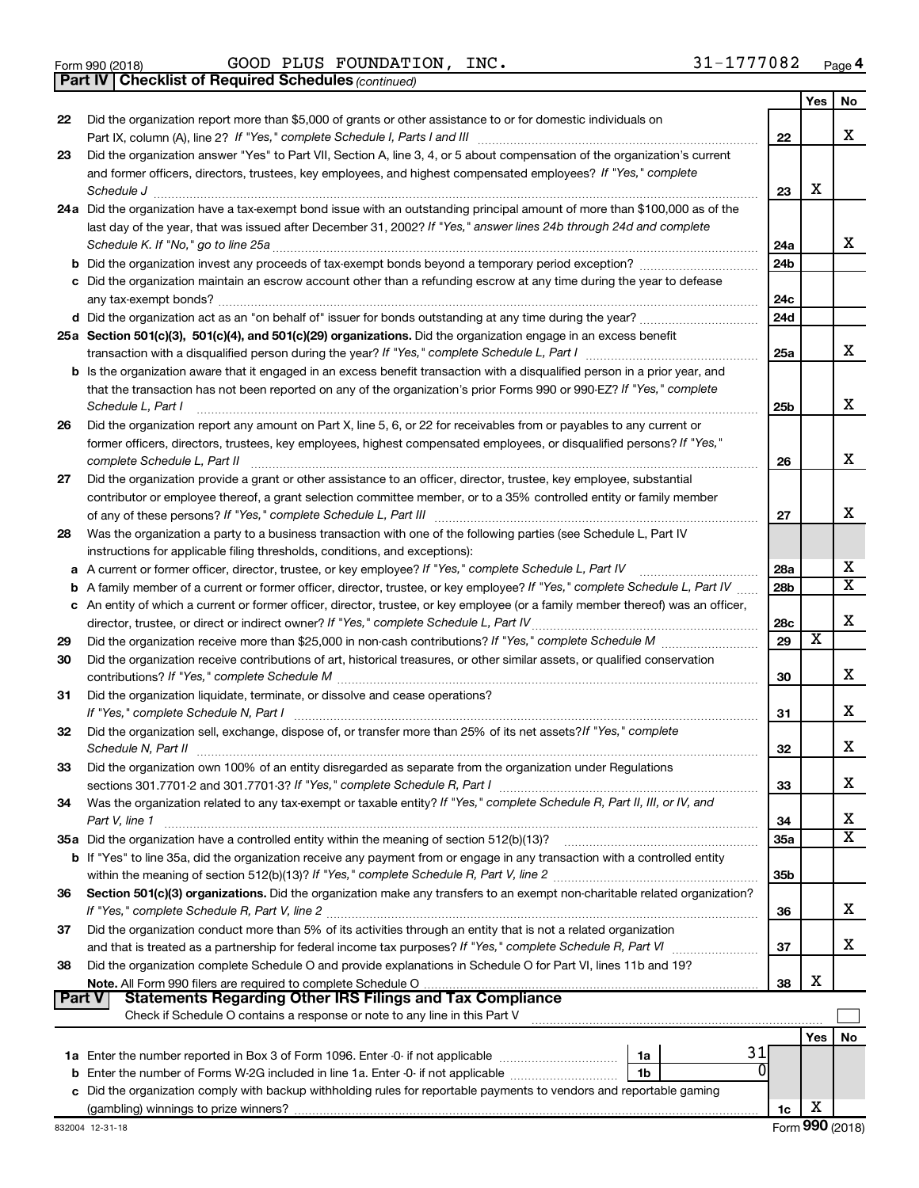Form 990 (2018) Page GOOD PLUS FOUNDATION, INC. 31-1777082

*(continued)* **Part IV Checklist of Required Schedules**

|               |                                                                                                                                     |                 | Yes | No                      |
|---------------|-------------------------------------------------------------------------------------------------------------------------------------|-----------------|-----|-------------------------|
| 22            | Did the organization report more than \$5,000 of grants or other assistance to or for domestic individuals on                       |                 |     |                         |
|               |                                                                                                                                     | 22              |     | x                       |
| 23            | Did the organization answer "Yes" to Part VII, Section A, line 3, 4, or 5 about compensation of the organization's current          |                 |     |                         |
|               | and former officers, directors, trustees, key employees, and highest compensated employees? If "Yes," complete                      |                 |     |                         |
|               | Schedule J                                                                                                                          | 23              | х   |                         |
|               | 24a Did the organization have a tax-exempt bond issue with an outstanding principal amount of more than \$100,000 as of the         |                 |     |                         |
|               | last day of the year, that was issued after December 31, 2002? If "Yes," answer lines 24b through 24d and complete                  |                 |     |                         |
|               |                                                                                                                                     | 24a             |     | x                       |
|               | <b>b</b> Did the organization invest any proceeds of tax-exempt bonds beyond a temporary period exception?                          | 24 <sub>b</sub> |     |                         |
|               | c Did the organization maintain an escrow account other than a refunding escrow at any time during the year to defease              |                 |     |                         |
|               |                                                                                                                                     | 24c             |     |                         |
|               |                                                                                                                                     | 24d             |     |                         |
|               | 25a Section 501(c)(3), 501(c)(4), and 501(c)(29) organizations. Did the organization engage in an excess benefit                    |                 |     | x                       |
|               |                                                                                                                                     | 25a             |     |                         |
|               | <b>b</b> Is the organization aware that it engaged in an excess benefit transaction with a disqualified person in a prior year, and |                 |     |                         |
|               | that the transaction has not been reported on any of the organization's prior Forms 990 or 990-EZ? If "Yes," complete               |                 |     | x                       |
|               | Schedule L, Part I                                                                                                                  | 25b             |     |                         |
| 26            | Did the organization report any amount on Part X, line 5, 6, or 22 for receivables from or payables to any current or               |                 |     |                         |
|               | former officers, directors, trustees, key employees, highest compensated employees, or disqualified persons? If "Yes,"              |                 |     | x                       |
|               | complete Schedule L, Part II                                                                                                        | 26              |     |                         |
| 27            | Did the organization provide a grant or other assistance to an officer, director, trustee, key employee, substantial                |                 |     |                         |
|               | contributor or employee thereof, a grant selection committee member, or to a 35% controlled entity or family member                 |                 |     | x                       |
| 28            | Was the organization a party to a business transaction with one of the following parties (see Schedule L, Part IV                   | 27              |     |                         |
|               | instructions for applicable filing thresholds, conditions, and exceptions):                                                         |                 |     |                         |
|               | a A current or former officer, director, trustee, or key employee? If "Yes," complete Schedule L, Part IV                           | 28a             |     | x                       |
|               | <b>b</b> A family member of a current or former officer, director, trustee, or key employee? If "Yes," complete Schedule L, Part IV | 28b             |     | $\overline{\mathtt{x}}$ |
|               | c An entity of which a current or former officer, director, trustee, or key employee (or a family member thereof) was an officer,   |                 |     |                         |
|               | director, trustee, or direct or indirect owner? If "Yes," complete Schedule L, Part IV.                                             | 28c             |     | X                       |
| 29            |                                                                                                                                     | 29              | х   |                         |
| 30            | Did the organization receive contributions of art, historical treasures, or other similar assets, or qualified conservation         |                 |     |                         |
|               |                                                                                                                                     | 30              |     | x                       |
| 31            | Did the organization liquidate, terminate, or dissolve and cease operations?                                                        |                 |     |                         |
|               |                                                                                                                                     | 31              |     | x                       |
| 32            | Did the organization sell, exchange, dispose of, or transfer more than 25% of its net assets? If "Yes," complete                    |                 |     |                         |
|               | Schedule N, Part II                                                                                                                 | 32              |     | X                       |
| 33            | Did the organization own 100% of an entity disregarded as separate from the organization under Regulations                          |                 |     |                         |
|               |                                                                                                                                     | 33              |     | х                       |
| 34            | Was the organization related to any tax-exempt or taxable entity? If "Yes," complete Schedule R, Part II, III, or IV, and           |                 |     |                         |
|               | Part V, line 1                                                                                                                      | 34              |     | x                       |
|               |                                                                                                                                     | 35a             |     | $\overline{\mathtt{x}}$ |
|               | <b>b</b> If "Yes" to line 35a, did the organization receive any payment from or engage in any transaction with a controlled entity  |                 |     |                         |
|               |                                                                                                                                     | 35b             |     |                         |
| 36            | Section 501(c)(3) organizations. Did the organization make any transfers to an exempt non-charitable related organization?          |                 |     |                         |
|               |                                                                                                                                     | 36              |     | x                       |
| 37            | Did the organization conduct more than 5% of its activities through an entity that is not a related organization                    |                 |     |                         |
|               | and that is treated as a partnership for federal income tax purposes? If "Yes," complete Schedule R, Part VI                        | 37              |     | x                       |
| 38            | Did the organization complete Schedule O and provide explanations in Schedule O for Part VI, lines 11b and 19?                      |                 |     |                         |
|               |                                                                                                                                     | 38              | х   |                         |
| <b>Part V</b> | <b>Statements Regarding Other IRS Filings and Tax Compliance</b>                                                                    |                 |     |                         |
|               | Check if Schedule O contains a response or note to any line in this Part V                                                          |                 |     |                         |
|               |                                                                                                                                     |                 | Yes | No                      |
|               | 31<br>1a                                                                                                                            |                 |     |                         |
|               | <sup>0</sup><br>b Enter the number of Forms W-2G included in line 1a. Enter -0- if not applicable<br>1b                             |                 |     |                         |
|               | c Did the organization comply with backup withholding rules for reportable payments to vendors and reportable gaming                |                 |     |                         |
|               |                                                                                                                                     | 1c              | х   |                         |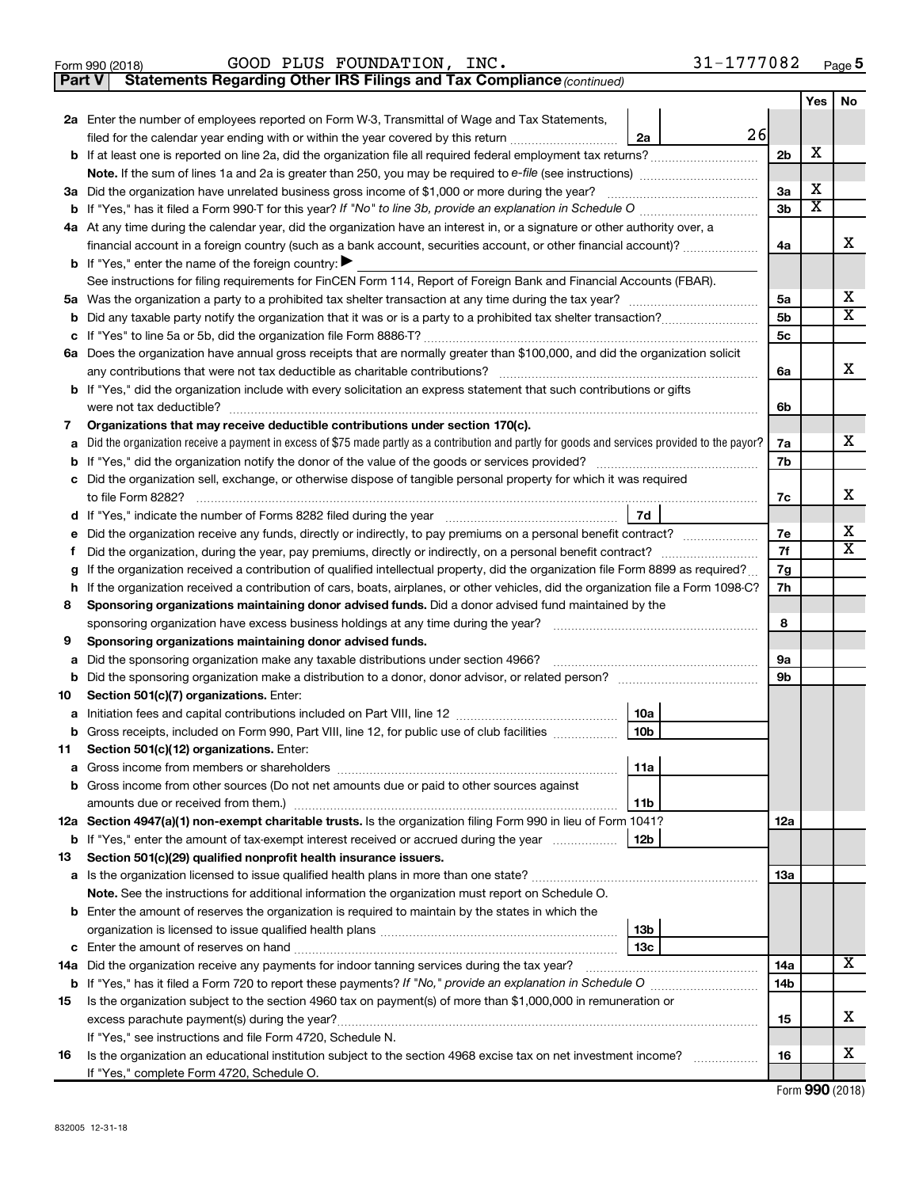|  | Form 990 (2018) |
|--|-----------------|
|  |                 |

### $\frac{1}{1000}$   $\frac{1}{1000}$   $\frac{1}{1000}$   $\frac{1}{1000}$   $\frac{1}{1000}$   $\frac{1}{1000}$   $\frac{1}{1000}$   $\frac{1}{1000}$   $\frac{1}{1000}$   $\frac{1}{1000}$   $\frac{1}{1000}$   $\frac{1}{1000}$   $\frac{1}{1000}$   $\frac{1}{1000}$   $\frac{1}{1000}$   $\frac{1}{1000}$   $\frac{1}{1000}$  GOOD PLUS FOUNDATION, INC. 31-1777082

**Part V Statements Regarding Other IRS Filings and Tax Compliance**

*(continued)*

|    |                                                                                                                                                   |                | Yes                     | No                      |
|----|---------------------------------------------------------------------------------------------------------------------------------------------------|----------------|-------------------------|-------------------------|
|    | 2a Enter the number of employees reported on Form W-3, Transmittal of Wage and Tax Statements,                                                    |                |                         |                         |
|    | 26<br>filed for the calendar year ending with or within the year covered by this return<br>2a                                                     |                |                         |                         |
|    | <b>b</b> If at least one is reported on line 2a, did the organization file all required federal employment tax returns?                           | 2 <sub>b</sub> | х                       |                         |
|    |                                                                                                                                                   |                |                         |                         |
|    | 3a Did the organization have unrelated business gross income of \$1,000 or more during the year?                                                  | 3a             | х                       |                         |
|    |                                                                                                                                                   | 3b             | $\overline{\textbf{x}}$ |                         |
|    | 4a At any time during the calendar year, did the organization have an interest in, or a signature or other authority over, a                      |                |                         |                         |
|    | financial account in a foreign country (such as a bank account, securities account, or other financial account)?                                  | 4a             |                         | х                       |
|    | <b>b</b> If "Yes," enter the name of the foreign country: $\blacktriangleright$                                                                   |                |                         |                         |
|    | See instructions for filing requirements for FinCEN Form 114, Report of Foreign Bank and Financial Accounts (FBAR).                               |                |                         |                         |
|    |                                                                                                                                                   | 5a             |                         | х                       |
|    |                                                                                                                                                   | 5b             |                         | $\overline{\mathtt{x}}$ |
|    |                                                                                                                                                   | 5c             |                         |                         |
|    | 6a Does the organization have annual gross receipts that are normally greater than \$100,000, and did the organization solicit                    |                |                         |                         |
|    |                                                                                                                                                   | 6a             |                         | x                       |
|    | <b>b</b> If "Yes," did the organization include with every solicitation an express statement that such contributions or gifts                     |                |                         |                         |
|    | were not tax deductible?                                                                                                                          | 6b             |                         |                         |
| 7  | Organizations that may receive deductible contributions under section 170(c).                                                                     |                |                         | x                       |
|    | a Did the organization receive a payment in excess of \$75 made partly as a contribution and partly for goods and services provided to the payor? | 7a             |                         |                         |
|    |                                                                                                                                                   | 7b             |                         |                         |
|    | c Did the organization sell, exchange, or otherwise dispose of tangible personal property for which it was required                               |                |                         | x                       |
|    | 7d                                                                                                                                                | 7c             |                         |                         |
|    | Did the organization receive any funds, directly or indirectly, to pay premiums on a personal benefit contract?                                   | 7e             |                         | x                       |
| е  |                                                                                                                                                   | 7f             |                         | $\overline{\mathtt{x}}$ |
| g  | If the organization received a contribution of qualified intellectual property, did the organization file Form 8899 as required?                  | 7g             |                         |                         |
|    | h If the organization received a contribution of cars, boats, airplanes, or other vehicles, did the organization file a Form 1098-C?              | 7h             |                         |                         |
| 8  | Sponsoring organizations maintaining donor advised funds. Did a donor advised fund maintained by the                                              |                |                         |                         |
|    | sponsoring organization have excess business holdings at any time during the year?                                                                | 8              |                         |                         |
| 9  | Sponsoring organizations maintaining donor advised funds.                                                                                         |                |                         |                         |
| а  | Did the sponsoring organization make any taxable distributions under section 4966?                                                                | 9а             |                         |                         |
| b  |                                                                                                                                                   | 9b             |                         |                         |
| 10 | Section 501(c)(7) organizations. Enter:                                                                                                           |                |                         |                         |
|    | 10a                                                                                                                                               |                |                         |                         |
|    | 10 <sub>b</sub><br>b Gross receipts, included on Form 990, Part VIII, line 12, for public use of club facilities                                  |                |                         |                         |
| 11 | Section 501(c)(12) organizations. Enter:                                                                                                          |                |                         |                         |
|    | 11a<br><b>a</b> Gross income from members or shareholders                                                                                         |                |                         |                         |
|    | <b>b</b> Gross income from other sources (Do not net amounts due or paid to other sources against                                                 |                |                         |                         |
|    | 11b                                                                                                                                               |                |                         |                         |
|    | 12a Section 4947(a)(1) non-exempt charitable trusts. Is the organization filing Form 990 in lieu of Form 1041?                                    | 12a            |                         |                         |
|    | 12b<br><b>b</b> If "Yes," enter the amount of tax-exempt interest received or accrued during the year                                             |                |                         |                         |
| 13 | Section 501(c)(29) qualified nonprofit health insurance issuers.                                                                                  |                |                         |                         |
|    | a Is the organization licensed to issue qualified health plans in more than one state?                                                            | 1За            |                         |                         |
|    | Note. See the instructions for additional information the organization must report on Schedule O.                                                 |                |                         |                         |
|    | <b>b</b> Enter the amount of reserves the organization is required to maintain by the states in which the                                         |                |                         |                         |
|    | 13 <sub>b</sub>                                                                                                                                   |                |                         |                         |
|    | 13с                                                                                                                                               |                |                         |                         |
|    | 14a Did the organization receive any payments for indoor tanning services during the tax year?                                                    | 14a            |                         | $\overline{\mathbf{X}}$ |
|    |                                                                                                                                                   | 14b            |                         |                         |
| 15 | Is the organization subject to the section 4960 tax on payment(s) of more than \$1,000,000 in remuneration or                                     |                |                         |                         |
|    |                                                                                                                                                   | 15             |                         | х                       |
|    | If "Yes," see instructions and file Form 4720, Schedule N.                                                                                        |                |                         | x                       |
| 16 | Is the organization an educational institution subject to the section 4968 excise tax on net investment income?                                   | 16             |                         |                         |
|    | If "Yes," complete Form 4720, Schedule O.                                                                                                         |                |                         |                         |

Form (2018) **990**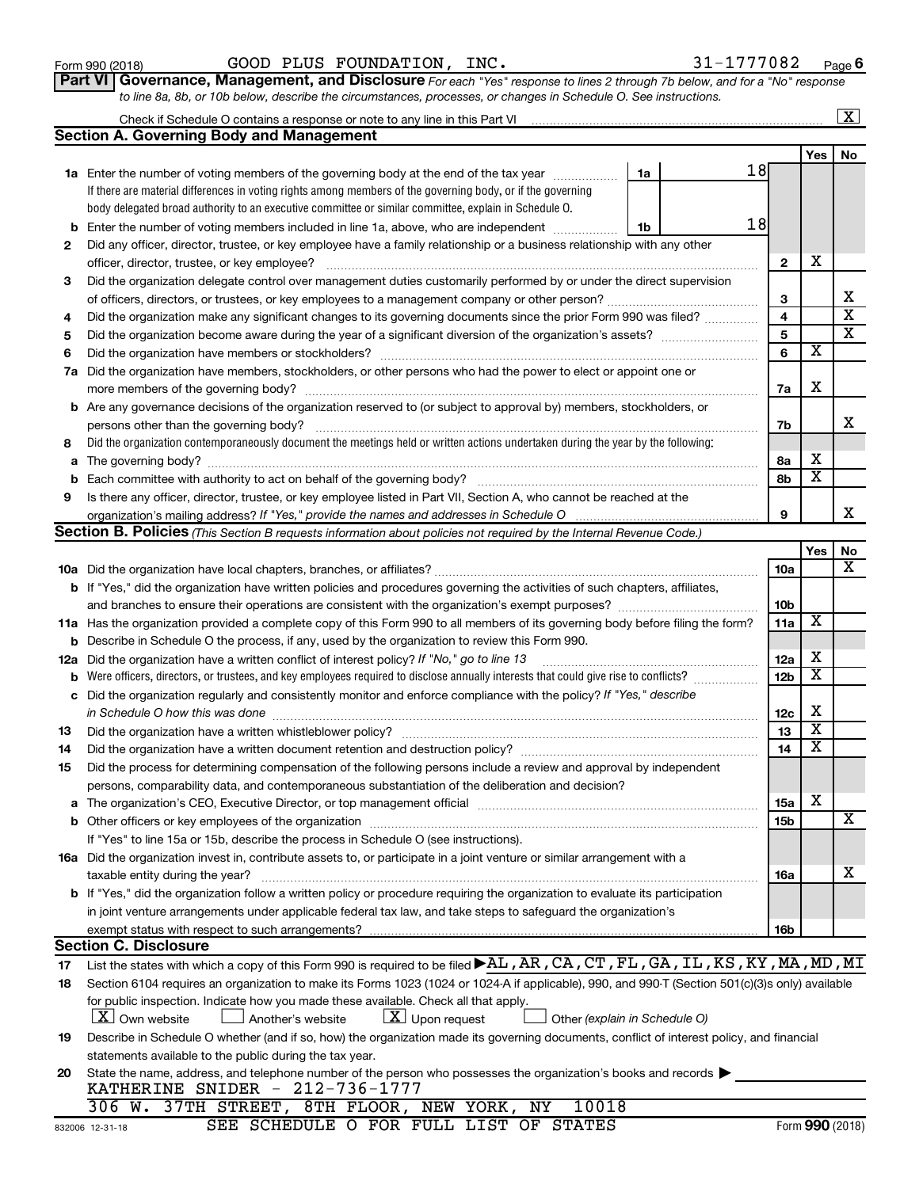| Form 990 (2018) |  |
|-----------------|--|
|-----------------|--|

Form 990 (2018) Page GOOD PLUS FOUNDATION, INC. 31-1777082

**Part VI** Governance, Management, and Disclosure For each "Yes" response to lines 2 through 7b below, and for a "No" response *to line 8a, 8b, or 10b below, describe the circumstances, processes, or changes in Schedule O. See instructions.*

|    | Check if Schedule O contains a response or note to any line in this Part VI [11] [11] [11] Check if Schedule O contains a response or note to any line in this Part VI |                         |                              | $\overline{\mathbf{x}}$ |
|----|------------------------------------------------------------------------------------------------------------------------------------------------------------------------|-------------------------|------------------------------|-------------------------|
|    | <b>Section A. Governing Body and Management</b>                                                                                                                        |                         |                              |                         |
|    |                                                                                                                                                                        |                         | <b>Yes</b>                   | No                      |
|    | 18<br>1a Enter the number of voting members of the governing body at the end of the tax year<br>1a                                                                     |                         |                              |                         |
|    | If there are material differences in voting rights among members of the governing body, or if the governing                                                            |                         |                              |                         |
|    | body delegated broad authority to an executive committee or similar committee, explain in Schedule O.                                                                  |                         |                              |                         |
| b  | 18<br>Enter the number of voting members included in line 1a, above, who are independent<br>1b                                                                         |                         |                              |                         |
| 2  | Did any officer, director, trustee, or key employee have a family relationship or a business relationship with any other                                               |                         |                              |                         |
|    | officer, director, trustee, or key employee?                                                                                                                           | $\mathbf{2}$            | х                            |                         |
| 3  | Did the organization delegate control over management duties customarily performed by or under the direct supervision                                                  |                         |                              |                         |
|    |                                                                                                                                                                        | 3                       |                              | х                       |
| 4  | Did the organization make any significant changes to its governing documents since the prior Form 990 was filed?                                                       | $\overline{\mathbf{4}}$ |                              | $\overline{\textbf{x}}$ |
| 5  |                                                                                                                                                                        | 5                       |                              | $\overline{\text{x}}$   |
| 6  | Did the organization have members or stockholders?                                                                                                                     | 6                       | $\overline{\mathbf{x}}$      |                         |
|    | 7a Did the organization have members, stockholders, or other persons who had the power to elect or appoint one or                                                      |                         |                              |                         |
|    |                                                                                                                                                                        | 7a                      | X                            |                         |
|    | <b>b</b> Are any governance decisions of the organization reserved to (or subject to approval by) members, stockholders, or                                            |                         |                              |                         |
|    | persons other than the governing body?                                                                                                                                 | 7b                      |                              | x                       |
| 8  | Did the organization contemporaneously document the meetings held or written actions undertaken during the year by the following:                                      |                         |                              |                         |
| a  |                                                                                                                                                                        | 8a                      | х<br>$\overline{\mathbf{x}}$ |                         |
| b  |                                                                                                                                                                        | 8b                      |                              |                         |
| 9  | Is there any officer, director, trustee, or key employee listed in Part VII, Section A, who cannot be reached at the                                                   |                         |                              | X.                      |
|    |                                                                                                                                                                        | 9                       |                              |                         |
|    | Section B. Policies (This Section B requests information about policies not required by the Internal Revenue Code.)                                                    |                         |                              |                         |
|    |                                                                                                                                                                        | 10a                     | Yes                          | No<br>X                 |
|    | b If "Yes," did the organization have written policies and procedures governing the activities of such chapters, affiliates,                                           |                         |                              |                         |
|    | and branches to ensure their operations are consistent with the organization's exempt purposes?                                                                        | 10b                     |                              |                         |
|    | 11a Has the organization provided a complete copy of this Form 990 to all members of its governing body before filing the form?                                        | 11a                     | $\overline{\mathbf{X}}$      |                         |
|    | <b>b</b> Describe in Schedule O the process, if any, used by the organization to review this Form 990.                                                                 |                         |                              |                         |
|    | 12a Did the organization have a written conflict of interest policy? If "No," go to line 13                                                                            | 12a                     | х                            |                         |
| b  | Were officers, directors, or trustees, and key employees required to disclose annually interests that could give rise to conflicts?                                    | 12 <sub>b</sub>         | $\overline{\text{x}}$        |                         |
| c  | Did the organization regularly and consistently monitor and enforce compliance with the policy? If "Yes," describe                                                     |                         |                              |                         |
|    | in Schedule O how this was done manufactured and continuum and contact the was done manufactured and contact t                                                         | 12c                     | X                            |                         |
| 13 |                                                                                                                                                                        | 13                      | $\overline{\mathbf{X}}$      |                         |
| 14 | Did the organization have a written document retention and destruction policy? [11] manufaction manufaction in                                                         | 14                      | $\overline{\text{x}}$        |                         |
| 15 | Did the process for determining compensation of the following persons include a review and approval by independent                                                     |                         |                              |                         |
|    | persons, comparability data, and contemporaneous substantiation of the deliberation and decision?                                                                      |                         |                              |                         |
|    |                                                                                                                                                                        | 15a                     | х                            |                         |
|    |                                                                                                                                                                        | 15b                     |                              | $\overline{\textbf{X}}$ |
|    | If "Yes" to line 15a or 15b, describe the process in Schedule O (see instructions).                                                                                    |                         |                              |                         |
|    | 16a Did the organization invest in, contribute assets to, or participate in a joint venture or similar arrangement with a                                              |                         |                              |                         |
|    | taxable entity during the year?                                                                                                                                        | 16a                     |                              | x                       |
|    | <b>b</b> If "Yes," did the organization follow a written policy or procedure requiring the organization to evaluate its participation                                  |                         |                              |                         |
|    | in joint venture arrangements under applicable federal tax law, and take steps to safeguard the organization's                                                         |                         |                              |                         |
|    | exempt status with respect to such arrangements?                                                                                                                       | 16b                     |                              |                         |
|    | <b>Section C. Disclosure</b>                                                                                                                                           |                         |                              |                         |
| 17 | List the states with which a copy of this Form 990 is required to be filed <b>&gt;AL</b> , AR, CA, CT, FL, GA, IL, KS, KY, MA, MD, MI                                  |                         |                              |                         |
| 18 | Section 6104 requires an organization to make its Forms 1023 (1024 or 1024 A if applicable), 990, and 990-T (Section 501(c)(3)s only) available                        |                         |                              |                         |
|    | for public inspection. Indicate how you made these available. Check all that apply.                                                                                    |                         |                              |                         |
|    | <b>X</b> Own website<br>$ \underline{X} $ Upon request<br>Another's website<br>Other (explain in Schedule O)                                                           |                         |                              |                         |
| 19 | Describe in Schedule O whether (and if so, how) the organization made its governing documents, conflict of interest policy, and financial                              |                         |                              |                         |
|    | statements available to the public during the tax year.                                                                                                                |                         |                              |                         |
| 20 | State the name, address, and telephone number of the person who possesses the organization's books and records                                                         |                         |                              |                         |
|    | KATHERINE SNIDER - 212-736-1777<br>306 W. 37TH STREET, 8TH FLOOR, NEW YORK, NY<br>10018                                                                                |                         |                              |                         |
|    |                                                                                                                                                                        |                         |                              |                         |

SEE SCHEDULE O FOR FULL LIST OF STATES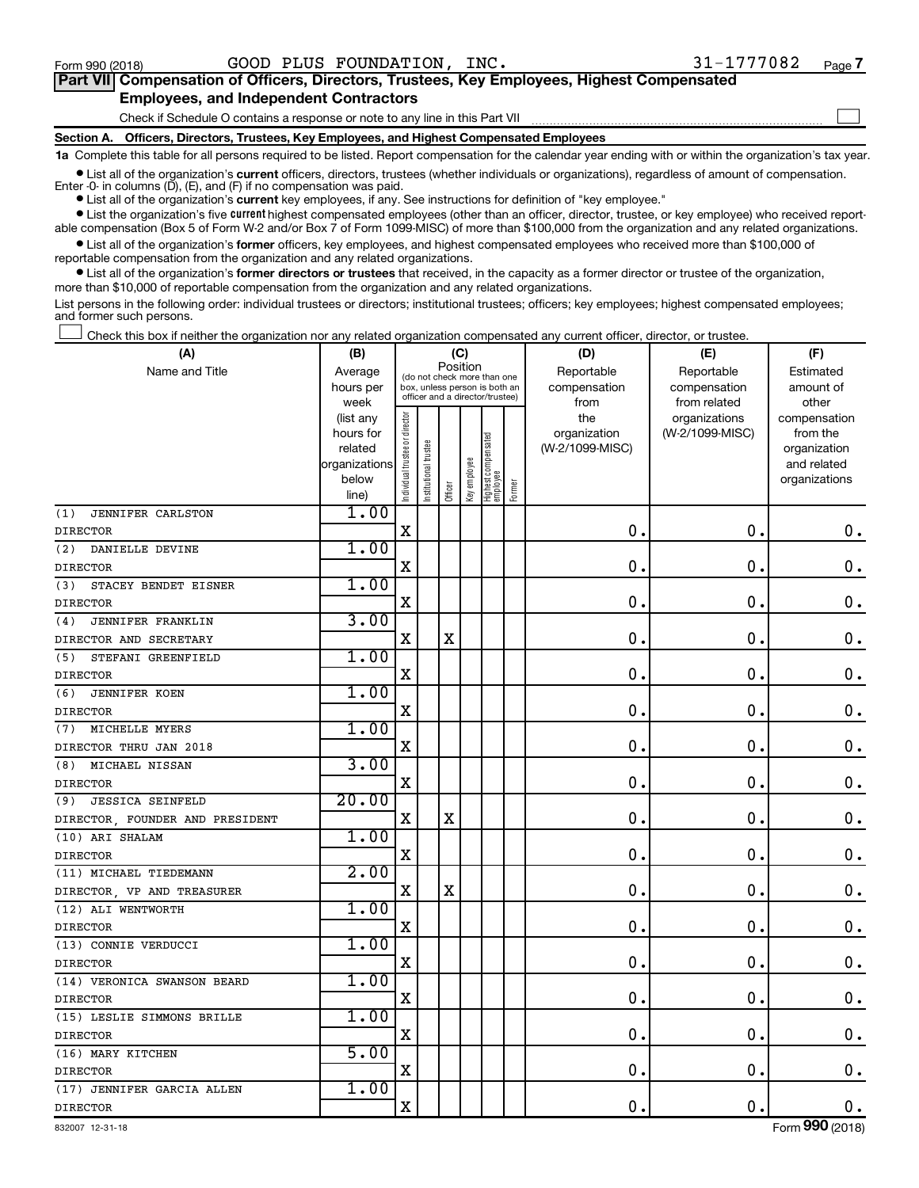$\Box$ 

| Part VII Compensation of Officers, Directors, Trustees, Key Employees, Highest Compensated |
|--------------------------------------------------------------------------------------------|
| <b>Employees, and Independent Contractors</b>                                              |

Check if Schedule O contains a response or note to any line in this Part VII

**Section A. Officers, Directors, Trustees, Key Employees, and Highest Compensated Employees**

**1a**  Complete this table for all persons required to be listed. Report compensation for the calendar year ending with or within the organization's tax year.

**•** List all of the organization's current officers, directors, trustees (whether individuals or organizations), regardless of amount of compensation. Enter -0- in columns  $(D)$ ,  $(E)$ , and  $(F)$  if no compensation was paid.

**•** List all of the organization's **current** key employees, if any. See instructions for definition of "key employee."

**•** List the organization's five current highest compensated employees (other than an officer, director, trustee, or key employee) who received reportable compensation (Box 5 of Form W-2 and/or Box 7 of Form 1099-MISC) of more than \$100,000 from the organization and any related organizations.

**•** List all of the organization's former officers, key employees, and highest compensated employees who received more than \$100,000 of reportable compensation from the organization and any related organizations.

**•** List all of the organization's former directors or trustees that received, in the capacity as a former director or trustee of the organization, more than \$10,000 of reportable compensation from the organization and any related organizations.

List persons in the following order: individual trustees or directors; institutional trustees; officers; key employees; highest compensated employees; and former such persons.

Check this box if neither the organization nor any related organization compensated any current officer, director, or trustee.  $\Box$ 

| (A)                             | (B)               |                                |                                                                  | (C)         |              |                                 |        | (D)             | (E)                           | (F)                   |
|---------------------------------|-------------------|--------------------------------|------------------------------------------------------------------|-------------|--------------|---------------------------------|--------|-----------------|-------------------------------|-----------------------|
| Name and Title                  | Average           |                                | (do not check more than one                                      | Position    |              |                                 |        | Reportable      | Reportable                    | Estimated             |
|                                 | hours per         |                                | box, unless person is both an<br>officer and a director/trustee) |             |              |                                 |        | compensation    | compensation                  | amount of             |
|                                 | week<br>(list any |                                |                                                                  |             |              |                                 |        | from<br>the     | from related<br>organizations | other<br>compensation |
|                                 | hours for         |                                |                                                                  |             |              |                                 |        | organization    | (W-2/1099-MISC)               | from the              |
|                                 | related           |                                |                                                                  |             |              |                                 |        | (W-2/1099-MISC) |                               | organization          |
|                                 | organizations     |                                |                                                                  |             |              |                                 |        |                 |                               | and related           |
|                                 | below             | Individual trustee or director | Institutional trustee                                            | Officer     | Key employee | Highest compensated<br>employee | Former |                 |                               | organizations         |
|                                 | line)             |                                |                                                                  |             |              |                                 |        |                 |                               |                       |
| (1)<br>JENNIFER CARLSTON        | 1.00              |                                |                                                                  |             |              |                                 |        |                 |                               |                       |
| <b>DIRECTOR</b>                 |                   | $\rm X$                        |                                                                  |             |              |                                 |        | $\mathbf 0$ .   | $\mathbf 0$ .                 | $\mathbf 0$ .         |
| (2)<br>DANIELLE DEVINE          | 1.00              |                                |                                                                  |             |              |                                 |        |                 |                               |                       |
| <b>DIRECTOR</b>                 |                   | $\mathbf X$                    |                                                                  |             |              |                                 |        | 0               | $\mathbf 0$ .                 | $\mathbf 0$ .         |
| STACEY BENDET EISNER<br>(3)     | 1.00              |                                |                                                                  |             |              |                                 |        |                 |                               |                       |
| <b>DIRECTOR</b>                 |                   | $\mathbf X$                    |                                                                  |             |              |                                 |        | $\mathbf 0$     | $\mathbf 0$                   | $\mathbf 0$ .         |
| JENNIFER FRANKLIN<br>(4)        | 3.00              |                                |                                                                  |             |              |                                 |        |                 |                               |                       |
| DIRECTOR AND SECRETARY          |                   | $\mathbf X$                    |                                                                  | $\mathbf X$ |              |                                 |        | $\mathbf 0$     | $\mathbf 0$                   | 0.                    |
| (5)<br>STEFANI GREENFIELD       | 1.00              |                                |                                                                  |             |              |                                 |        |                 |                               |                       |
| <b>DIRECTOR</b>                 |                   | X                              |                                                                  |             |              |                                 |        | $\mathbf 0$     | $\mathbf 0$ .                 | $\mathbf 0$ .         |
| <b>JENNIFER KOEN</b><br>(6)     | 1.00              |                                |                                                                  |             |              |                                 |        |                 |                               |                       |
| <b>DIRECTOR</b>                 |                   | $\mathbf X$                    |                                                                  |             |              |                                 |        | 0               | $\mathbf 0$                   | 0.                    |
| MICHELLE MYERS<br>(7)           | 1.00              |                                |                                                                  |             |              |                                 |        |                 |                               |                       |
| DIRECTOR THRU JAN 2018          |                   | X                              |                                                                  |             |              |                                 |        | 0               | $\mathbf 0$                   | $\mathbf 0$ .         |
| MICHAEL NISSAN<br>(8)           | 3.00              |                                |                                                                  |             |              |                                 |        |                 |                               |                       |
| <b>DIRECTOR</b>                 |                   | $\mathbf X$                    |                                                                  |             |              |                                 |        | $\mathbf 0$     | $\mathbf 0$ .                 | $\mathbf 0$ .         |
| <b>JESSICA SEINFELD</b><br>(9)  | 20.00             |                                |                                                                  |             |              |                                 |        |                 |                               |                       |
| DIRECTOR, FOUNDER AND PRESIDENT |                   | $\mathbf X$                    |                                                                  | $\mathbf X$ |              |                                 |        | $\mathbf 0$     | $\mathbf 0$ .                 | $\mathbf 0$ .         |
| (10) ARI SHALAM                 | 1.00              |                                |                                                                  |             |              |                                 |        |                 |                               |                       |
| <b>DIRECTOR</b>                 |                   | X                              |                                                                  |             |              |                                 |        | $\mathbf 0$     | $\mathbf 0$                   | $0$ .                 |
| (11) MICHAEL TIEDEMANN          | 2.00              |                                |                                                                  |             |              |                                 |        |                 |                               |                       |
| DIRECTOR, VP AND TREASURER      |                   | X                              |                                                                  | $\mathbf X$ |              |                                 |        | 0               | $\mathbf 0$                   | $\mathbf 0$ .         |
| (12) ALI WENTWORTH              | 1.00              |                                |                                                                  |             |              |                                 |        |                 |                               |                       |
| <b>DIRECTOR</b>                 |                   | $\mathbf X$                    |                                                                  |             |              |                                 |        | $\mathbf 0$     | $\mathbf 0$                   | 0.                    |
| (13) CONNIE VERDUCCI            | 1.00              |                                |                                                                  |             |              |                                 |        |                 |                               |                       |
| <b>DIRECTOR</b>                 |                   | X                              |                                                                  |             |              |                                 |        | 0               | $\mathbf 0$                   | $\mathbf 0$ .         |
| (14) VERONICA SWANSON BEARD     | 1.00              |                                |                                                                  |             |              |                                 |        |                 |                               |                       |
| <b>DIRECTOR</b>                 |                   | X                              |                                                                  |             |              |                                 |        | $\mathbf 0$     | $\mathbf 0$                   | $\mathbf 0$ .         |
| (15) LESLIE SIMMONS BRILLE      | 1.00              |                                |                                                                  |             |              |                                 |        |                 |                               |                       |
| <b>DIRECTOR</b>                 |                   | X                              |                                                                  |             |              |                                 |        | 0               | $\mathbf 0$                   | 0.                    |
| (16) MARY KITCHEN               | 5.00              |                                |                                                                  |             |              |                                 |        |                 |                               |                       |
| <b>DIRECTOR</b>                 |                   | X                              |                                                                  |             |              |                                 |        | $\mathbf 0$ .   | $\mathbf 0$ .                 | $\mathbf 0$ .         |
| (17) JENNIFER GARCIA ALLEN      | 1.00              |                                |                                                                  |             |              |                                 |        |                 |                               |                       |
| <b>DIRECTOR</b>                 |                   | $\mathbf X$                    |                                                                  |             |              |                                 |        | $\mathbf 0$ .   | $\mathbf 0$ .                 | 0.                    |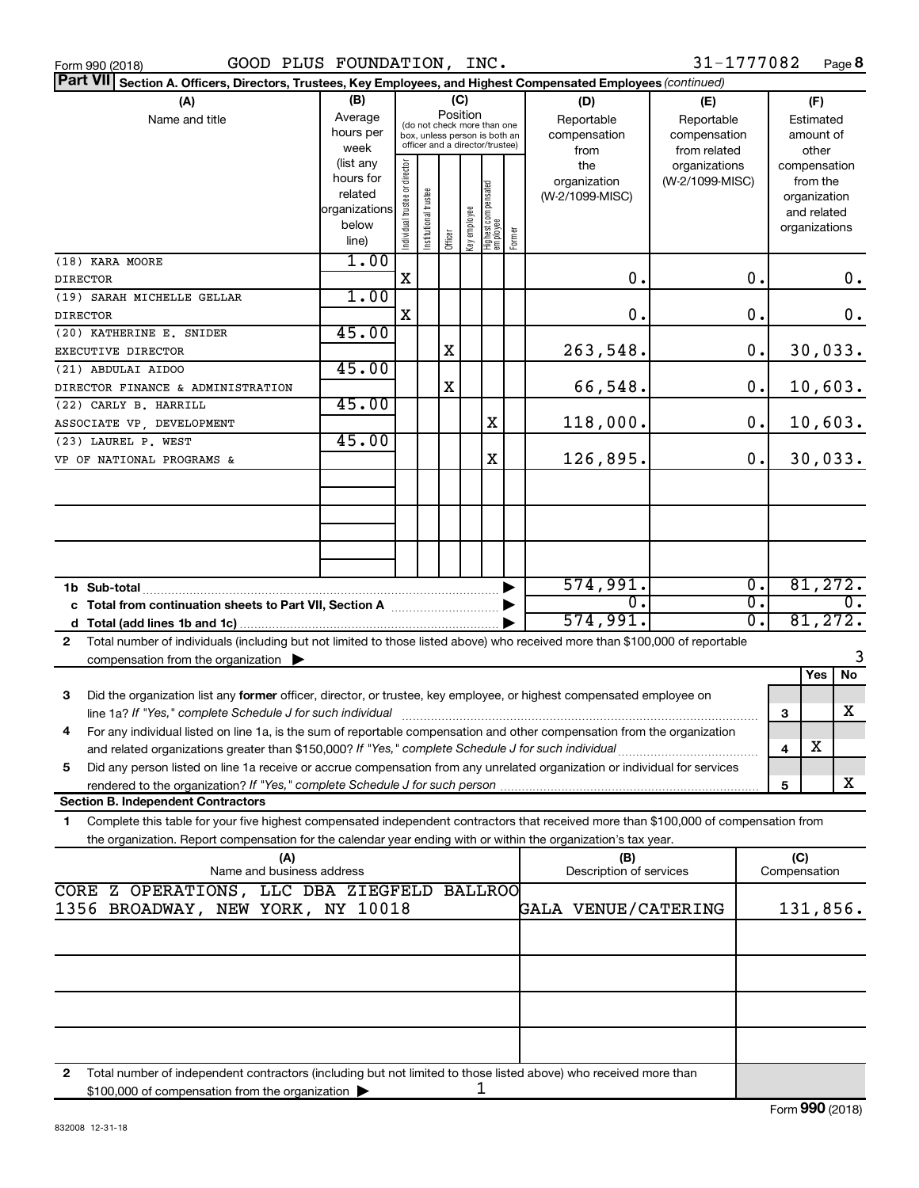| GOOD PLUS FOUNDATION, INC.<br>Form 990 (2018)                                                                                                                                                                                  |                                                                      |                                                                                                                    |                            |         |              |                                   |                                           |                                                   | 31-1777082                       |                  |                                        |                                                                          | Page 8 |
|--------------------------------------------------------------------------------------------------------------------------------------------------------------------------------------------------------------------------------|----------------------------------------------------------------------|--------------------------------------------------------------------------------------------------------------------|----------------------------|---------|--------------|-----------------------------------|-------------------------------------------|---------------------------------------------------|----------------------------------|------------------|----------------------------------------|--------------------------------------------------------------------------|--------|
| <b>Part VII</b><br>Section A. Officers, Directors, Trustees, Key Employees, and Highest Compensated Employees (continued)                                                                                                      |                                                                      |                                                                                                                    |                            |         |              |                                   |                                           |                                                   |                                  |                  |                                        |                                                                          |        |
| (A)<br>Name and title                                                                                                                                                                                                          | (B)<br>Average<br>hours per<br>week                                  | (C)<br>Position<br>(do not check more than one<br>box, unless person is both an<br>officer and a director/trustee) |                            |         |              |                                   | (D)<br>Reportable<br>compensation<br>from | (E)<br>Reportable<br>compensation<br>from related |                                  |                  | (F)<br>Estimated<br>amount of<br>other |                                                                          |        |
|                                                                                                                                                                                                                                | (list any<br>hours for<br>related<br>organizations<br>below<br>line) | Individual trustee or director                                                                                     | trustee<br>Institutional t | Officer | key employee | Highest compensated<br>  employee | Former                                    | the<br>organization<br>(W-2/1099-MISC)            | organizations<br>(W-2/1099-MISC) |                  |                                        | compensation<br>from the<br>organization<br>and related<br>organizations |        |
| (18) KARA MOORE<br><b>DIRECTOR</b>                                                                                                                                                                                             | 1.00                                                                 | X                                                                                                                  |                            |         |              |                                   |                                           | $\mathbf 0$ .                                     |                                  | 0.               |                                        |                                                                          | $0$ .  |
| (19) SARAH MICHELLE GELLAR<br><b>DIRECTOR</b>                                                                                                                                                                                  | 1.00                                                                 | X                                                                                                                  |                            |         |              |                                   |                                           | 0.                                                |                                  | 0.               |                                        |                                                                          | $0$ .  |
| (20) KATHERINE E. SNIDER                                                                                                                                                                                                       | 45.00                                                                |                                                                                                                    |                            |         |              |                                   |                                           |                                                   |                                  |                  |                                        |                                                                          |        |
| <b>EXECUTIVE DIRECTOR</b><br>(21) ABDULAI AIDOO                                                                                                                                                                                | 45.00                                                                |                                                                                                                    |                            | X       |              |                                   |                                           | 263,548.                                          |                                  | 0.               |                                        | 30,033.                                                                  |        |
| DIRECTOR FINANCE & ADMINISTRATION                                                                                                                                                                                              |                                                                      |                                                                                                                    |                            | Χ       |              |                                   |                                           | 66,548.                                           |                                  | 0.               |                                        | 10,603.                                                                  |        |
| (22) CARLY B. HARRILL                                                                                                                                                                                                          | 45.00                                                                |                                                                                                                    |                            |         |              |                                   |                                           |                                                   |                                  |                  |                                        |                                                                          |        |
| ASSOCIATE VP, DEVELOPMENT                                                                                                                                                                                                      | 45.00                                                                |                                                                                                                    |                            |         |              | X                                 |                                           | 118,000.                                          |                                  | 0.               |                                        | 10,603.                                                                  |        |
| (23) LAUREL P. WEST<br>VP OF NATIONAL PROGRAMS &                                                                                                                                                                               |                                                                      |                                                                                                                    |                            |         |              | X                                 |                                           | 126,895.                                          |                                  | 0.               |                                        | 30,033.                                                                  |        |
|                                                                                                                                                                                                                                |                                                                      |                                                                                                                    |                            |         |              |                                   |                                           |                                                   |                                  |                  |                                        |                                                                          |        |
|                                                                                                                                                                                                                                |                                                                      |                                                                                                                    |                            |         |              |                                   |                                           |                                                   |                                  |                  |                                        |                                                                          |        |
|                                                                                                                                                                                                                                |                                                                      |                                                                                                                    |                            |         |              |                                   |                                           |                                                   |                                  |                  |                                        |                                                                          |        |
|                                                                                                                                                                                                                                |                                                                      |                                                                                                                    |                            |         |              |                                   |                                           | 574,991.                                          |                                  | $\overline{0}$ . |                                        | 81,272.                                                                  |        |
|                                                                                                                                                                                                                                |                                                                      |                                                                                                                    |                            |         |              |                                   |                                           | 0.                                                |                                  | 0.               |                                        |                                                                          | 0.     |
|                                                                                                                                                                                                                                |                                                                      |                                                                                                                    |                            |         |              |                                   |                                           | 574,991.                                          |                                  | $\overline{0}$ . |                                        | 81,272.                                                                  |        |
| Total number of individuals (including but not limited to those listed above) who received more than \$100,000 of reportable<br>$\mathbf{2}$                                                                                   |                                                                      |                                                                                                                    |                            |         |              |                                   |                                           |                                                   |                                  |                  |                                        |                                                                          |        |
| compensation from the organization $\blacktriangleright$                                                                                                                                                                       |                                                                      |                                                                                                                    |                            |         |              |                                   |                                           |                                                   |                                  |                  |                                        |                                                                          | 3      |
| Did the organization list any former officer, director, or trustee, key employee, or highest compensated employee on<br>з                                                                                                      |                                                                      |                                                                                                                    |                            |         |              |                                   |                                           |                                                   |                                  |                  |                                        | Yes                                                                      | No     |
| line 1a? If "Yes," complete Schedule J for such individual [11] manufacture manufacture in the set of the set of the set of the set of the set of the set of the set of the set of the set of the set of the set of the set of |                                                                      |                                                                                                                    |                            |         |              |                                   |                                           |                                                   |                                  |                  | 3                                      |                                                                          | x      |
| For any individual listed on line 1a, is the sum of reportable compensation and other compensation from the organization<br>4                                                                                                  |                                                                      |                                                                                                                    |                            |         |              |                                   |                                           |                                                   |                                  |                  | 4                                      | х                                                                        |        |
| Did any person listed on line 1a receive or accrue compensation from any unrelated organization or individual for services<br>5                                                                                                |                                                                      |                                                                                                                    |                            |         |              |                                   |                                           |                                                   |                                  |                  |                                        |                                                                          |        |
| <b>Section B. Independent Contractors</b>                                                                                                                                                                                      |                                                                      |                                                                                                                    |                            |         |              |                                   |                                           |                                                   |                                  |                  | 5                                      |                                                                          | X      |
| Complete this table for your five highest compensated independent contractors that received more than \$100,000 of compensation from<br>1                                                                                      |                                                                      |                                                                                                                    |                            |         |              |                                   |                                           |                                                   |                                  |                  |                                        |                                                                          |        |
| the organization. Report compensation for the calendar year ending with or within the organization's tax year.<br>(A)                                                                                                          |                                                                      |                                                                                                                    |                            |         |              |                                   |                                           | (B)                                               |                                  |                  | (C)                                    |                                                                          |        |
| Name and business address                                                                                                                                                                                                      |                                                                      |                                                                                                                    |                            |         |              |                                   |                                           | Description of services                           |                                  |                  | Compensation                           |                                                                          |        |
| CORE Z OPERATIONS, LLC DBA ZIEGFELD BALLROO<br>1356 BROADWAY, NEW YORK, NY 10018<br><b>GALA VENUE/CATERING</b><br>131,856.                                                                                                     |                                                                      |                                                                                                                    |                            |         |              |                                   |                                           |                                                   |                                  |                  |                                        |                                                                          |        |
|                                                                                                                                                                                                                                |                                                                      |                                                                                                                    |                            |         |              |                                   |                                           |                                                   |                                  |                  |                                        |                                                                          |        |
|                                                                                                                                                                                                                                |                                                                      |                                                                                                                    |                            |         |              |                                   |                                           |                                                   |                                  |                  |                                        |                                                                          |        |
|                                                                                                                                                                                                                                |                                                                      |                                                                                                                    |                            |         |              |                                   |                                           |                                                   |                                  |                  |                                        |                                                                          |        |
|                                                                                                                                                                                                                                |                                                                      |                                                                                                                    |                            |         |              |                                   |                                           |                                                   |                                  |                  |                                        |                                                                          |        |
|                                                                                                                                                                                                                                |                                                                      |                                                                                                                    |                            |         |              |                                   |                                           |                                                   |                                  |                  |                                        |                                                                          |        |
| Total number of independent contractors (including but not limited to those listed above) who received more than<br>2<br>\$100,000 of compensation from the organization                                                       |                                                                      |                                                                                                                    |                            |         |              | 1                                 |                                           |                                                   |                                  |                  |                                        |                                                                          |        |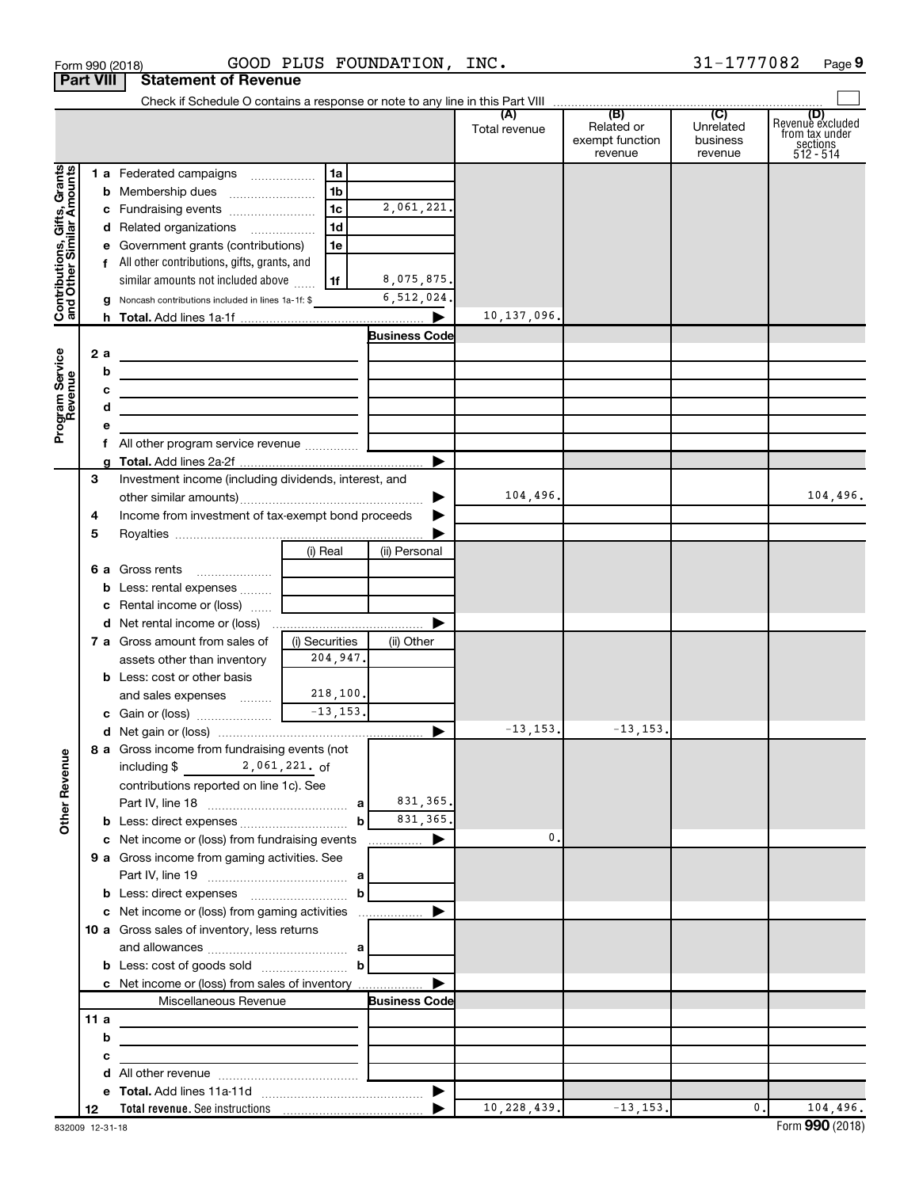|                                                           | <b>Part VIII</b> | <b>Statement of Revenue</b>                                                          |                 |                      |               |                                          |                                  |                                                                      |
|-----------------------------------------------------------|------------------|--------------------------------------------------------------------------------------|-----------------|----------------------|---------------|------------------------------------------|----------------------------------|----------------------------------------------------------------------|
|                                                           |                  |                                                                                      |                 |                      |               |                                          |                                  |                                                                      |
|                                                           |                  |                                                                                      |                 |                      | Total revenue | Related or<br>exempt function<br>revenue | Unrelated<br>business<br>revenue | (D)<br>Revenue excluded<br>from tax under<br>sections<br>$512 - 514$ |
|                                                           |                  | 1 a Federated campaigns                                                              | 1a              |                      |               |                                          |                                  |                                                                      |
| Contributions, Gifts, Grants<br>and Other Similar Amounts |                  |                                                                                      | 1b              |                      |               |                                          |                                  |                                                                      |
|                                                           |                  |                                                                                      | 1c              | 2,061,221.           |               |                                          |                                  |                                                                      |
|                                                           |                  | d Related organizations                                                              | 1d              |                      |               |                                          |                                  |                                                                      |
|                                                           |                  | e Government grants (contributions)                                                  | 1e              |                      |               |                                          |                                  |                                                                      |
|                                                           |                  | f All other contributions, gifts, grants, and                                        |                 |                      |               |                                          |                                  |                                                                      |
|                                                           |                  | similar amounts not included above                                                   | 1f              | 8,075,875.           |               |                                          |                                  |                                                                      |
|                                                           |                  | Noncash contributions included in lines 1a-1f: \$                                    |                 | 6,512,024.           |               |                                          |                                  |                                                                      |
|                                                           |                  |                                                                                      |                 | ▶                    | 10,137,096.   |                                          |                                  |                                                                      |
|                                                           |                  |                                                                                      |                 | <b>Business Code</b> |               |                                          |                                  |                                                                      |
|                                                           | 2a               | <u> 1980 - Johann Barn, amerikansk politiker (</u>                                   |                 |                      |               |                                          |                                  |                                                                      |
|                                                           |                  | b<br>the contract of the contract of the contract of the contract of the contract of |                 |                      |               |                                          |                                  |                                                                      |
|                                                           |                  | c<br>the control of the control of the control of the control of the control of      |                 |                      |               |                                          |                                  |                                                                      |
|                                                           |                  | d<br>the control of the control of the control of the control of the control of      |                 |                      |               |                                          |                                  |                                                                      |
| Program Service<br>Revenue                                |                  |                                                                                      |                 |                      |               |                                          |                                  |                                                                      |
|                                                           |                  |                                                                                      |                 |                      |               |                                          |                                  |                                                                      |
|                                                           |                  |                                                                                      |                 | ▶                    |               |                                          |                                  |                                                                      |
|                                                           | 3                | Investment income (including dividends, interest, and                                |                 | ▶                    | 104,496.      |                                          |                                  | 104,496.                                                             |
|                                                           | 4                | Income from investment of tax-exempt bond proceeds                                   |                 |                      |               |                                          |                                  |                                                                      |
|                                                           | 5                |                                                                                      |                 |                      |               |                                          |                                  |                                                                      |
|                                                           |                  |                                                                                      | (i) Real        | (ii) Personal        |               |                                          |                                  |                                                                      |
|                                                           |                  | 6 a Gross rents                                                                      |                 |                      |               |                                          |                                  |                                                                      |
|                                                           |                  | <b>b</b> Less: rental expenses                                                       |                 |                      |               |                                          |                                  |                                                                      |
|                                                           |                  | c Rental income or (loss)                                                            |                 |                      |               |                                          |                                  |                                                                      |
|                                                           |                  |                                                                                      |                 | ▶                    |               |                                          |                                  |                                                                      |
|                                                           |                  | <b>7 a</b> Gross amount from sales of                                                | (i) Securities  | (ii) Other           |               |                                          |                                  |                                                                      |
|                                                           |                  | assets other than inventory                                                          | 204,947.        |                      |               |                                          |                                  |                                                                      |
|                                                           |                  | <b>b</b> Less: cost or other basis                                                   |                 |                      |               |                                          |                                  |                                                                      |
|                                                           |                  | and sales expenses                                                                   | 218, 100.       |                      |               |                                          |                                  |                                                                      |
|                                                           |                  |                                                                                      | $-13, 153.$     |                      |               |                                          |                                  |                                                                      |
|                                                           |                  |                                                                                      |                 |                      | $-13, 153.$   | $-13, 153.$                              |                                  |                                                                      |
|                                                           |                  | 8 a Gross income from fundraising events (not                                        |                 |                      |               |                                          |                                  |                                                                      |
|                                                           |                  | including \$                                                                         | $2,061,221.$ of |                      |               |                                          |                                  |                                                                      |
| <b>Other Revenue</b>                                      |                  | contributions reported on line 1c). See                                              |                 |                      |               |                                          |                                  |                                                                      |
|                                                           |                  |                                                                                      |                 | 831, 365.            |               |                                          |                                  |                                                                      |
|                                                           |                  |                                                                                      | b               | 831, 365.            |               |                                          |                                  |                                                                      |
|                                                           |                  | c Net income or (loss) from fundraising events                                       |                 |                      | 0.            |                                          |                                  |                                                                      |
|                                                           |                  | 9 a Gross income from gaming activities. See                                         |                 |                      |               |                                          |                                  |                                                                      |
|                                                           |                  |                                                                                      | $\mathbf{b}$    |                      |               |                                          |                                  |                                                                      |
|                                                           |                  |                                                                                      |                 |                      |               |                                          |                                  |                                                                      |
|                                                           |                  | 10 a Gross sales of inventory, less returns                                          |                 |                      |               |                                          |                                  |                                                                      |
|                                                           |                  |                                                                                      |                 |                      |               |                                          |                                  |                                                                      |
|                                                           |                  | <b>b</b> Less: cost of goods sold $\ldots$ <b>b</b>                                  |                 |                      |               |                                          |                                  |                                                                      |
|                                                           |                  | c Net income or (loss) from sales of inventory                                       |                 | ▶                    |               |                                          |                                  |                                                                      |
|                                                           |                  | Miscellaneous Revenue                                                                |                 | <b>Business Code</b> |               |                                          |                                  |                                                                      |
|                                                           | 11a              |                                                                                      |                 |                      |               |                                          |                                  |                                                                      |
|                                                           |                  | b<br>the control of the control of the control of the control of the control of      |                 |                      |               |                                          |                                  |                                                                      |
|                                                           |                  | с<br>the control of the control of the control of the control of the control of      |                 |                      |               |                                          |                                  |                                                                      |
|                                                           |                  |                                                                                      |                 |                      |               |                                          |                                  |                                                                      |
|                                                           |                  |                                                                                      |                 |                      |               |                                          |                                  |                                                                      |
|                                                           | 12               |                                                                                      |                 |                      | 10, 228, 439. | $-13, 153.$                              | $\mathbf{0}$ .                   | 104,496.                                                             |

Form 990 (2018) Page GOOD PLUS FOUNDATION, INC. 31-1777082

**9**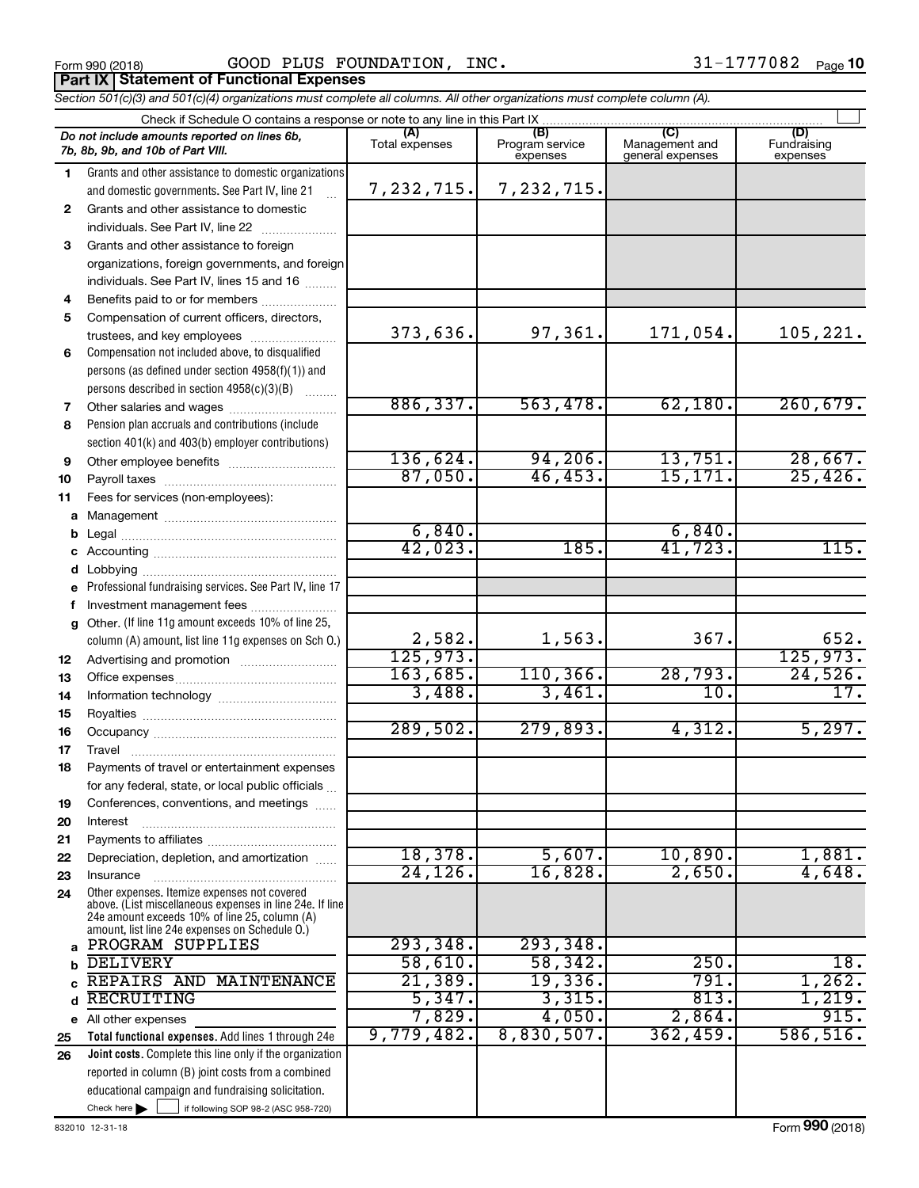Form 990 (2018) Page GOOD PLUS FOUNDATION, INC. 31-1777082 **Part IX Statement of Functional Expenses**

*Section 501(c)(3) and 501(c)(4) organizations must complete all columns. All other organizations must complete column (A).*

|              | Check if Schedule O contains a response or note to any line in this Part IX                               |                |                                    |                                           |                                |  |  |  |
|--------------|-----------------------------------------------------------------------------------------------------------|----------------|------------------------------------|-------------------------------------------|--------------------------------|--|--|--|
|              | Do not include amounts reported on lines 6b,<br>7b, 8b, 9b, and 10b of Part VIII.                         | Total expenses | (B)<br>Program service<br>expenses | (C)<br>Management and<br>general expenses | (D)<br>Fundraising<br>expenses |  |  |  |
| 1.           | Grants and other assistance to domestic organizations                                                     |                |                                    |                                           |                                |  |  |  |
|              | and domestic governments. See Part IV, line 21                                                            | 7,232,715.     | 7,232,715.                         |                                           |                                |  |  |  |
| $\mathbf{2}$ | Grants and other assistance to domestic                                                                   |                |                                    |                                           |                                |  |  |  |
|              | individuals. See Part IV, line 22                                                                         |                |                                    |                                           |                                |  |  |  |
| 3            | Grants and other assistance to foreign                                                                    |                |                                    |                                           |                                |  |  |  |
|              | organizations, foreign governments, and foreign                                                           |                |                                    |                                           |                                |  |  |  |
|              | individuals. See Part IV, lines 15 and 16                                                                 |                |                                    |                                           |                                |  |  |  |
| 4            | Benefits paid to or for members                                                                           |                |                                    |                                           |                                |  |  |  |
| 5            | Compensation of current officers, directors,                                                              |                |                                    |                                           |                                |  |  |  |
|              | trustees, and key employees                                                                               | 373,636.       | 97,361.                            | 171,054.                                  | 105, 221.                      |  |  |  |
| 6            | Compensation not included above, to disqualified                                                          |                |                                    |                                           |                                |  |  |  |
|              | persons (as defined under section 4958(f)(1)) and                                                         |                |                                    |                                           |                                |  |  |  |
|              | persons described in section 4958(c)(3)(B)                                                                |                |                                    |                                           |                                |  |  |  |
| 7            | Other salaries and wages                                                                                  | 886, 337.      | 563,478.                           | 62,180.                                   | 260,679.                       |  |  |  |
| 8            | Pension plan accruals and contributions (include                                                          |                |                                    |                                           |                                |  |  |  |
|              | section 401(k) and 403(b) employer contributions)                                                         |                |                                    |                                           |                                |  |  |  |
| 9            |                                                                                                           | 136,624.       | 94, 206.                           | 13,751.                                   | 28,667.                        |  |  |  |
| 10           |                                                                                                           | 87,050.        | 46, 453.                           | 15, 171.                                  | 25,426.                        |  |  |  |
| 11           | Fees for services (non-employees):                                                                        |                |                                    |                                           |                                |  |  |  |
| а            |                                                                                                           |                |                                    |                                           |                                |  |  |  |
| b            |                                                                                                           | 6,840.         |                                    | 6,840.                                    |                                |  |  |  |
| с            |                                                                                                           | 42,023.        | 185.                               | 41,723.                                   | 115.                           |  |  |  |
| d            |                                                                                                           |                |                                    |                                           |                                |  |  |  |
|              | Professional fundraising services. See Part IV, line 17                                                   |                |                                    |                                           |                                |  |  |  |
|              | Investment management fees                                                                                |                |                                    |                                           |                                |  |  |  |
| g            | Other. (If line 11g amount exceeds 10% of line 25,                                                        |                |                                    |                                           |                                |  |  |  |
|              | column (A) amount, list line 11g expenses on Sch O.)                                                      | 2,582.         | 1,563.                             | 367.                                      | 652.                           |  |  |  |
| 12           |                                                                                                           | 125,973.       |                                    |                                           | 125,973.                       |  |  |  |
| 13           |                                                                                                           | 163,685.       | 110, 366.                          | 28,793.                                   | 24,526.                        |  |  |  |
| 14           |                                                                                                           | 3,488.         | 3,461.                             | 10.                                       | 17.                            |  |  |  |
| 15           |                                                                                                           |                |                                    |                                           |                                |  |  |  |
| 16           |                                                                                                           | 289,502.       | 279,893.                           | 4,312.                                    | 5,297.                         |  |  |  |
| 17           | Travel                                                                                                    |                |                                    |                                           |                                |  |  |  |
| 18           | Payments of travel or entertainment expenses                                                              |                |                                    |                                           |                                |  |  |  |
|              | for any federal, state, or local public officials                                                         |                |                                    |                                           |                                |  |  |  |
| 19           | Conferences, conventions, and meetings                                                                    |                |                                    |                                           |                                |  |  |  |
| 20           | Interest                                                                                                  |                |                                    |                                           |                                |  |  |  |
| 21           |                                                                                                           |                |                                    |                                           |                                |  |  |  |
| 22           | Depreciation, depletion, and amortization                                                                 | 18,378.        | 5,607.                             | 10,890.                                   | 1,881.                         |  |  |  |
| 23           | Insurance                                                                                                 | 24, 126.       | 16,828.                            | 2,650.                                    | 4,648.                         |  |  |  |
| 24           | Other expenses. Itemize expenses not covered                                                              |                |                                    |                                           |                                |  |  |  |
|              | above. (List miscellaneous expenses in line 24e. If line<br>24e amount exceeds 10% of line 25, column (A) |                |                                    |                                           |                                |  |  |  |
|              | amount, list line 24e expenses on Schedule O.)                                                            |                |                                    |                                           |                                |  |  |  |
| a            | PROGRAM SUPPLIES                                                                                          | 293,348.       | 293,348.                           |                                           |                                |  |  |  |
| b            | <b>DELIVERY</b>                                                                                           | 58,610.        | 58,342.                            | 250.                                      | 18.                            |  |  |  |
|              | REPAIRS AND MAINTENANCE                                                                                   | 21,389.        | 19,336.                            | 791.                                      | 1,262.                         |  |  |  |
| d            | RECRUITING                                                                                                | 5,347.         | 3,315.                             | 813.                                      | 1,219.                         |  |  |  |
|              | e All other expenses                                                                                      | 7,829.         | 4,050.                             | 2,864.                                    | 915.                           |  |  |  |
| 25           | Total functional expenses. Add lines 1 through 24e                                                        | 9,779,482.     | 8,830,507.                         | 362,459.                                  | 586, 516.                      |  |  |  |
| 26           | Joint costs. Complete this line only if the organization                                                  |                |                                    |                                           |                                |  |  |  |
|              | reported in column (B) joint costs from a combined                                                        |                |                                    |                                           |                                |  |  |  |
|              | educational campaign and fundraising solicitation.                                                        |                |                                    |                                           |                                |  |  |  |
|              | Check here $\blacktriangleright$<br>if following SOP 98-2 (ASC 958-720)                                   |                |                                    |                                           |                                |  |  |  |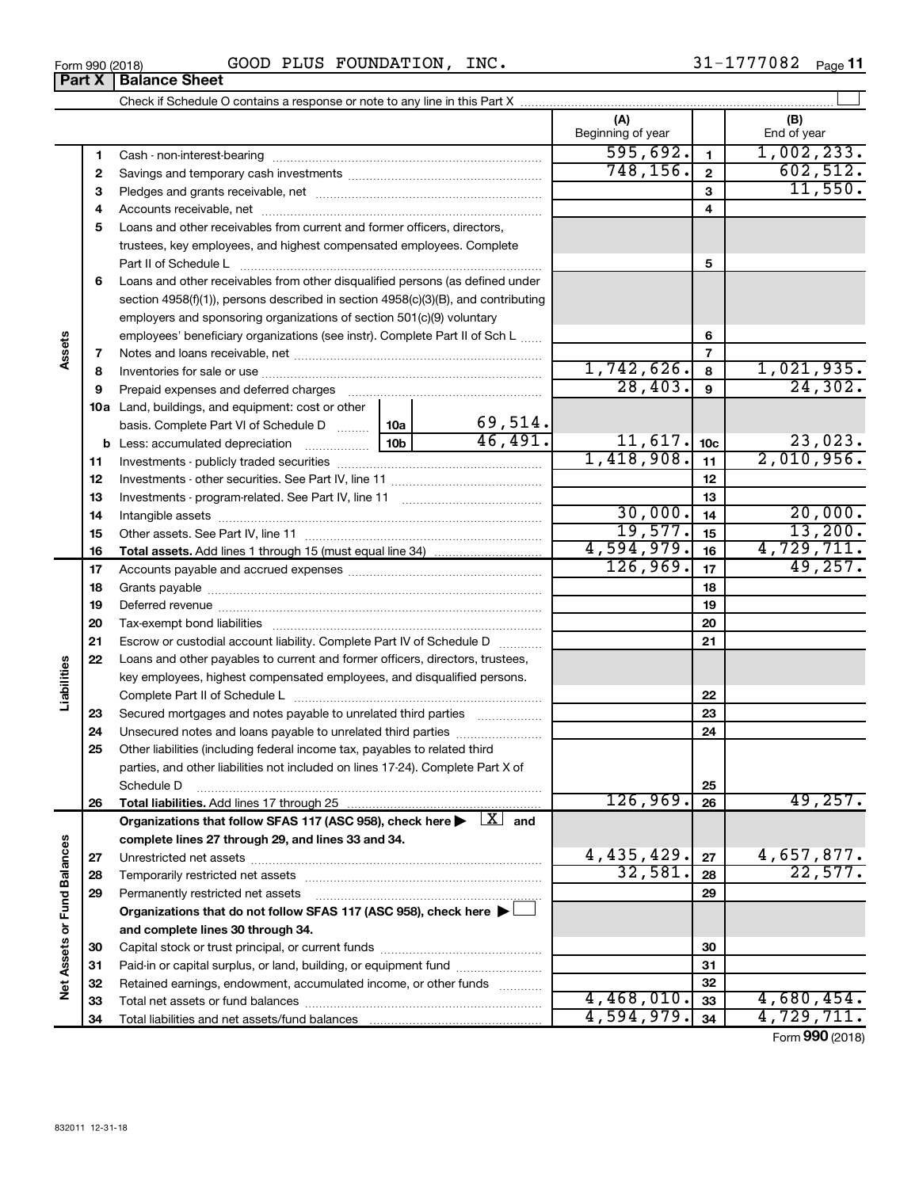| Form 990 (2018) | INC<br>PLUS<br>FOUNDATION<br>r r<br>ヮ | . റ റ റ<br>-<br>Page |
|-----------------|---------------------------------------|----------------------|
|                 |                                       |                      |

|                             |    |                                                                                                                           |                 |              | (A)<br>Beginning of year |                 | (B)<br>End of year    |
|-----------------------------|----|---------------------------------------------------------------------------------------------------------------------------|-----------------|--------------|--------------------------|-----------------|-----------------------|
|                             | 1  |                                                                                                                           |                 |              | 595,692.                 | $\blacksquare$  | 1,002,233.            |
|                             | 2  |                                                                                                                           | 748, 156.       | $\mathbf{2}$ | 602,512.                 |                 |                       |
|                             | 3  |                                                                                                                           |                 |              |                          | 3               | 11,550.               |
|                             | 4  |                                                                                                                           |                 |              |                          | 4               |                       |
|                             | 5  | Loans and other receivables from current and former officers, directors,                                                  |                 |              |                          |                 |                       |
|                             |    | trustees, key employees, and highest compensated employees. Complete                                                      |                 |              |                          |                 |                       |
|                             |    | Part II of Schedule L                                                                                                     |                 |              |                          | 5               |                       |
|                             | 6  | Loans and other receivables from other disqualified persons (as defined under                                             |                 |              |                          |                 |                       |
|                             |    | section 4958(f)(1)), persons described in section 4958(c)(3)(B), and contributing                                         |                 |              |                          |                 |                       |
|                             |    | employers and sponsoring organizations of section 501(c)(9) voluntary                                                     |                 |              |                          |                 |                       |
|                             |    | employees' beneficiary organizations (see instr). Complete Part II of Sch L                                               |                 |              |                          | 6               |                       |
| Assets                      | 7  |                                                                                                                           |                 |              |                          | 7               |                       |
|                             | 8  |                                                                                                                           |                 |              | 1,742,626.               | 8               | 1,021,935.            |
|                             | 9  | Prepaid expenses and deferred charges                                                                                     |                 |              | 28,403.                  | 9               | 24,302.               |
|                             |    | 10a Land, buildings, and equipment: cost or other                                                                         |                 |              |                          |                 |                       |
|                             |    | basis. Complete Part VI of Schedule D  [10a]                                                                              |                 | 69,514.      |                          |                 |                       |
|                             |    | <b>b</b> Less: accumulated depreciation <i>mimimum</i>                                                                    | 10 <sub>b</sub> | 46,491.      | 11,617.                  | 10 <sub>c</sub> | 23,023.               |
|                             | 11 |                                                                                                                           | 1,418,908.      | 11           | 2,010,956.               |                 |                       |
|                             | 12 |                                                                                                                           |                 | 12           |                          |                 |                       |
|                             | 13 |                                                                                                                           |                 | 13           |                          |                 |                       |
|                             | 14 |                                                                                                                           | 30,000.         | 14           | 20,000.                  |                 |                       |
|                             | 15 |                                                                                                                           |                 |              | 19,577.                  | 15              | 13,200.               |
|                             | 16 |                                                                                                                           |                 |              | 4,594,979.               | 16              | 4,729,711.            |
|                             | 17 |                                                                                                                           |                 |              | 126,969.                 | 17              | 49,257.               |
|                             | 18 |                                                                                                                           |                 | 18           |                          |                 |                       |
|                             | 19 |                                                                                                                           |                 |              |                          | 19              |                       |
|                             | 20 |                                                                                                                           |                 |              | 20                       |                 |                       |
|                             | 21 | Escrow or custodial account liability. Complete Part IV of Schedule D                                                     |                 |              | 21                       |                 |                       |
|                             | 22 | Loans and other payables to current and former officers, directors, trustees,                                             |                 |              |                          |                 |                       |
|                             |    | key employees, highest compensated employees, and disqualified persons.                                                   |                 |              |                          |                 |                       |
| Liabilities                 |    |                                                                                                                           |                 |              |                          | 22              |                       |
|                             | 23 | Secured mortgages and notes payable to unrelated third parties                                                            |                 |              |                          | 23              |                       |
|                             | 24 | Unsecured notes and loans payable to unrelated third parties                                                              |                 |              |                          | 24              |                       |
|                             | 25 | Other liabilities (including federal income tax, payables to related third                                                |                 |              |                          |                 |                       |
|                             |    | parties, and other liabilities not included on lines 17-24). Complete Part X of                                           |                 |              |                          |                 |                       |
|                             |    | Schedule D                                                                                                                |                 |              |                          | 25              |                       |
|                             | 26 |                                                                                                                           |                 |              | 126,969.                 | 26              | 49, 257.              |
|                             |    | Organizations that follow SFAS 117 (ASC 958), check here $\blacktriangleright \begin{array}{c} \boxed{X} \end{array}$ and |                 |              |                          |                 |                       |
|                             |    | complete lines 27 through 29, and lines 33 and 34.                                                                        |                 |              |                          |                 |                       |
|                             | 27 |                                                                                                                           |                 |              | 4,435,429.<br>32,581.    | 27              | 4,657,877.<br>22,577. |
|                             | 28 |                                                                                                                           |                 |              |                          | 28              |                       |
|                             | 29 | Permanently restricted net assets                                                                                         |                 |              |                          | 29              |                       |
|                             |    | Organizations that do not follow SFAS 117 (ASC 958), check here ▶ □                                                       |                 |              |                          |                 |                       |
|                             |    | and complete lines 30 through 34.                                                                                         |                 |              |                          |                 |                       |
|                             | 30 |                                                                                                                           |                 |              |                          | 30              |                       |
| Net Assets or Fund Balances | 31 | Paid-in or capital surplus, or land, building, or equipment fund                                                          |                 |              |                          | 31              |                       |
|                             | 32 | Retained earnings, endowment, accumulated income, or other funds                                                          |                 |              | 4,468,010.               | 32              | 4,680,454.            |
|                             | 33 |                                                                                                                           |                 |              | 4,594,979.               | 33<br>34        | 4,729,711.            |
|                             | 34 |                                                                                                                           |                 |              |                          |                 |                       |

Form (2018) **990**

## **Part X Balance Sheet**

| Form 990 (2018 |  |  |
|----------------|--|--|
|                |  |  |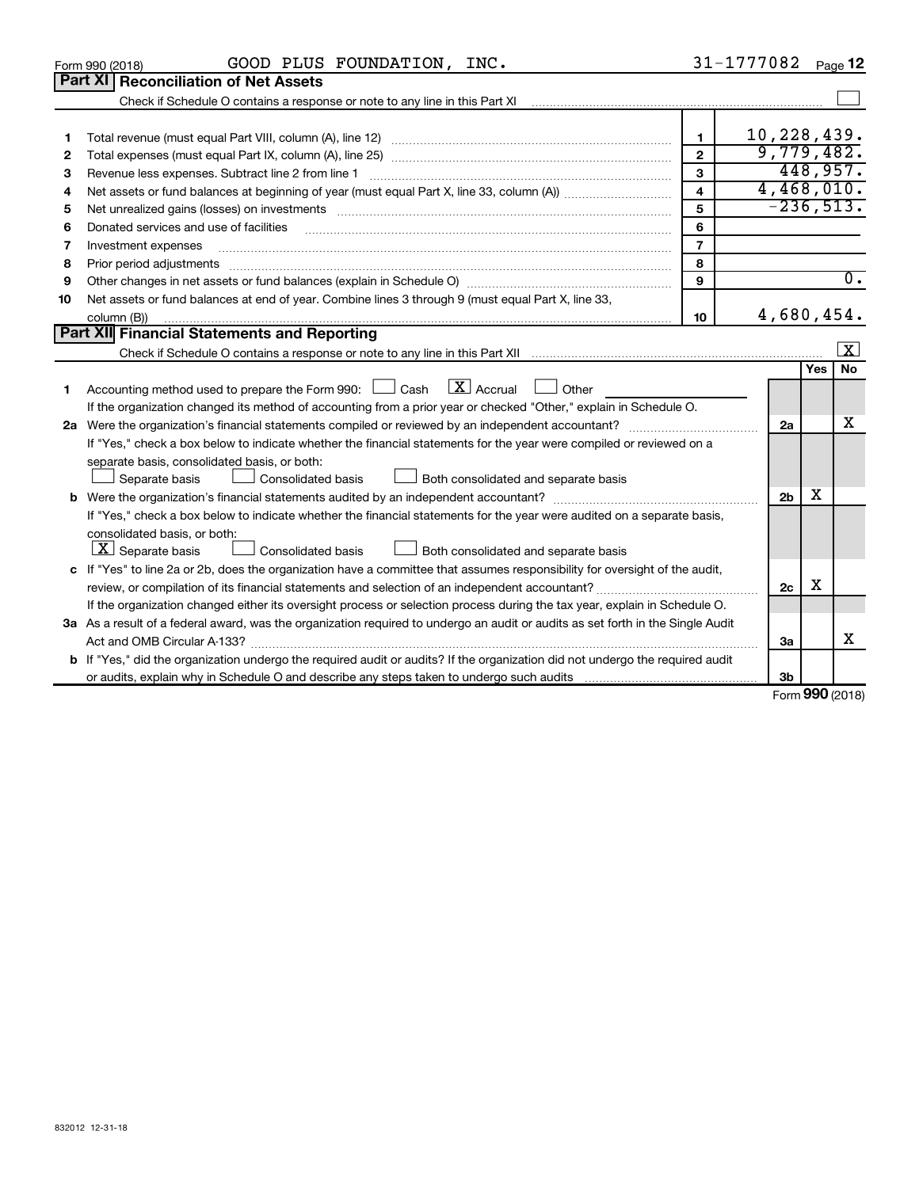| 832012 12-31-18 |  |  |
|-----------------|--|--|

| 5  |                                                                                                                                                                                                                                | 5              | $-236,513.$    |            |                   |
|----|--------------------------------------------------------------------------------------------------------------------------------------------------------------------------------------------------------------------------------|----------------|----------------|------------|-------------------|
| 6  | Donated services and use of facilities <b>constructed and constructed and constructed</b> services and use of facilities                                                                                                       | 6              |                |            |                   |
| 7  | Investment expenses                                                                                                                                                                                                            | $\overline{7}$ |                |            |                   |
| 8  | Prior period adjustments material contents and content and content and content and content and content and content and content and content and content and content and content and content and content and content and content | 8              |                |            |                   |
| 9  | Other changes in net assets or fund balances (explain in Schedule O) manufactured controller than the controller                                                                                                               | 9              |                |            | 0.                |
| 10 | Net assets or fund balances at end of year. Combine lines 3 through 9 (must equal Part X, line 33,                                                                                                                             |                |                |            |                   |
|    | column (B))                                                                                                                                                                                                                    | 10             | 4,680,454.     |            |                   |
|    | Part XII Financial Statements and Reporting                                                                                                                                                                                    |                |                |            |                   |
|    |                                                                                                                                                                                                                                |                |                |            | $\vert$ X $\vert$ |
|    |                                                                                                                                                                                                                                |                |                | <b>Yes</b> | <b>No</b>         |
|    | Accounting method used to prepare the Form 990: $\Box$ Cash $\Box$ Accrual $\Box$ Other                                                                                                                                        |                |                |            |                   |
|    | If the organization changed its method of accounting from a prior year or checked "Other," explain in Schedule O.                                                                                                              |                |                |            |                   |
| 2a | Were the organization's financial statements compiled or reviewed by an independent accountant?                                                                                                                                |                | 2a             |            | X                 |
|    | If "Yes," check a box below to indicate whether the financial statements for the year were compiled or reviewed on a                                                                                                           |                |                |            |                   |
|    | separate basis, consolidated basis, or both:                                                                                                                                                                                   |                |                |            |                   |
|    | Separate basis<br>Consolidated basis <u>Landell</u> Both consolidated and separate basis                                                                                                                                       |                |                |            |                   |
|    |                                                                                                                                                                                                                                |                | 2 <sub>b</sub> | х          |                   |
|    | If "Yes," check a box below to indicate whether the financial statements for the year were audited on a separate basis,                                                                                                        |                |                |            |                   |
|    | consolidated basis, or both:                                                                                                                                                                                                   |                |                |            |                   |
|    | $ \mathbf{X} $ Separate basis<br>Both consolidated and separate basis<br><b>Consolidated basis</b>                                                                                                                             |                |                |            |                   |
|    | c If "Yes" to line 2a or 2b, does the organization have a committee that assumes responsibility for oversight of the audit,                                                                                                    |                |                |            |                   |
|    |                                                                                                                                                                                                                                |                | 2c             | X          |                   |
|    | If the organization changed either its oversight process or selection process during the tax year, explain in Schedule O.                                                                                                      |                |                |            |                   |
|    | 3a As a result of a federal award, was the organization required to undergo an audit or audits as set forth in the Single Audit                                                                                                |                |                |            |                   |
|    |                                                                                                                                                                                                                                |                | За             |            | x                 |
|    | b If "Yes," did the organization undergo the required audit or audits? If the organization did not undergo the required audit                                                                                                  |                |                |            |                   |
|    |                                                                                                                                                                                                                                |                | 3 <sub>b</sub> |            |                   |

|              | GOOD PLUS FOUNDATION, INC.<br>Form 990 (2018)                                                      |    | 31-1777082<br>Page 12 |  |  |  |  |
|--------------|----------------------------------------------------------------------------------------------------|----|-----------------------|--|--|--|--|
|              | <b>Part XI Reconciliation of Net Assets</b>                                                        |    |                       |  |  |  |  |
|              | Check if Schedule O contains a response or note to any line in this Part XI                        |    |                       |  |  |  |  |
|              |                                                                                                    |    |                       |  |  |  |  |
|              | Total revenue (must equal Part VIII, column (A), line 12)                                          |    | 10,228,439.           |  |  |  |  |
| $\mathbf{2}$ | Total expenses (must equal Part IX, column (A), line 25)                                           | 2  | 9,779,482.            |  |  |  |  |
| 3            | Revenue less expenses. Subtract line 2 from line 1                                                 | з  | 448,957.              |  |  |  |  |
| 4            | Net assets or fund balances at beginning of year (must equal Part X, line 33, column (A))          | 4  | 4,468,010.            |  |  |  |  |
| 5.           | Net unrealized gains (losses) on investments                                                       | 5  | $-236, 513.$          |  |  |  |  |
| 6            | Donated services and use of facilities                                                             | 6  |                       |  |  |  |  |
|              | Investment expenses                                                                                |    |                       |  |  |  |  |
| 8            | Prior period adjustments                                                                           | 8  |                       |  |  |  |  |
| 9            |                                                                                                    | 9  |                       |  |  |  |  |
| 10           | Net assets or fund balances at end of year. Combine lines 3 through 9 (must equal Part X, line 33, |    |                       |  |  |  |  |
|              | column (B))                                                                                        | 10 | 4,680,454.            |  |  |  |  |
|              | <b>Part XII Financial Statements and Reporting</b>                                                 |    |                       |  |  |  |  |
|              |                                                                                                    |    | $\mathbf{r}$          |  |  |  |  |

Form (2018) **990**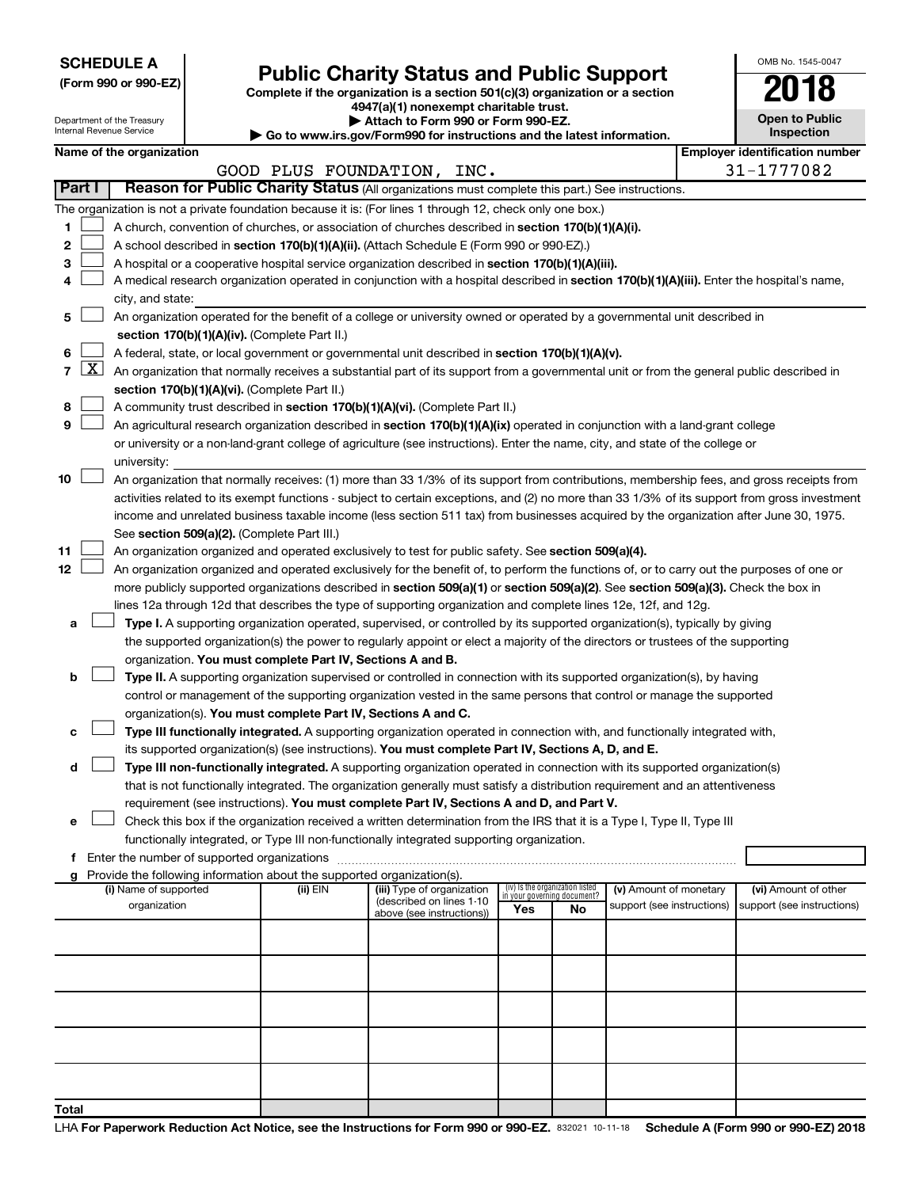**SCHEDULE A**

| (Form 990 or 990-EZ) |  |  |  |  |
|----------------------|--|--|--|--|
|----------------------|--|--|--|--|

# Form 990 or 990-EZ)<br>
Complete if the organization is a section 501(c)(3) organization or a section<br> **Public Charity Status and Public Support**

**4947(a)(1) nonexempt charitable trust.**

|     | <b>Open to Public</b><br>Inspection |  |  |  |  |  |  |
|-----|-------------------------------------|--|--|--|--|--|--|
| 'n. | antification nuu                    |  |  |  |  |  |  |

OMB No. 1545-0047

|                |                     | Department of the Treasury<br>Internal Revenue Service |                                                                        | Attach to Form 990 or Form 990-EZ.                                                                                                            |                                    |                                 |                            | <b>Open to Public</b><br>Inspection   |
|----------------|---------------------|--------------------------------------------------------|------------------------------------------------------------------------|-----------------------------------------------------------------------------------------------------------------------------------------------|------------------------------------|---------------------------------|----------------------------|---------------------------------------|
|                |                     | Name of the organization                               |                                                                        | Go to www.irs.gov/Form990 for instructions and the latest information.                                                                        |                                    |                                 |                            | <b>Employer identification number</b> |
|                |                     |                                                        |                                                                        | GOOD PLUS FOUNDATION, INC.                                                                                                                    |                                    |                                 |                            | 31-1777082                            |
|                | Part I              |                                                        |                                                                        | Reason for Public Charity Status (All organizations must complete this part.) See instructions.                                               |                                    |                                 |                            |                                       |
|                |                     |                                                        |                                                                        |                                                                                                                                               |                                    |                                 |                            |                                       |
|                |                     |                                                        |                                                                        | The organization is not a private foundation because it is: (For lines 1 through 12, check only one box.)                                     |                                    |                                 |                            |                                       |
| 1              |                     |                                                        |                                                                        | A church, convention of churches, or association of churches described in section 170(b)(1)(A)(i).                                            |                                    |                                 |                            |                                       |
| 2              |                     |                                                        |                                                                        | A school described in section 170(b)(1)(A)(ii). (Attach Schedule E (Form 990 or 990-EZ).)                                                     |                                    |                                 |                            |                                       |
| 3              |                     |                                                        |                                                                        | A hospital or a cooperative hospital service organization described in section 170(b)(1)(A)(iii).                                             |                                    |                                 |                            |                                       |
| 4              |                     |                                                        |                                                                        | A medical research organization operated in conjunction with a hospital described in section 170(b)(1)(A)(iii). Enter the hospital's name,    |                                    |                                 |                            |                                       |
|                |                     | city, and state:                                       |                                                                        |                                                                                                                                               |                                    |                                 |                            |                                       |
| 5              |                     |                                                        |                                                                        | An organization operated for the benefit of a college or university owned or operated by a governmental unit described in                     |                                    |                                 |                            |                                       |
|                |                     |                                                        | section 170(b)(1)(A)(iv). (Complete Part II.)                          |                                                                                                                                               |                                    |                                 |                            |                                       |
| 6              |                     |                                                        |                                                                        | A federal, state, or local government or governmental unit described in section 170(b)(1)(A)(v).                                              |                                    |                                 |                            |                                       |
| $\overline{7}$ | $\lfloor x \rfloor$ |                                                        |                                                                        | An organization that normally receives a substantial part of its support from a governmental unit or from the general public described in     |                                    |                                 |                            |                                       |
|                |                     |                                                        | section 170(b)(1)(A)(vi). (Complete Part II.)                          |                                                                                                                                               |                                    |                                 |                            |                                       |
| 8              |                     |                                                        |                                                                        | A community trust described in section 170(b)(1)(A)(vi). (Complete Part II.)                                                                  |                                    |                                 |                            |                                       |
| 9              |                     |                                                        |                                                                        | An agricultural research organization described in section 170(b)(1)(A)(ix) operated in conjunction with a land-grant college                 |                                    |                                 |                            |                                       |
|                |                     |                                                        |                                                                        | or university or a non-land-grant college of agriculture (see instructions). Enter the name, city, and state of the college or                |                                    |                                 |                            |                                       |
|                |                     | university:                                            |                                                                        |                                                                                                                                               |                                    |                                 |                            |                                       |
| 10             |                     |                                                        |                                                                        | An organization that normally receives: (1) more than 33 1/3% of its support from contributions, membership fees, and gross receipts from     |                                    |                                 |                            |                                       |
|                |                     |                                                        |                                                                        | activities related to its exempt functions - subject to certain exceptions, and (2) no more than 33 1/3% of its support from gross investment |                                    |                                 |                            |                                       |
|                |                     |                                                        |                                                                        | income and unrelated business taxable income (less section 511 tax) from businesses acquired by the organization after June 30, 1975.         |                                    |                                 |                            |                                       |
|                |                     |                                                        | See section 509(a)(2). (Complete Part III.)                            |                                                                                                                                               |                                    |                                 |                            |                                       |
| 11             |                     |                                                        |                                                                        | An organization organized and operated exclusively to test for public safety. See section 509(a)(4).                                          |                                    |                                 |                            |                                       |
| 12             |                     |                                                        |                                                                        | An organization organized and operated exclusively for the benefit of, to perform the functions of, or to carry out the purposes of one or    |                                    |                                 |                            |                                       |
|                |                     |                                                        |                                                                        | more publicly supported organizations described in section 509(a)(1) or section 509(a)(2). See section 509(a)(3). Check the box in            |                                    |                                 |                            |                                       |
|                |                     |                                                        |                                                                        | lines 12a through 12d that describes the type of supporting organization and complete lines 12e, 12f, and 12g.                                |                                    |                                 |                            |                                       |
| а              |                     |                                                        |                                                                        | Type I. A supporting organization operated, supervised, or controlled by its supported organization(s), typically by giving                   |                                    |                                 |                            |                                       |
|                |                     |                                                        |                                                                        | the supported organization(s) the power to regularly appoint or elect a majority of the directors or trustees of the supporting               |                                    |                                 |                            |                                       |
|                |                     |                                                        | organization. You must complete Part IV, Sections A and B.             |                                                                                                                                               |                                    |                                 |                            |                                       |
| b              |                     |                                                        |                                                                        | Type II. A supporting organization supervised or controlled in connection with its supported organization(s), by having                       |                                    |                                 |                            |                                       |
|                |                     |                                                        |                                                                        | control or management of the supporting organization vested in the same persons that control or manage the supported                          |                                    |                                 |                            |                                       |
|                |                     |                                                        | organization(s). You must complete Part IV, Sections A and C.          |                                                                                                                                               |                                    |                                 |                            |                                       |
| с              |                     |                                                        |                                                                        | Type III functionally integrated. A supporting organization operated in connection with, and functionally integrated with,                    |                                    |                                 |                            |                                       |
|                |                     |                                                        |                                                                        | its supported organization(s) (see instructions). You must complete Part IV, Sections A, D, and E.                                            |                                    |                                 |                            |                                       |
| d              |                     |                                                        |                                                                        | Type III non-functionally integrated. A supporting organization operated in connection with its supported organization(s)                     |                                    |                                 |                            |                                       |
|                |                     |                                                        |                                                                        | that is not functionally integrated. The organization generally must satisfy a distribution requirement and an attentiveness                  |                                    |                                 |                            |                                       |
|                |                     |                                                        |                                                                        | requirement (see instructions). You must complete Part IV, Sections A and D, and Part V.                                                      |                                    |                                 |                            |                                       |
| е              |                     |                                                        |                                                                        | Check this box if the organization received a written determination from the IRS that it is a Type I, Type II, Type III                       |                                    |                                 |                            |                                       |
|                |                     |                                                        |                                                                        | functionally integrated, or Type III non-functionally integrated supporting organization.                                                     |                                    |                                 |                            |                                       |
|                |                     |                                                        |                                                                        |                                                                                                                                               |                                    |                                 |                            |                                       |
|                |                     |                                                        | Provide the following information about the supported organization(s). |                                                                                                                                               |                                    |                                 |                            |                                       |
|                |                     | (i) Name of supported                                  | (ii) EIN                                                               | (iii) Type of organization                                                                                                                    |                                    | (iv) Is the organization listed | (v) Amount of monetary     | (vi) Amount of other                  |
|                |                     | organization                                           |                                                                        | (described on lines 1-10                                                                                                                      | in your governing document?<br>Yes | No                              | support (see instructions) | support (see instructions)            |
|                |                     |                                                        |                                                                        | above (see instructions))                                                                                                                     |                                    |                                 |                            |                                       |
|                |                     |                                                        |                                                                        |                                                                                                                                               |                                    |                                 |                            |                                       |
|                |                     |                                                        |                                                                        |                                                                                                                                               |                                    |                                 |                            |                                       |
|                |                     |                                                        |                                                                        |                                                                                                                                               |                                    |                                 |                            |                                       |
|                |                     |                                                        |                                                                        |                                                                                                                                               |                                    |                                 |                            |                                       |
|                |                     |                                                        |                                                                        |                                                                                                                                               |                                    |                                 |                            |                                       |
|                |                     |                                                        |                                                                        |                                                                                                                                               |                                    |                                 |                            |                                       |
|                |                     |                                                        |                                                                        |                                                                                                                                               |                                    |                                 |                            |                                       |
|                |                     |                                                        |                                                                        |                                                                                                                                               |                                    |                                 |                            |                                       |
|                |                     |                                                        |                                                                        |                                                                                                                                               |                                    |                                 |                            |                                       |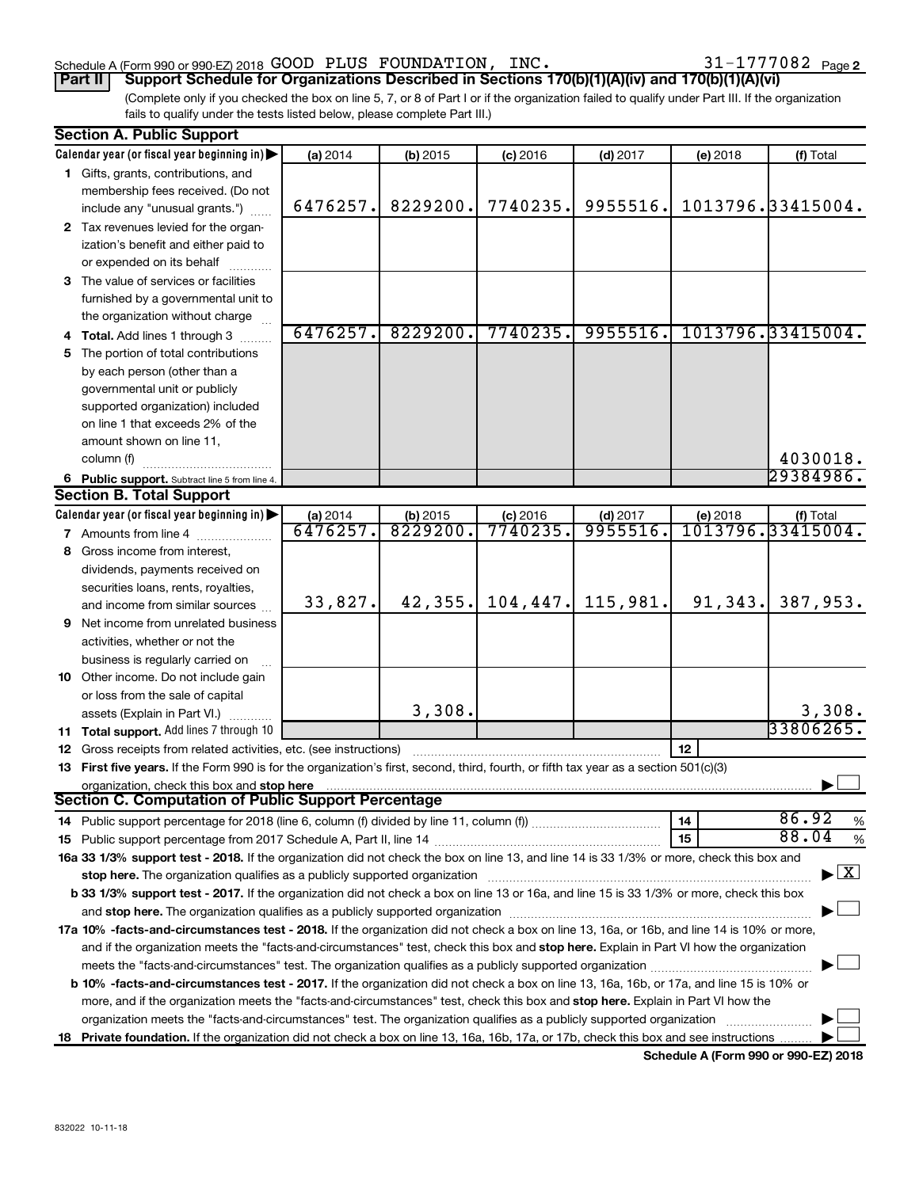### Schedule A (Form 990 or 990-EZ) 2018  $\,$  GOOD PLUS FOUNDATION, INC.  $\,$  31-1777082  $\,$  Page

31-1777082 Page 2

(Complete only if you checked the box on line 5, 7, or 8 of Part I or if the organization failed to qualify under Part III. If the organization fails to qualify under the tests listed below, please complete Part III.) **Part II Support Schedule for Organizations Described in Sections 170(b)(1)(A)(iv) and 170(b)(1)(A)(vi)**

| <b>Section A. Public Support</b>                                                                                                                                                                                               |                                                                                                                                       |                     |                        |                       |          |                                          |
|--------------------------------------------------------------------------------------------------------------------------------------------------------------------------------------------------------------------------------|---------------------------------------------------------------------------------------------------------------------------------------|---------------------|------------------------|-----------------------|----------|------------------------------------------|
| Calendar year (or fiscal year beginning in)                                                                                                                                                                                    | (a) 2014                                                                                                                              | (b) 2015            | $(c)$ 2016             | $(d)$ 2017            | (e) 2018 | (f) Total                                |
| 1 Gifts, grants, contributions, and                                                                                                                                                                                            |                                                                                                                                       |                     |                        |                       |          |                                          |
| membership fees received. (Do not                                                                                                                                                                                              |                                                                                                                                       |                     |                        |                       |          |                                          |
| include any "unusual grants.")                                                                                                                                                                                                 | 6476257.                                                                                                                              | 8229200.            | 7740235.               | 9955516.              |          | 1013796.33415004.                        |
| 2 Tax revenues levied for the organ-                                                                                                                                                                                           |                                                                                                                                       |                     |                        |                       |          |                                          |
| ization's benefit and either paid to                                                                                                                                                                                           |                                                                                                                                       |                     |                        |                       |          |                                          |
| or expended on its behalf                                                                                                                                                                                                      |                                                                                                                                       |                     |                        |                       |          |                                          |
| 3 The value of services or facilities                                                                                                                                                                                          |                                                                                                                                       |                     |                        |                       |          |                                          |
| furnished by a governmental unit to                                                                                                                                                                                            |                                                                                                                                       |                     |                        |                       |          |                                          |
| the organization without charge                                                                                                                                                                                                |                                                                                                                                       |                     |                        |                       |          |                                          |
| 4 Total. Add lines 1 through 3                                                                                                                                                                                                 | 6476257.                                                                                                                              | 8229200.            | 7740235.               | 9955516.              |          | 1013796.33415004.                        |
| 5 The portion of total contributions                                                                                                                                                                                           |                                                                                                                                       |                     |                        |                       |          |                                          |
| by each person (other than a                                                                                                                                                                                                   |                                                                                                                                       |                     |                        |                       |          |                                          |
| governmental unit or publicly                                                                                                                                                                                                  |                                                                                                                                       |                     |                        |                       |          |                                          |
| supported organization) included                                                                                                                                                                                               |                                                                                                                                       |                     |                        |                       |          |                                          |
| on line 1 that exceeds 2% of the                                                                                                                                                                                               |                                                                                                                                       |                     |                        |                       |          |                                          |
| amount shown on line 11,                                                                                                                                                                                                       |                                                                                                                                       |                     |                        |                       |          |                                          |
| column (f)                                                                                                                                                                                                                     |                                                                                                                                       |                     |                        |                       |          | 4030018.                                 |
|                                                                                                                                                                                                                                |                                                                                                                                       |                     |                        |                       |          | 29384986.                                |
| 6 Public support. Subtract line 5 from line 4.<br><b>Section B. Total Support</b>                                                                                                                                              |                                                                                                                                       |                     |                        |                       |          |                                          |
| Calendar year (or fiscal year beginning in)                                                                                                                                                                                    |                                                                                                                                       |                     |                        |                       |          |                                          |
| <b>7</b> Amounts from line 4                                                                                                                                                                                                   | (a) 2014<br>6476257.                                                                                                                  | (b) 2015<br>8229200 | $(c)$ 2016<br>7740235. | $(d)$ 2017<br>9955516 | (e) 2018 | (f) Total<br>1013796.33415004.           |
| 8 Gross income from interest,                                                                                                                                                                                                  |                                                                                                                                       |                     |                        |                       |          |                                          |
|                                                                                                                                                                                                                                |                                                                                                                                       |                     |                        |                       |          |                                          |
| dividends, payments received on                                                                                                                                                                                                |                                                                                                                                       |                     |                        |                       |          |                                          |
| securities loans, rents, royalties,                                                                                                                                                                                            | 33,827.                                                                                                                               | 42, 355.            | 104, 447.              | 115,981.              | 91,343.  | 387,953.                                 |
| and income from similar sources                                                                                                                                                                                                |                                                                                                                                       |                     |                        |                       |          |                                          |
| <b>9</b> Net income from unrelated business                                                                                                                                                                                    |                                                                                                                                       |                     |                        |                       |          |                                          |
| activities, whether or not the                                                                                                                                                                                                 |                                                                                                                                       |                     |                        |                       |          |                                          |
| business is regularly carried on                                                                                                                                                                                               |                                                                                                                                       |                     |                        |                       |          |                                          |
| 10 Other income. Do not include gain                                                                                                                                                                                           |                                                                                                                                       |                     |                        |                       |          |                                          |
| or loss from the sale of capital                                                                                                                                                                                               |                                                                                                                                       |                     |                        |                       |          |                                          |
| assets (Explain in Part VI.)                                                                                                                                                                                                   |                                                                                                                                       | 3,308.              |                        |                       |          | 3,308.<br>33806265.                      |
| 11 Total support. Add lines 7 through 10                                                                                                                                                                                       |                                                                                                                                       |                     |                        |                       |          |                                          |
| <b>12</b> Gross receipts from related activities, etc. (see instructions)                                                                                                                                                      |                                                                                                                                       |                     |                        |                       | 12       |                                          |
| 13 First five years. If the Form 990 is for the organization's first, second, third, fourth, or fifth tax year as a section 501(c)(3)                                                                                          |                                                                                                                                       |                     |                        |                       |          |                                          |
| organization, check this box and stop here                                                                                                                                                                                     |                                                                                                                                       |                     |                        |                       |          |                                          |
| <b>Section C. Computation of Public Support Percentage</b>                                                                                                                                                                     |                                                                                                                                       |                     |                        |                       |          |                                          |
|                                                                                                                                                                                                                                |                                                                                                                                       |                     |                        |                       | 14       | 86.92<br>$\%$                            |
|                                                                                                                                                                                                                                |                                                                                                                                       |                     |                        |                       | 15       | 88.04<br>$\%$                            |
| 16a 33 1/3% support test - 2018. If the organization did not check the box on line 13, and line 14 is 33 1/3% or more, check this box and                                                                                      |                                                                                                                                       |                     |                        |                       |          |                                          |
| stop here. The organization qualifies as a publicly supported organization manufaction manufacture or manufacture or the state of the state of the state of the state of the state of the state of the state of the state of t |                                                                                                                                       |                     |                        |                       |          | $\blacktriangleright$ $\boxed{\text{X}}$ |
| b 33 1/3% support test - 2017. If the organization did not check a box on line 13 or 16a, and line 15 is 33 1/3% or more, check this box                                                                                       |                                                                                                                                       |                     |                        |                       |          |                                          |
|                                                                                                                                                                                                                                |                                                                                                                                       |                     |                        |                       |          |                                          |
| 17a 10% -facts-and-circumstances test - 2018. If the organization did not check a box on line 13, 16a, or 16b, and line 14 is 10% or more,                                                                                     |                                                                                                                                       |                     |                        |                       |          |                                          |
| and if the organization meets the "facts-and-circumstances" test, check this box and stop here. Explain in Part VI how the organization                                                                                        |                                                                                                                                       |                     |                        |                       |          |                                          |
|                                                                                                                                                                                                                                |                                                                                                                                       |                     |                        |                       |          |                                          |
| <b>b 10%</b> -facts-and-circumstances test - 2017. If the organization did not check a box on line 13, 16a, 16b, or 17a, and line 15 is 10% or                                                                                 |                                                                                                                                       |                     |                        |                       |          |                                          |
| more, and if the organization meets the "facts-and-circumstances" test, check this box and stop here. Explain in Part VI how the                                                                                               |                                                                                                                                       |                     |                        |                       |          |                                          |
| organization meets the "facts-and-circumstances" test. The organization qualifies as a publicly supported organization                                                                                                         |                                                                                                                                       |                     |                        |                       |          |                                          |
|                                                                                                                                                                                                                                | 18 Private foundation. If the organization did not check a box on line 13, 16a, 16b, 17a, or 17b, check this box and see instructions |                     |                        |                       |          |                                          |

**Schedule A (Form 990 or 990-EZ) 2018**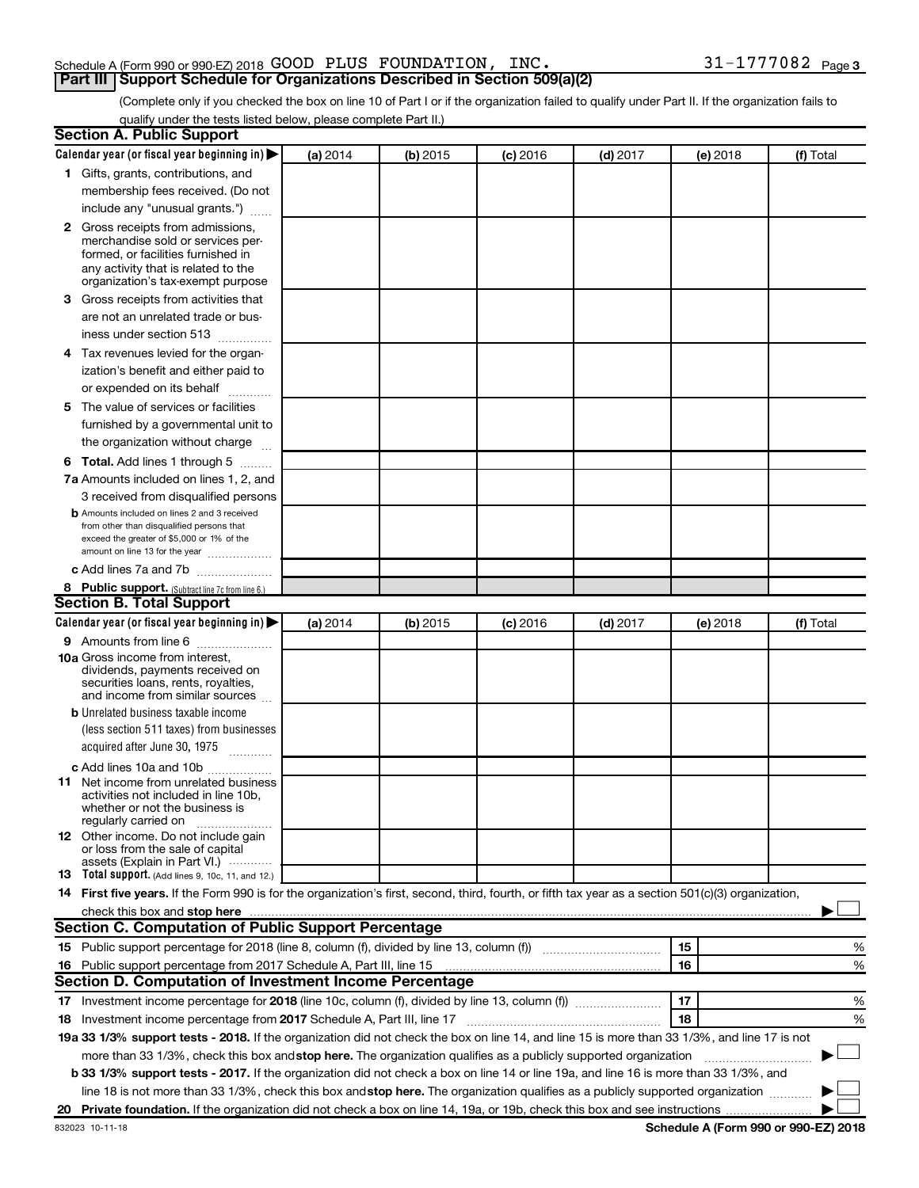### Schedule A (Form 990 or 990-EZ) 2018  $\,$  GOOD PLUS FOUNDATION, INC.  $\,$  31-1777082  $\,$  Page **Part III Support Schedule for Organizations Described in Section 509(a)(2)**

(Complete only if you checked the box on line 10 of Part I or if the organization failed to qualify under Part II. If the organization fails to qualify under the tests listed below, please complete Part II.)

| <b>Section A. Public Support</b>                                                                                                                                                                                                                                                            |          |          |                 |            |          |           |
|---------------------------------------------------------------------------------------------------------------------------------------------------------------------------------------------------------------------------------------------------------------------------------------------|----------|----------|-----------------|------------|----------|-----------|
| Calendar year (or fiscal year beginning in)                                                                                                                                                                                                                                                 | (a) 2014 | (b) 2015 | <b>(c)</b> 2016 | $(d)$ 2017 | (e) 2018 | (f) Total |
| 1 Gifts, grants, contributions, and                                                                                                                                                                                                                                                         |          |          |                 |            |          |           |
| membership fees received. (Do not                                                                                                                                                                                                                                                           |          |          |                 |            |          |           |
| include any "unusual grants.")                                                                                                                                                                                                                                                              |          |          |                 |            |          |           |
| <b>2</b> Gross receipts from admissions,                                                                                                                                                                                                                                                    |          |          |                 |            |          |           |
| merchandise sold or services per-                                                                                                                                                                                                                                                           |          |          |                 |            |          |           |
| formed, or facilities furnished in<br>any activity that is related to the                                                                                                                                                                                                                   |          |          |                 |            |          |           |
| organization's tax-exempt purpose                                                                                                                                                                                                                                                           |          |          |                 |            |          |           |
| 3 Gross receipts from activities that                                                                                                                                                                                                                                                       |          |          |                 |            |          |           |
| are not an unrelated trade or bus-                                                                                                                                                                                                                                                          |          |          |                 |            |          |           |
| iness under section 513                                                                                                                                                                                                                                                                     |          |          |                 |            |          |           |
| 4 Tax revenues levied for the organ-                                                                                                                                                                                                                                                        |          |          |                 |            |          |           |
| ization's benefit and either paid to                                                                                                                                                                                                                                                        |          |          |                 |            |          |           |
| or expended on its behalf<br>.                                                                                                                                                                                                                                                              |          |          |                 |            |          |           |
| 5 The value of services or facilities                                                                                                                                                                                                                                                       |          |          |                 |            |          |           |
| furnished by a governmental unit to                                                                                                                                                                                                                                                         |          |          |                 |            |          |           |
| the organization without charge                                                                                                                                                                                                                                                             |          |          |                 |            |          |           |
| <b>6 Total.</b> Add lines 1 through 5                                                                                                                                                                                                                                                       |          |          |                 |            |          |           |
| 7a Amounts included on lines 1, 2, and                                                                                                                                                                                                                                                      |          |          |                 |            |          |           |
| 3 received from disqualified persons                                                                                                                                                                                                                                                        |          |          |                 |            |          |           |
| <b>b</b> Amounts included on lines 2 and 3 received                                                                                                                                                                                                                                         |          |          |                 |            |          |           |
| from other than disqualified persons that                                                                                                                                                                                                                                                   |          |          |                 |            |          |           |
| exceed the greater of \$5,000 or 1% of the<br>amount on line 13 for the year                                                                                                                                                                                                                |          |          |                 |            |          |           |
| c Add lines 7a and 7b                                                                                                                                                                                                                                                                       |          |          |                 |            |          |           |
| 8 Public support. (Subtract line 7c from line 6.)                                                                                                                                                                                                                                           |          |          |                 |            |          |           |
| <b>Section B. Total Support</b>                                                                                                                                                                                                                                                             |          |          |                 |            |          |           |
| Calendar year (or fiscal year beginning in)                                                                                                                                                                                                                                                 | (a) 2014 | (b) 2015 | <b>(c)</b> 2016 | $(d)$ 2017 | (e) 2018 | (f) Total |
| <b>9</b> Amounts from line 6                                                                                                                                                                                                                                                                |          |          |                 |            |          |           |
| <b>10a</b> Gross income from interest,                                                                                                                                                                                                                                                      |          |          |                 |            |          |           |
| dividends, payments received on                                                                                                                                                                                                                                                             |          |          |                 |            |          |           |
| securities loans, rents, royalties,<br>and income from similar sources                                                                                                                                                                                                                      |          |          |                 |            |          |           |
| <b>b</b> Unrelated business taxable income                                                                                                                                                                                                                                                  |          |          |                 |            |          |           |
| (less section 511 taxes) from businesses                                                                                                                                                                                                                                                    |          |          |                 |            |          |           |
| acquired after June 30, 1975                                                                                                                                                                                                                                                                |          |          |                 |            |          |           |
| c Add lines 10a and 10b                                                                                                                                                                                                                                                                     |          |          |                 |            |          |           |
| <b>11</b> Net income from unrelated business                                                                                                                                                                                                                                                |          |          |                 |            |          |           |
| activities not included in line 10b.                                                                                                                                                                                                                                                        |          |          |                 |            |          |           |
| whether or not the business is<br>regularly carried on                                                                                                                                                                                                                                      |          |          |                 |            |          |           |
| 12 Other income. Do not include gain                                                                                                                                                                                                                                                        |          |          |                 |            |          |           |
| or loss from the sale of capital                                                                                                                                                                                                                                                            |          |          |                 |            |          |           |
| assets (Explain in Part VI.)<br><b>13</b> Total support. (Add lines 9, 10c, 11, and 12.)                                                                                                                                                                                                    |          |          |                 |            |          |           |
| 14 First five years. If the Form 990 is for the organization's first, second, third, fourth, or fifth tax year as a section 501(c)(3) organization,                                                                                                                                         |          |          |                 |            |          |           |
|                                                                                                                                                                                                                                                                                             |          |          |                 |            |          |           |
| check this box and stop here <b>contained and according to the set of the set of the set of the set of the set of the set of the set of the set of the set of the set of the set of the set of the set of the set of the set of </b><br>Section C. Computation of Public Support Percentage |          |          |                 |            |          |           |
| 15 Public support percentage for 2018 (line 8, column (f), divided by line 13, column (f) <i>manumeronominium</i>                                                                                                                                                                           |          |          |                 |            | 15       |           |
|                                                                                                                                                                                                                                                                                             |          |          |                 |            | 16       | %         |
| 16 Public support percentage from 2017 Schedule A, Part III, line 15<br>Section D. Computation of Investment Income Percentage                                                                                                                                                              |          |          |                 |            |          | %         |
|                                                                                                                                                                                                                                                                                             |          |          |                 |            | 17       |           |
| 17 Investment income percentage for 2018 (line 10c, column (f), divided by line 13, column (f))                                                                                                                                                                                             |          |          |                 |            |          | %         |
| 18 Investment income percentage from 2017 Schedule A, Part III, line 17                                                                                                                                                                                                                     |          |          |                 |            | 18       | %         |
| 19a 33 1/3% support tests - 2018. If the organization did not check the box on line 14, and line 15 is more than 33 1/3%, and line 17 is not                                                                                                                                                |          |          |                 |            |          |           |
| more than 33 1/3%, check this box and stop here. The organization qualifies as a publicly supported organization                                                                                                                                                                            |          |          |                 |            |          |           |
| b 33 1/3% support tests - 2017. If the organization did not check a box on line 14 or line 19a, and line 16 is more than 33 1/3%, and                                                                                                                                                       |          |          |                 |            |          |           |
| line 18 is not more than 33 1/3%, check this box and stop here. The organization qualifies as a publicly supported organization                                                                                                                                                             |          |          |                 |            |          |           |
|                                                                                                                                                                                                                                                                                             |          |          |                 |            |          |           |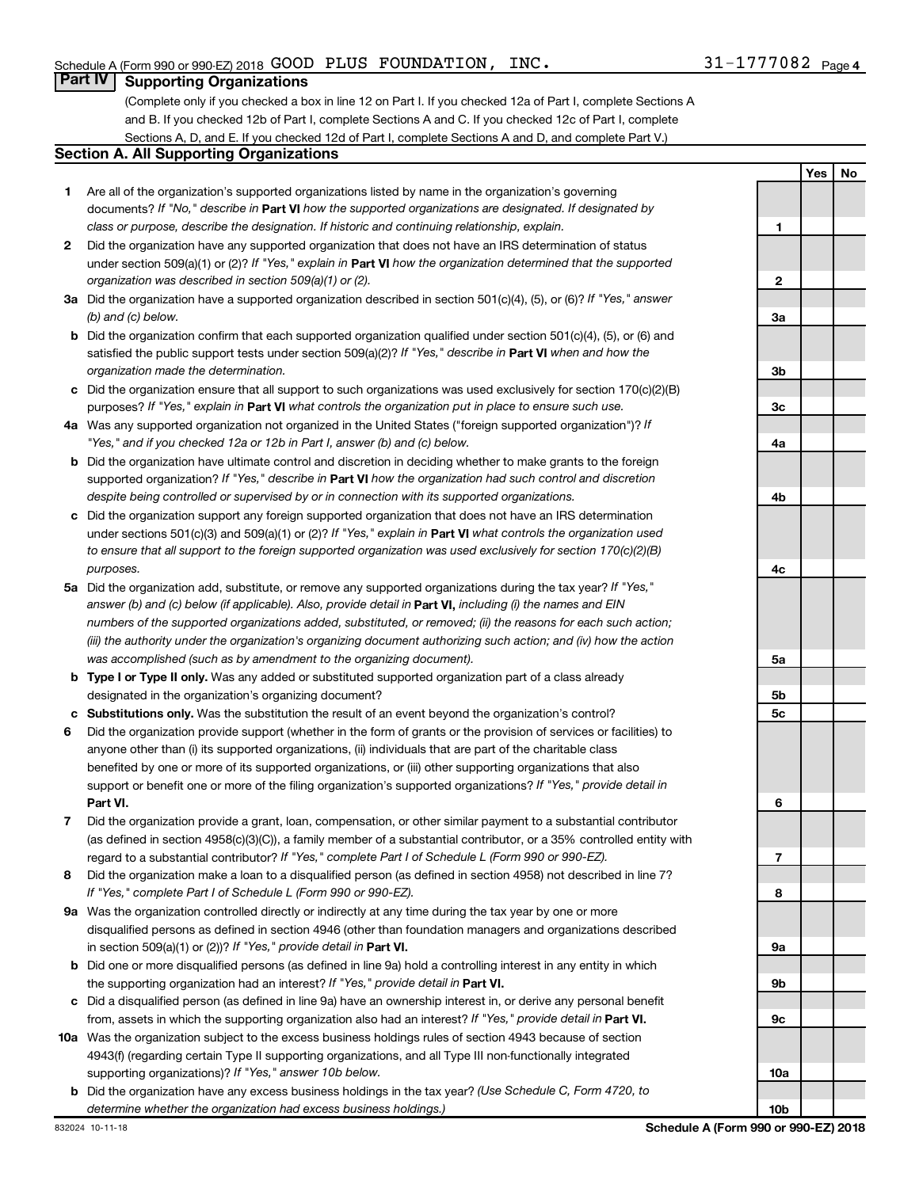### **Part IV Supporting Organizations**

(Complete only if you checked a box in line 12 on Part I. If you checked 12a of Part I, complete Sections A and B. If you checked 12b of Part I, complete Sections A and C. If you checked 12c of Part I, complete Sections A, D, and E. If you checked 12d of Part I, complete Sections A and D, and complete Part V.)

### **Section A. All Supporting Organizations**

- **1** Are all of the organization's supported organizations listed by name in the organization's governing documents? If "No," describe in Part VI how the supported organizations are designated. If designated by *class or purpose, describe the designation. If historic and continuing relationship, explain.*
- **2** Did the organization have any supported organization that does not have an IRS determination of status under section 509(a)(1) or (2)? If "Yes," explain in Part **VI** how the organization determined that the supported *organization was described in section 509(a)(1) or (2).*
- **3a** Did the organization have a supported organization described in section 501(c)(4), (5), or (6)? If "Yes," answer *(b) and (c) below.*
- **b** Did the organization confirm that each supported organization qualified under section 501(c)(4), (5), or (6) and satisfied the public support tests under section 509(a)(2)? If "Yes," describe in Part VI when and how the *organization made the determination.*
- **c** Did the organization ensure that all support to such organizations was used exclusively for section 170(c)(2)(B) purposes? If "Yes," explain in Part VI what controls the organization put in place to ensure such use.
- **4 a** *If* Was any supported organization not organized in the United States ("foreign supported organization")? *"Yes," and if you checked 12a or 12b in Part I, answer (b) and (c) below.*
- **b** Did the organization have ultimate control and discretion in deciding whether to make grants to the foreign supported organization? If "Yes," describe in Part VI how the organization had such control and discretion *despite being controlled or supervised by or in connection with its supported organizations.*
- **c** Did the organization support any foreign supported organization that does not have an IRS determination under sections 501(c)(3) and 509(a)(1) or (2)? If "Yes," explain in Part VI what controls the organization used *to ensure that all support to the foreign supported organization was used exclusively for section 170(c)(2)(B) purposes.*
- **5a** Did the organization add, substitute, or remove any supported organizations during the tax year? If "Yes," answer (b) and (c) below (if applicable). Also, provide detail in **Part VI,** including (i) the names and EIN *numbers of the supported organizations added, substituted, or removed; (ii) the reasons for each such action; (iii) the authority under the organization's organizing document authorizing such action; and (iv) how the action was accomplished (such as by amendment to the organizing document).*
- **b** Type I or Type II only. Was any added or substituted supported organization part of a class already designated in the organization's organizing document?
- **c Substitutions only.**  Was the substitution the result of an event beyond the organization's control?
- **6** Did the organization provide support (whether in the form of grants or the provision of services or facilities) to **Part VI.** support or benefit one or more of the filing organization's supported organizations? If "Yes," provide detail in anyone other than (i) its supported organizations, (ii) individuals that are part of the charitable class benefited by one or more of its supported organizations, or (iii) other supporting organizations that also
- **7** Did the organization provide a grant, loan, compensation, or other similar payment to a substantial contributor regard to a substantial contributor? If "Yes," complete Part I of Schedule L (Form 990 or 990-EZ). (as defined in section 4958(c)(3)(C)), a family member of a substantial contributor, or a 35% controlled entity with
- **8** Did the organization make a loan to a disqualified person (as defined in section 4958) not described in line 7? *If "Yes," complete Part I of Schedule L (Form 990 or 990-EZ).*
- **9 a** Was the organization controlled directly or indirectly at any time during the tax year by one or more in section 509(a)(1) or (2))? If "Yes," provide detail in **Part VI.** disqualified persons as defined in section 4946 (other than foundation managers and organizations described
- **b** Did one or more disqualified persons (as defined in line 9a) hold a controlling interest in any entity in which the supporting organization had an interest? If "Yes," provide detail in Part VI.
- **c** Did a disqualified person (as defined in line 9a) have an ownership interest in, or derive any personal benefit from, assets in which the supporting organization also had an interest? If "Yes," provide detail in Part VI.
- **10 a** Was the organization subject to the excess business holdings rules of section 4943 because of section supporting organizations)? If "Yes," answer 10b below. 4943(f) (regarding certain Type II supporting organizations, and all Type III non-functionally integrated
	- **b** Did the organization have any excess business holdings in the tax year? (Use Schedule C, Form 4720, to *determine whether the organization had excess business holdings.)*

**Yes No 1 2 3a 3b 3c 4a 4b 4c 5a 5b 5c 6 7 8 9a 9b 9c 10a 10b**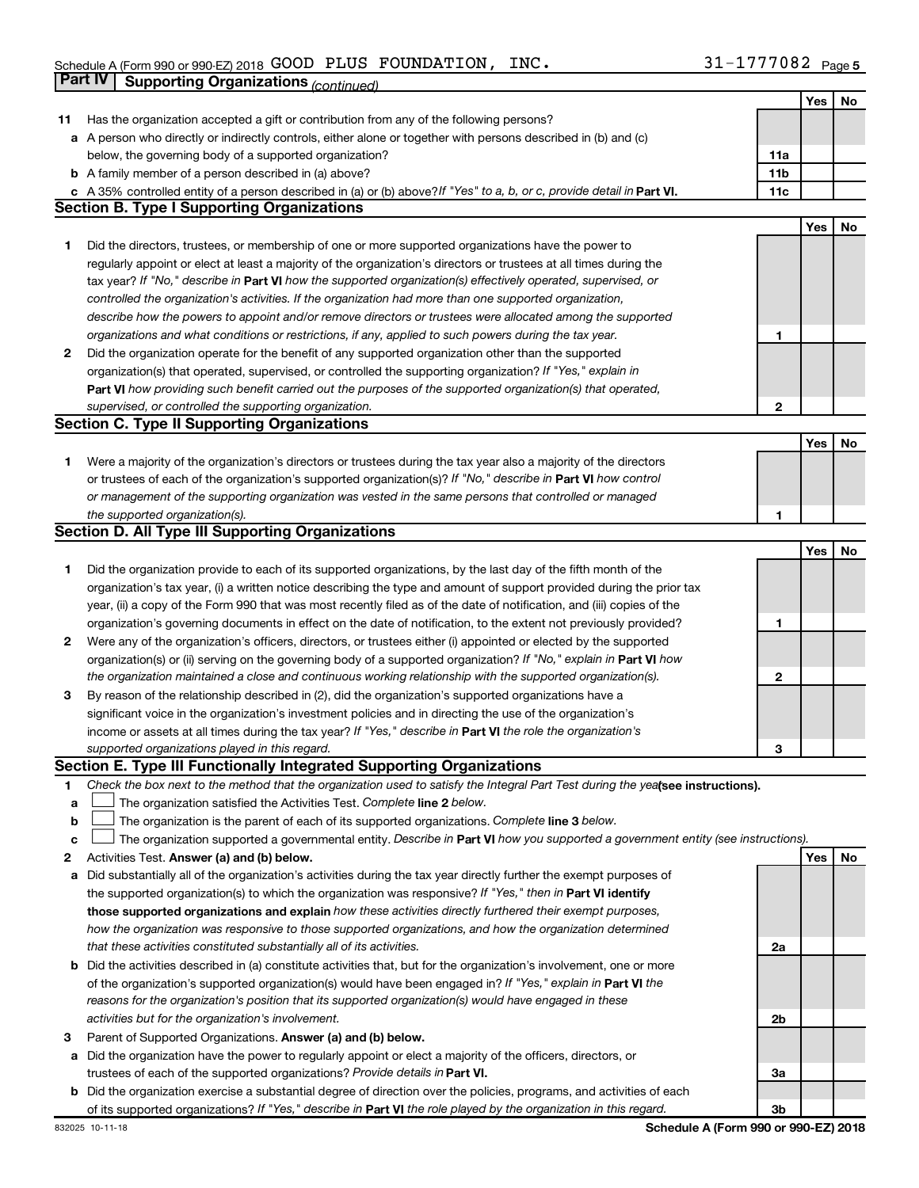|    | Part IV<br><b>Supporting Organizations (continued)</b>                                                                          |                 |            |    |
|----|---------------------------------------------------------------------------------------------------------------------------------|-----------------|------------|----|
|    |                                                                                                                                 |                 | Yes        | No |
| 11 | Has the organization accepted a gift or contribution from any of the following persons?                                         |                 |            |    |
|    | a A person who directly or indirectly controls, either alone or together with persons described in (b) and (c)                  |                 |            |    |
|    | below, the governing body of a supported organization?                                                                          | 11a             |            |    |
|    | <b>b</b> A family member of a person described in (a) above?                                                                    | 11 <sub>b</sub> |            |    |
|    | c A 35% controlled entity of a person described in (a) or (b) above? If "Yes" to a, b, or c, provide detail in Part VI.         | 11c             |            |    |
|    | <b>Section B. Type I Supporting Organizations</b>                                                                               |                 |            |    |
|    |                                                                                                                                 |                 | <b>Yes</b> | No |
| 1. | Did the directors, trustees, or membership of one or more supported organizations have the power to                             |                 |            |    |
|    | regularly appoint or elect at least a majority of the organization's directors or trustees at all times during the              |                 |            |    |
|    | tax year? If "No," describe in Part VI how the supported organization(s) effectively operated, supervised, or                   |                 |            |    |
|    | controlled the organization's activities. If the organization had more than one supported organization,                         |                 |            |    |
|    | describe how the powers to appoint and/or remove directors or trustees were allocated among the supported                       |                 |            |    |
|    | organizations and what conditions or restrictions, if any, applied to such powers during the tax year.                          | 1               |            |    |
| 2  | Did the organization operate for the benefit of any supported organization other than the supported                             |                 |            |    |
|    | organization(s) that operated, supervised, or controlled the supporting organization? If "Yes," explain in                      |                 |            |    |
|    |                                                                                                                                 |                 |            |    |
|    | Part VI how providing such benefit carried out the purposes of the supported organization(s) that operated,                     |                 |            |    |
|    | supervised, or controlled the supporting organization.                                                                          | 2               |            |    |
|    | <b>Section C. Type II Supporting Organizations</b>                                                                              |                 |            |    |
|    |                                                                                                                                 |                 | Yes        | No |
| 1. | Were a majority of the organization's directors or trustees during the tax year also a majority of the directors                |                 |            |    |
|    | or trustees of each of the organization's supported organization(s)? If "No," describe in Part VI how control                   |                 |            |    |
|    | or management of the supporting organization was vested in the same persons that controlled or managed                          |                 |            |    |
|    | the supported organization(s).                                                                                                  | 1               |            |    |
|    | <b>Section D. All Type III Supporting Organizations</b>                                                                         |                 |            |    |
|    |                                                                                                                                 |                 | Yes        | No |
| 1  | Did the organization provide to each of its supported organizations, by the last day of the fifth month of the                  |                 |            |    |
|    | organization's tax year, (i) a written notice describing the type and amount of support provided during the prior tax           |                 |            |    |
|    | year, (ii) a copy of the Form 990 that was most recently filed as of the date of notification, and (iii) copies of the          |                 |            |    |
|    | organization's governing documents in effect on the date of notification, to the extent not previously provided?                | 1               |            |    |
| 2  | Were any of the organization's officers, directors, or trustees either (i) appointed or elected by the supported                |                 |            |    |
|    | organization(s) or (ii) serving on the governing body of a supported organization? If "No," explain in Part VI how              |                 |            |    |
|    | the organization maintained a close and continuous working relationship with the supported organization(s).                     | $\mathbf{2}$    |            |    |
| 3  | By reason of the relationship described in (2), did the organization's supported organizations have a                           |                 |            |    |
|    | significant voice in the organization's investment policies and in directing the use of the organization's                      |                 |            |    |
|    | income or assets at all times during the tax year? If "Yes," describe in Part VI the role the organization's                    |                 |            |    |
|    | supported organizations played in this regard.                                                                                  | 3               |            |    |
|    | Section E. Type III Functionally Integrated Supporting Organizations                                                            |                 |            |    |
| 1  | Check the box next to the method that the organization used to satisfy the Integral Part Test during the yealsee instructions). |                 |            |    |
| a  | The organization satisfied the Activities Test. Complete line 2 below.                                                          |                 |            |    |
| b  | The organization is the parent of each of its supported organizations. Complete line 3 below.                                   |                 |            |    |
| с  | The organization supported a governmental entity. Describe in Part VI how you supported a government entity (see instructions). |                 |            |    |
| 2  | Activities Test. Answer (a) and (b) below.                                                                                      |                 | Yes        | No |
| а  | Did substantially all of the organization's activities during the tax year directly further the exempt purposes of              |                 |            |    |
|    | the supported organization(s) to which the organization was responsive? If "Yes," then in Part VI identify                      |                 |            |    |
|    | those supported organizations and explain how these activities directly furthered their exempt purposes,                        |                 |            |    |
|    | how the organization was responsive to those supported organizations, and how the organization determined                       |                 |            |    |
|    | that these activities constituted substantially all of its activities.                                                          | 2a              |            |    |
|    | <b>b</b> Did the activities described in (a) constitute activities that, but for the organization's involvement, one or more    |                 |            |    |
|    | of the organization's supported organization(s) would have been engaged in? If "Yes," explain in Part VI the                    |                 |            |    |
|    | reasons for the organization's position that its supported organization(s) would have engaged in these                          |                 |            |    |
|    | activities but for the organization's involvement.                                                                              | 2b              |            |    |
| З  | Parent of Supported Organizations. Answer (a) and (b) below.                                                                    |                 |            |    |
| а  | Did the organization have the power to regularly appoint or elect a majority of the officers, directors, or                     |                 |            |    |
|    | trustees of each of the supported organizations? Provide details in Part VI.                                                    | За              |            |    |
|    | <b>b</b> Did the organization exercise a substantial degree of direction over the policies, programs, and activities of each    |                 |            |    |
|    | of its supported organizations? If "Yes," describe in Part VI the role played by the organization in this regard.               | 3b              |            |    |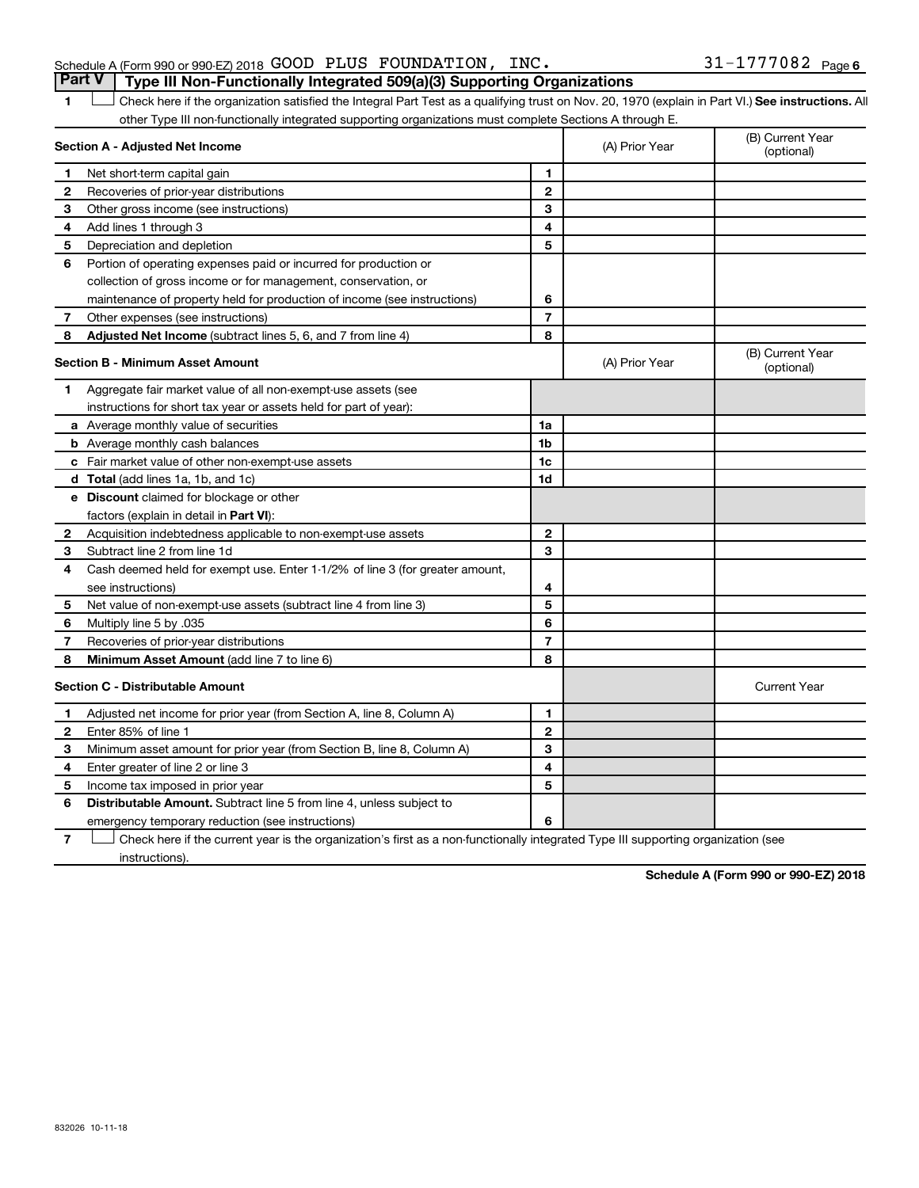### Schedule A (Form 990 or 990-EZ) 2018  $\,$  GOOD PLUS FOUNDATION, INC.  $\,$  31-1777082  $\,$  Page **Part V Type III Non-Functionally Integrated 509(a)(3) Supporting Organizations**

1 **Letter See instructions.** All Check here if the organization satisfied the Integral Part Test as a qualifying trust on Nov. 20, 1970 (explain in Part VI.) See instructions. All other Type III non-functionally integrated supporting organizations must complete Sections A through E.

|              | Section A - Adjusted Net Income                                              |                | (A) Prior Year | (B) Current Year<br>(optional) |
|--------------|------------------------------------------------------------------------------|----------------|----------------|--------------------------------|
| 1            | Net short-term capital gain                                                  | 1              |                |                                |
| $\mathbf{2}$ | Recoveries of prior-year distributions                                       | $\mathbf{2}$   |                |                                |
| З            | Other gross income (see instructions)                                        | 3              |                |                                |
| 4            | Add lines 1 through 3                                                        | 4              |                |                                |
| 5            | Depreciation and depletion                                                   | 5              |                |                                |
| 6            | Portion of operating expenses paid or incurred for production or             |                |                |                                |
|              | collection of gross income or for management, conservation, or               |                |                |                                |
|              | maintenance of property held for production of income (see instructions)     | 6              |                |                                |
| 7            | Other expenses (see instructions)                                            | $\overline{7}$ |                |                                |
| 8            | Adjusted Net Income (subtract lines 5, 6, and 7 from line 4)                 | 8              |                |                                |
|              | <b>Section B - Minimum Asset Amount</b>                                      |                | (A) Prior Year | (B) Current Year<br>(optional) |
| 1            | Aggregate fair market value of all non-exempt-use assets (see                |                |                |                                |
|              | instructions for short tax year or assets held for part of year):            |                |                |                                |
|              | a Average monthly value of securities                                        | 1a             |                |                                |
|              | <b>b</b> Average monthly cash balances                                       | 1b             |                |                                |
|              | c Fair market value of other non-exempt-use assets                           | 1c             |                |                                |
|              | <b>d</b> Total (add lines 1a, 1b, and 1c)                                    | 1 <sub>d</sub> |                |                                |
|              | e Discount claimed for blockage or other                                     |                |                |                                |
|              | factors (explain in detail in Part VI):                                      |                |                |                                |
| 2            | Acquisition indebtedness applicable to non-exempt-use assets                 | $\mathbf{2}$   |                |                                |
| З            | Subtract line 2 from line 1d                                                 | 3              |                |                                |
| 4            | Cash deemed held for exempt use. Enter 1-1/2% of line 3 (for greater amount, |                |                |                                |
|              | see instructions)                                                            | 4              |                |                                |
| 5            | Net value of non-exempt-use assets (subtract line 4 from line 3)             | 5              |                |                                |
| 6            | Multiply line 5 by .035                                                      | 6              |                |                                |
| 7            | Recoveries of prior-year distributions                                       | $\overline{7}$ |                |                                |
| 8            | <b>Minimum Asset Amount (add line 7 to line 6)</b>                           | 8              |                |                                |
|              | <b>Section C - Distributable Amount</b>                                      |                |                | <b>Current Year</b>            |
| 1            | Adjusted net income for prior year (from Section A, line 8, Column A)        | 1              |                |                                |
| $\mathbf{2}$ | Enter 85% of line 1                                                          | $\overline{2}$ |                |                                |
| 3            | Minimum asset amount for prior year (from Section B, line 8, Column A)       | 3              |                |                                |
| 4            | Enter greater of line 2 or line 3                                            | 4              |                |                                |
| 5            | Income tax imposed in prior year                                             | 5              |                |                                |
| 6            | <b>Distributable Amount.</b> Subtract line 5 from line 4, unless subject to  |                |                |                                |
|              | emergency temporary reduction (see instructions)                             | 6              |                |                                |

**7** Let Check here if the current year is the organization's first as a non-functionally integrated Type III supporting organization (see instructions).

**Schedule A (Form 990 or 990-EZ) 2018**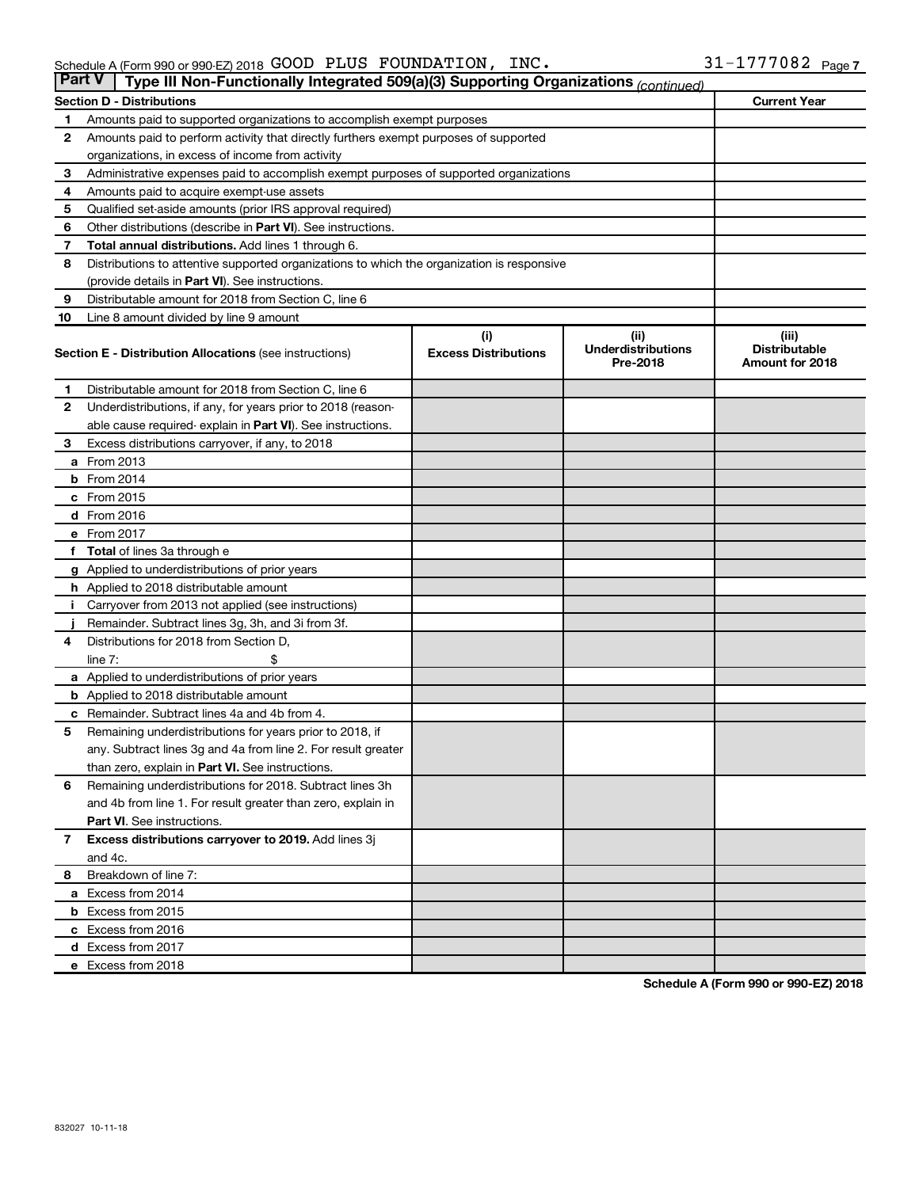| <b>Part V</b> | Type III Non-Functionally Integrated 509(a)(3) Supporting Organizations (continued)        |                                    |                                               |                                                  |
|---------------|--------------------------------------------------------------------------------------------|------------------------------------|-----------------------------------------------|--------------------------------------------------|
|               | <b>Section D - Distributions</b>                                                           |                                    |                                               | <b>Current Year</b>                              |
| 1             | Amounts paid to supported organizations to accomplish exempt purposes                      |                                    |                                               |                                                  |
| $\mathbf{2}$  | Amounts paid to perform activity that directly furthers exempt purposes of supported       |                                    |                                               |                                                  |
|               | organizations, in excess of income from activity                                           |                                    |                                               |                                                  |
| 3             | Administrative expenses paid to accomplish exempt purposes of supported organizations      |                                    |                                               |                                                  |
| 4             | Amounts paid to acquire exempt-use assets                                                  |                                    |                                               |                                                  |
| 5             | Qualified set-aside amounts (prior IRS approval required)                                  |                                    |                                               |                                                  |
| 6             | Other distributions (describe in <b>Part VI</b> ). See instructions.                       |                                    |                                               |                                                  |
| 7             | <b>Total annual distributions.</b> Add lines 1 through 6.                                  |                                    |                                               |                                                  |
| 8             | Distributions to attentive supported organizations to which the organization is responsive |                                    |                                               |                                                  |
|               | (provide details in Part VI). See instructions.                                            |                                    |                                               |                                                  |
| 9             | Distributable amount for 2018 from Section C, line 6                                       |                                    |                                               |                                                  |
| 10            | Line 8 amount divided by line 9 amount                                                     |                                    |                                               |                                                  |
|               | <b>Section E - Distribution Allocations (see instructions)</b>                             | (i)<br><b>Excess Distributions</b> | (ii)<br><b>Underdistributions</b><br>Pre-2018 | (iii)<br><b>Distributable</b><br>Amount for 2018 |
| 1             | Distributable amount for 2018 from Section C, line 6                                       |                                    |                                               |                                                  |
| 2             | Underdistributions, if any, for years prior to 2018 (reason-                               |                                    |                                               |                                                  |
|               | able cause required-explain in Part VI). See instructions.                                 |                                    |                                               |                                                  |
| 3             | Excess distributions carryover, if any, to 2018                                            |                                    |                                               |                                                  |
|               | <b>a</b> From 2013                                                                         |                                    |                                               |                                                  |
|               | $b$ From 2014                                                                              |                                    |                                               |                                                  |
|               | c From 2015                                                                                |                                    |                                               |                                                  |
|               | d From 2016                                                                                |                                    |                                               |                                                  |
|               | e From 2017                                                                                |                                    |                                               |                                                  |
|               | f Total of lines 3a through e                                                              |                                    |                                               |                                                  |
|               | <b>g</b> Applied to underdistributions of prior years                                      |                                    |                                               |                                                  |
|               | <b>h</b> Applied to 2018 distributable amount                                              |                                    |                                               |                                                  |
| Ť.            | Carryover from 2013 not applied (see instructions)                                         |                                    |                                               |                                                  |
|               | Remainder. Subtract lines 3g, 3h, and 3i from 3f.                                          |                                    |                                               |                                                  |
| 4             | Distributions for 2018 from Section D,                                                     |                                    |                                               |                                                  |
|               | line $7:$                                                                                  |                                    |                                               |                                                  |
|               | a Applied to underdistributions of prior years                                             |                                    |                                               |                                                  |
|               | <b>b</b> Applied to 2018 distributable amount                                              |                                    |                                               |                                                  |
| c             | Remainder. Subtract lines 4a and 4b from 4.                                                |                                    |                                               |                                                  |
| 5             | Remaining underdistributions for years prior to 2018, if                                   |                                    |                                               |                                                  |
|               | any. Subtract lines 3g and 4a from line 2. For result greater                              |                                    |                                               |                                                  |
|               | than zero, explain in Part VI. See instructions.                                           |                                    |                                               |                                                  |
| 6             | Remaining underdistributions for 2018. Subtract lines 3h                                   |                                    |                                               |                                                  |
|               | and 4b from line 1. For result greater than zero, explain in                               |                                    |                                               |                                                  |
|               | <b>Part VI.</b> See instructions.                                                          |                                    |                                               |                                                  |
| $\mathbf{7}$  | Excess distributions carryover to 2019. Add lines 3j                                       |                                    |                                               |                                                  |
|               | and 4c.                                                                                    |                                    |                                               |                                                  |
| 8             | Breakdown of line 7:                                                                       |                                    |                                               |                                                  |
|               | a Excess from 2014                                                                         |                                    |                                               |                                                  |
|               | <b>b</b> Excess from 2015                                                                  |                                    |                                               |                                                  |
|               | c Excess from 2016                                                                         |                                    |                                               |                                                  |
|               | d Excess from 2017                                                                         |                                    |                                               |                                                  |
|               | e Excess from 2018                                                                         |                                    |                                               |                                                  |

**Schedule A (Form 990 or 990-EZ) 2018**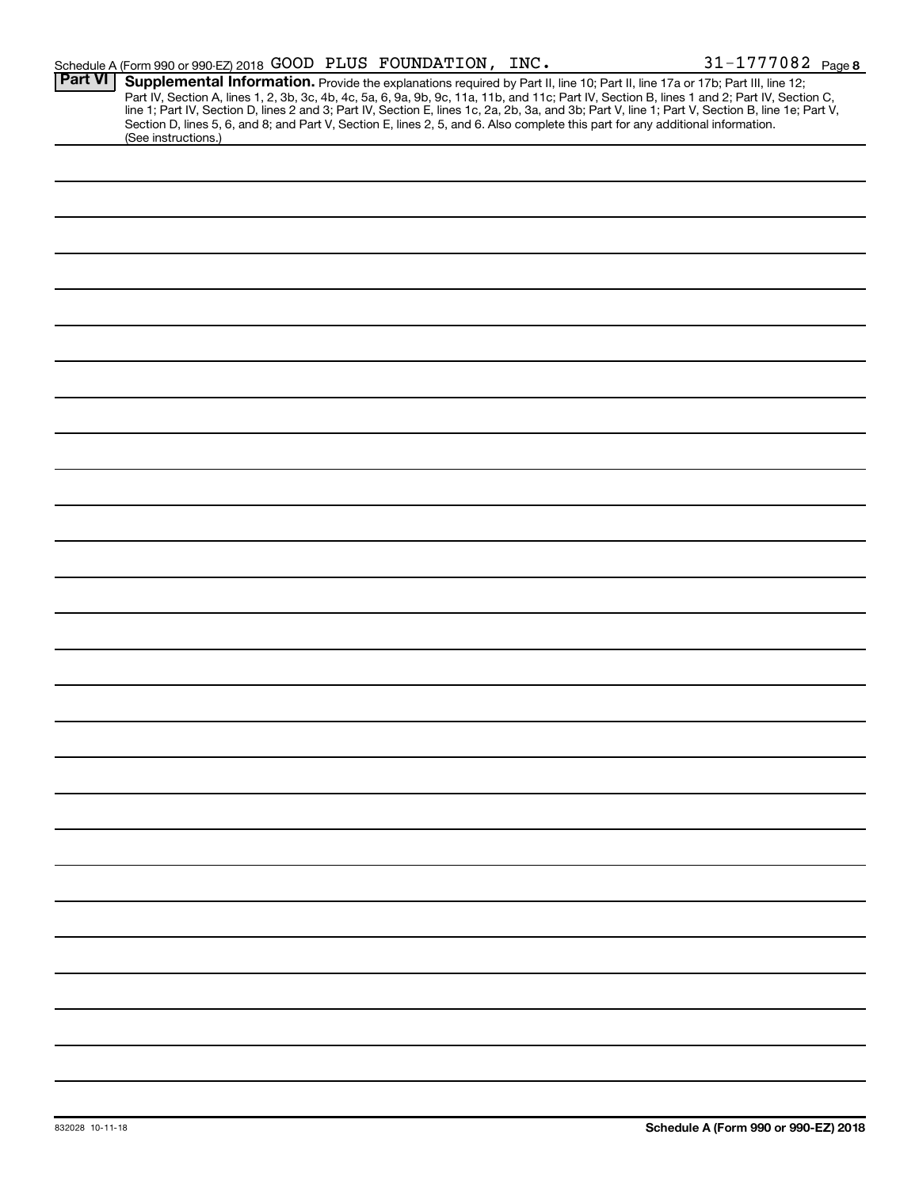|                | Schedule A (Form 990 or 990-EZ) 2018 GOOD PLUS FOUNDATION, INC.                                                                                      |                                                                                                                                                                                                                                                                                                                                                                                                                                     | 31-1777082 Page 8 |
|----------------|------------------------------------------------------------------------------------------------------------------------------------------------------|-------------------------------------------------------------------------------------------------------------------------------------------------------------------------------------------------------------------------------------------------------------------------------------------------------------------------------------------------------------------------------------------------------------------------------------|-------------------|
| <b>Part VI</b> | Supplemental Information. Provide the explanations required by Part II, line 10; Part II, line 17a or 17b; Part III, line 12;<br>(See instructions.) | Part IV, Section A, lines 1, 2, 3b, 3c, 4b, 4c, 5a, 6, 9a, 9b, 9c, 11a, 11b, and 11c; Part IV, Section B, lines 1 and 2; Part IV, Section C,<br>line 1; Part IV, Section D, lines 2 and 3; Part IV, Section E, lines 1c, 2a, 2b, 3a, and 3b; Part V, line 1; Part V, Section B, line 1e; Part V,<br>Section D, lines 5, 6, and 8; and Part V, Section E, lines 2, 5, and 6. Also complete this part for any additional information. |                   |
|                |                                                                                                                                                      |                                                                                                                                                                                                                                                                                                                                                                                                                                     |                   |
|                |                                                                                                                                                      |                                                                                                                                                                                                                                                                                                                                                                                                                                     |                   |
|                |                                                                                                                                                      |                                                                                                                                                                                                                                                                                                                                                                                                                                     |                   |
|                |                                                                                                                                                      |                                                                                                                                                                                                                                                                                                                                                                                                                                     |                   |
|                |                                                                                                                                                      |                                                                                                                                                                                                                                                                                                                                                                                                                                     |                   |
|                |                                                                                                                                                      |                                                                                                                                                                                                                                                                                                                                                                                                                                     |                   |
|                |                                                                                                                                                      |                                                                                                                                                                                                                                                                                                                                                                                                                                     |                   |
|                |                                                                                                                                                      |                                                                                                                                                                                                                                                                                                                                                                                                                                     |                   |
|                |                                                                                                                                                      |                                                                                                                                                                                                                                                                                                                                                                                                                                     |                   |
|                |                                                                                                                                                      |                                                                                                                                                                                                                                                                                                                                                                                                                                     |                   |
|                |                                                                                                                                                      |                                                                                                                                                                                                                                                                                                                                                                                                                                     |                   |
|                |                                                                                                                                                      |                                                                                                                                                                                                                                                                                                                                                                                                                                     |                   |
|                |                                                                                                                                                      |                                                                                                                                                                                                                                                                                                                                                                                                                                     |                   |
|                |                                                                                                                                                      |                                                                                                                                                                                                                                                                                                                                                                                                                                     |                   |
|                |                                                                                                                                                      |                                                                                                                                                                                                                                                                                                                                                                                                                                     |                   |
|                |                                                                                                                                                      |                                                                                                                                                                                                                                                                                                                                                                                                                                     |                   |
|                |                                                                                                                                                      |                                                                                                                                                                                                                                                                                                                                                                                                                                     |                   |
|                |                                                                                                                                                      |                                                                                                                                                                                                                                                                                                                                                                                                                                     |                   |
|                |                                                                                                                                                      |                                                                                                                                                                                                                                                                                                                                                                                                                                     |                   |
|                |                                                                                                                                                      |                                                                                                                                                                                                                                                                                                                                                                                                                                     |                   |
|                |                                                                                                                                                      |                                                                                                                                                                                                                                                                                                                                                                                                                                     |                   |
|                |                                                                                                                                                      |                                                                                                                                                                                                                                                                                                                                                                                                                                     |                   |
|                |                                                                                                                                                      |                                                                                                                                                                                                                                                                                                                                                                                                                                     |                   |
|                |                                                                                                                                                      |                                                                                                                                                                                                                                                                                                                                                                                                                                     |                   |
|                |                                                                                                                                                      |                                                                                                                                                                                                                                                                                                                                                                                                                                     |                   |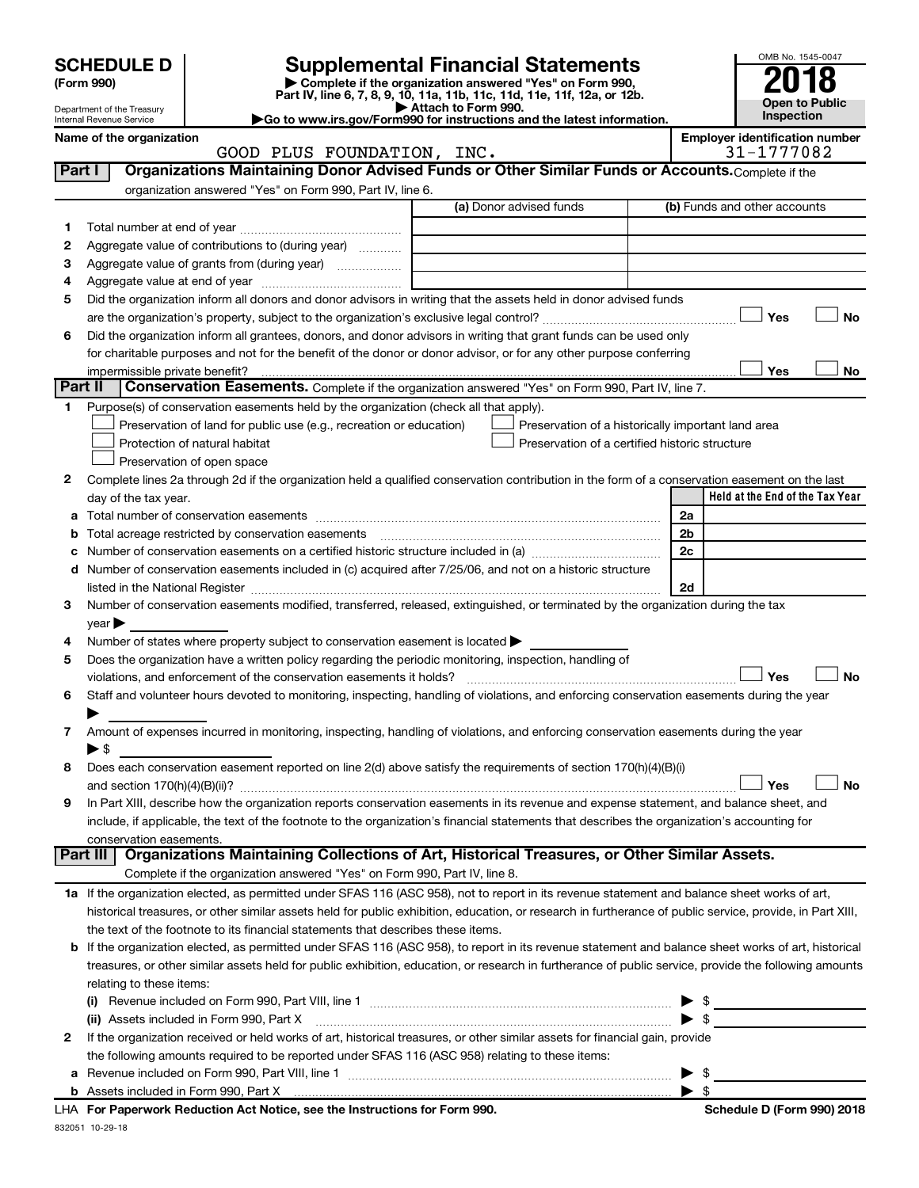|          | <b>SCHEDULE D</b><br>(Form 990)                      |                                                                                                                                                           | <b>Supplemental Financial Statements</b><br>Complete if the organization answered "Yes" on Form 990,<br>Part IV, line 6, 7, 8, 9, 10, 11a, 11b, 11c, 11d, 11e, 11f, 12a, or 12b. |                | OMB No. 1545-0047                            |
|----------|------------------------------------------------------|-----------------------------------------------------------------------------------------------------------------------------------------------------------|----------------------------------------------------------------------------------------------------------------------------------------------------------------------------------|----------------|----------------------------------------------|
|          | Department of the Treasury                           |                                                                                                                                                           | Attach to Form 990.                                                                                                                                                              |                | <b>Open to Public</b><br>Inspection          |
|          | Internal Revenue Service<br>Name of the organization |                                                                                                                                                           | Go to www.irs.gov/Form990 for instructions and the latest information.                                                                                                           |                | <b>Employer identification number</b>        |
|          |                                                      | GOOD PLUS FOUNDATION, INC.                                                                                                                                |                                                                                                                                                                                  |                | 31-1777082                                   |
| Part I   |                                                      | Organizations Maintaining Donor Advised Funds or Other Similar Funds or Accounts. Complete if the                                                         |                                                                                                                                                                                  |                |                                              |
|          |                                                      | organization answered "Yes" on Form 990, Part IV, line 6.                                                                                                 |                                                                                                                                                                                  |                |                                              |
|          |                                                      |                                                                                                                                                           | (a) Donor advised funds                                                                                                                                                          |                | (b) Funds and other accounts                 |
| 1.       |                                                      |                                                                                                                                                           |                                                                                                                                                                                  |                |                                              |
| 2        |                                                      | Aggregate value of contributions to (during year)                                                                                                         |                                                                                                                                                                                  |                |                                              |
| З        |                                                      |                                                                                                                                                           |                                                                                                                                                                                  |                |                                              |
| 4        |                                                      |                                                                                                                                                           |                                                                                                                                                                                  |                |                                              |
| 5        |                                                      | Did the organization inform all donors and donor advisors in writing that the assets held in donor advised funds                                          |                                                                                                                                                                                  |                |                                              |
|          |                                                      |                                                                                                                                                           |                                                                                                                                                                                  |                | No<br>Yes                                    |
| 6        |                                                      | Did the organization inform all grantees, donors, and donor advisors in writing that grant funds can be used only                                         |                                                                                                                                                                                  |                |                                              |
|          |                                                      | for charitable purposes and not for the benefit of the donor or donor advisor, or for any other purpose conferring                                        |                                                                                                                                                                                  |                |                                              |
|          | impermissible private benefit?                       |                                                                                                                                                           |                                                                                                                                                                                  |                | Yes<br>No                                    |
| Part II  |                                                      | Conservation Easements. Complete if the organization answered "Yes" on Form 990, Part IV, line 7.                                                         |                                                                                                                                                                                  |                |                                              |
| 1        |                                                      | Purpose(s) of conservation easements held by the organization (check all that apply).                                                                     |                                                                                                                                                                                  |                |                                              |
|          |                                                      | Preservation of land for public use (e.g., recreation or education)                                                                                       | Preservation of a historically important land area                                                                                                                               |                |                                              |
|          |                                                      | Protection of natural habitat                                                                                                                             | Preservation of a certified historic structure                                                                                                                                   |                |                                              |
|          |                                                      | Preservation of open space                                                                                                                                |                                                                                                                                                                                  |                |                                              |
| 2        |                                                      | Complete lines 2a through 2d if the organization held a qualified conservation contribution in the form of a conservation easement on the last            |                                                                                                                                                                                  |                |                                              |
|          | day of the tax year.                                 |                                                                                                                                                           |                                                                                                                                                                                  |                | Held at the End of the Tax Year              |
|          |                                                      |                                                                                                                                                           |                                                                                                                                                                                  | 2a             |                                              |
|          |                                                      |                                                                                                                                                           |                                                                                                                                                                                  | 2 <sub>b</sub> |                                              |
|          |                                                      |                                                                                                                                                           |                                                                                                                                                                                  | 2c             |                                              |
| d        |                                                      | Number of conservation easements included in (c) acquired after 7/25/06, and not on a historic structure                                                  |                                                                                                                                                                                  |                |                                              |
|          |                                                      |                                                                                                                                                           |                                                                                                                                                                                  | 2d             |                                              |
| 3        |                                                      | Number of conservation easements modified, transferred, released, extinguished, or terminated by the organization during the tax                          |                                                                                                                                                                                  |                |                                              |
| 4        | $\vee$ ear $\blacktriangleright$                     | Number of states where property subject to conservation easement is located                                                                               |                                                                                                                                                                                  |                |                                              |
| 5        |                                                      | Does the organization have a written policy regarding the periodic monitoring, inspection, handling of                                                    |                                                                                                                                                                                  |                |                                              |
|          |                                                      |                                                                                                                                                           |                                                                                                                                                                                  |                | Yes<br>No                                    |
| 6        |                                                      | Staff and volunteer hours devoted to monitoring, inspecting, handling of violations, and enforcing conservation easements during the year                 |                                                                                                                                                                                  |                |                                              |
|          |                                                      |                                                                                                                                                           |                                                                                                                                                                                  |                |                                              |
| 7        |                                                      | Amount of expenses incurred in monitoring, inspecting, handling of violations, and enforcing conservation easements during the year                       |                                                                                                                                                                                  |                |                                              |
|          | ▶ \$                                                 |                                                                                                                                                           |                                                                                                                                                                                  |                |                                              |
| 8        |                                                      | Does each conservation easement reported on line 2(d) above satisfy the requirements of section 170(h)(4)(B)(i)                                           |                                                                                                                                                                                  |                |                                              |
|          |                                                      |                                                                                                                                                           |                                                                                                                                                                                  |                | Yes<br>No                                    |
| 9        |                                                      | In Part XIII, describe how the organization reports conservation easements in its revenue and expense statement, and balance sheet, and                   |                                                                                                                                                                                  |                |                                              |
|          |                                                      | include, if applicable, the text of the footnote to the organization's financial statements that describes the organization's accounting for              |                                                                                                                                                                                  |                |                                              |
|          | conservation easements.                              |                                                                                                                                                           |                                                                                                                                                                                  |                |                                              |
| Part III |                                                      | Organizations Maintaining Collections of Art, Historical Treasures, or Other Similar Assets.                                                              |                                                                                                                                                                                  |                |                                              |
|          |                                                      | Complete if the organization answered "Yes" on Form 990, Part IV, line 8.                                                                                 |                                                                                                                                                                                  |                |                                              |
|          |                                                      | 1a If the organization elected, as permitted under SFAS 116 (ASC 958), not to report in its revenue statement and balance sheet works of art,             |                                                                                                                                                                                  |                |                                              |
|          |                                                      | historical treasures, or other similar assets held for public exhibition, education, or research in furtherance of public service, provide, in Part XIII, |                                                                                                                                                                                  |                |                                              |
|          |                                                      | the text of the footnote to its financial statements that describes these items.                                                                          |                                                                                                                                                                                  |                |                                              |
|          |                                                      | If the organization elected, as permitted under SFAS 116 (ASC 958), to report in its revenue statement and balance sheet works of art, historical         |                                                                                                                                                                                  |                |                                              |
|          |                                                      | treasures, or other similar assets held for public exhibition, education, or research in furtherance of public service, provide the following amounts     |                                                                                                                                                                                  |                |                                              |
|          | relating to these items:                             |                                                                                                                                                           |                                                                                                                                                                                  |                |                                              |
|          |                                                      | Revenue included on Form 990, Part VIII, line 1 [2000] [2000] [2000] [2000] [2000] [2000] [2000] [2000] [2000                                             |                                                                                                                                                                                  |                | the control of the control of the control of |
|          |                                                      | (ii) Assets included in Form 990, Part X                                                                                                                  |                                                                                                                                                                                  |                | -\$                                          |
|          |                                                      | If the organization received or held works of art, historical treasures, or other similar assets for financial gain, provide                              |                                                                                                                                                                                  |                |                                              |

|  | the following amounts required to be reported under SFAS 116 (ASC 958) relating to these items: |                          |  |
|--|-------------------------------------------------------------------------------------------------|--------------------------|--|
|  | a Revenue included on Form 990, Part VIII, line 1                                               | $\blacktriangleright$ s  |  |
|  |                                                                                                 | $\blacktriangleright$ \$ |  |

832051 10-29-18 **For Paperwork Reduction Act Notice, see the Instructions for Form 990. Schedule D (Form 990) 2018** LHA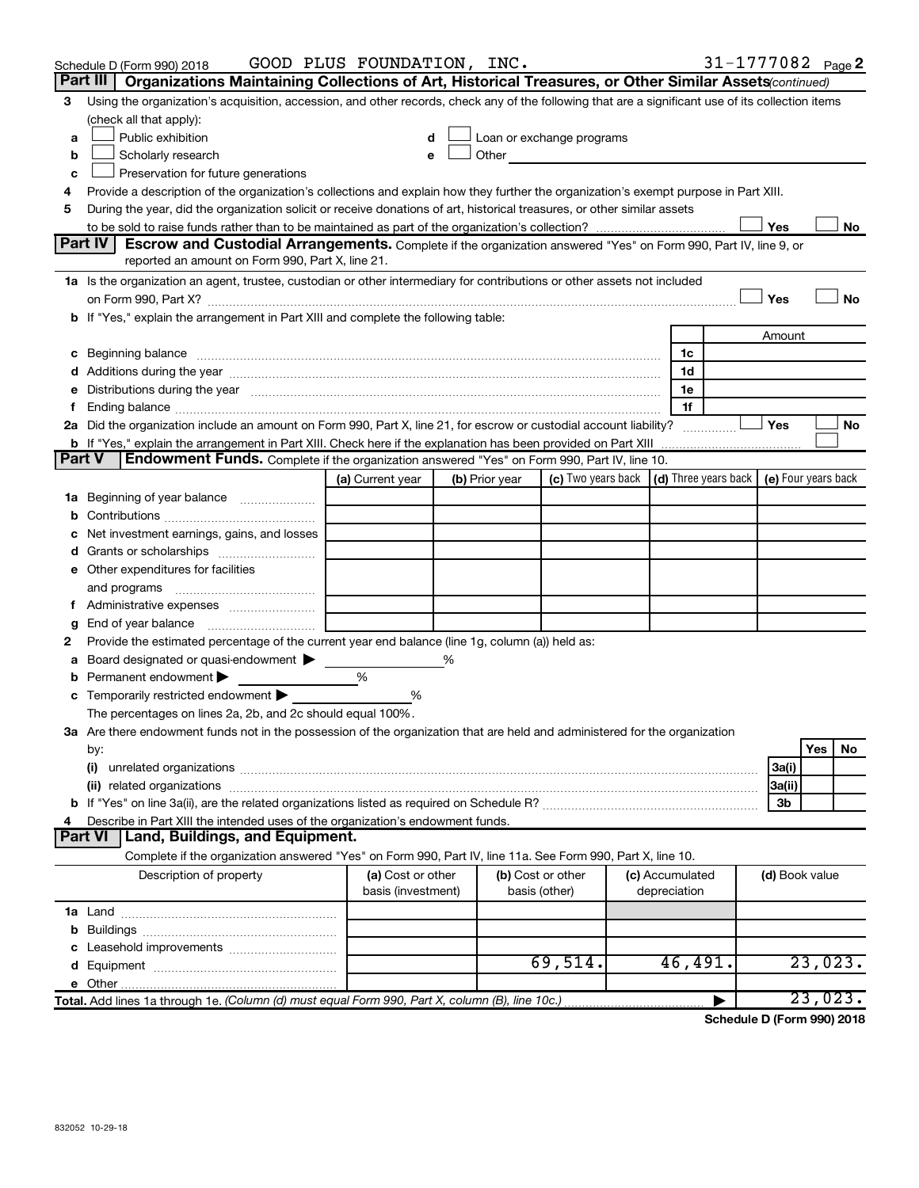|        | Schedule D (Form 990) 2018                                                                                                                                                                                                     | GOOD PLUS FOUNDATION, INC.              |                |                                                                                                                                                                                                                               |                                 |                | 31-1777082 Page 2                                 |
|--------|--------------------------------------------------------------------------------------------------------------------------------------------------------------------------------------------------------------------------------|-----------------------------------------|----------------|-------------------------------------------------------------------------------------------------------------------------------------------------------------------------------------------------------------------------------|---------------------------------|----------------|---------------------------------------------------|
|        | Part III   Organizations Maintaining Collections of Art, Historical Treasures, or Other Similar Assets (continued)                                                                                                             |                                         |                |                                                                                                                                                                                                                               |                                 |                |                                                   |
| 3      | Using the organization's acquisition, accession, and other records, check any of the following that are a significant use of its collection items                                                                              |                                         |                |                                                                                                                                                                                                                               |                                 |                |                                                   |
|        | (check all that apply):                                                                                                                                                                                                        |                                         |                |                                                                                                                                                                                                                               |                                 |                |                                                   |
| a      | Public exhibition                                                                                                                                                                                                              | d                                       |                | Loan or exchange programs                                                                                                                                                                                                     |                                 |                |                                                   |
| b      | Scholarly research                                                                                                                                                                                                             | e                                       |                | Other and the contract of the contract of the contract of the contract of the contract of the contract of the contract of the contract of the contract of the contract of the contract of the contract of the contract of the |                                 |                |                                                   |
| c      | Preservation for future generations                                                                                                                                                                                            |                                         |                |                                                                                                                                                                                                                               |                                 |                |                                                   |
| 4      | Provide a description of the organization's collections and explain how they further the organization's exempt purpose in Part XIII.                                                                                           |                                         |                |                                                                                                                                                                                                                               |                                 |                |                                                   |
| 5      | During the year, did the organization solicit or receive donations of art, historical treasures, or other similar assets                                                                                                       |                                         |                |                                                                                                                                                                                                                               |                                 |                |                                                   |
|        |                                                                                                                                                                                                                                |                                         |                |                                                                                                                                                                                                                               |                                 | Yes            | No                                                |
|        | Part IV<br>Escrow and Custodial Arrangements. Complete if the organization answered "Yes" on Form 990, Part IV, line 9, or<br>reported an amount on Form 990, Part X, line 21.                                                 |                                         |                |                                                                                                                                                                                                                               |                                 |                |                                                   |
|        |                                                                                                                                                                                                                                |                                         |                |                                                                                                                                                                                                                               |                                 |                |                                                   |
|        | 1a Is the organization an agent, trustee, custodian or other intermediary for contributions or other assets not included                                                                                                       |                                         |                |                                                                                                                                                                                                                               |                                 |                |                                                   |
|        | on Form 990, Part X? [11] matter contracts and contracts and contracts are contracted as a form 990, Part X?<br>b If "Yes," explain the arrangement in Part XIII and complete the following table:                             |                                         |                |                                                                                                                                                                                                                               |                                 | Yes            | No                                                |
|        |                                                                                                                                                                                                                                |                                         |                |                                                                                                                                                                                                                               |                                 |                |                                                   |
|        |                                                                                                                                                                                                                                |                                         |                |                                                                                                                                                                                                                               | 1c                              | Amount         |                                                   |
|        | c Beginning balance measurements and the contract of the contract of the contract of the contract of the contract of the contract of the contract of the contract of the contract of the contract of the contract of the contr |                                         |                |                                                                                                                                                                                                                               | 1d                              |                |                                                   |
|        | e Distributions during the year manufactured and continuum control of the control of the control of the state of the control of the control of the control of the control of the control of the control of the control of the  |                                         |                |                                                                                                                                                                                                                               | 1e                              |                |                                                   |
| f      |                                                                                                                                                                                                                                |                                         |                |                                                                                                                                                                                                                               | 1f                              |                |                                                   |
|        | 2a Did the organization include an amount on Form 990, Part X, line 21, for escrow or custodial account liability?                                                                                                             |                                         |                |                                                                                                                                                                                                                               |                                 | Yes            | No                                                |
|        |                                                                                                                                                                                                                                |                                         |                |                                                                                                                                                                                                                               |                                 |                |                                                   |
| Part V | Endowment Funds. Complete if the organization answered "Yes" on Form 990, Part IV, line 10.                                                                                                                                    |                                         |                |                                                                                                                                                                                                                               |                                 |                |                                                   |
|        |                                                                                                                                                                                                                                | (a) Current year                        | (b) Prior year | (c) Two years back                                                                                                                                                                                                            |                                 |                | $(d)$ Three years back $\mid$ (e) Four years back |
|        | 1a Beginning of year balance                                                                                                                                                                                                   |                                         |                |                                                                                                                                                                                                                               |                                 |                |                                                   |
|        |                                                                                                                                                                                                                                |                                         |                |                                                                                                                                                                                                                               |                                 |                |                                                   |
| с      | Net investment earnings, gains, and losses                                                                                                                                                                                     |                                         |                |                                                                                                                                                                                                                               |                                 |                |                                                   |
|        |                                                                                                                                                                                                                                |                                         |                |                                                                                                                                                                                                                               |                                 |                |                                                   |
|        | e Other expenditures for facilities                                                                                                                                                                                            |                                         |                |                                                                                                                                                                                                                               |                                 |                |                                                   |
|        | and programs                                                                                                                                                                                                                   |                                         |                |                                                                                                                                                                                                                               |                                 |                |                                                   |
| f.     |                                                                                                                                                                                                                                |                                         |                |                                                                                                                                                                                                                               |                                 |                |                                                   |
| g      | End of year balance <i>manually contained</i>                                                                                                                                                                                  |                                         |                |                                                                                                                                                                                                                               |                                 |                |                                                   |
| 2      | Provide the estimated percentage of the current year end balance (line 1g, column (a)) held as:                                                                                                                                |                                         |                |                                                                                                                                                                                                                               |                                 |                |                                                   |
| a      | Board designated or quasi-endowment                                                                                                                                                                                            |                                         | %              |                                                                                                                                                                                                                               |                                 |                |                                                   |
| b      | Permanent endowment                                                                                                                                                                                                            | %                                       |                |                                                                                                                                                                                                                               |                                 |                |                                                   |
|        | c Temporarily restricted endowment                                                                                                                                                                                             | %                                       |                |                                                                                                                                                                                                                               |                                 |                |                                                   |
|        | The percentages on lines 2a, 2b, and 2c should equal 100%.                                                                                                                                                                     |                                         |                |                                                                                                                                                                                                                               |                                 |                |                                                   |
|        | 3a Are there endowment funds not in the possession of the organization that are held and administered for the organization                                                                                                     |                                         |                |                                                                                                                                                                                                                               |                                 |                |                                                   |
|        | by:                                                                                                                                                                                                                            |                                         |                |                                                                                                                                                                                                                               |                                 |                | No<br>Yes                                         |
|        | (i)                                                                                                                                                                                                                            |                                         |                |                                                                                                                                                                                                                               |                                 | 3a(i)          |                                                   |
|        |                                                                                                                                                                                                                                |                                         |                |                                                                                                                                                                                                                               |                                 | 3a(ii)         |                                                   |
|        |                                                                                                                                                                                                                                |                                         |                |                                                                                                                                                                                                                               |                                 | 3b             |                                                   |
| 4      | Describe in Part XIII the intended uses of the organization's endowment funds.                                                                                                                                                 |                                         |                |                                                                                                                                                                                                                               |                                 |                |                                                   |
|        | Land, Buildings, and Equipment.<br><b>Part VI</b>                                                                                                                                                                              |                                         |                |                                                                                                                                                                                                                               |                                 |                |                                                   |
|        | Complete if the organization answered "Yes" on Form 990, Part IV, line 11a. See Form 990, Part X, line 10.                                                                                                                     |                                         |                |                                                                                                                                                                                                                               |                                 |                |                                                   |
|        | Description of property                                                                                                                                                                                                        | (a) Cost or other<br>basis (investment) |                | (b) Cost or other<br>basis (other)                                                                                                                                                                                            | (c) Accumulated<br>depreciation | (d) Book value |                                                   |
|        |                                                                                                                                                                                                                                |                                         |                |                                                                                                                                                                                                                               |                                 |                |                                                   |
|        |                                                                                                                                                                                                                                |                                         |                |                                                                                                                                                                                                                               |                                 |                |                                                   |
|        |                                                                                                                                                                                                                                |                                         |                |                                                                                                                                                                                                                               |                                 |                |                                                   |
|        |                                                                                                                                                                                                                                |                                         |                | 69,514.                                                                                                                                                                                                                       | 46,491.                         |                | 23,023.                                           |
|        |                                                                                                                                                                                                                                |                                         |                |                                                                                                                                                                                                                               |                                 |                |                                                   |
|        | Total. Add lines 1a through 1e. (Column (d) must equal Form 990, Part X, column (B), line 10c.)                                                                                                                                |                                         |                |                                                                                                                                                                                                                               |                                 |                | 23,023.                                           |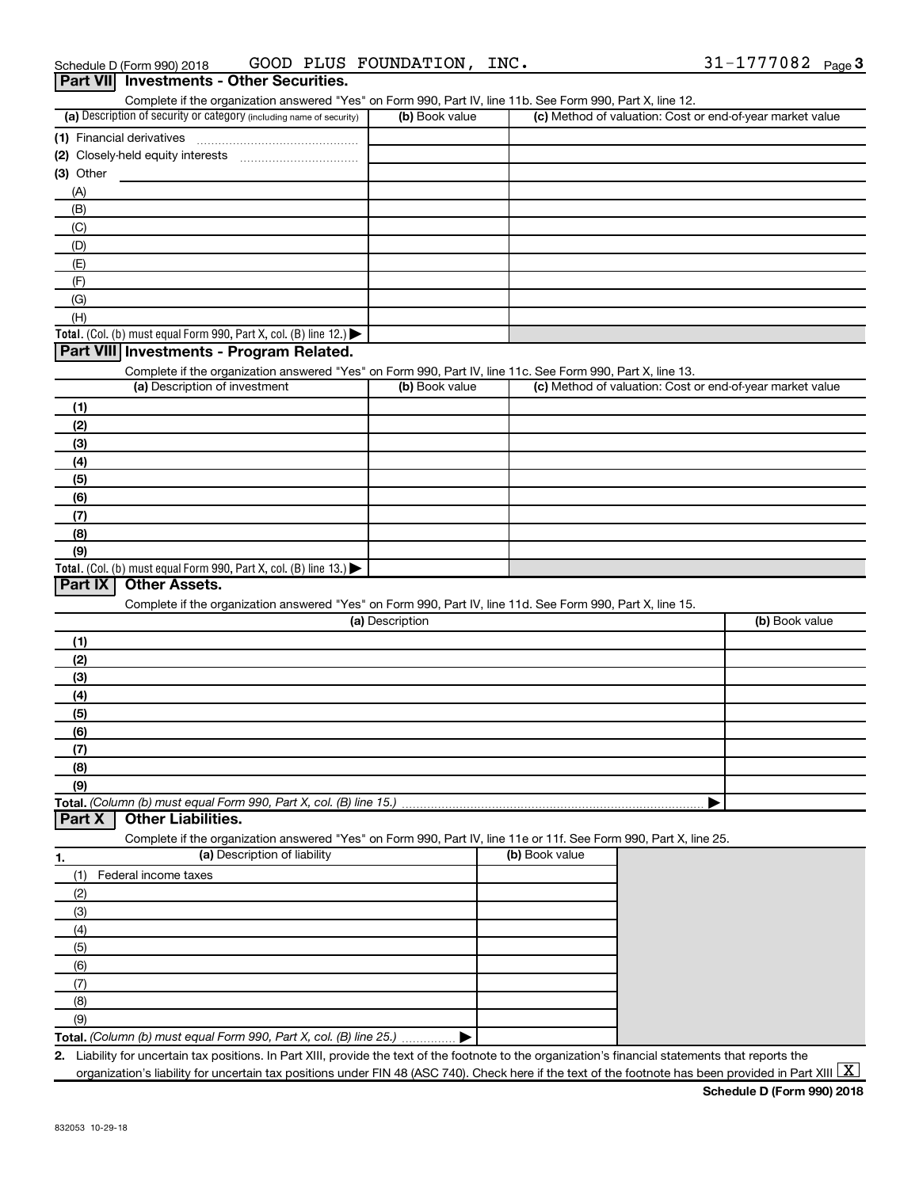|  | Schedule D (Form 990) 2018                      |  | GOOD PLUS FOUNDATION, INC. | $31 - 1777082$ Page 3 |  |
|--|-------------------------------------------------|--|----------------------------|-----------------------|--|
|  | <b>Part VII</b> Investments - Other Securities. |  |                            |                       |  |

| Complete if the organization answered "Yes" on Form 990, Part IV, line 11b. See Form 990, Part X, line 12.<br>(a) Description of security or category (including name of security) | (b) Book value  | (c) Method of valuation: Cost or end-of-year market value |                |
|------------------------------------------------------------------------------------------------------------------------------------------------------------------------------------|-----------------|-----------------------------------------------------------|----------------|
|                                                                                                                                                                                    |                 |                                                           |                |
|                                                                                                                                                                                    |                 |                                                           |                |
|                                                                                                                                                                                    |                 |                                                           |                |
| $(3)$ Other                                                                                                                                                                        |                 |                                                           |                |
| (A)                                                                                                                                                                                |                 |                                                           |                |
| (B)                                                                                                                                                                                |                 |                                                           |                |
| (C)<br>(D)                                                                                                                                                                         |                 |                                                           |                |
| (E)                                                                                                                                                                                |                 |                                                           |                |
| (F)                                                                                                                                                                                |                 |                                                           |                |
| (G)                                                                                                                                                                                |                 |                                                           |                |
| (H)                                                                                                                                                                                |                 |                                                           |                |
| Total. (Col. (b) must equal Form 990, Part X, col. (B) line 12.)                                                                                                                   |                 |                                                           |                |
| Part VIII Investments - Program Related.                                                                                                                                           |                 |                                                           |                |
| Complete if the organization answered "Yes" on Form 990, Part IV, line 11c. See Form 990, Part X, line 13.                                                                         |                 |                                                           |                |
| (a) Description of investment                                                                                                                                                      | (b) Book value  | (c) Method of valuation: Cost or end-of-year market value |                |
| (1)                                                                                                                                                                                |                 |                                                           |                |
| (2)                                                                                                                                                                                |                 |                                                           |                |
| (3)                                                                                                                                                                                |                 |                                                           |                |
| (4)                                                                                                                                                                                |                 |                                                           |                |
| (5)                                                                                                                                                                                |                 |                                                           |                |
| (6)                                                                                                                                                                                |                 |                                                           |                |
| (7)                                                                                                                                                                                |                 |                                                           |                |
| (8)                                                                                                                                                                                |                 |                                                           |                |
| (9)                                                                                                                                                                                |                 |                                                           |                |
| Total. (Col. (b) must equal Form 990, Part X, col. (B) line 13.)                                                                                                                   |                 |                                                           |                |
| <b>Other Assets.</b><br>Part IX                                                                                                                                                    |                 |                                                           |                |
| Complete if the organization answered "Yes" on Form 990, Part IV, line 11d. See Form 990, Part X, line 15.                                                                         |                 |                                                           |                |
|                                                                                                                                                                                    | (a) Description |                                                           | (b) Book value |
| (1)                                                                                                                                                                                |                 |                                                           |                |
| (2)                                                                                                                                                                                |                 |                                                           |                |
| (3)                                                                                                                                                                                |                 |                                                           |                |
| (4)                                                                                                                                                                                |                 |                                                           |                |
| (5)                                                                                                                                                                                |                 |                                                           |                |
| (6)                                                                                                                                                                                |                 |                                                           |                |
| (7)                                                                                                                                                                                |                 |                                                           |                |
|                                                                                                                                                                                    |                 |                                                           |                |
| (8)                                                                                                                                                                                |                 |                                                           |                |
| (9)                                                                                                                                                                                |                 |                                                           |                |
| Total. (Column (b) must equal Form 990, Part X, col. (B) line 15.)                                                                                                                 |                 |                                                           |                |
| <b>Other Liabilities.</b><br>Part X                                                                                                                                                |                 |                                                           |                |
| Complete if the organization answered "Yes" on Form 990, Part IV, line 11e or 11f. See Form 990, Part X, line 25.                                                                  |                 |                                                           |                |
| (a) Description of liability<br>1.                                                                                                                                                 |                 | (b) Book value                                            |                |
| Federal income taxes<br>(1)                                                                                                                                                        |                 |                                                           |                |
| (2)                                                                                                                                                                                |                 |                                                           |                |
| (3)                                                                                                                                                                                |                 |                                                           |                |
| (4)                                                                                                                                                                                |                 |                                                           |                |
| (5)                                                                                                                                                                                |                 |                                                           |                |
| (6)                                                                                                                                                                                |                 |                                                           |                |
| (7)                                                                                                                                                                                |                 |                                                           |                |
| (8)                                                                                                                                                                                |                 |                                                           |                |
| (9)                                                                                                                                                                                |                 |                                                           |                |
| Total. (Column (b) must equal Form 990, Part X, col. (B) line 25.)                                                                                                                 |                 |                                                           |                |

organization's liability for uncertain tax positions under FIN 48 (ASC 740). Check here if the text of the footnote has been provided in Part XIII  $\boxed{\text{X}}$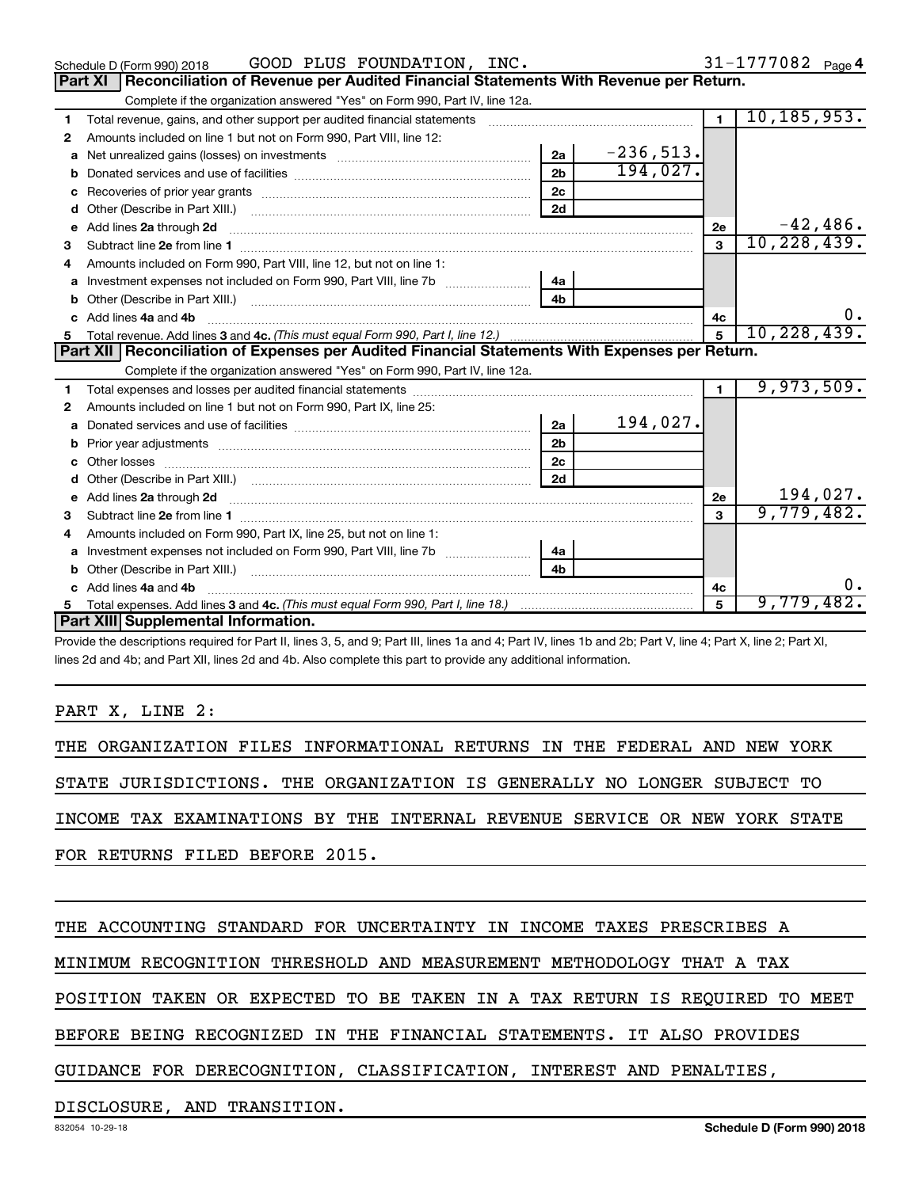|    | GOOD PLUS FOUNDATION, INC.<br>Schedule D (Form 990) 2018                                                                                                                                                                       |                |             |                | $31 - 1777082$ Page 4 |
|----|--------------------------------------------------------------------------------------------------------------------------------------------------------------------------------------------------------------------------------|----------------|-------------|----------------|-----------------------|
|    | <b>Part XI</b><br>Reconciliation of Revenue per Audited Financial Statements With Revenue per Return.                                                                                                                          |                |             |                |                       |
|    | Complete if the organization answered "Yes" on Form 990, Part IV, line 12a.                                                                                                                                                    |                |             |                |                       |
| 1. | Total revenue, gains, and other support per audited financial statements [111] [11] Total revenue, gains, and other support per audited financial statements                                                                   |                |             | $\blacksquare$ | 10, 185, 953.         |
| 2  | Amounts included on line 1 but not on Form 990, Part VIII, line 12:                                                                                                                                                            |                |             |                |                       |
| a  | Net unrealized gains (losses) on investments [111] [12] matter contracts and a local metal and an intervals and the university of the university of the university of the university of the university of the university of th | 2a             | $-236,513.$ |                |                       |
|    |                                                                                                                                                                                                                                | 2 <sub>b</sub> | 194,027.    |                |                       |
| C  | Recoveries of prior year grants [111] Recoveries of prior year grants [11] Recoveries of prior year grants                                                                                                                     | 2 <sub>c</sub> |             |                |                       |
| d  |                                                                                                                                                                                                                                | 2d             |             |                |                       |
| e  | Add lines 2a through 2d                                                                                                                                                                                                        |                |             | 2e             | $-42,486.$            |
| 3  |                                                                                                                                                                                                                                |                |             | $\mathbf{3}$   | 10, 228, 439.         |
| 4  | Amounts included on Form 990, Part VIII, line 12, but not on line 1:                                                                                                                                                           |                |             |                |                       |
| a  | Investment expenses not included on Form 990, Part VIII, line 7b [100] [100] [100] [100] [100] [100] [100] [100] [100] [100] [100] [100] [100] [100] [100] [100] [100] [100] [100] [100] [100] [100] [100] [100] [100] [100] [ | 4a             |             |                |                       |
| b  |                                                                                                                                                                                                                                | 4 <sub>b</sub> |             |                |                       |
| c. | Add lines 4a and 4b                                                                                                                                                                                                            |                |             | 4с             | 0.                    |
|    |                                                                                                                                                                                                                                |                |             | 5              | 10, 228, 439.         |
|    |                                                                                                                                                                                                                                |                |             |                |                       |
|    | Part XII   Reconciliation of Expenses per Audited Financial Statements With Expenses per Return.                                                                                                                               |                |             |                |                       |
|    | Complete if the organization answered "Yes" on Form 990, Part IV, line 12a.                                                                                                                                                    |                |             |                |                       |
| 1. |                                                                                                                                                                                                                                |                |             | $\blacksquare$ | 9,973,509.            |
| 2  | Amounts included on line 1 but not on Form 990, Part IX, line 25:                                                                                                                                                              |                |             |                |                       |
| a  |                                                                                                                                                                                                                                | 2a             | 194,027.    |                |                       |
| b  |                                                                                                                                                                                                                                | 2 <sub>b</sub> |             |                |                       |
| C  |                                                                                                                                                                                                                                | 2c             |             |                |                       |
|    |                                                                                                                                                                                                                                | 2d             |             |                |                       |
| e  | Add lines 2a through 2d                                                                                                                                                                                                        |                |             | 2e             | 194,027.              |
| 3  |                                                                                                                                                                                                                                |                |             | 3              | 9,779,482.            |
| 4  | Amounts included on Form 990, Part IX, line 25, but not on line 1:                                                                                                                                                             |                |             |                |                       |
| a  |                                                                                                                                                                                                                                | 4a             |             |                |                       |
| b  |                                                                                                                                                                                                                                | 4b             |             |                |                       |
|    | Add lines 4a and 4b                                                                                                                                                                                                            |                |             | 4c             | 0.                    |
|    | Part XIII Supplemental Information.                                                                                                                                                                                            |                |             | 5              | 9,779,482.            |

Provide the descriptions required for Part II, lines 3, 5, and 9; Part III, lines 1a and 4; Part IV, lines 1b and 2b; Part V, line 4; Part X, line 2; Part XI, lines 2d and 4b; and Part XII, lines 2d and 4b. Also complete this part to provide any additional information.

### PART X, LINE 2:

THE ORGANIZATION FILES INFORMATIONAL RETURNS IN THE FEDERAL AND NEW YORK STATE JURISDICTIONS. THE ORGANIZATION IS GENERALLY NO LONGER SUBJECT TO INCOME TAX EXAMINATIONS BY THE INTERNAL REVENUE SERVICE OR NEW YORK STATE FOR RETURNS FILED BEFORE 2015.

THE ACCOUNTING STANDARD FOR UNCERTAINTY IN INCOME TAXES PRESCRIBES A

MINIMUM RECOGNITION THRESHOLD AND MEASUREMENT METHODOLOGY THAT A TAX

POSITION TAKEN OR EXPECTED TO BE TAKEN IN A TAX RETURN IS REQUIRED TO MEET

BEFORE BEING RECOGNIZED IN THE FINANCIAL STATEMENTS. IT ALSO PROVIDES

GUIDANCE FOR DERECOGNITION, CLASSIFICATION, INTEREST AND PENALTIES,

DISCLOSURE, AND TRANSITION.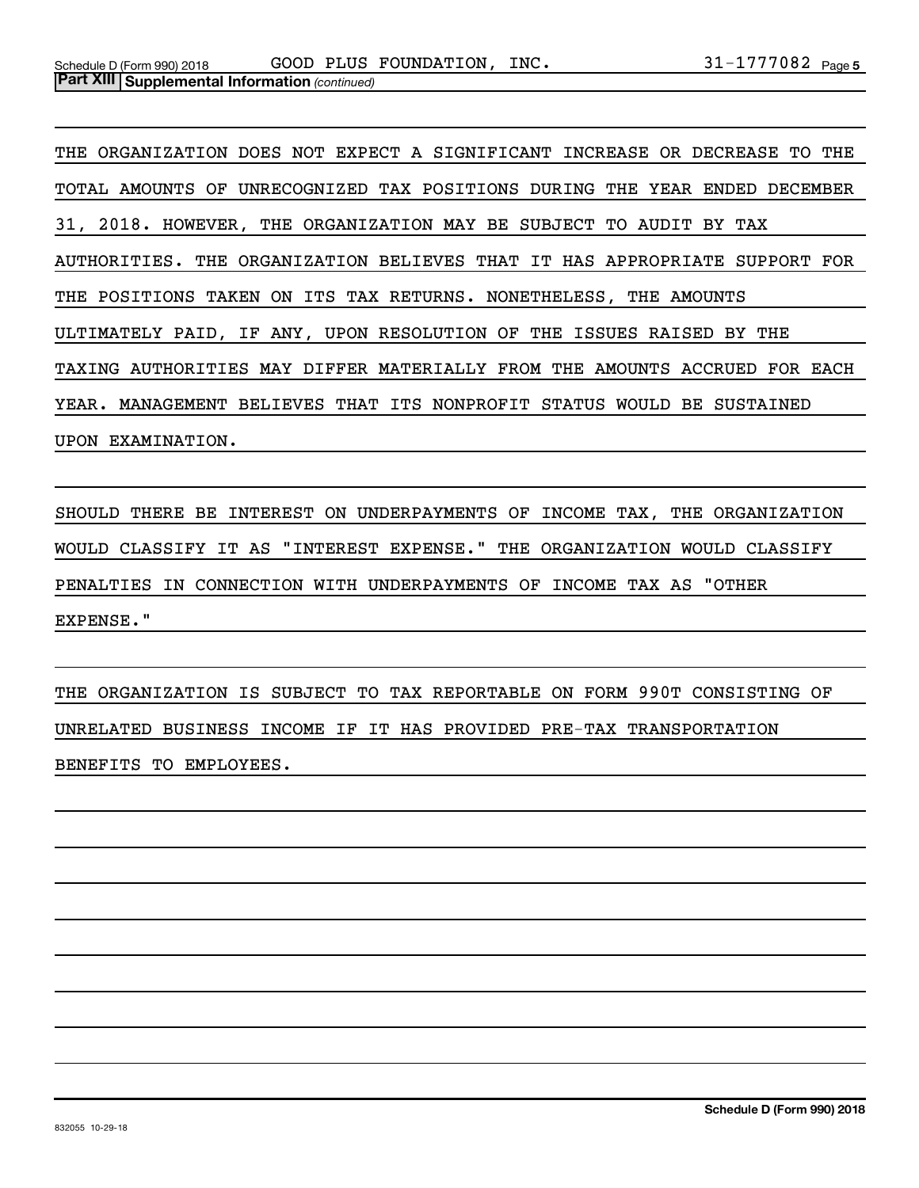THE ORGANIZATION DOES NOT EXPECT A SIGNIFICANT INCREASE OR DECREASE TO THE TOTAL AMOUNTS OF UNRECOGNIZED TAX POSITIONS DURING THE YEAR ENDED DECEMBER 31, 2018. HOWEVER, THE ORGANIZATION MAY BE SUBJECT TO AUDIT BY TAX AUTHORITIES. THE ORGANIZATION BELIEVES THAT IT HAS APPROPRIATE SUPPORT FOR THE POSITIONS TAKEN ON ITS TAX RETURNS. NONETHELESS, THE AMOUNTS ULTIMATELY PAID, IF ANY, UPON RESOLUTION OF THE ISSUES RAISED BY THE TAXING AUTHORITIES MAY DIFFER MATERIALLY FROM THE AMOUNTS ACCRUED FOR EACH YEAR. MANAGEMENT BELIEVES THAT ITS NONPROFIT STATUS WOULD BE SUSTAINED UPON EXAMINATION.

SHOULD THERE BE INTEREST ON UNDERPAYMENTS OF INCOME TAX, THE ORGANIZATION WOULD CLASSIFY IT AS "INTEREST EXPENSE." THE ORGANIZATION WOULD CLASSIFY PENALTIES IN CONNECTION WITH UNDERPAYMENTS OF INCOME TAX AS "OTHER EXPENSE."

THE ORGANIZATION IS SUBJECT TO TAX REPORTABLE ON FORM 990T CONSISTING OF UNRELATED BUSINESS INCOME IF IT HAS PROVIDED PRE-TAX TRANSPORTATION BENEFITS TO EMPLOYEES.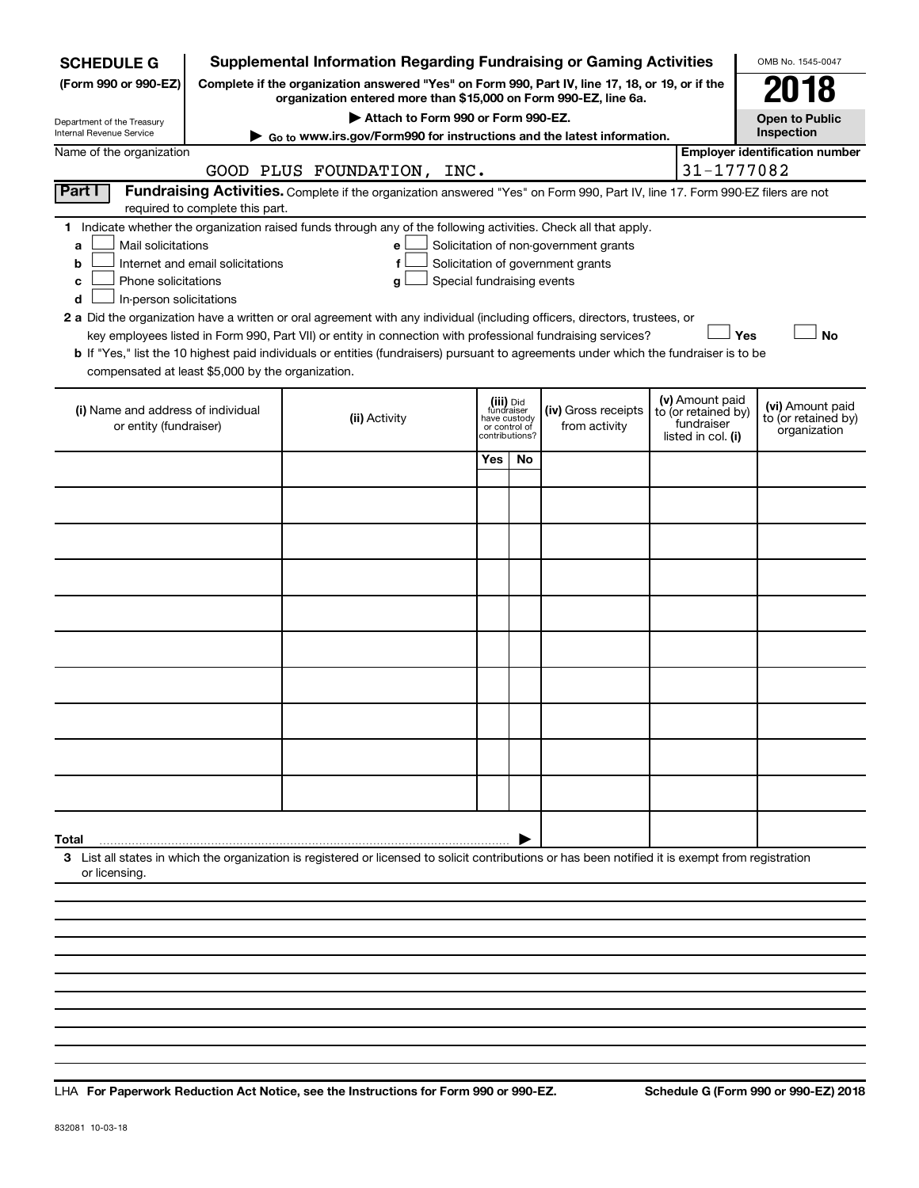| <b>SCHEDULE G</b>                                                                                                                             |                                  | <b>Supplemental Information Regarding Fundraising or Gaming Activities</b>                                                                                                                                                                                                                                                                                                                                                                                                                                                                         |                                                                            |     |                                                                            |                                                                                                                                       | OMB No. 1545-0047                     |
|-----------------------------------------------------------------------------------------------------------------------------------------------|----------------------------------|----------------------------------------------------------------------------------------------------------------------------------------------------------------------------------------------------------------------------------------------------------------------------------------------------------------------------------------------------------------------------------------------------------------------------------------------------------------------------------------------------------------------------------------------------|----------------------------------------------------------------------------|-----|----------------------------------------------------------------------------|---------------------------------------------------------------------------------------------------------------------------------------|---------------------------------------|
| (Form 990 or 990-EZ)                                                                                                                          |                                  | Complete if the organization answered "Yes" on Form 990, Part IV, line 17, 18, or 19, or if the<br>organization entered more than \$15,000 on Form 990-EZ, line 6a.                                                                                                                                                                                                                                                                                                                                                                                |                                                                            |     |                                                                            |                                                                                                                                       | 018                                   |
| Department of the Treasury                                                                                                                    |                                  | Attach to Form 990 or Form 990-EZ.                                                                                                                                                                                                                                                                                                                                                                                                                                                                                                                 |                                                                            |     |                                                                            |                                                                                                                                       | <b>Open to Public</b>                 |
| Internal Revenue Service                                                                                                                      |                                  | ► Go to www.irs.gov/Form990 for instructions and the latest information.                                                                                                                                                                                                                                                                                                                                                                                                                                                                           |                                                                            |     |                                                                            |                                                                                                                                       | Inspection                            |
| Name of the organization                                                                                                                      |                                  | GOOD PLUS FOUNDATION, INC.                                                                                                                                                                                                                                                                                                                                                                                                                                                                                                                         |                                                                            |     |                                                                            | 31-1777082                                                                                                                            | <b>Employer identification number</b> |
| Part I                                                                                                                                        | required to complete this part.  | Fundraising Activities. Complete if the organization answered "Yes" on Form 990, Part IV, line 17. Form 990-EZ filers are not                                                                                                                                                                                                                                                                                                                                                                                                                      |                                                                            |     |                                                                            |                                                                                                                                       |                                       |
| Mail solicitations<br>a<br>b<br>Phone solicitations<br>с<br>In-person solicitations<br>d<br>compensated at least \$5,000 by the organization. | Internet and email solicitations | 1 Indicate whether the organization raised funds through any of the following activities. Check all that apply.<br>е<br>f<br>Special fundraising events<br>g<br>2 a Did the organization have a written or oral agreement with any individual (including officers, directors, trustees, or<br>key employees listed in Form 990, Part VII) or entity in connection with professional fundraising services?<br>b If "Yes," list the 10 highest paid individuals or entities (fundraisers) pursuant to agreements under which the fundraiser is to be |                                                                            |     | Solicitation of non-government grants<br>Solicitation of government grants | Yes                                                                                                                                   | <b>No</b>                             |
| (i) Name and address of individual<br>or entity (fundraiser)                                                                                  |                                  | (ii) Activity                                                                                                                                                                                                                                                                                                                                                                                                                                                                                                                                      | (iii) Did<br>fundraiser<br>have custody<br>or control of<br>contributions? |     | (iv) Gross receipts<br>from activity                                       | (v) Amount paid<br>(vi) Amount paid<br>to (or retained by)<br>to (or retained by)<br>fundraiser<br>organization<br>listed in col. (i) |                                       |
|                                                                                                                                               |                                  |                                                                                                                                                                                                                                                                                                                                                                                                                                                                                                                                                    | Yes                                                                        | No. |                                                                            |                                                                                                                                       |                                       |
|                                                                                                                                               |                                  |                                                                                                                                                                                                                                                                                                                                                                                                                                                                                                                                                    |                                                                            |     |                                                                            |                                                                                                                                       |                                       |
|                                                                                                                                               |                                  |                                                                                                                                                                                                                                                                                                                                                                                                                                                                                                                                                    |                                                                            |     |                                                                            |                                                                                                                                       |                                       |
|                                                                                                                                               |                                  |                                                                                                                                                                                                                                                                                                                                                                                                                                                                                                                                                    |                                                                            |     |                                                                            |                                                                                                                                       |                                       |
|                                                                                                                                               |                                  |                                                                                                                                                                                                                                                                                                                                                                                                                                                                                                                                                    |                                                                            |     |                                                                            |                                                                                                                                       |                                       |
|                                                                                                                                               |                                  |                                                                                                                                                                                                                                                                                                                                                                                                                                                                                                                                                    |                                                                            |     |                                                                            |                                                                                                                                       |                                       |
|                                                                                                                                               |                                  |                                                                                                                                                                                                                                                                                                                                                                                                                                                                                                                                                    |                                                                            |     |                                                                            |                                                                                                                                       |                                       |
|                                                                                                                                               |                                  |                                                                                                                                                                                                                                                                                                                                                                                                                                                                                                                                                    |                                                                            |     |                                                                            |                                                                                                                                       |                                       |
|                                                                                                                                               |                                  |                                                                                                                                                                                                                                                                                                                                                                                                                                                                                                                                                    |                                                                            |     |                                                                            |                                                                                                                                       |                                       |
|                                                                                                                                               |                                  |                                                                                                                                                                                                                                                                                                                                                                                                                                                                                                                                                    |                                                                            |     |                                                                            |                                                                                                                                       |                                       |
| Total                                                                                                                                         |                                  |                                                                                                                                                                                                                                                                                                                                                                                                                                                                                                                                                    |                                                                            |     |                                                                            |                                                                                                                                       |                                       |
| or licensing.                                                                                                                                 |                                  | 3 List all states in which the organization is registered or licensed to solicit contributions or has been notified it is exempt from registration                                                                                                                                                                                                                                                                                                                                                                                                 |                                                                            |     |                                                                            |                                                                                                                                       |                                       |
|                                                                                                                                               |                                  |                                                                                                                                                                                                                                                                                                                                                                                                                                                                                                                                                    |                                                                            |     |                                                                            |                                                                                                                                       |                                       |
|                                                                                                                                               |                                  |                                                                                                                                                                                                                                                                                                                                                                                                                                                                                                                                                    |                                                                            |     |                                                                            |                                                                                                                                       |                                       |

**For Paperwork Reduction Act Notice, see the Instructions for Form 990 or 990-EZ. Schedule G (Form 990 or 990-EZ) 2018** LHA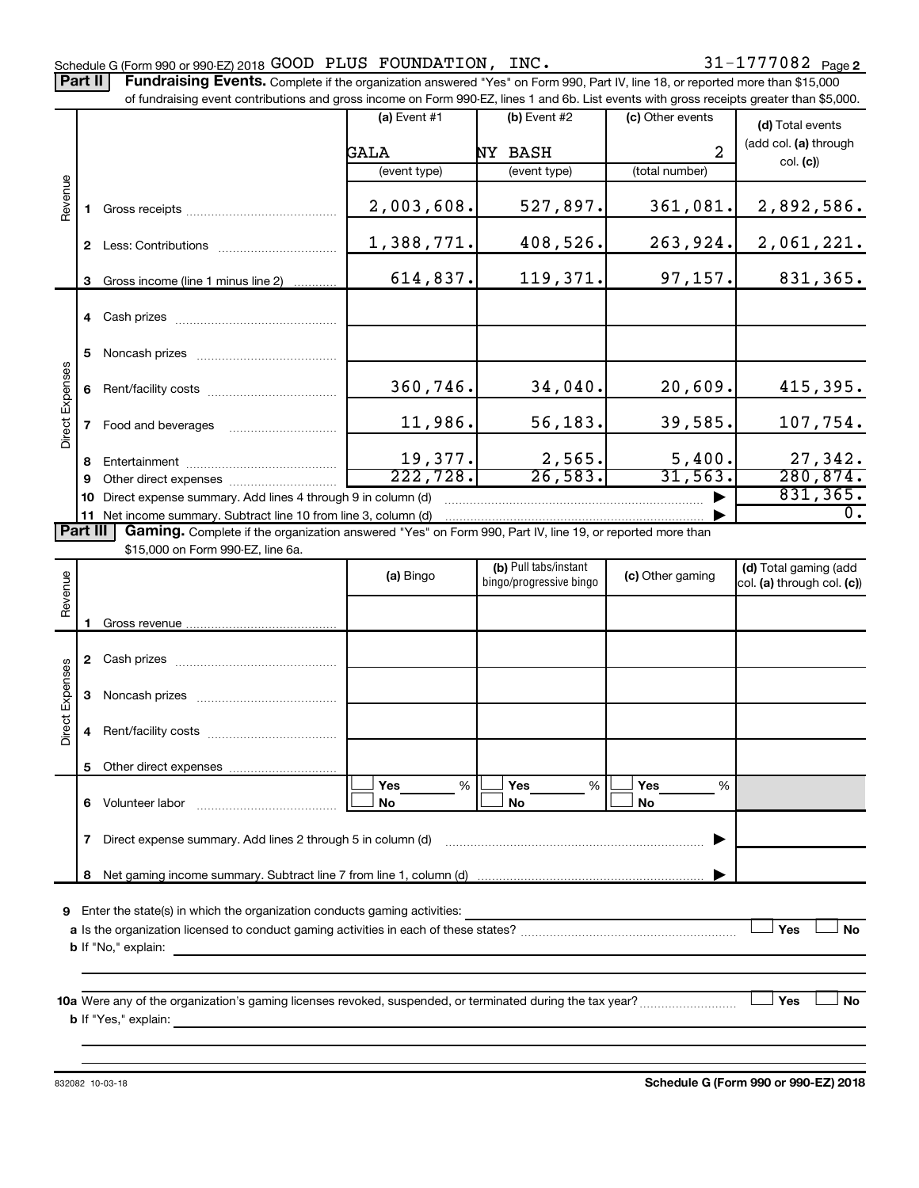Part II | Fundraising Events. Complete if the organization answered "Yes" on Form 990, Part IV, line 18, or reported more than \$15,000

|                 |    | of fundraising event contributions and gross income on Form 990-EZ, lines 1 and 6b. List events with gross receipts greater than \$5,000.     |                       |                                                                                                                       |                  |                            |
|-----------------|----|-----------------------------------------------------------------------------------------------------------------------------------------------|-----------------------|-----------------------------------------------------------------------------------------------------------------------|------------------|----------------------------|
|                 |    |                                                                                                                                               | (a) Event #1          | $(b)$ Event #2                                                                                                        | (c) Other events | (d) Total events           |
|                 |    |                                                                                                                                               | GALA                  | NY BASH                                                                                                               | $\overline{a}$   | (add col. (a) through      |
|                 |    |                                                                                                                                               | (event type)          | (event type)                                                                                                          | (total number)   | col. (c)                   |
| Revenue         |    |                                                                                                                                               |                       |                                                                                                                       |                  |                            |
|                 |    |                                                                                                                                               | 2,003,608.            | 527,897.                                                                                                              | 361,081.         | 2,892,586.                 |
|                 |    |                                                                                                                                               | 1,388,771.            | 408,526.                                                                                                              | 263,924.         | 2,061,221.                 |
|                 |    |                                                                                                                                               |                       |                                                                                                                       |                  |                            |
|                 | 3  | Gross income (line 1 minus line 2)                                                                                                            | 614,837.              | 119,371.                                                                                                              | 97, 157.         | 831,365.                   |
|                 |    |                                                                                                                                               |                       |                                                                                                                       |                  |                            |
|                 |    |                                                                                                                                               |                       |                                                                                                                       |                  |                            |
|                 | 5  |                                                                                                                                               |                       |                                                                                                                       |                  |                            |
|                 | 6  |                                                                                                                                               | 360,746.              | 34,040.                                                                                                               | 20,609.          | 415,395.                   |
|                 |    |                                                                                                                                               |                       |                                                                                                                       |                  |                            |
| Direct Expenses | 7  |                                                                                                                                               | 11,986.               | 56, 183.                                                                                                              | 39,585.          | 107,754.                   |
|                 | 8  |                                                                                                                                               | 19,377.               | 2,565.                                                                                                                | 5,400.           | 27,342.                    |
|                 | 9  |                                                                                                                                               | $\overline{222,728.}$ | 26,583.                                                                                                               | 31, 563.         | 280, 874.                  |
|                 | 10 | Direct expense summary. Add lines 4 through 9 in column (d)                                                                                   |                       |                                                                                                                       |                  | 831, 365.                  |
|                 |    | 11 Net income summary. Subtract line 10 from line 3, column (d)                                                                               |                       |                                                                                                                       |                  | $\overline{0}$ .           |
| Part III        |    | Gaming. Complete if the organization answered "Yes" on Form 990, Part IV, line 19, or reported more than<br>\$15,000 on Form 990-EZ, line 6a. |                       |                                                                                                                       |                  |                            |
|                 |    |                                                                                                                                               |                       | (b) Pull tabs/instant                                                                                                 |                  | (d) Total gaming (add      |
| Revenue         |    |                                                                                                                                               | (a) Bingo             | bingo/progressive bingo                                                                                               | (c) Other gaming | col. (a) through col. (c)) |
|                 |    |                                                                                                                                               |                       |                                                                                                                       |                  |                            |
|                 |    |                                                                                                                                               |                       |                                                                                                                       |                  |                            |
|                 |    |                                                                                                                                               |                       |                                                                                                                       |                  |                            |
| Direct Expenses |    |                                                                                                                                               |                       |                                                                                                                       |                  |                            |
|                 |    |                                                                                                                                               |                       |                                                                                                                       |                  |                            |
|                 |    |                                                                                                                                               |                       |                                                                                                                       |                  |                            |
|                 |    |                                                                                                                                               |                       |                                                                                                                       |                  |                            |
|                 |    |                                                                                                                                               |                       |                                                                                                                       |                  |                            |
|                 |    |                                                                                                                                               | Yes<br>$\%$<br>No     | Yes<br>%<br>No                                                                                                        | Yes<br>%<br>No   |                            |
|                 |    |                                                                                                                                               |                       |                                                                                                                       |                  |                            |
|                 | 7  | Direct expense summary. Add lines 2 through 5 in column (d)                                                                                   |                       |                                                                                                                       |                  |                            |
|                 | 8  |                                                                                                                                               |                       |                                                                                                                       |                  |                            |
|                 |    |                                                                                                                                               |                       |                                                                                                                       |                  |                            |
| 9               |    | Enter the state(s) in which the organization conducts gaming activities:                                                                      |                       | <u> 1989 - Johann John Stone, markin sammen fyrstu og fyrir og fyrir og fyrir og fyrir og fyrir og fyrir og fyrir</u> |                  | Yes<br><b>No</b>           |
|                 |    |                                                                                                                                               |                       |                                                                                                                       |                  |                            |
|                 |    |                                                                                                                                               |                       |                                                                                                                       |                  |                            |
|                 |    |                                                                                                                                               |                       |                                                                                                                       |                  |                            |
|                 |    |                                                                                                                                               |                       |                                                                                                                       |                  | Yes<br>No                  |
|                 |    |                                                                                                                                               |                       |                                                                                                                       |                  |                            |

832082 10-03-18

**Schedule G (Form 990 or 990-EZ) 2018**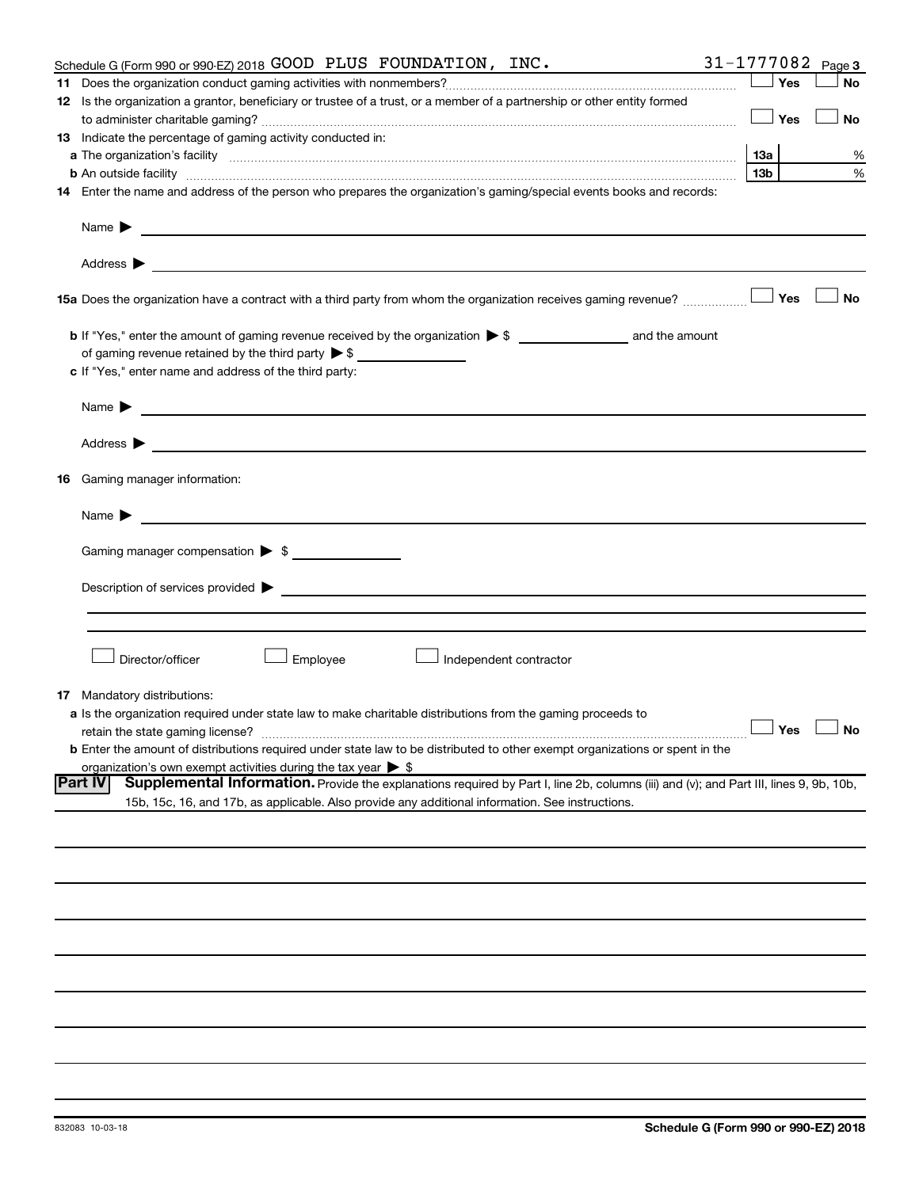| Schedule G (Form 990 or 990-EZ) 2018 GOOD PLUS FOUNDATION, INC.                                                                                                                                                                                        |                 |     | 31-1777082 $_{Page 3}$ |
|--------------------------------------------------------------------------------------------------------------------------------------------------------------------------------------------------------------------------------------------------------|-----------------|-----|------------------------|
|                                                                                                                                                                                                                                                        |                 | Yes | No                     |
| 12 Is the organization a grantor, beneficiary or trustee of a trust, or a member of a partnership or other entity formed                                                                                                                               |                 |     |                        |
|                                                                                                                                                                                                                                                        |                 | Yes | No                     |
| 13 Indicate the percentage of gaming activity conducted in:                                                                                                                                                                                            |                 |     |                        |
|                                                                                                                                                                                                                                                        | 13а             |     | %                      |
| <b>b</b> An outside facility <i>www.communicality www.communicality.communicality www.communicality www.communicality.communicality www.communicality.com</i>                                                                                          | 13 <sub>b</sub> |     | %                      |
| 14 Enter the name and address of the person who prepares the organization's gaming/special events books and records:                                                                                                                                   |                 |     |                        |
|                                                                                                                                                                                                                                                        |                 |     |                        |
|                                                                                                                                                                                                                                                        |                 |     |                        |
| 15a Does the organization have a contract with a third party from whom the organization receives gaming revenue?                                                                                                                                       |                 | Yes | <b>No</b>              |
|                                                                                                                                                                                                                                                        |                 |     |                        |
| of gaming revenue retained by the third party $\triangleright$ \$                                                                                                                                                                                      |                 |     |                        |
| c If "Yes," enter name and address of the third party:                                                                                                                                                                                                 |                 |     |                        |
|                                                                                                                                                                                                                                                        |                 |     |                        |
|                                                                                                                                                                                                                                                        |                 |     |                        |
|                                                                                                                                                                                                                                                        |                 |     |                        |
| 16 Gaming manager information:                                                                                                                                                                                                                         |                 |     |                        |
| Name $\blacktriangleright$<br><u> 1989 - Johann Barn, mars and de Branch Barn, mars and de Branch Barn, mars and de Branch Barn, mars and de Br</u>                                                                                                    |                 |     |                        |
| Gaming manager compensation > \$                                                                                                                                                                                                                       |                 |     |                        |
|                                                                                                                                                                                                                                                        |                 |     |                        |
|                                                                                                                                                                                                                                                        |                 |     |                        |
|                                                                                                                                                                                                                                                        |                 |     |                        |
|                                                                                                                                                                                                                                                        |                 |     |                        |
| Director/officer<br>Employee<br>Independent contractor                                                                                                                                                                                                 |                 |     |                        |
| <b>17</b> Mandatory distributions:                                                                                                                                                                                                                     |                 |     |                        |
| a Is the organization required under state law to make charitable distributions from the gaming proceeds to                                                                                                                                            |                 |     |                        |
| $\overline{\phantom{a}}$ Yes $\overline{\phantom{a}}$ No<br>retain the state gaming license?                                                                                                                                                           |                 |     |                        |
| <b>b</b> Enter the amount of distributions required under state law to be distributed to other exempt organizations or spent in the                                                                                                                    |                 |     |                        |
| organization's own exempt activities during the tax year $\triangleright$ \$                                                                                                                                                                           |                 |     |                        |
| Supplemental Information. Provide the explanations required by Part I, line 2b, columns (iii) and (v); and Part III, lines 9, 9b, 10b,<br> Part IV<br>15b, 15c, 16, and 17b, as applicable. Also provide any additional information. See instructions. |                 |     |                        |
|                                                                                                                                                                                                                                                        |                 |     |                        |
|                                                                                                                                                                                                                                                        |                 |     |                        |
|                                                                                                                                                                                                                                                        |                 |     |                        |
|                                                                                                                                                                                                                                                        |                 |     |                        |
|                                                                                                                                                                                                                                                        |                 |     |                        |
|                                                                                                                                                                                                                                                        |                 |     |                        |
|                                                                                                                                                                                                                                                        |                 |     |                        |
|                                                                                                                                                                                                                                                        |                 |     |                        |
|                                                                                                                                                                                                                                                        |                 |     |                        |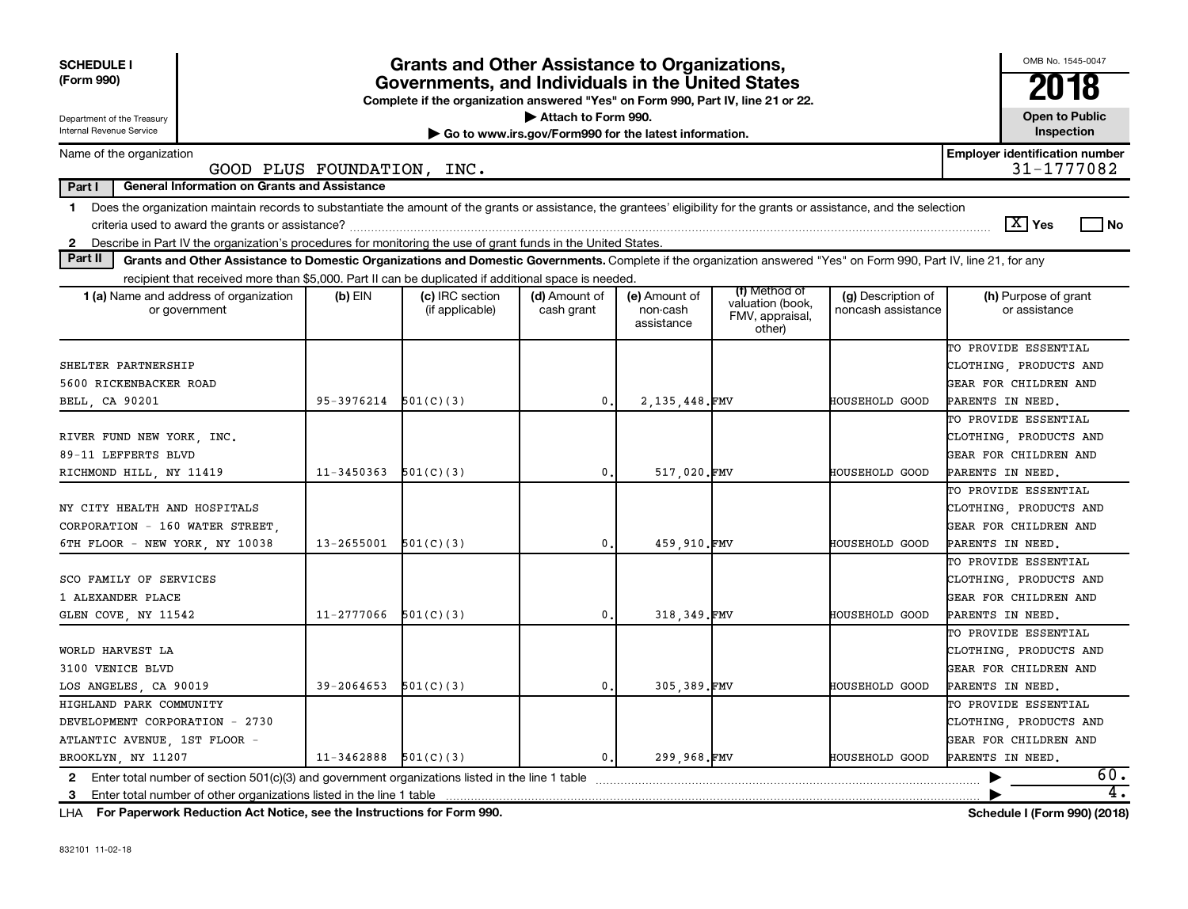| <b>SCHEDULE I</b><br>(Form 990)                                                                                                                                                         |                          | <b>Grants and Other Assistance to Organizations,</b><br>Governments, and Individuals in the United States<br>Complete if the organization answered "Yes" on Form 990, Part IV, line 21 or 22. |                                                                              |                                         |                                                                |                                          | OMB No. 1545-0047<br>2018                           |
|-----------------------------------------------------------------------------------------------------------------------------------------------------------------------------------------|--------------------------|-----------------------------------------------------------------------------------------------------------------------------------------------------------------------------------------------|------------------------------------------------------------------------------|-----------------------------------------|----------------------------------------------------------------|------------------------------------------|-----------------------------------------------------|
| Department of the Treasury<br>Internal Revenue Service                                                                                                                                  |                          |                                                                                                                                                                                               | Attach to Form 990.<br>Go to www.irs.gov/Form990 for the latest information. |                                         |                                                                |                                          | <b>Open to Public</b><br>Inspection                 |
| Name of the organization<br>GOOD PLUS FOUNDATION, INC.                                                                                                                                  |                          |                                                                                                                                                                                               |                                                                              |                                         |                                                                |                                          | <b>Employer identification number</b><br>31-1777082 |
| Part I<br><b>General Information on Grants and Assistance</b>                                                                                                                           |                          |                                                                                                                                                                                               |                                                                              |                                         |                                                                |                                          |                                                     |
| Does the organization maintain records to substantiate the amount of the grants or assistance, the grantees' eligibility for the grants or assistance, and the selection<br>$\mathbf 1$ |                          |                                                                                                                                                                                               |                                                                              |                                         |                                                                |                                          |                                                     |
|                                                                                                                                                                                         |                          |                                                                                                                                                                                               |                                                                              |                                         |                                                                |                                          | $\lfloor X \rfloor$ Yes<br>l No                     |
| 2 Describe in Part IV the organization's procedures for monitoring the use of grant funds in the United States.                                                                         |                          |                                                                                                                                                                                               |                                                                              |                                         |                                                                |                                          |                                                     |
| Part II<br>Grants and Other Assistance to Domestic Organizations and Domestic Governments. Complete if the organization answered "Yes" on Form 990, Part IV, line 21, for any           |                          |                                                                                                                                                                                               |                                                                              |                                         |                                                                |                                          |                                                     |
| recipient that received more than \$5,000. Part II can be duplicated if additional space is needed                                                                                      |                          |                                                                                                                                                                                               |                                                                              |                                         |                                                                |                                          |                                                     |
| <b>1 (a)</b> Name and address of organization<br>or government                                                                                                                          | $(b)$ EIN                | (c) IRC section<br>(if applicable)                                                                                                                                                            | (d) Amount of<br>cash grant                                                  | (e) Amount of<br>non-cash<br>assistance | (f) Method of<br>valuation (book,<br>FMV, appraisal,<br>other) | (g) Description of<br>noncash assistance | (h) Purpose of grant<br>or assistance               |
|                                                                                                                                                                                         |                          |                                                                                                                                                                                               |                                                                              |                                         |                                                                |                                          | TO PROVIDE ESSENTIAL                                |
| SHELTER PARTNERSHIP                                                                                                                                                                     |                          |                                                                                                                                                                                               |                                                                              |                                         |                                                                |                                          | CLOTHING, PRODUCTS AND                              |
| 5600 RICKENBACKER ROAD                                                                                                                                                                  |                          |                                                                                                                                                                                               |                                                                              |                                         |                                                                |                                          | GEAR FOR CHILDREN AND                               |
| BELL, CA 90201                                                                                                                                                                          | 95-3976214               | 501(C)(3)                                                                                                                                                                                     | $\mathbf 0$ .                                                                | 2,135,448.FMV                           |                                                                | HOUSEHOLD GOOD                           | PARENTS IN NEED.                                    |
|                                                                                                                                                                                         |                          |                                                                                                                                                                                               |                                                                              |                                         |                                                                |                                          | TO PROVIDE ESSENTIAL                                |
| RIVER FUND NEW YORK, INC.                                                                                                                                                               |                          |                                                                                                                                                                                               |                                                                              |                                         |                                                                |                                          | CLOTHING, PRODUCTS AND                              |
| 89-11 LEFFERTS BLVD                                                                                                                                                                     |                          |                                                                                                                                                                                               |                                                                              |                                         |                                                                |                                          | GEAR FOR CHILDREN AND                               |
| RICHMOND HILL, NY 11419                                                                                                                                                                 | $11 - 3450363$           | 501(C)(3)                                                                                                                                                                                     | $\mathbf{0}$ .                                                               | 517,020.FMV                             |                                                                | HOUSEHOLD GOOD                           | PARENTS IN NEED.                                    |
| NY CITY HEALTH AND HOSPITALS                                                                                                                                                            |                          |                                                                                                                                                                                               |                                                                              |                                         |                                                                |                                          | TO PROVIDE ESSENTIAL<br>CLOTHING, PRODUCTS AND      |
| CORPORATION - 160 WATER STREET,                                                                                                                                                         |                          |                                                                                                                                                                                               |                                                                              |                                         |                                                                |                                          | GEAR FOR CHILDREN AND                               |
| 6TH FLOOR - NEW YORK, NY 10038                                                                                                                                                          | 13-2655001               | 501(C)(3)                                                                                                                                                                                     | 0.                                                                           | 459,910.FMV                             |                                                                | HOUSEHOLD GOOD                           | PARENTS IN NEED.                                    |
|                                                                                                                                                                                         |                          |                                                                                                                                                                                               |                                                                              |                                         |                                                                |                                          | TO PROVIDE ESSENTIAL                                |
| SCO FAMILY OF SERVICES                                                                                                                                                                  |                          |                                                                                                                                                                                               |                                                                              |                                         |                                                                |                                          | CLOTHING, PRODUCTS AND                              |
| 1 ALEXANDER PLACE                                                                                                                                                                       |                          |                                                                                                                                                                                               |                                                                              |                                         |                                                                |                                          | GEAR FOR CHILDREN AND                               |
| GLEN COVE, NY 11542                                                                                                                                                                     | 11-2777066               | 501(C)(3)                                                                                                                                                                                     | $\mathbf{0}$ .                                                               | 318, 349.FMV                            |                                                                | HOUSEHOLD GOOD                           | PARENTS IN NEED.                                    |
|                                                                                                                                                                                         |                          |                                                                                                                                                                                               |                                                                              |                                         |                                                                |                                          | TO PROVIDE ESSENTIAL                                |
| WORLD HARVEST LA                                                                                                                                                                        |                          |                                                                                                                                                                                               |                                                                              |                                         |                                                                |                                          | CLOTHING PRODUCTS AND                               |
| 3100 VENICE BLVD                                                                                                                                                                        |                          |                                                                                                                                                                                               |                                                                              |                                         |                                                                |                                          | GEAR FOR CHILDREN AND                               |
| LOS ANGELES, CA 90019                                                                                                                                                                   | 39-2064653               | 501(C)(3)                                                                                                                                                                                     | $\mathbf{0}$ .                                                               | 305.389.FMV                             |                                                                | HOUSEHOLD GOOD                           | PARENTS IN NEED.                                    |
| HIGHLAND PARK COMMUNITY                                                                                                                                                                 |                          |                                                                                                                                                                                               |                                                                              |                                         |                                                                |                                          | TO PROVIDE ESSENTIAL                                |
| DEVELOPMENT CORPORATION - 2730                                                                                                                                                          |                          |                                                                                                                                                                                               |                                                                              |                                         |                                                                |                                          | CLOTHING, PRODUCTS AND                              |
| ATLANTIC AVENUE, 1ST FLOOR -                                                                                                                                                            |                          |                                                                                                                                                                                               |                                                                              |                                         |                                                                |                                          | GEAR FOR CHILDREN AND                               |
| BROOKLYN, NY 11207                                                                                                                                                                      | $11-3462888$ $501(C)(3)$ |                                                                                                                                                                                               | 0.                                                                           | 299.968.FMV                             |                                                                | HOUSEHOLD GOOD                           | PARENTS IN NEED.                                    |
| 2 Enter total number of section 501(c)(3) and government organizations listed in the line 1 table                                                                                       |                          |                                                                                                                                                                                               |                                                                              |                                         |                                                                |                                          | 60.                                                 |
| Enter total number of other organizations listed in the line 1 table<br>3                                                                                                               |                          |                                                                                                                                                                                               |                                                                              |                                         |                                                                |                                          | 4.                                                  |

**For Paperwork Reduction Act Notice, see the Instructions for Form 990. Schedule I (Form 990) (2018)** LHA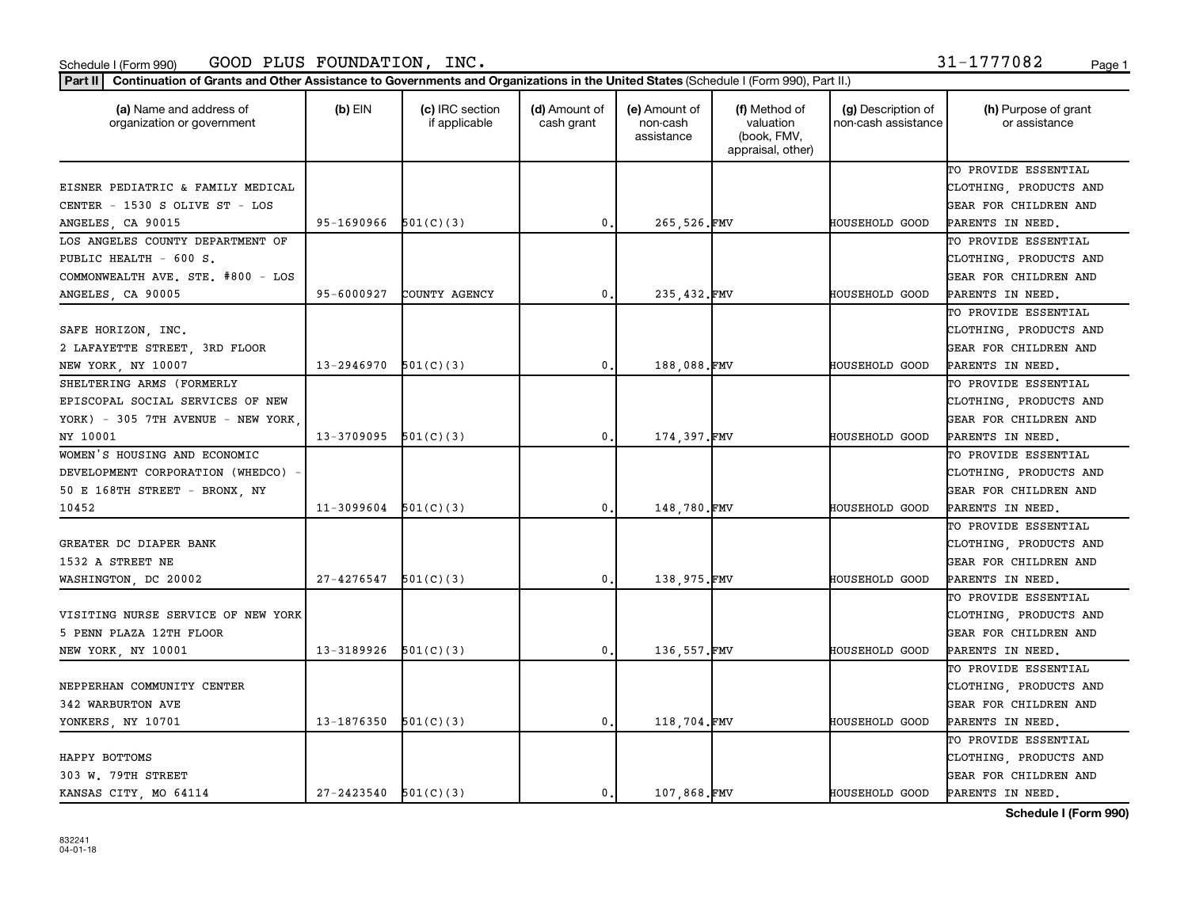|  | 1-1777082 | Pao |
|--|-----------|-----|
|  |           |     |

| (a) Name and address of<br>organization or government | (b) $EIN$                  | (c) IRC section<br>if applicable | (d) Amount of<br>cash grant | (e) Amount of<br>non-cash<br>assistance | (f) Method of<br>valuation<br>(book, FMV,<br>appraisal, other) | (g) Description of<br>non-cash assistance | (h) Purpose of grant<br>or assistance |
|-------------------------------------------------------|----------------------------|----------------------------------|-----------------------------|-----------------------------------------|----------------------------------------------------------------|-------------------------------------------|---------------------------------------|
|                                                       |                            |                                  |                             |                                         |                                                                |                                           | TO PROVIDE ESSENTIAL                  |
| EISNER PEDIATRIC & FAMILY MEDICAL                     |                            |                                  |                             |                                         |                                                                |                                           | CLOTHING, PRODUCTS AND                |
| CENTER - 1530 S OLIVE ST - LOS                        |                            |                                  |                             |                                         |                                                                |                                           | GEAR FOR CHILDREN AND                 |
| ANGELES, CA 90015                                     | 95-1690966                 | 501(C)(3)                        | 0.                          | 265,526.FMV                             |                                                                | <b>HOUSEHOLD GOOD</b>                     | PARENTS IN NEED.                      |
| LOS ANGELES COUNTY DEPARTMENT OF                      |                            |                                  |                             |                                         |                                                                |                                           | TO PROVIDE ESSENTIAL                  |
| PUBLIC HEALTH - 600 S.                                |                            |                                  |                             |                                         |                                                                |                                           | CLOTHING, PRODUCTS AND                |
| COMMONWEALTH AVE. STE. #800 - LOS                     |                            |                                  |                             |                                         |                                                                |                                           | GEAR FOR CHILDREN AND                 |
| ANGELES, CA 90005                                     | 95-6000927                 | COUNTY AGENCY                    | $\mathbf{0}$ .              | 235,432.FMV                             |                                                                | HOUSEHOLD GOOD                            | PARENTS IN NEED.                      |
|                                                       |                            |                                  |                             |                                         |                                                                |                                           | TO PROVIDE ESSENTIAL                  |
| SAFE HORIZON, INC.                                    |                            |                                  |                             |                                         |                                                                |                                           | CLOTHING, PRODUCTS AND                |
| 2 LAFAYETTE STREET, 3RD FLOOR                         |                            |                                  |                             |                                         |                                                                |                                           | GEAR FOR CHILDREN AND                 |
| NEW YORK, NY 10007                                    | $13 - 2946970$ $501(C)(3)$ |                                  | 0.                          | 188,088.FMV                             |                                                                | HOUSEHOLD GOOD                            | PARENTS IN NEED.                      |
| SHELTERING ARMS (FORMERLY                             |                            |                                  |                             |                                         |                                                                |                                           | TO PROVIDE ESSENTIAL                  |
| EPISCOPAL SOCIAL SERVICES OF NEW                      |                            |                                  |                             |                                         |                                                                |                                           | CLOTHING, PRODUCTS AND                |
| YORK) - 305 7TH AVENUE - NEW YORK,                    |                            |                                  |                             |                                         |                                                                |                                           | GEAR FOR CHILDREN AND                 |
| NY 10001                                              | $13-3709095$ $501(C)(3)$   |                                  | 0.                          | 174,397.FMV                             |                                                                | <b>HOUSEHOLD GOOD</b>                     | PARENTS IN NEED.                      |
| WOMEN'S HOUSING AND ECONOMIC                          |                            |                                  |                             |                                         |                                                                |                                           | TO PROVIDE ESSENTIAL                  |
| DEVELOPMENT CORPORATION (WHEDCO) -                    |                            |                                  |                             |                                         |                                                                |                                           | CLOTHING, PRODUCTS AND                |
| 50 E 168TH STREET - BRONX, NY                         |                            |                                  |                             |                                         |                                                                |                                           | GEAR FOR CHILDREN AND                 |
| 10452                                                 | 11-3099604                 | 501(C)(3)                        | $\mathbf{0}$ .              | 148,780.FMV                             |                                                                | HOUSEHOLD GOOD                            | PARENTS IN NEED.                      |
|                                                       |                            |                                  |                             |                                         |                                                                |                                           | TO PROVIDE ESSENTIAL                  |
| GREATER DC DIAPER BANK                                |                            |                                  |                             |                                         |                                                                |                                           | CLOTHING, PRODUCTS AND                |
| 1532 A STREET NE                                      |                            |                                  |                             |                                         |                                                                |                                           | GEAR FOR CHILDREN AND                 |
| WASHINGTON, DC 20002                                  | 27-4276547                 | 501(C)(3)                        | 0.                          | 138,975.FMV                             |                                                                | HOUSEHOLD GOOD                            | PARENTS IN NEED.                      |
|                                                       |                            |                                  |                             |                                         |                                                                |                                           | TO PROVIDE ESSENTIAL                  |
| VISITING NURSE SERVICE OF NEW YORK                    |                            |                                  |                             |                                         |                                                                |                                           | CLOTHING, PRODUCTS AND                |
| 5 PENN PLAZA 12TH FLOOR                               |                            |                                  |                             |                                         |                                                                |                                           | GEAR FOR CHILDREN AND                 |
| NEW YORK, NY 10001                                    | $13 - 3189926$ $501(C)(3)$ |                                  | 0.                          | 136,557.FMV                             |                                                                | HOUSEHOLD GOOD                            | PARENTS IN NEED.                      |
|                                                       |                            |                                  |                             |                                         |                                                                |                                           | TO PROVIDE ESSENTIAL                  |
| NEPPERHAN COMMUNITY CENTER                            |                            |                                  |                             |                                         |                                                                |                                           | CLOTHING, PRODUCTS AND                |
| 342 WARBURTON AVE                                     |                            |                                  |                             |                                         |                                                                |                                           | GEAR FOR CHILDREN AND                 |
| YONKERS, NY 10701                                     | 13-1876350                 | 501(C)(3)                        | 0.                          | 118,704.FMV                             |                                                                | <b>HOUSEHOLD GOOD</b>                     | PARENTS IN NEED.                      |
|                                                       |                            |                                  |                             |                                         |                                                                |                                           | TO PROVIDE ESSENTIAL                  |
|                                                       |                            |                                  |                             |                                         |                                                                |                                           |                                       |
| HAPPY BOTTOMS                                         |                            |                                  |                             |                                         |                                                                |                                           | CLOTHING, PRODUCTS AND                |
| 303 W. 79TH STREET                                    |                            |                                  |                             |                                         |                                                                |                                           | GEAR FOR CHILDREN AND                 |
| KANSAS CITY, MO 64114                                 | $27 - 2423540$ $501(C)(3)$ |                                  | $\mathbf{0}$ .              | 107,868.FMV                             |                                                                | <b>HOUSEHOLD GOOD</b>                     | PARENTS IN NEED.                      |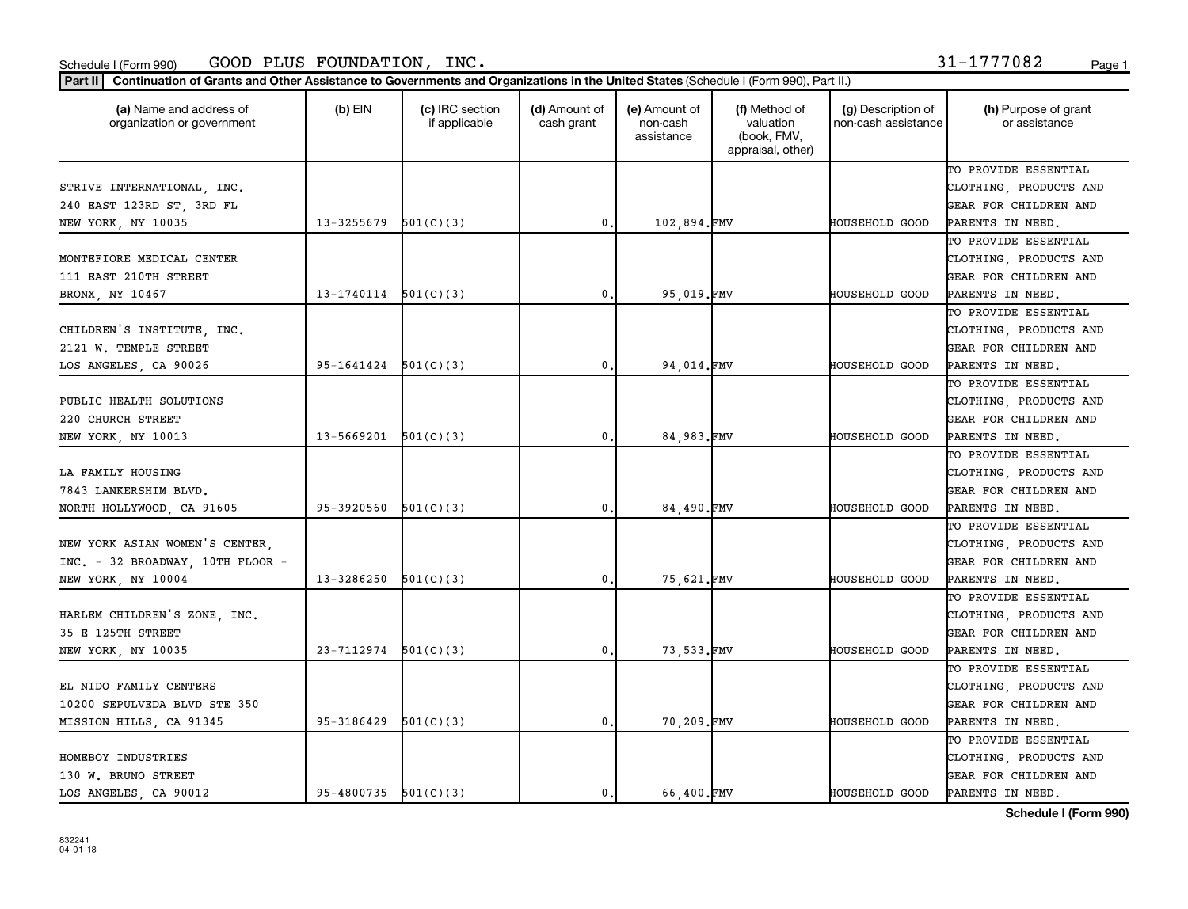| 1-1777082 |  |  |  | Pao |
|-----------|--|--|--|-----|
|           |  |  |  |     |

| (a) Name and address of<br>organization or government | (b) $EIN$                  | (c) IRC section<br>if applicable | (d) Amount of<br>cash grant | (e) Amount of<br>non-cash<br>assistance | (f) Method of<br>valuation<br>(book, FMV,<br>appraisal, other) | (g) Description of<br>non-cash assistance | (h) Purpose of grant<br>or assistance |
|-------------------------------------------------------|----------------------------|----------------------------------|-----------------------------|-----------------------------------------|----------------------------------------------------------------|-------------------------------------------|---------------------------------------|
|                                                       |                            |                                  |                             |                                         |                                                                |                                           | TO PROVIDE ESSENTIAL                  |
| STRIVE INTERNATIONAL, INC.                            |                            |                                  |                             |                                         |                                                                |                                           | CLOTHING, PRODUCTS AND                |
| 240 EAST 123RD ST, 3RD FL                             |                            |                                  |                             |                                         |                                                                |                                           | GEAR FOR CHILDREN AND                 |
| NEW YORK, NY 10035                                    | 13-3255679                 | 501(C)(3)                        | $\mathsf{0}\,.$             | 102,894.FMV                             |                                                                | HOUSEHOLD GOOD                            | PARENTS IN NEED.                      |
|                                                       |                            |                                  |                             |                                         |                                                                |                                           | TO PROVIDE ESSENTIAL                  |
| MONTEFIORE MEDICAL CENTER                             |                            |                                  |                             |                                         |                                                                |                                           | CLOTHING, PRODUCTS AND                |
| 111 EAST 210TH STREET                                 |                            |                                  |                             |                                         |                                                                |                                           | GEAR FOR CHILDREN AND                 |
| BRONX, NY 10467                                       | 13-1740114                 | 501(C)(3)                        | 0.                          | 95,019.FMV                              |                                                                | HOUSEHOLD GOOD                            | PARENTS IN NEED.                      |
|                                                       |                            |                                  |                             |                                         |                                                                |                                           | TO PROVIDE ESSENTIAL                  |
| CHILDREN'S INSTITUTE, INC.                            |                            |                                  |                             |                                         |                                                                |                                           | CLOTHING, PRODUCTS AND                |
| 2121 W. TEMPLE STREET                                 |                            |                                  |                             |                                         |                                                                |                                           | GEAR FOR CHILDREN AND                 |
| LOS ANGELES, CA 90026                                 | $95-1641424$ $501(C)(3)$   |                                  | 0.                          | 94,014.FMV                              |                                                                | HOUSEHOLD GOOD                            | PARENTS IN NEED.                      |
|                                                       |                            |                                  |                             |                                         |                                                                |                                           | TO PROVIDE ESSENTIAL                  |
| PUBLIC HEALTH SOLUTIONS                               |                            |                                  |                             |                                         |                                                                |                                           | CLOTHING, PRODUCTS AND                |
| 220 CHURCH STREET                                     |                            |                                  |                             |                                         |                                                                |                                           | GEAR FOR CHILDREN AND                 |
| NEW YORK, NY 10013                                    | $13 - 5669201$ $501(C)(3)$ |                                  | 0.                          | 84,983.FMV                              |                                                                | <b>HOUSEHOLD GOOD</b>                     | PARENTS IN NEED.                      |
|                                                       |                            |                                  |                             |                                         |                                                                |                                           | TO PROVIDE ESSENTIAL                  |
| LA FAMILY HOUSING                                     |                            |                                  |                             |                                         |                                                                |                                           | CLOTHING, PRODUCTS AND                |
| 7843 LANKERSHIM BLVD.                                 |                            |                                  |                             |                                         |                                                                |                                           | GEAR FOR CHILDREN AND                 |
| NORTH HOLLYWOOD, CA 91605                             | 95-3920560                 | 501(C)(3)                        | $\mathbf{0}$ .              | 84,490.FMV                              |                                                                | HOUSEHOLD GOOD                            | PARENTS IN NEED.                      |
|                                                       |                            |                                  |                             |                                         |                                                                |                                           | TO PROVIDE ESSENTIAL                  |
| NEW YORK ASIAN WOMEN'S CENTER,                        |                            |                                  |                             |                                         |                                                                |                                           | CLOTHING, PRODUCTS AND                |
| INC. - 32 BROADWAY, 10TH FLOOR -                      |                            |                                  |                             |                                         |                                                                |                                           | GEAR FOR CHILDREN AND                 |
| NEW YORK, NY 10004                                    | 13-3286250                 | 501(C)(3)                        | $\mathbf{0}$ .              | 75,621.FMV                              |                                                                | HOUSEHOLD GOOD                            | PARENTS IN NEED.                      |
|                                                       |                            |                                  |                             |                                         |                                                                |                                           | TO PROVIDE ESSENTIAL                  |
| HARLEM CHILDREN'S ZONE, INC.                          |                            |                                  |                             |                                         |                                                                |                                           | CLOTHING, PRODUCTS AND                |
| 35 E 125TH STREET                                     |                            |                                  |                             |                                         |                                                                |                                           | GEAR FOR CHILDREN AND                 |
| NEW YORK, NY 10035                                    | $23 - 7112974$ $501(C)(3)$ |                                  | 0.                          | 73,533.FMV                              |                                                                | <b>HOUSEHOLD GOOD</b>                     | PARENTS IN NEED.                      |
|                                                       |                            |                                  |                             |                                         |                                                                |                                           | TO PROVIDE ESSENTIAL                  |
| EL NIDO FAMILY CENTERS                                |                            |                                  |                             |                                         |                                                                |                                           | CLOTHING, PRODUCTS AND                |
| 10200 SEPULVEDA BLVD STE 350                          |                            |                                  |                             |                                         |                                                                |                                           | GEAR FOR CHILDREN AND                 |
| MISSION HILLS, CA 91345                               | 95-3186429                 | 501(C)(3)                        | $\mathbf{0}$ .              | 70,209.FMV                              |                                                                | HOUSEHOLD GOOD                            | PARENTS IN NEED.                      |
|                                                       |                            |                                  |                             |                                         |                                                                |                                           | TO PROVIDE ESSENTIAL                  |
| HOMEBOY INDUSTRIES                                    |                            |                                  |                             |                                         |                                                                |                                           | CLOTHING, PRODUCTS AND                |
| 130 W. BRUNO STREET                                   |                            |                                  |                             |                                         |                                                                |                                           | GEAR FOR CHILDREN AND                 |
| LOS ANGELES, CA 90012                                 | $95-4800735$ $501(C)(3)$   |                                  | $\mathbf{0}$ .              | 66.400.FMV                              |                                                                | <b>HOUSEHOLD GOOD</b>                     | PARENTS IN NEED.                      |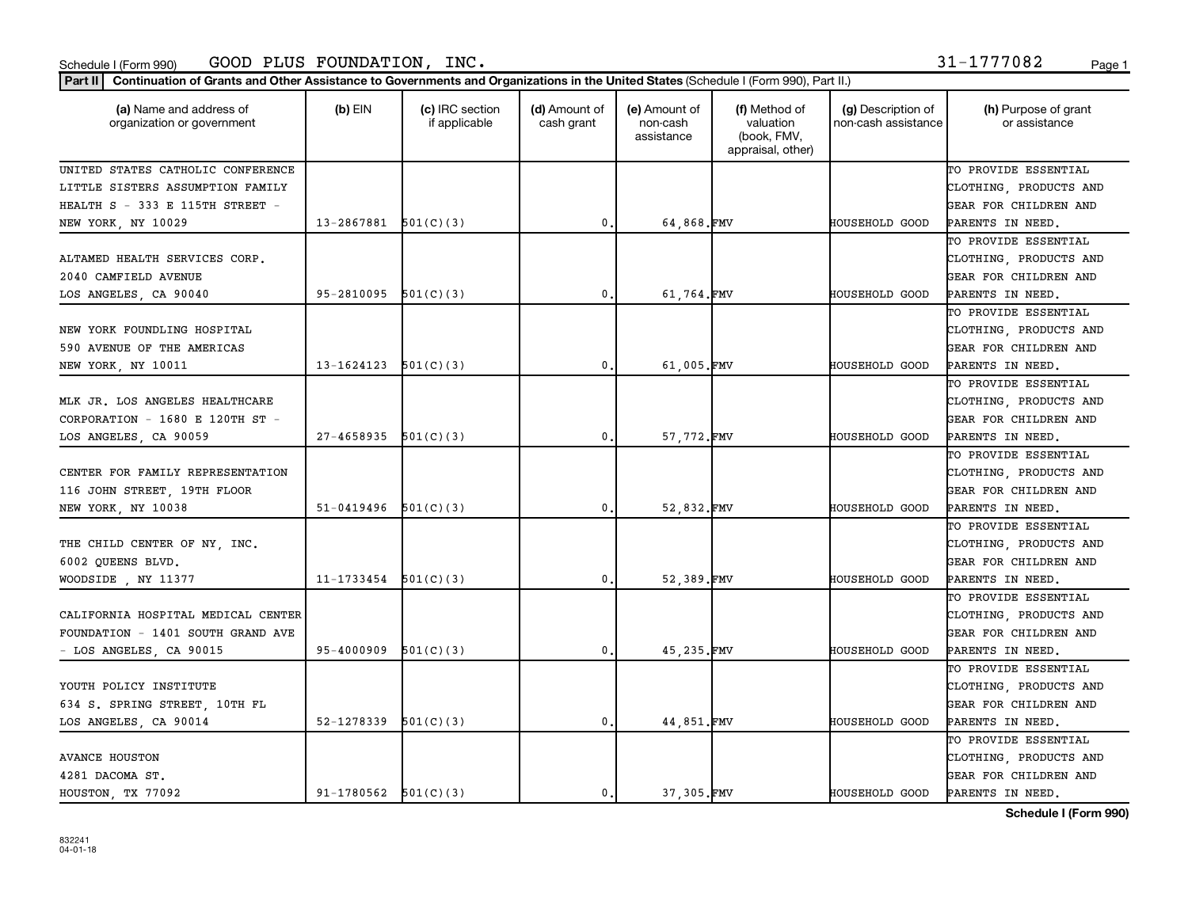|  |  | 31-1777082 | Page |
|--|--|------------|------|
|  |  |            |      |

| Part II   Continuation of Grants and Other Assistance to Governments and Organizations in the United States (Schedule I (Form 990), Part II.) |                          |                                  |                             |                                         |                                                                |                                           |                                       |  |  |
|-----------------------------------------------------------------------------------------------------------------------------------------------|--------------------------|----------------------------------|-----------------------------|-----------------------------------------|----------------------------------------------------------------|-------------------------------------------|---------------------------------------|--|--|
| (a) Name and address of<br>organization or government                                                                                         | $(b)$ EIN                | (c) IRC section<br>if applicable | (d) Amount of<br>cash grant | (e) Amount of<br>non-cash<br>assistance | (f) Method of<br>valuation<br>(book, FMV,<br>appraisal, other) | (g) Description of<br>non-cash assistance | (h) Purpose of grant<br>or assistance |  |  |
| UNITED STATES CATHOLIC CONFERENCE                                                                                                             |                          |                                  |                             |                                         |                                                                |                                           | TO PROVIDE ESSENTIAL                  |  |  |
| LITTLE SISTERS ASSUMPTION FAMILY                                                                                                              |                          |                                  |                             |                                         |                                                                |                                           | CLOTHING, PRODUCTS AND                |  |  |
| HEALTH S - 333 E 115TH STREET -                                                                                                               |                          |                                  |                             |                                         |                                                                |                                           | GEAR FOR CHILDREN AND                 |  |  |
| NEW YORK, NY 10029                                                                                                                            | 13-2867881               | 501(C)(3)                        | 0                           | 64,868.FMV                              |                                                                | <b>HOUSEHOLD GOOD</b>                     | PARENTS IN NEED.                      |  |  |
|                                                                                                                                               |                          |                                  |                             |                                         |                                                                |                                           | TO PROVIDE ESSENTIAL                  |  |  |
| ALTAMED HEALTH SERVICES CORP.                                                                                                                 |                          |                                  |                             |                                         |                                                                |                                           | CLOTHING, PRODUCTS AND                |  |  |
| 2040 CAMFIELD AVENUE                                                                                                                          |                          |                                  |                             |                                         |                                                                |                                           | GEAR FOR CHILDREN AND                 |  |  |
| LOS ANGELES, CA 90040                                                                                                                         | 95-2810095               | 501(C)(3)                        | 0.                          | 61,764.FMV                              |                                                                | HOUSEHOLD GOOD                            | PARENTS IN NEED.                      |  |  |
|                                                                                                                                               |                          |                                  |                             |                                         |                                                                |                                           | TO PROVIDE ESSENTIAL                  |  |  |
| NEW YORK FOUNDLING HOSPITAL                                                                                                                   |                          |                                  |                             |                                         |                                                                |                                           | CLOTHING, PRODUCTS AND                |  |  |
| 590 AVENUE OF THE AMERICAS                                                                                                                    |                          |                                  |                             |                                         |                                                                |                                           | GEAR FOR CHILDREN AND                 |  |  |
| NEW YORK, NY 10011                                                                                                                            | 13-1624123               | 501(C)(3)                        | $^{\circ}$ .                | 61,005.FMV                              |                                                                | HOUSEHOLD GOOD                            | PARENTS IN NEED.                      |  |  |
|                                                                                                                                               |                          |                                  |                             |                                         |                                                                |                                           | TO PROVIDE ESSENTIAL                  |  |  |
| MLK JR. LOS ANGELES HEALTHCARE                                                                                                                |                          |                                  |                             |                                         |                                                                |                                           | CLOTHING, PRODUCTS AND                |  |  |
| CORPORATION - 1680 E 120TH ST -                                                                                                               |                          |                                  |                             |                                         |                                                                |                                           | GEAR FOR CHILDREN AND                 |  |  |
| LOS ANGELES, CA 90059                                                                                                                         | 27-4658935               | 501(C)(3)                        | $\mathbf 0$                 | 57,772.FMV                              |                                                                | <b>HOUSEHOLD GOOD</b>                     | PARENTS IN NEED.                      |  |  |
|                                                                                                                                               |                          |                                  |                             |                                         |                                                                |                                           | TO PROVIDE ESSENTIAL                  |  |  |
| CENTER FOR FAMILY REPRESENTATION                                                                                                              |                          |                                  |                             |                                         |                                                                |                                           | CLOTHING, PRODUCTS AND                |  |  |
| 116 JOHN STREET, 19TH FLOOR                                                                                                                   |                          |                                  |                             |                                         |                                                                |                                           | GEAR FOR CHILDREN AND                 |  |  |
| NEW YORK, NY 10038                                                                                                                            | 51-0419496               | 501(C)(3)                        | $\mathbf{0}$ .              | 52,832.FMV                              |                                                                | HOUSEHOLD GOOD                            | PARENTS IN NEED.                      |  |  |
|                                                                                                                                               |                          |                                  |                             |                                         |                                                                |                                           | TO PROVIDE ESSENTIAL                  |  |  |
| THE CHILD CENTER OF NY, INC.                                                                                                                  |                          |                                  |                             |                                         |                                                                |                                           | CLOTHING, PRODUCTS AND                |  |  |
| 6002 QUEENS BLVD.                                                                                                                             |                          |                                  |                             |                                         |                                                                |                                           | GEAR FOR CHILDREN AND                 |  |  |
| WOODSIDE, NY 11377                                                                                                                            | 11-1733454               | 501(C)(3)                        | 0,                          | 52,389.FMV                              |                                                                | HOUSEHOLD GOOD                            | PARENTS IN NEED.                      |  |  |
|                                                                                                                                               |                          |                                  |                             |                                         |                                                                |                                           | TO PROVIDE ESSENTIAL                  |  |  |
| CALIFORNIA HOSPITAL MEDICAL CENTER                                                                                                            |                          |                                  |                             |                                         |                                                                |                                           | CLOTHING, PRODUCTS AND                |  |  |
| FOUNDATION - 1401 SOUTH GRAND AVE                                                                                                             |                          |                                  |                             |                                         |                                                                |                                           | GEAR FOR CHILDREN AND                 |  |  |
| - LOS ANGELES, CA 90015                                                                                                                       | 95-4000909               | 501(C)(3)                        | $\mathbf{0}$ .              | 45,235.FMV                              |                                                                | HOUSEHOLD GOOD                            | PARENTS IN NEED.                      |  |  |
|                                                                                                                                               |                          |                                  |                             |                                         |                                                                |                                           | TO PROVIDE ESSENTIAL                  |  |  |
| YOUTH POLICY INSTITUTE                                                                                                                        |                          |                                  |                             |                                         |                                                                |                                           | CLOTHING, PRODUCTS AND                |  |  |
| 634 S. SPRING STREET, 10TH FL                                                                                                                 |                          |                                  |                             |                                         |                                                                |                                           | GEAR FOR CHILDREN AND                 |  |  |
| LOS ANGELES, CA 90014                                                                                                                         | 52-1278339               | 501(C)(3)                        | $\mathbf 0$                 | 44,851.FMV                              |                                                                | HOUSEHOLD GOOD                            | PARENTS IN NEED.                      |  |  |
|                                                                                                                                               |                          |                                  |                             |                                         |                                                                |                                           | TO PROVIDE ESSENTIAL                  |  |  |
| <b>AVANCE HOUSTON</b>                                                                                                                         |                          |                                  |                             |                                         |                                                                |                                           | CLOTHING, PRODUCTS AND                |  |  |
| 4281 DACOMA ST.                                                                                                                               |                          |                                  |                             |                                         |                                                                |                                           | GEAR FOR CHILDREN AND                 |  |  |
| HOUSTON, TX 77092                                                                                                                             | $91-1780562$ $501(C)(3)$ |                                  | $^{\circ}$ .                | 37.305.FMV                              |                                                                | <b>HOUSEHOLD GOOD</b>                     | PARENTS IN NEED.                      |  |  |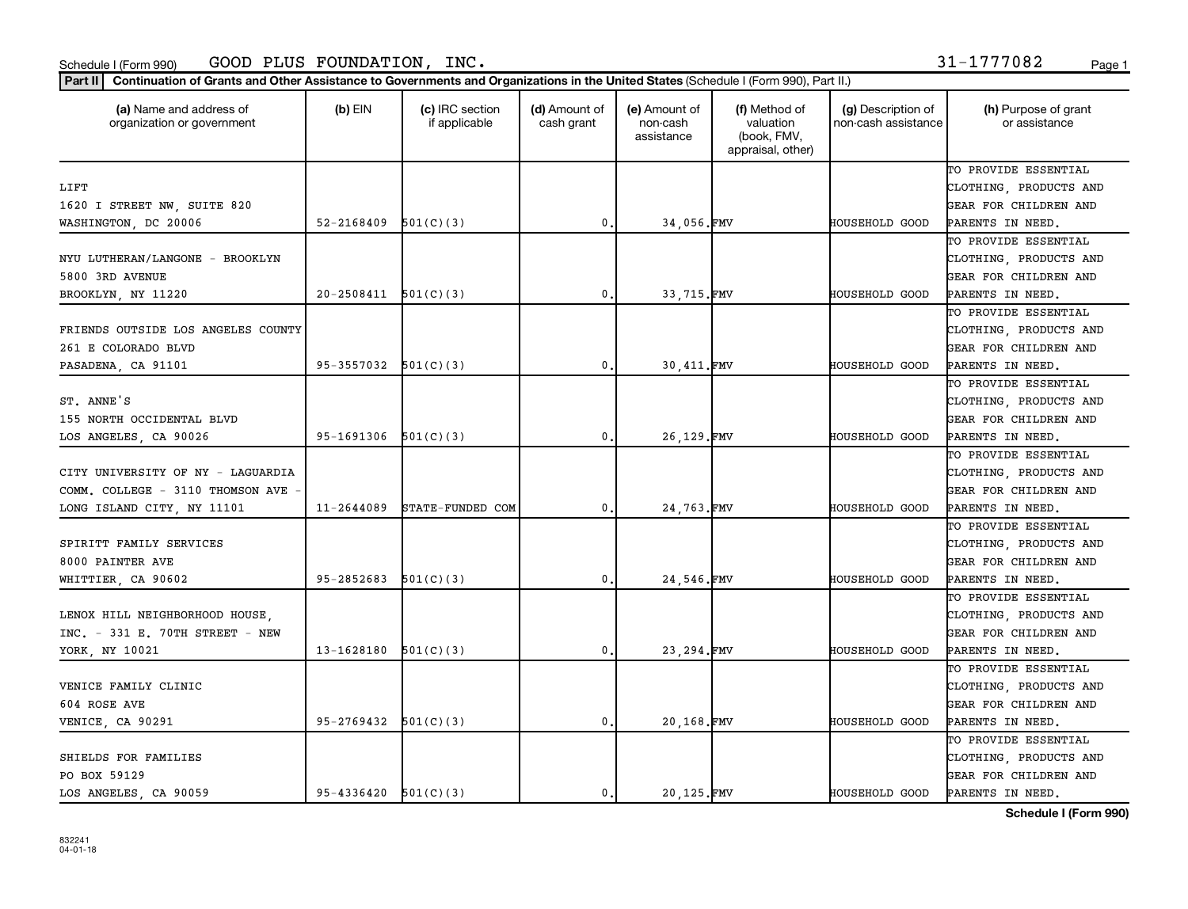|  |  | 31-1777082 | Page |
|--|--|------------|------|
|  |  |            |      |

| (a) Name and address of<br>organization or government | $(b)$ EIN                | (c) IRC section<br>if applicable | (d) Amount of<br>cash grant | (e) Amount of<br>non-cash<br>assistance | (f) Method of<br>valuation<br>(book, FMV,<br>appraisal, other) | (g) Description of<br>non-cash assistance | (h) Purpose of grant<br>or assistance |
|-------------------------------------------------------|--------------------------|----------------------------------|-----------------------------|-----------------------------------------|----------------------------------------------------------------|-------------------------------------------|---------------------------------------|
|                                                       |                          |                                  |                             |                                         |                                                                |                                           | TO PROVIDE ESSENTIAL                  |
| LIFT                                                  |                          |                                  |                             |                                         |                                                                |                                           | CLOTHING, PRODUCTS AND                |
| 1620 I STREET NW, SUITE 820                           |                          |                                  |                             |                                         |                                                                |                                           | GEAR FOR CHILDREN AND                 |
| WASHINGTON, DC 20006                                  | 52-2168409               | 501(C)(3)                        | $\mathbf 0$                 | 34,056.FMV                              |                                                                | HOUSEHOLD GOOD                            | PARENTS IN NEED.                      |
|                                                       |                          |                                  |                             |                                         |                                                                |                                           | TO PROVIDE ESSENTIAL                  |
| NYU LUTHERAN/LANGONE - BROOKLYN                       |                          |                                  |                             |                                         |                                                                |                                           | CLOTHING, PRODUCTS AND                |
| 5800 3RD AVENUE                                       |                          |                                  |                             |                                         |                                                                |                                           | GEAR FOR CHILDREN AND                 |
| BROOKLYN, NY 11220                                    | 20-2508411               | 501(C)(3)                        | 0.                          | 33,715.FMV                              |                                                                | HOUSEHOLD GOOD                            | PARENTS IN NEED.                      |
|                                                       |                          |                                  |                             |                                         |                                                                |                                           | TO PROVIDE ESSENTIAL                  |
| FRIENDS OUTSIDE LOS ANGELES COUNTY                    |                          |                                  |                             |                                         |                                                                |                                           | CLOTHING, PRODUCTS AND                |
| 261 E COLORADO BLVD                                   |                          |                                  |                             |                                         |                                                                |                                           | GEAR FOR CHILDREN AND                 |
| PASADENA, CA 91101                                    | $95-3557032$ $501(C)(3)$ |                                  | $\mathbf 0$                 | 30,411.FMV                              |                                                                | <b>HOUSEHOLD GOOD</b>                     | PARENTS IN NEED.                      |
|                                                       |                          |                                  |                             |                                         |                                                                |                                           | TO PROVIDE ESSENTIAL                  |
| ST. ANNE'S                                            |                          |                                  |                             |                                         |                                                                |                                           | CLOTHING, PRODUCTS AND                |
| 155 NORTH OCCIDENTAL BLVD                             |                          |                                  |                             |                                         |                                                                |                                           | GEAR FOR CHILDREN AND                 |
| LOS ANGELES, CA 90026                                 | $95-1691306$ $501(C)(3)$ |                                  | $\mathbf 0$                 | 26,129.FMV                              |                                                                | <b>HOUSEHOLD GOOD</b>                     | PARENTS IN NEED.                      |
|                                                       |                          |                                  |                             |                                         |                                                                |                                           | TO PROVIDE ESSENTIAL                  |
| CITY UNIVERSITY OF NY - LAGUARDIA                     |                          |                                  |                             |                                         |                                                                |                                           | CLOTHING, PRODUCTS AND                |
| COMM. COLLEGE - 3110 THOMSON AVE                      |                          |                                  |                             |                                         |                                                                |                                           | GEAR FOR CHILDREN AND                 |
| LONG ISLAND CITY, NY 11101                            | $11 - 2644089$           | STATE-FUNDED COM                 | $\mathbf{0}$ .              | 24,763.FMV                              |                                                                | HOUSEHOLD GOOD                            | PARENTS IN NEED.                      |
|                                                       |                          |                                  |                             |                                         |                                                                |                                           | TO PROVIDE ESSENTIAL                  |
| SPIRITT FAMILY SERVICES                               |                          |                                  |                             |                                         |                                                                |                                           | CLOTHING, PRODUCTS AND                |
| 8000 PAINTER AVE                                      |                          |                                  |                             |                                         |                                                                |                                           | GEAR FOR CHILDREN AND                 |
| WHITTIER, CA 90602                                    | 95-2852683               | 501(C)(3)                        | $\mathbf 0$                 | 24,546.FMV                              |                                                                | <b>HOUSEHOLD GOOD</b>                     | PARENTS IN NEED.                      |
|                                                       |                          |                                  |                             |                                         |                                                                |                                           | TO PROVIDE ESSENTIAL                  |
| LENOX HILL NEIGHBORHOOD HOUSE,                        |                          |                                  |                             |                                         |                                                                |                                           | CLOTHING, PRODUCTS AND                |
| $INC. - 331 E. 70TH$ STREET - NEW                     |                          |                                  |                             |                                         |                                                                |                                           | GEAR FOR CHILDREN AND                 |
| YORK, NY 10021                                        | 13-1628180               | 501(C)(3)                        | 0.                          | 23, 294.FMV                             |                                                                | HOUSEHOLD GOOD                            | PARENTS IN NEED.                      |
|                                                       |                          |                                  |                             |                                         |                                                                |                                           | TO PROVIDE ESSENTIAL                  |
| VENICE FAMILY CLINIC                                  |                          |                                  |                             |                                         |                                                                |                                           | CLOTHING, PRODUCTS AND                |
| 604 ROSE AVE                                          |                          |                                  |                             |                                         |                                                                |                                           | GEAR FOR CHILDREN AND                 |
| VENICE, CA 90291                                      | 95-2769432               | 501(C)(3)                        | $\mathbf{0}$ .              | 20,168.FMV                              |                                                                | <b>HOUSEHOLD GOOD</b>                     | PARENTS IN NEED.                      |
|                                                       |                          |                                  |                             |                                         |                                                                |                                           | TO PROVIDE ESSENTIAL                  |
| SHIELDS FOR FAMILIES                                  |                          |                                  |                             |                                         |                                                                |                                           | CLOTHING, PRODUCTS AND                |
| PO BOX 59129                                          |                          |                                  |                             |                                         |                                                                |                                           | GEAR FOR CHILDREN AND                 |
| LOS ANGELES, CA 90059                                 | 95-4336420               | 501(C)(3)                        | 0.                          | 20,125.FMV                              |                                                                | HOUSEHOLD GOOD                            | PARENTS IN NEED.                      |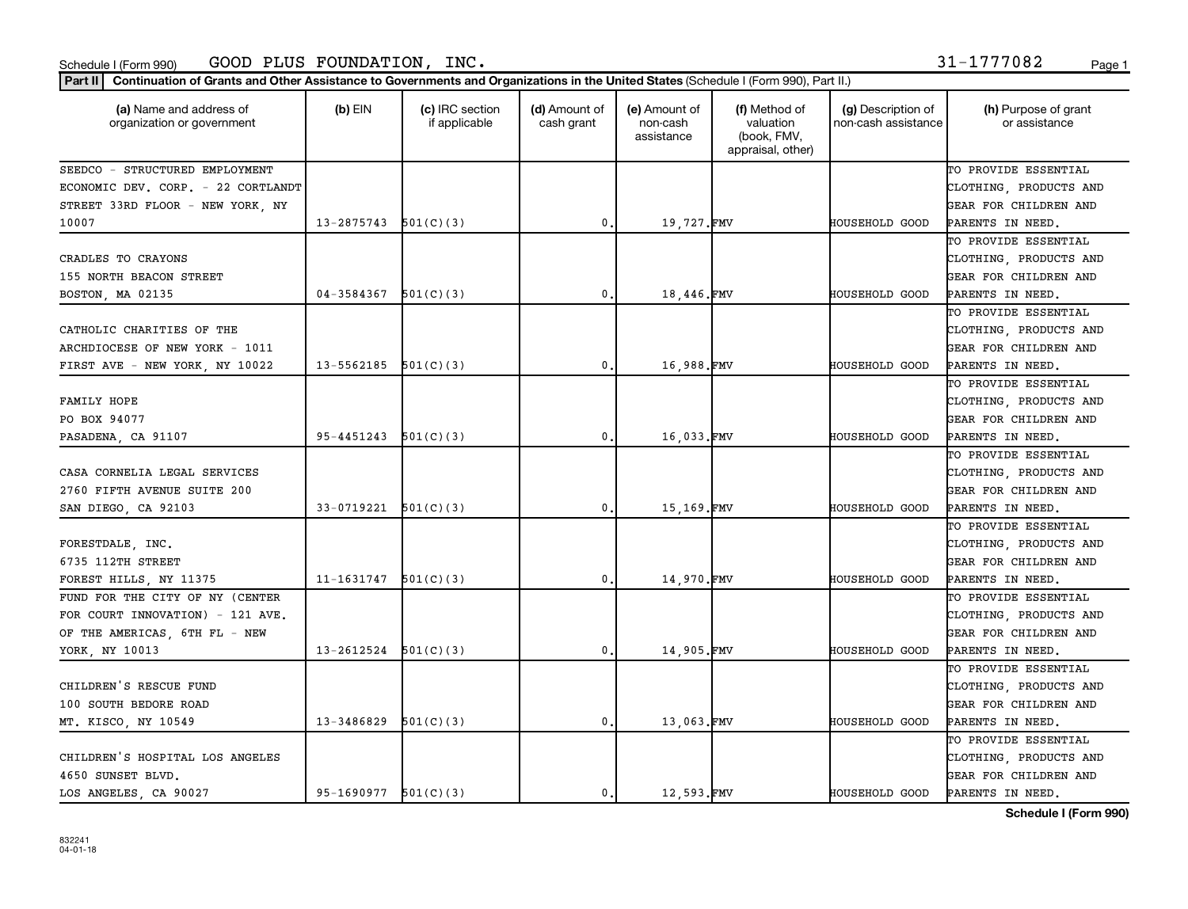| 31-1777082 | Page |
|------------|------|
|------------|------|

| Part II   Continuation of Grants and Other Assistance to Governments and Organizations in the United States (Schedule I (Form 990), Part II.) |                          |                                  |                             |                                         |                                                                |                                           |                                       |
|-----------------------------------------------------------------------------------------------------------------------------------------------|--------------------------|----------------------------------|-----------------------------|-----------------------------------------|----------------------------------------------------------------|-------------------------------------------|---------------------------------------|
| (a) Name and address of<br>organization or government                                                                                         | $(b)$ EIN                | (c) IRC section<br>if applicable | (d) Amount of<br>cash grant | (e) Amount of<br>non-cash<br>assistance | (f) Method of<br>valuation<br>(book, FMV,<br>appraisal, other) | (g) Description of<br>non-cash assistance | (h) Purpose of grant<br>or assistance |
| SEEDCO - STRUCTURED EMPLOYMENT                                                                                                                |                          |                                  |                             |                                         |                                                                |                                           | TO PROVIDE ESSENTIAL                  |
| ECONOMIC DEV. CORP. - 22 CORTLANDT                                                                                                            |                          |                                  |                             |                                         |                                                                |                                           | CLOTHING, PRODUCTS AND                |
| STREET 33RD FLOOR - NEW YORK, NY                                                                                                              |                          |                                  |                             |                                         |                                                                |                                           | GEAR FOR CHILDREN AND                 |
| 10007                                                                                                                                         | 13-2875743               | 501(C)(3)                        | 0                           | 19,727.FMV                              |                                                                | HOUSEHOLD GOOD                            | PARENTS IN NEED.                      |
|                                                                                                                                               |                          |                                  |                             |                                         |                                                                |                                           | TO PROVIDE ESSENTIAL                  |
| CRADLES TO CRAYONS                                                                                                                            |                          |                                  |                             |                                         |                                                                |                                           | CLOTHING, PRODUCTS AND                |
| 155 NORTH BEACON STREET                                                                                                                       |                          |                                  |                             |                                         |                                                                |                                           | GEAR FOR CHILDREN AND                 |
| BOSTON, MA 02135                                                                                                                              | 04-3584367               | 501(C)(3)                        | 0                           | 18,446.FMV                              |                                                                | HOUSEHOLD GOOD                            | PARENTS IN NEED.                      |
|                                                                                                                                               |                          |                                  |                             |                                         |                                                                |                                           | TO PROVIDE ESSENTIAL                  |
| CATHOLIC CHARITIES OF THE                                                                                                                     |                          |                                  |                             |                                         |                                                                |                                           | CLOTHING, PRODUCTS AND                |
| ARCHDIOCESE OF NEW YORK - 1011                                                                                                                |                          |                                  |                             |                                         |                                                                |                                           | GEAR FOR CHILDREN AND                 |
| FIRST AVE - NEW YORK, NY 10022                                                                                                                | 13-5562185               | 501(C)(3)                        | 0                           | 16,988.FMV                              |                                                                | <b>HOUSEHOLD GOOD</b>                     | PARENTS IN NEED.                      |
|                                                                                                                                               |                          |                                  |                             |                                         |                                                                |                                           | TO PROVIDE ESSENTIAL                  |
| FAMILY HOPE                                                                                                                                   |                          |                                  |                             |                                         |                                                                |                                           | CLOTHING, PRODUCTS AND                |
| PO BOX 94077                                                                                                                                  |                          |                                  |                             |                                         |                                                                |                                           | GEAR FOR CHILDREN AND                 |
| PASADENA, CA 91107                                                                                                                            | 95-4451243               | 501(C)(3)                        | 0                           | 16,033.FMV                              |                                                                | HOUSEHOLD GOOD                            | PARENTS IN NEED.                      |
|                                                                                                                                               |                          |                                  |                             |                                         |                                                                |                                           | TO PROVIDE ESSENTIAL                  |
| CASA CORNELIA LEGAL SERVICES                                                                                                                  |                          |                                  |                             |                                         |                                                                |                                           | CLOTHING, PRODUCTS AND                |
| 2760 FIFTH AVENUE SUITE 200                                                                                                                   |                          |                                  |                             |                                         |                                                                |                                           | GEAR FOR CHILDREN AND                 |
| SAN DIEGO, CA 92103                                                                                                                           | 33-0719221               | 501(C)(3)                        | 0                           | 15,169.FMV                              |                                                                | HOUSEHOLD GOOD                            | PARENTS IN NEED.                      |
|                                                                                                                                               |                          |                                  |                             |                                         |                                                                |                                           | TO PROVIDE ESSENTIAL                  |
| FORESTDALE, INC.                                                                                                                              |                          |                                  |                             |                                         |                                                                |                                           | CLOTHING, PRODUCTS AND                |
| 6735 112TH STREET                                                                                                                             |                          |                                  |                             |                                         |                                                                |                                           | GEAR FOR CHILDREN AND                 |
| FOREST HILLS, NY 11375                                                                                                                        | 11-1631747               | 501(C)(3)                        | 0                           | 14,970.FMV                              |                                                                | HOUSEHOLD GOOD                            | PARENTS IN NEED.                      |
| FUND FOR THE CITY OF NY (CENTER                                                                                                               |                          |                                  |                             |                                         |                                                                |                                           | TO PROVIDE ESSENTIAL                  |
| FOR COURT INNOVATION) - 121 AVE.                                                                                                              |                          |                                  |                             |                                         |                                                                |                                           | CLOTHING, PRODUCTS AND                |
| OF THE AMERICAS, 6TH FL - NEW                                                                                                                 |                          |                                  |                             |                                         |                                                                |                                           | GEAR FOR CHILDREN AND                 |
| YORK, NY 10013                                                                                                                                | 13-2612524               | 501(C)(3)                        | 0                           | 14,905.FMV                              |                                                                | HOUSEHOLD GOOD                            | PARENTS IN NEED.                      |
|                                                                                                                                               |                          |                                  |                             |                                         |                                                                |                                           | TO PROVIDE ESSENTIAL                  |
| CHILDREN'S RESCUE FUND                                                                                                                        |                          |                                  |                             |                                         |                                                                |                                           | CLOTHING, PRODUCTS AND                |
| 100 SOUTH BEDORE ROAD                                                                                                                         |                          |                                  |                             |                                         |                                                                |                                           | GEAR FOR CHILDREN AND                 |
| MT. KISCO, NY 10549                                                                                                                           | 13-3486829               | 501(C)(3)                        | 0.                          | 13,063.FMV                              |                                                                | HOUSEHOLD GOOD                            | PARENTS IN NEED.                      |
|                                                                                                                                               |                          |                                  |                             |                                         |                                                                |                                           | TO PROVIDE ESSENTIAL                  |
| CHILDREN'S HOSPITAL LOS ANGELES                                                                                                               |                          |                                  |                             |                                         |                                                                |                                           | CLOTHING, PRODUCTS AND                |
| 4650 SUNSET BLVD.                                                                                                                             |                          |                                  |                             |                                         |                                                                |                                           | GEAR FOR CHILDREN AND                 |
| LOS ANGELES, CA 90027                                                                                                                         | $95-1690977$ $501(C)(3)$ |                                  | 0                           | 12,593.FMV                              |                                                                | HOUSEHOLD GOOD                            | PARENTS IN NEED.                      |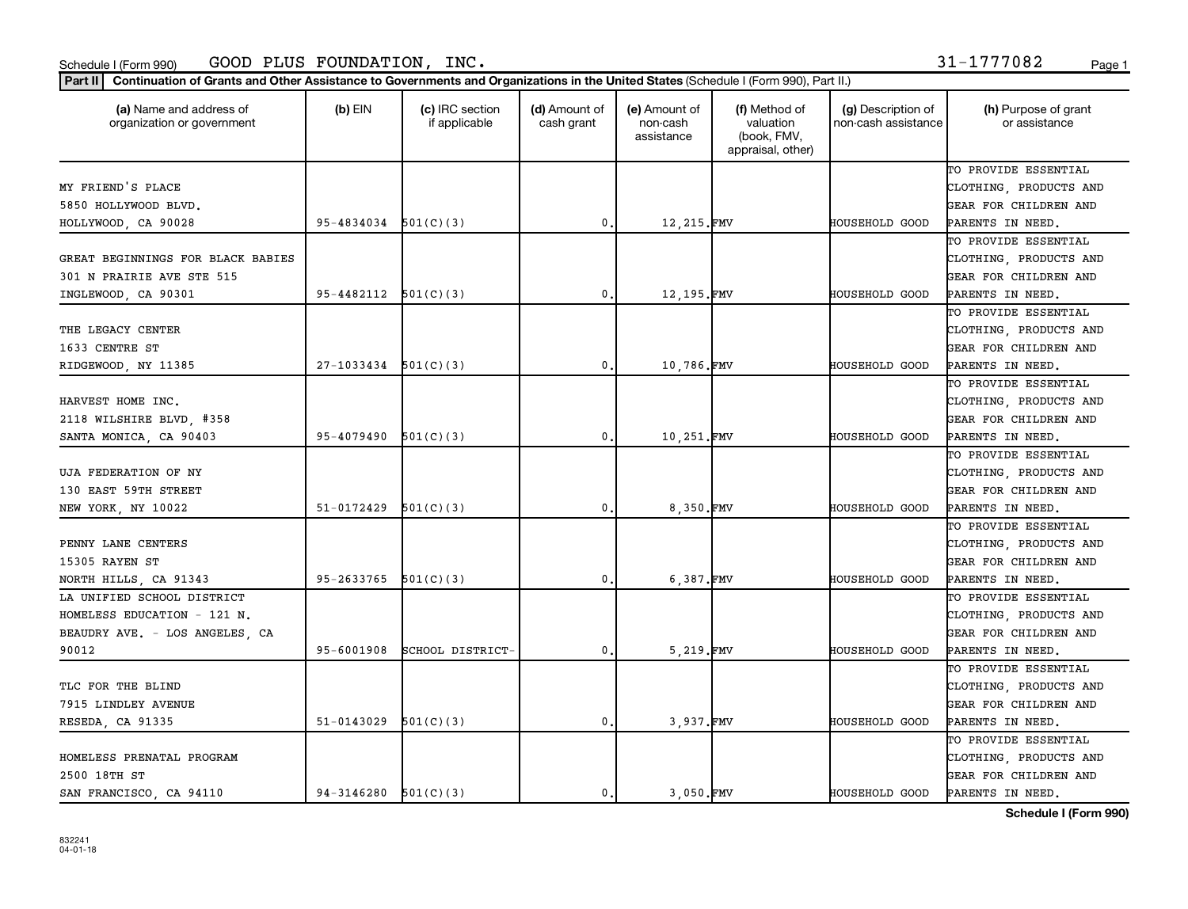### Schedule I (Form 990) GOOD PLUS FOUNDATION, INC. 31-1777082 <sub>Page 1</sub>

Part II | Continuation of Grants and Other Assistance to Governments and Organizations in the United States (Schedule I (Form 990), Part II.)

| (a) Name and address of<br>organization or government | $(b)$ EIN  | (c) IRC section<br>if applicable | (d) Amount of<br>cash grant | (e) Amount of<br>non-cash<br>assistance | (f) Method of<br>valuation<br>(book, FMV,<br>appraisal, other) | (g) Description of<br>non-cash assistance | (h) Purpose of grant<br>or assistance |
|-------------------------------------------------------|------------|----------------------------------|-----------------------------|-----------------------------------------|----------------------------------------------------------------|-------------------------------------------|---------------------------------------|
|                                                       |            |                                  |                             |                                         |                                                                |                                           | TO PROVIDE ESSENTIAL                  |
| MY FRIEND'S PLACE                                     |            |                                  |                             |                                         |                                                                |                                           | CLOTHING, PRODUCTS AND                |
| 5850 HOLLYWOOD BLVD.                                  |            |                                  |                             |                                         |                                                                |                                           | GEAR FOR CHILDREN AND                 |
| HOLLYWOOD, CA 90028                                   | 95-4834034 | 501(C)(3)                        | 0.                          | 12,215.FMV                              |                                                                | HOUSEHOLD GOOD                            | PARENTS IN NEED.                      |
|                                                       |            |                                  |                             |                                         |                                                                |                                           | TO PROVIDE ESSENTIAL                  |
| GREAT BEGINNINGS FOR BLACK BABIES                     |            |                                  |                             |                                         |                                                                |                                           | CLOTHING, PRODUCTS AND                |
| 301 N PRAIRIE AVE STE 515                             |            |                                  |                             |                                         |                                                                |                                           | GEAR FOR CHILDREN AND                 |
| INGLEWOOD, CA 90301                                   | 95-4482112 | 501(C)(3)                        | 0.                          | 12,195.FMV                              |                                                                | HOUSEHOLD GOOD                            | PARENTS IN NEED.                      |
|                                                       |            |                                  |                             |                                         |                                                                |                                           | TO PROVIDE ESSENTIAL                  |
| THE LEGACY CENTER                                     |            |                                  |                             |                                         |                                                                |                                           | CLOTHING, PRODUCTS AND                |
| 1633 CENTRE ST                                        |            |                                  |                             |                                         |                                                                |                                           | GEAR FOR CHILDREN AND                 |
| RIDGEWOOD, NY 11385                                   | 27-1033434 | 501(C)(3)                        | 0.                          | 10,786.FMV                              |                                                                | <b>HOUSEHOLD GOOD</b>                     | PARENTS IN NEED.                      |
|                                                       |            |                                  |                             |                                         |                                                                |                                           | TO PROVIDE ESSENTIAL                  |
| HARVEST HOME INC.                                     |            |                                  |                             |                                         |                                                                |                                           | CLOTHING, PRODUCTS AND                |
| 2118 WILSHIRE BLVD, #358                              |            |                                  |                             |                                         |                                                                |                                           | GEAR FOR CHILDREN AND                 |
| SANTA MONICA, CA 90403                                | 95-4079490 | 501(C)(3)                        | 0.                          | 10,251.FMV                              |                                                                | HOUSEHOLD GOOD                            | PARENTS IN NEED.                      |
|                                                       |            |                                  |                             |                                         |                                                                |                                           | TO PROVIDE ESSENTIAL                  |
| UJA FEDERATION OF NY                                  |            |                                  |                             |                                         |                                                                |                                           | CLOTHING, PRODUCTS AND                |
| 130 EAST 59TH STREET                                  |            |                                  |                             |                                         |                                                                |                                           | GEAR FOR CHILDREN AND                 |
| NEW YORK, NY 10022                                    | 51-0172429 | 501(C)(3)                        | 0.                          | 8,350.FMV                               |                                                                | HOUSEHOLD GOOD                            | PARENTS IN NEED.                      |
|                                                       |            |                                  |                             |                                         |                                                                |                                           | TO PROVIDE ESSENTIAL                  |
| PENNY LANE CENTERS                                    |            |                                  |                             |                                         |                                                                |                                           | CLOTHING, PRODUCTS AND                |
| 15305 RAYEN ST                                        |            |                                  |                             |                                         |                                                                |                                           | GEAR FOR CHILDREN AND                 |
| NORTH HILLS, CA 91343                                 | 95-2633765 | 501(C)(3)                        | 0.                          | 6,387.FMV                               |                                                                | HOUSEHOLD GOOD                            | PARENTS IN NEED.                      |
| LA UNIFIED SCHOOL DISTRICT                            |            |                                  |                             |                                         |                                                                |                                           | TO PROVIDE ESSENTIAL                  |
| HOMELESS EDUCATION - 121 N.                           |            |                                  |                             |                                         |                                                                |                                           | CLOTHING, PRODUCTS AND                |
| BEAUDRY AVE. - LOS ANGELES, CA                        |            |                                  |                             |                                         |                                                                |                                           | GEAR FOR CHILDREN AND                 |
| 90012                                                 | 95-6001908 | SCHOOL DISTRICT-                 | 0.                          | 5,219.FMV                               |                                                                | HOUSEHOLD GOOD                            | PARENTS IN NEED.                      |
|                                                       |            |                                  |                             |                                         |                                                                |                                           | TO PROVIDE ESSENTIAL                  |
| TLC FOR THE BLIND                                     |            |                                  |                             |                                         |                                                                |                                           | CLOTHING, PRODUCTS AND                |
| 7915 LINDLEY AVENUE                                   |            |                                  |                             |                                         |                                                                |                                           | GEAR FOR CHILDREN AND                 |
| RESEDA, CA 91335                                      | 51-0143029 | 501(C)(3)                        | 0.                          | 3,937.FMV                               |                                                                | HOUSEHOLD GOOD                            | PARENTS IN NEED.                      |
|                                                       |            |                                  |                             |                                         |                                                                |                                           | TO PROVIDE ESSENTIAL                  |
| HOMELESS PRENATAL PROGRAM                             |            |                                  |                             |                                         |                                                                |                                           | CLOTHING, PRODUCTS AND                |
| 2500 18TH ST                                          |            |                                  |                             |                                         |                                                                |                                           | GEAR FOR CHILDREN AND                 |
| SAN FRANCISCO, CA 94110                               | 94-3146280 | 501(C)(3)                        | 0.                          | 3.050.FMV                               |                                                                | HOUSEHOLD GOOD                            | PARENTS IN NEED.                      |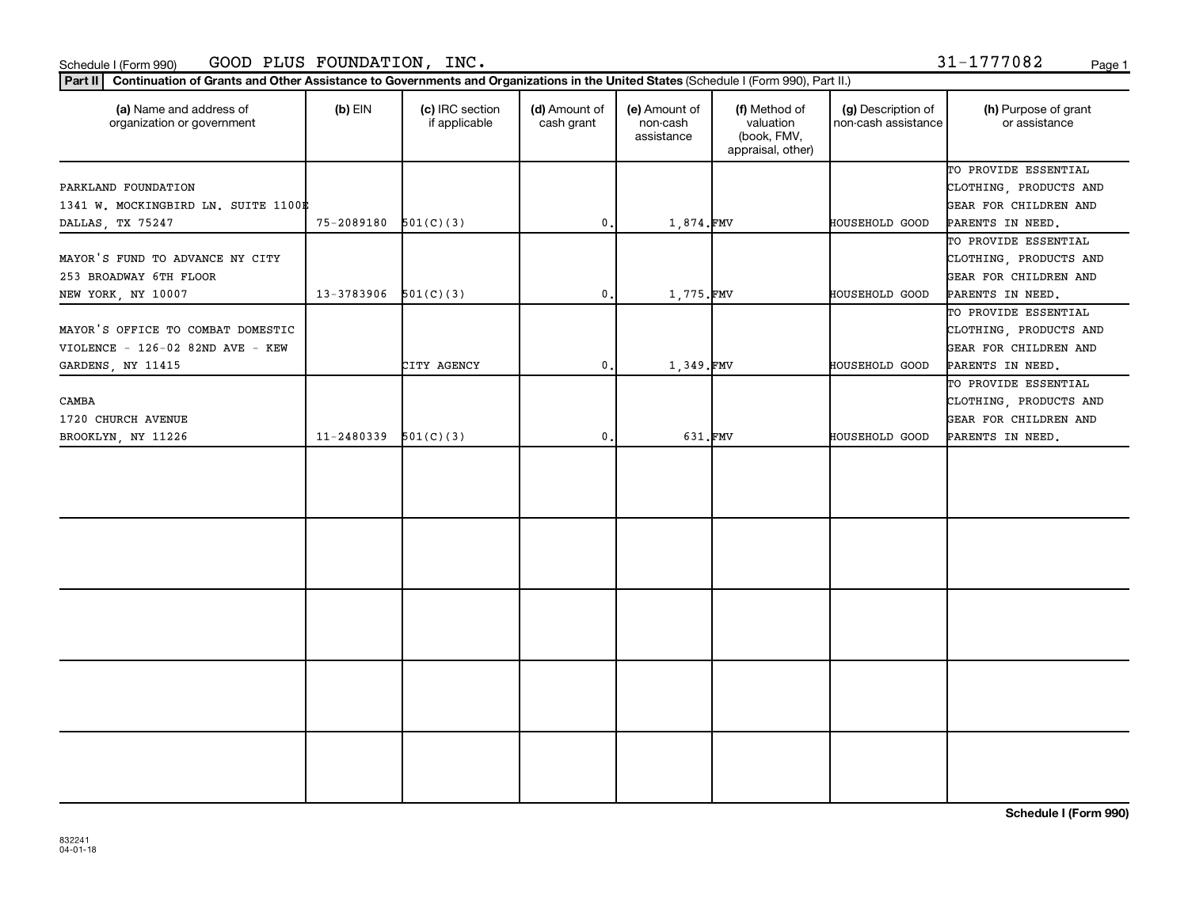### Schedule I (Form 990) GOOD PLUS FOUNDATION, INC. 31-1777082 <sub>Page 1</sub>

Part II | Continuation of Grants and Other Assistance to Governments and Organizations in the United States (Schedule I (Form 990), Part II.)

| (a) Name and address of<br>organization or government | $(b)$ EIN  | (c) IRC section<br>if applicable | (d) Amount of<br>cash grant | (e) Amount of<br>non-cash<br>assistance | (f) Method of<br>valuation<br>(book, FMV,<br>appraisal, other) | (g) Description of<br>non-cash assistance | (h) Purpose of grant<br>or assistance |
|-------------------------------------------------------|------------|----------------------------------|-----------------------------|-----------------------------------------|----------------------------------------------------------------|-------------------------------------------|---------------------------------------|
|                                                       |            |                                  |                             |                                         |                                                                |                                           | TO PROVIDE ESSENTIAL                  |
| PARKLAND FOUNDATION                                   |            |                                  |                             |                                         |                                                                |                                           | CLOTHING, PRODUCTS AND                |
| 1341 W. MOCKINGBIRD LN. SUITE 1100#                   |            |                                  |                             |                                         |                                                                |                                           | GEAR FOR CHILDREN AND                 |
| DALLAS, TX 75247                                      | 75-2089180 | 501(C)(3)                        | $\mathbf{0}$ .              | 1,874.FMV                               |                                                                | <b>HOUSEHOLD GOOD</b>                     | PARENTS IN NEED.                      |
|                                                       |            |                                  |                             |                                         |                                                                |                                           | TO PROVIDE ESSENTIAL                  |
| MAYOR'S FUND TO ADVANCE NY CITY                       |            |                                  |                             |                                         |                                                                |                                           | CLOTHING, PRODUCTS AND                |
| 253 BROADWAY 6TH FLOOR                                |            |                                  |                             |                                         |                                                                |                                           | GEAR FOR CHILDREN AND                 |
| NEW YORK, NY 10007                                    | 13-3783906 | 501(C)(3)                        | $\mathbf{0}$ .              | 1,775.FMV                               |                                                                | <b>HOUSEHOLD GOOD</b>                     | PARENTS IN NEED.                      |
|                                                       |            |                                  |                             |                                         |                                                                |                                           | TO PROVIDE ESSENTIAL                  |
| MAYOR'S OFFICE TO COMBAT DOMESTIC                     |            |                                  |                             |                                         |                                                                |                                           | CLOTHING, PRODUCTS AND                |
| VIOLENCE - 126-02 82ND AVE - KEW                      |            |                                  |                             |                                         |                                                                |                                           | GEAR FOR CHILDREN AND                 |
| GARDENS, NY 11415                                     |            | CITY AGENCY                      | $\mathbf{0}$ .              | 1,349.FMV                               |                                                                | HOUSEHOLD GOOD                            | PARENTS IN NEED.                      |
|                                                       |            |                                  |                             |                                         |                                                                |                                           | TO PROVIDE ESSENTIAL                  |
| CAMBA                                                 |            |                                  |                             |                                         |                                                                |                                           | CLOTHING, PRODUCTS AND                |
| 1720 CHURCH AVENUE                                    |            |                                  |                             |                                         |                                                                |                                           | GEAR FOR CHILDREN AND                 |
| BROOKLYN, NY 11226                                    | 11-2480339 | 501(C)(3)                        | 0.                          | 631.FMV                                 |                                                                | HOUSEHOLD GOOD                            | PARENTS IN NEED.                      |
|                                                       |            |                                  |                             |                                         |                                                                |                                           |                                       |
|                                                       |            |                                  |                             |                                         |                                                                |                                           |                                       |
|                                                       |            |                                  |                             |                                         |                                                                |                                           |                                       |
|                                                       |            |                                  |                             |                                         |                                                                |                                           |                                       |
|                                                       |            |                                  |                             |                                         |                                                                |                                           |                                       |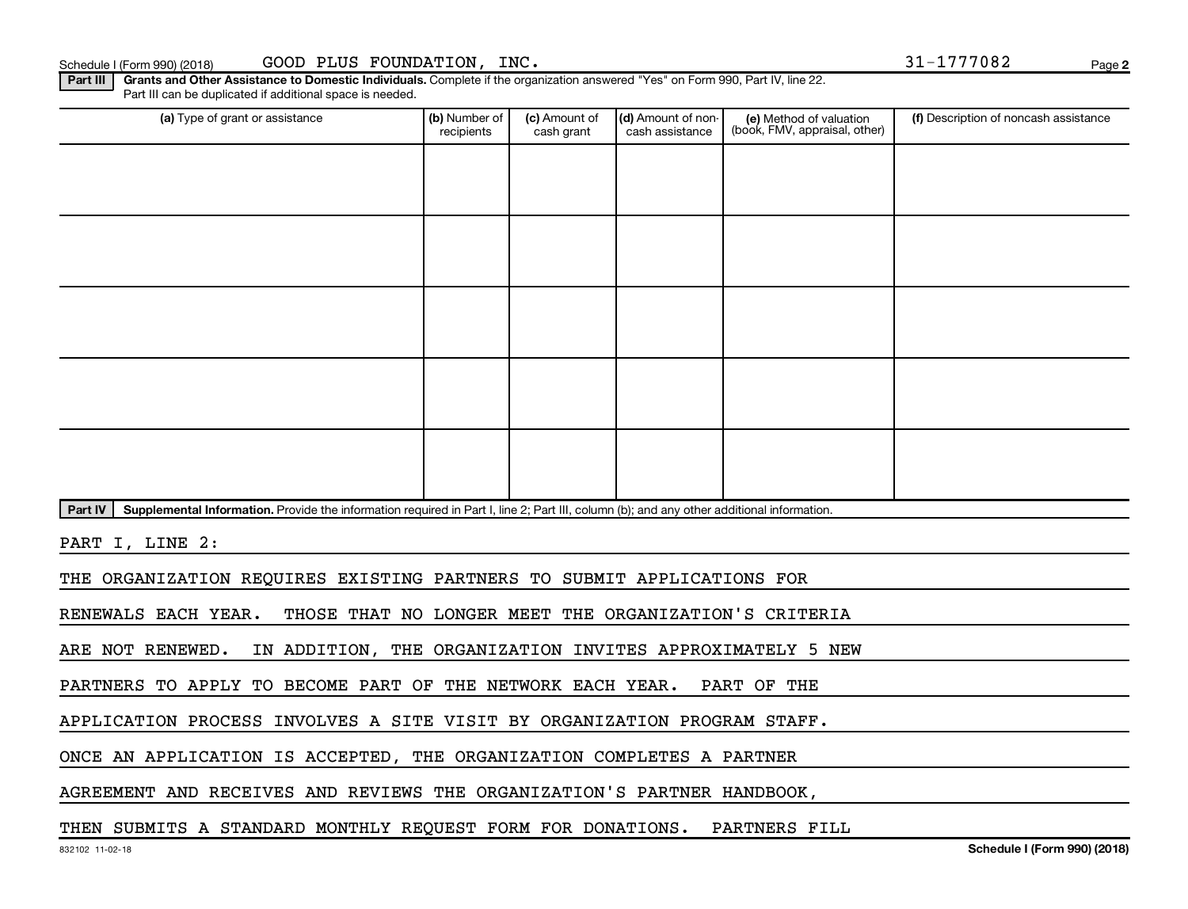| Schedule I (Form 990) (2018) | GOOD<br>PLUS<br>FOUNDATION<br>INC | . .<br>777082<br>$\overline{\phantom{a}}$ | Page |
|------------------------------|-----------------------------------|-------------------------------------------|------|
|------------------------------|-----------------------------------|-------------------------------------------|------|

C. The proposal proposal  $31-17777082$ 

**2**

Part III | Grants and Other Assistance to Domestic Individuals. Complete if the organization answered "Yes" on Form 990, Part IV, line 22. Part III can be duplicated if additional space is needed.

| (a) Type of grant or assistance                                                                                                                      | (b) Number of<br>recipients | (c) Amount of<br>cash grant | (d) Amount of non-<br>cash assistance | (e) Method of valuation<br>(book, FMV, appraisal, other) | (f) Description of noncash assistance |
|------------------------------------------------------------------------------------------------------------------------------------------------------|-----------------------------|-----------------------------|---------------------------------------|----------------------------------------------------------|---------------------------------------|
|                                                                                                                                                      |                             |                             |                                       |                                                          |                                       |
|                                                                                                                                                      |                             |                             |                                       |                                                          |                                       |
|                                                                                                                                                      |                             |                             |                                       |                                                          |                                       |
|                                                                                                                                                      |                             |                             |                                       |                                                          |                                       |
|                                                                                                                                                      |                             |                             |                                       |                                                          |                                       |
|                                                                                                                                                      |                             |                             |                                       |                                                          |                                       |
|                                                                                                                                                      |                             |                             |                                       |                                                          |                                       |
|                                                                                                                                                      |                             |                             |                                       |                                                          |                                       |
|                                                                                                                                                      |                             |                             |                                       |                                                          |                                       |
|                                                                                                                                                      |                             |                             |                                       |                                                          |                                       |
| Supplemental Information. Provide the information required in Part I, line 2; Part III, column (b); and any other additional information.<br>Part IV |                             |                             |                                       |                                                          |                                       |
| PART I, LINE 2:                                                                                                                                      |                             |                             |                                       |                                                          |                                       |

THE ORGANIZATION REQUIRES EXISTING PARTNERS TO SUBMIT APPLICATIONS FOR

RENEWALS EACH YEAR. THOSE THAT NO LONGER MEET THE ORGANIZATION'S CRITERIA

ARE NOT RENEWED. IN ADDITION, THE ORGANIZATION INVITES APPROXIMATELY 5 NEW

PARTNERS TO APPLY TO BECOME PART OF THE NETWORK EACH YEAR. PART OF THE

APPLICATION PROCESS INVOLVES A SITE VISIT BY ORGANIZATION PROGRAM STAFF.

ONCE AN APPLICATION IS ACCEPTED, THE ORGANIZATION COMPLETES A PARTNER

AGREEMENT AND RECEIVES AND REVIEWS THE ORGANIZATION'S PARTNER HANDBOOK,

THEN SUBMITS A STANDARD MONTHLY REQUEST FORM FOR DONATIONS. PARTNERS FILL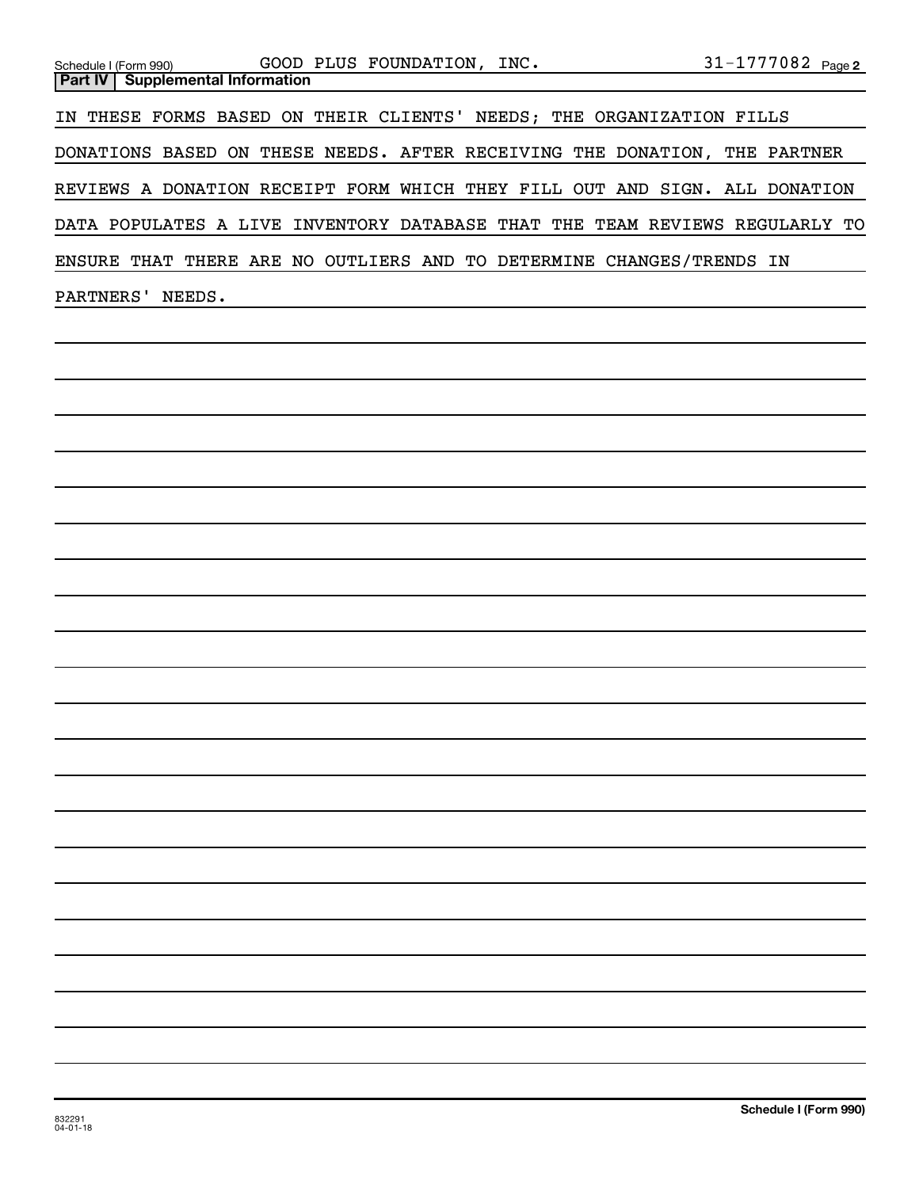| Schedule I (Form 990) GOOD PLUS FOUNDATION, INC. 31-1777082 Page 2<br>Supplemental Information<br>Part IV                                                                                                                                         |                       |
|---------------------------------------------------------------------------------------------------------------------------------------------------------------------------------------------------------------------------------------------------|-----------------------|
| IN THESE FORMS BASED ON THEIR CLIENTS' NEEDS; THE ORGANIZATION FILLS                                                                                                                                                                              |                       |
| DONATIONS BASED ON THESE NEEDS. AFTER RECEIVING THE DONATION, THE PARTNER                                                                                                                                                                         |                       |
| REVIEWS A DONATION RECEIPT FORM WHICH THEY FILL OUT AND SIGN. ALL DONATION                                                                                                                                                                        |                       |
| DATA POPULATES A LIVE INVENTORY DATABASE THAT THE TEAM REVIEWS REGULARLY TO                                                                                                                                                                       |                       |
| ENSURE THAT THERE ARE NO OUTLIERS AND TO DETERMINE CHANGES/TRENDS IN                                                                                                                                                                              |                       |
| PARTNERS' NEEDS.<br>the control of the control of the control of the control of the control of the control of the control of the control of the control of the control of the control of the control of the control of the control of the control |                       |
|                                                                                                                                                                                                                                                   |                       |
|                                                                                                                                                                                                                                                   |                       |
|                                                                                                                                                                                                                                                   |                       |
|                                                                                                                                                                                                                                                   |                       |
|                                                                                                                                                                                                                                                   |                       |
|                                                                                                                                                                                                                                                   |                       |
|                                                                                                                                                                                                                                                   |                       |
|                                                                                                                                                                                                                                                   |                       |
|                                                                                                                                                                                                                                                   |                       |
|                                                                                                                                                                                                                                                   |                       |
|                                                                                                                                                                                                                                                   |                       |
|                                                                                                                                                                                                                                                   |                       |
|                                                                                                                                                                                                                                                   |                       |
|                                                                                                                                                                                                                                                   |                       |
|                                                                                                                                                                                                                                                   |                       |
|                                                                                                                                                                                                                                                   |                       |
|                                                                                                                                                                                                                                                   |                       |
|                                                                                                                                                                                                                                                   |                       |
|                                                                                                                                                                                                                                                   |                       |
|                                                                                                                                                                                                                                                   |                       |
|                                                                                                                                                                                                                                                   |                       |
|                                                                                                                                                                                                                                                   | Schedule I (Form 990) |
| 832291<br>$04 - 01 - 18$                                                                                                                                                                                                                          |                       |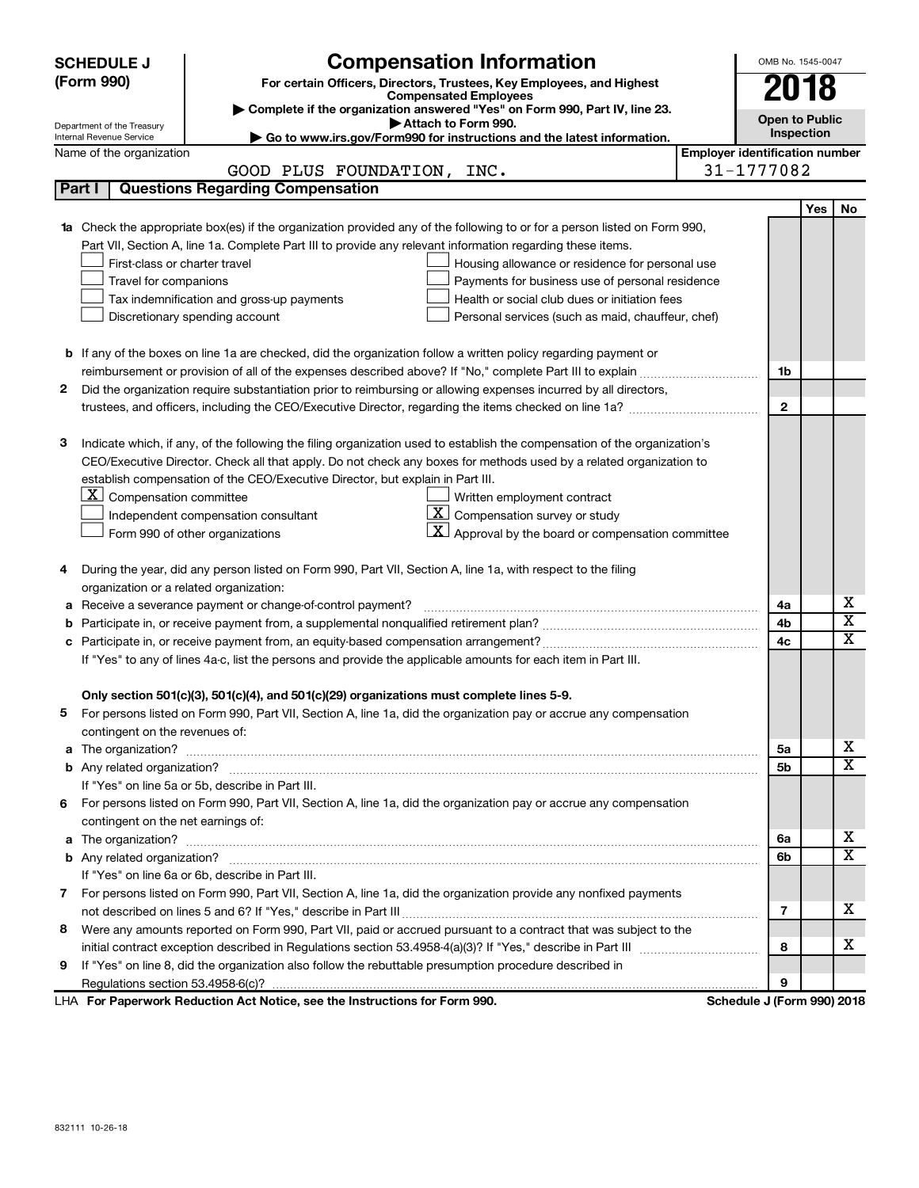|        | <b>Compensation Information</b><br><b>SCHEDULE J</b><br>(Form 990)<br>For certain Officers, Directors, Trustees, Key Employees, and Highest<br><b>Compensated Employees</b><br>Complete if the organization answered "Yes" on Form 990, Part IV, line 23.<br>Attach to Form 990.<br>Department of the Treasury |                                                                                                                                                                                                                                                                                                                                                                                                                                                                                                                           |                                       |              |                         |  |
|--------|----------------------------------------------------------------------------------------------------------------------------------------------------------------------------------------------------------------------------------------------------------------------------------------------------------------|---------------------------------------------------------------------------------------------------------------------------------------------------------------------------------------------------------------------------------------------------------------------------------------------------------------------------------------------------------------------------------------------------------------------------------------------------------------------------------------------------------------------------|---------------------------------------|--------------|-------------------------|--|
|        | Internal Revenue Service                                                                                                                                                                                                                                                                                       | Go to www.irs.gov/Form990 for instructions and the latest information.                                                                                                                                                                                                                                                                                                                                                                                                                                                    |                                       | Inspection   |                         |  |
|        | Name of the organization                                                                                                                                                                                                                                                                                       |                                                                                                                                                                                                                                                                                                                                                                                                                                                                                                                           | <b>Employer identification number</b> |              |                         |  |
|        |                                                                                                                                                                                                                                                                                                                | GOOD PLUS FOUNDATION, INC.                                                                                                                                                                                                                                                                                                                                                                                                                                                                                                | 31-1777082                            |              |                         |  |
| Part I |                                                                                                                                                                                                                                                                                                                | <b>Questions Regarding Compensation</b>                                                                                                                                                                                                                                                                                                                                                                                                                                                                                   |                                       |              |                         |  |
|        | First-class or charter travel<br>Travel for companions<br>Discretionary spending account                                                                                                                                                                                                                       | <b>1a</b> Check the appropriate box(es) if the organization provided any of the following to or for a person listed on Form 990,<br>Part VII, Section A, line 1a. Complete Part III to provide any relevant information regarding these items.<br>Housing allowance or residence for personal use<br>Payments for business use of personal residence<br>Tax indemnification and gross-up payments<br>Health or social club dues or initiation fees<br>Personal services (such as maid, chauffeur, chef)                   |                                       | Yes          | No                      |  |
|        |                                                                                                                                                                                                                                                                                                                | <b>b</b> If any of the boxes on line 1a are checked, did the organization follow a written policy regarding payment or                                                                                                                                                                                                                                                                                                                                                                                                    |                                       |              |                         |  |
|        |                                                                                                                                                                                                                                                                                                                |                                                                                                                                                                                                                                                                                                                                                                                                                                                                                                                           |                                       | 1b           |                         |  |
| 2      |                                                                                                                                                                                                                                                                                                                | Did the organization require substantiation prior to reimbursing or allowing expenses incurred by all directors,                                                                                                                                                                                                                                                                                                                                                                                                          |                                       |              |                         |  |
|        |                                                                                                                                                                                                                                                                                                                |                                                                                                                                                                                                                                                                                                                                                                                                                                                                                                                           |                                       | $\mathbf{2}$ |                         |  |
|        |                                                                                                                                                                                                                                                                                                                |                                                                                                                                                                                                                                                                                                                                                                                                                                                                                                                           |                                       |              |                         |  |
| з      | $X$ Compensation committee<br>Form 990 of other organizations                                                                                                                                                                                                                                                  | Indicate which, if any, of the following the filing organization used to establish the compensation of the organization's<br>CEO/Executive Director. Check all that apply. Do not check any boxes for methods used by a related organization to<br>establish compensation of the CEO/Executive Director, but explain in Part III.<br>Written employment contract<br>$ \mathbf{X} $ Compensation survey or study<br>Independent compensation consultant<br>$\vert X \vert$ Approval by the board or compensation committee |                                       |              |                         |  |
| 4      |                                                                                                                                                                                                                                                                                                                | During the year, did any person listed on Form 990, Part VII, Section A, line 1a, with respect to the filing                                                                                                                                                                                                                                                                                                                                                                                                              |                                       |              |                         |  |
|        | organization or a related organization:                                                                                                                                                                                                                                                                        |                                                                                                                                                                                                                                                                                                                                                                                                                                                                                                                           |                                       |              | х                       |  |
| а      |                                                                                                                                                                                                                                                                                                                | Receive a severance payment or change-of-control payment?                                                                                                                                                                                                                                                                                                                                                                                                                                                                 |                                       | 4a           | $\overline{\mathbf{X}}$ |  |
| b      |                                                                                                                                                                                                                                                                                                                |                                                                                                                                                                                                                                                                                                                                                                                                                                                                                                                           |                                       | 4b<br>4c     | X                       |  |
|        | If "Yes" to any of lines 4a-c, list the persons and provide the applicable amounts for each item in Part III.                                                                                                                                                                                                  |                                                                                                                                                                                                                                                                                                                                                                                                                                                                                                                           |                                       |              |                         |  |
|        | contingent on the revenues of:                                                                                                                                                                                                                                                                                 | Only section 501(c)(3), 501(c)(4), and 501(c)(29) organizations must complete lines 5-9.<br>For persons listed on Form 990, Part VII, Section A, line 1a, did the organization pay or accrue any compensation                                                                                                                                                                                                                                                                                                             |                                       |              |                         |  |
|        |                                                                                                                                                                                                                                                                                                                |                                                                                                                                                                                                                                                                                                                                                                                                                                                                                                                           |                                       | 5a           | х                       |  |
|        |                                                                                                                                                                                                                                                                                                                |                                                                                                                                                                                                                                                                                                                                                                                                                                                                                                                           |                                       | 5b           | X                       |  |
|        |                                                                                                                                                                                                                                                                                                                | If "Yes" on line 5a or 5b, describe in Part III.                                                                                                                                                                                                                                                                                                                                                                                                                                                                          |                                       |              |                         |  |
| 6.     |                                                                                                                                                                                                                                                                                                                | For persons listed on Form 990, Part VII, Section A, line 1a, did the organization pay or accrue any compensation                                                                                                                                                                                                                                                                                                                                                                                                         |                                       |              |                         |  |
|        | contingent on the net earnings of:                                                                                                                                                                                                                                                                             |                                                                                                                                                                                                                                                                                                                                                                                                                                                                                                                           |                                       |              |                         |  |
|        |                                                                                                                                                                                                                                                                                                                |                                                                                                                                                                                                                                                                                                                                                                                                                                                                                                                           |                                       | 6а           | х<br>X                  |  |
|        |                                                                                                                                                                                                                                                                                                                |                                                                                                                                                                                                                                                                                                                                                                                                                                                                                                                           |                                       | 6b           |                         |  |
|        |                                                                                                                                                                                                                                                                                                                | If "Yes" on line 6a or 6b, describe in Part III.                                                                                                                                                                                                                                                                                                                                                                                                                                                                          |                                       |              |                         |  |
|        |                                                                                                                                                                                                                                                                                                                | 7 For persons listed on Form 990, Part VII, Section A, line 1a, did the organization provide any nonfixed payments                                                                                                                                                                                                                                                                                                                                                                                                        |                                       | 7            | х                       |  |
| 8      |                                                                                                                                                                                                                                                                                                                | Were any amounts reported on Form 990, Part VII, paid or accrued pursuant to a contract that was subject to the                                                                                                                                                                                                                                                                                                                                                                                                           |                                       |              |                         |  |
|        |                                                                                                                                                                                                                                                                                                                |                                                                                                                                                                                                                                                                                                                                                                                                                                                                                                                           |                                       | 8            | х                       |  |
| 9      |                                                                                                                                                                                                                                                                                                                | If "Yes" on line 8, did the organization also follow the rebuttable presumption procedure described in                                                                                                                                                                                                                                                                                                                                                                                                                    |                                       |              |                         |  |
|        |                                                                                                                                                                                                                                                                                                                |                                                                                                                                                                                                                                                                                                                                                                                                                                                                                                                           |                                       | 9            |                         |  |
|        |                                                                                                                                                                                                                                                                                                                | LHA For Paperwork Reduction Act Notice, see the Instructions for Form 990.                                                                                                                                                                                                                                                                                                                                                                                                                                                | Schedule J (Form 990) 2018            |              |                         |  |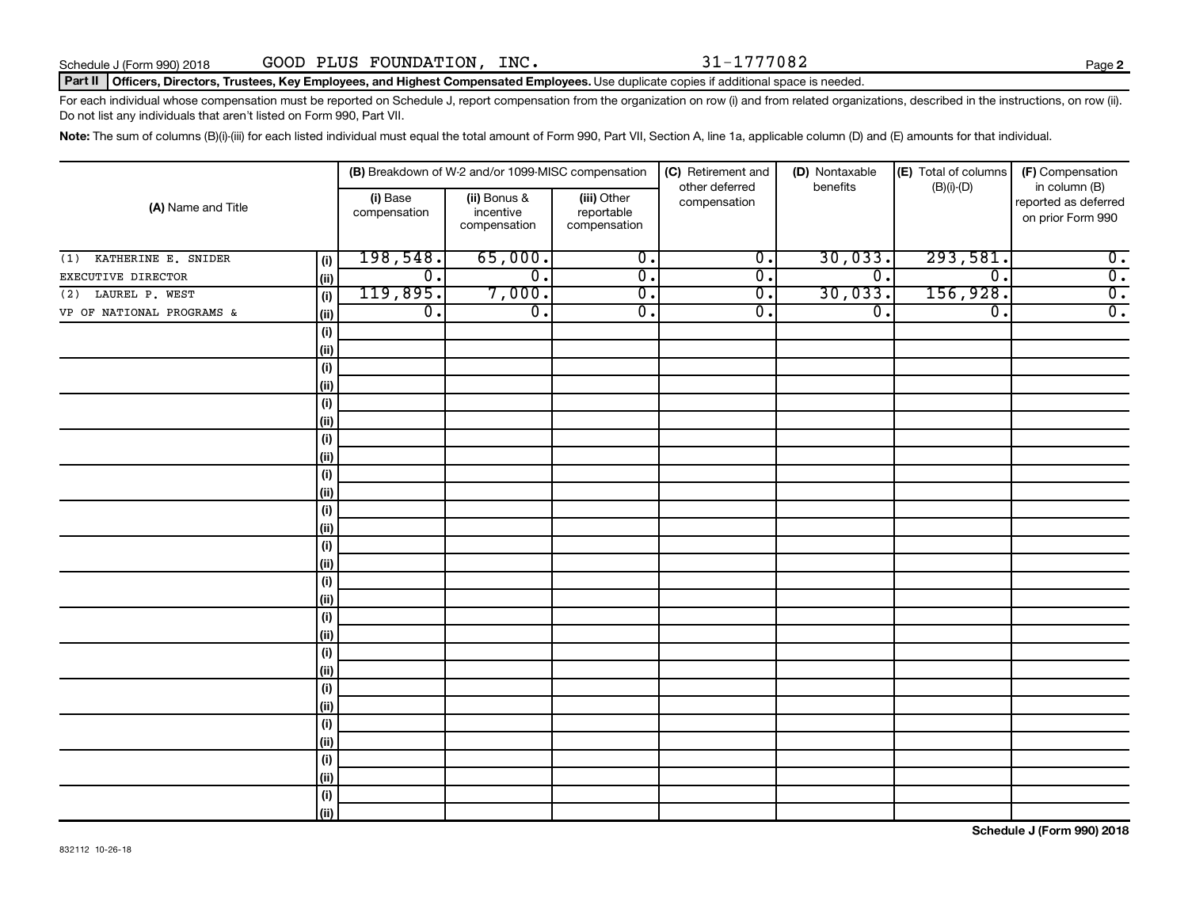**2**

### Part II | Officers, Directors, Trustees, Key Employees, and Highest Compensated Employees. Use duplicate copies if additional space is needed.

For each individual whose compensation must be reported on Schedule J, report compensation from the organization on row (i) and from related organizations, described in the instructions, on row (ii). Do not list any individuals that aren't listed on Form 990, Part VII.

Note: The sum of columns (B)(i)-(iii) for each listed individual must equal the total amount of Form 990, Part VII, Section A, line 1a, applicable column (D) and (E) amounts for that individual.

| (A) Name and Title         |             |                          | (B) Breakdown of W-2 and/or 1099-MISC compensation |                                           | (C) Retirement and             | (D) Nontaxable              | (E) Total of columns        | (F) Compensation                                           |  |
|----------------------------|-------------|--------------------------|----------------------------------------------------|-------------------------------------------|--------------------------------|-----------------------------|-----------------------------|------------------------------------------------------------|--|
|                            |             | (i) Base<br>compensation | (ii) Bonus &<br>incentive<br>compensation          | (iii) Other<br>reportable<br>compensation | other deferred<br>compensation | benefits                    | $(B)(i)-(D)$                | in column (B)<br>reported as deferred<br>on prior Form 990 |  |
| KATHERINE E. SNIDER<br>(1) | (i)         | 198,548.                 | 65,000.                                            | $\overline{0}$ .                          | $\overline{0}$ .               | 30,033.                     | 293,581.                    | $\overline{\mathbf{0}}$ .                                  |  |
| EXECUTIVE DIRECTOR         | (ii)        | $\overline{0}$ .         | $\overline{0}$ .                                   | $\overline{0}$ .                          | $\overline{0}$ .               | $\overline{\mathfrak{o}}$ . | $\overline{0}$ .            | $\overline{0}$ .                                           |  |
| LAUREL P. WEST<br>(2)      | (i)         | 119,895.                 | 7,000.                                             | $\overline{0}$ .                          | $\overline{0}$ .               | 30,033.                     | 156,928.                    | $\overline{0}$ .                                           |  |
| VP OF NATIONAL PROGRAMS &  | (ii)        | $\overline{0}$ .         | $\overline{\mathfrak{o}}$ .                        | $\overline{0}$ .                          | $\overline{0}$ .               | $\overline{0}$ .            | $\overline{\mathfrak{o}}$ . | $\overline{0}$ .                                           |  |
|                            | (i)         |                          |                                                    |                                           |                                |                             |                             |                                                            |  |
|                            | (ii)        |                          |                                                    |                                           |                                |                             |                             |                                                            |  |
|                            | (i)         |                          |                                                    |                                           |                                |                             |                             |                                                            |  |
|                            | (ii)        |                          |                                                    |                                           |                                |                             |                             |                                                            |  |
|                            | (i)         |                          |                                                    |                                           |                                |                             |                             |                                                            |  |
|                            | (ii)        |                          |                                                    |                                           |                                |                             |                             |                                                            |  |
|                            | (i)         |                          |                                                    |                                           |                                |                             |                             |                                                            |  |
|                            | (ii)        |                          |                                                    |                                           |                                |                             |                             |                                                            |  |
|                            | (i)         |                          |                                                    |                                           |                                |                             |                             |                                                            |  |
|                            | (ii)        |                          |                                                    |                                           |                                |                             |                             |                                                            |  |
|                            | (i)         |                          |                                                    |                                           |                                |                             |                             |                                                            |  |
|                            | (ii)        |                          |                                                    |                                           |                                |                             |                             |                                                            |  |
|                            | (i)         |                          |                                                    |                                           |                                |                             |                             |                                                            |  |
|                            | (ii)        |                          |                                                    |                                           |                                |                             |                             |                                                            |  |
|                            | (i)<br>(ii) |                          |                                                    |                                           |                                |                             |                             |                                                            |  |
|                            | (i)         |                          |                                                    |                                           |                                |                             |                             |                                                            |  |
|                            | (ii)        |                          |                                                    |                                           |                                |                             |                             |                                                            |  |
|                            | (i)         |                          |                                                    |                                           |                                |                             |                             |                                                            |  |
|                            | (ii)        |                          |                                                    |                                           |                                |                             |                             |                                                            |  |
|                            | (i)         |                          |                                                    |                                           |                                |                             |                             |                                                            |  |
|                            | (ii)        |                          |                                                    |                                           |                                |                             |                             |                                                            |  |
|                            | (i)         |                          |                                                    |                                           |                                |                             |                             |                                                            |  |
|                            | (ii)        |                          |                                                    |                                           |                                |                             |                             |                                                            |  |
|                            | (i)         |                          |                                                    |                                           |                                |                             |                             |                                                            |  |
|                            | (ii)        |                          |                                                    |                                           |                                |                             |                             |                                                            |  |
|                            | (i)         |                          |                                                    |                                           |                                |                             |                             |                                                            |  |
|                            | (ii)        |                          |                                                    |                                           |                                |                             |                             |                                                            |  |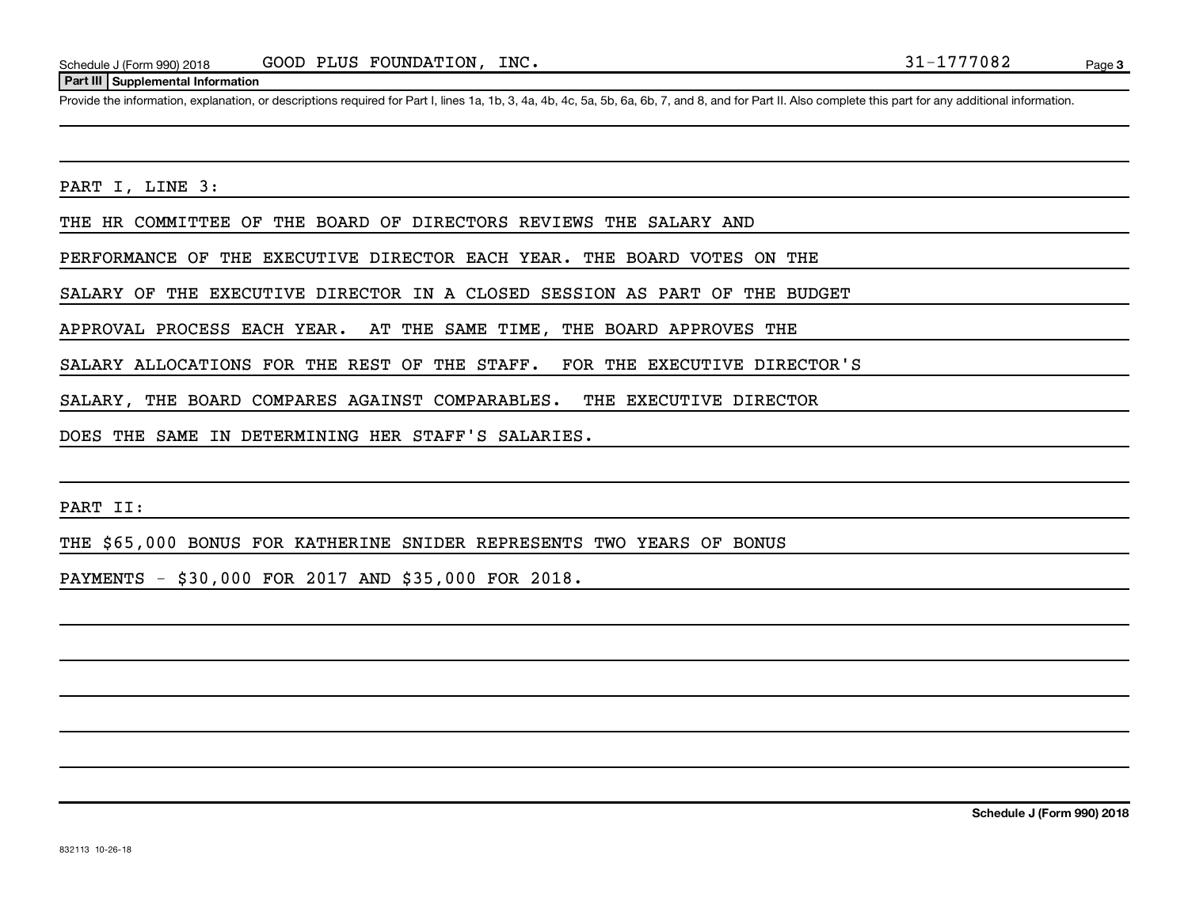### **Part III Supplemental Information**

Provide the information, explanation, or descriptions required for Part I, lines 1a, 1b, 3, 4a, 4b, 4c, 5a, 5b, 6a, 6b, 7, and 8, and for Part II. Also complete this part for any additional information.

PART I, LINE 3:

THE HR COMMITTEE OF THE BOARD OF DIRECTORS REVIEWS THE SALARY AND

PERFORMANCE OF THE EXECUTIVE DIRECTOR EACH YEAR. THE BOARD VOTES ON THE

SALARY OF THE EXECUTIVE DIRECTOR IN A CLOSED SESSION AS PART OF THE BUDGET

APPROVAL PROCESS EACH YEAR. AT THE SAME TIME, THE BOARD APPROVES THE

SALARY ALLOCATIONS FOR THE REST OF THE STAFF. FOR THE EXECUTIVE DIRECTOR'S

SALARY, THE BOARD COMPARES AGAINST COMPARABLES. THE EXECUTIVE DIRECTOR

DOES THE SAME IN DETERMINING HER STAFF'S SALARIES.

PART II:

THE \$65,000 BONUS FOR KATHERINE SNIDER REPRESENTS TWO YEARS OF BONUS

PAYMENTS - \$30,000 FOR 2017 AND \$35,000 FOR 2018.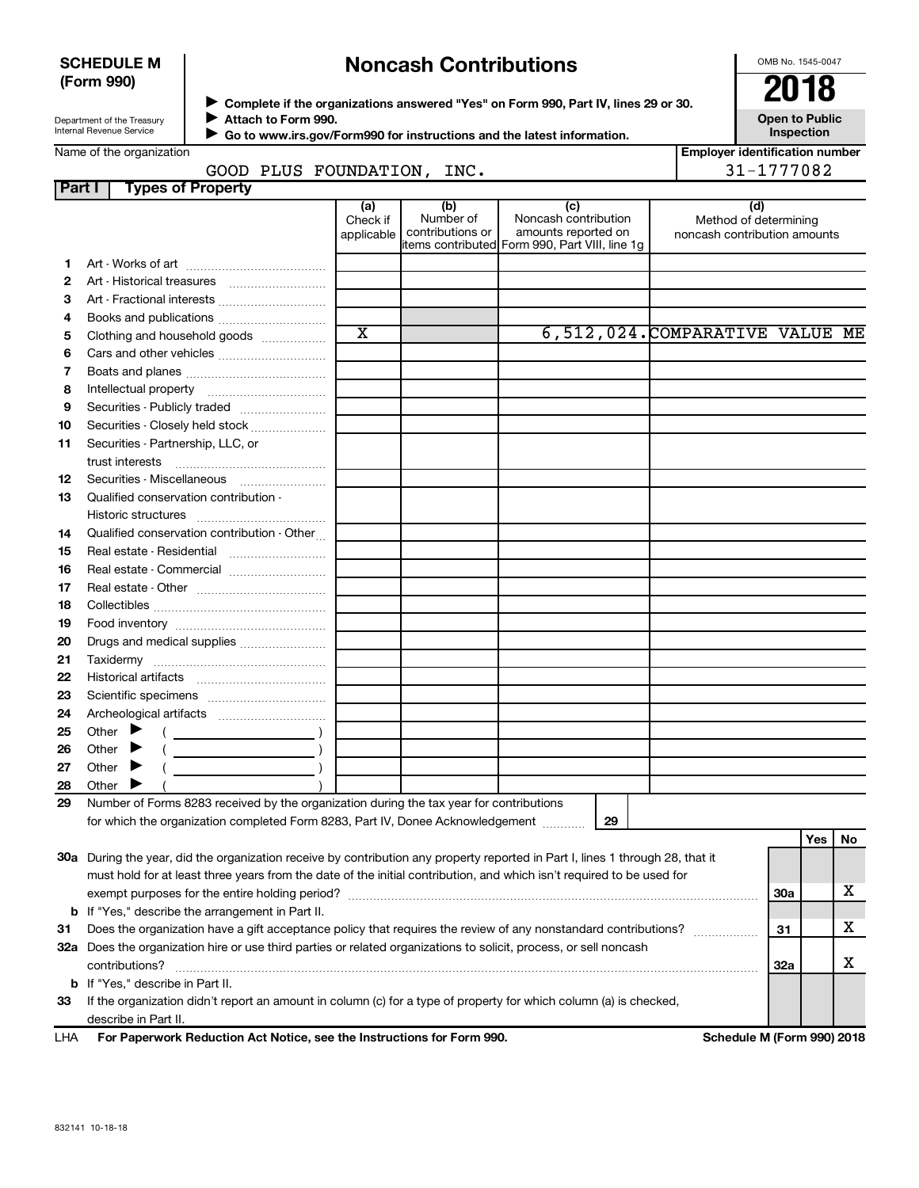### **SCHEDULE M (Form 990)**

# **Noncash Contributions**

OMB No. 1545-0047

| Department of the Treasury |
|----------------------------|
| Internal Revenue Service   |

**Complete if the organizations answered "Yes" on Form 990, Part IV, lines 29 or 30. Attach to Form 990.** →<br>**→** Complete if the organizations answered "Yes" on Form 990, Part IV, lines 29 or 30.<br>● Complete if the organizations answered "Yes" on Form 990, Part IV, lines 29 or 30.  $\blacktriangleright$ 

**Open to Public**

|                | Internal Revenue Service                                                                                                                                                                                                                                |                               |                                      | ▶ Go to www.irs.gov/Form990 for instructions and the latest information.                             | Inspection                                                   |
|----------------|---------------------------------------------------------------------------------------------------------------------------------------------------------------------------------------------------------------------------------------------------------|-------------------------------|--------------------------------------|------------------------------------------------------------------------------------------------------|--------------------------------------------------------------|
|                | Name of the organization                                                                                                                                                                                                                                |                               |                                      |                                                                                                      | <b>Employer identification number</b>                        |
|                | GOOD PLUS FOUNDATION, INC.                                                                                                                                                                                                                              |                               |                                      |                                                                                                      | 31-1777082                                                   |
| Part I         | <b>Types of Property</b>                                                                                                                                                                                                                                |                               |                                      |                                                                                                      |                                                              |
|                |                                                                                                                                                                                                                                                         | (a)<br>Check if<br>applicable | (b)<br>Number of<br>contributions or | (c)<br>Noncash contribution<br>amounts reported on<br>items contributed Form 990, Part VIII, line 1g | (d)<br>Method of determining<br>noncash contribution amounts |
| 1.             |                                                                                                                                                                                                                                                         |                               |                                      |                                                                                                      |                                                              |
| 2              | Art - Historical treasures                                                                                                                                                                                                                              |                               |                                      |                                                                                                      |                                                              |
| 3              | Art - Fractional interests                                                                                                                                                                                                                              |                               |                                      |                                                                                                      |                                                              |
| 4              | Books and publications                                                                                                                                                                                                                                  |                               |                                      |                                                                                                      |                                                              |
| 5              | Clothing and household goods                                                                                                                                                                                                                            | $\overline{\text{x}}$         |                                      |                                                                                                      | 6,512,024.COMPARATIVE VALUE ME                               |
| 6              |                                                                                                                                                                                                                                                         |                               |                                      |                                                                                                      |                                                              |
| $\overline{7}$ |                                                                                                                                                                                                                                                         |                               |                                      |                                                                                                      |                                                              |
| 8              |                                                                                                                                                                                                                                                         |                               |                                      |                                                                                                      |                                                              |
| 9              | Securities - Publicly traded                                                                                                                                                                                                                            |                               |                                      |                                                                                                      |                                                              |
| 10             | Securities - Closely held stock                                                                                                                                                                                                                         |                               |                                      |                                                                                                      |                                                              |
| 11             | Securities - Partnership, LLC, or                                                                                                                                                                                                                       |                               |                                      |                                                                                                      |                                                              |
| 12             | Securities - Miscellaneous                                                                                                                                                                                                                              |                               |                                      |                                                                                                      |                                                              |
| 13             | Qualified conservation contribution -                                                                                                                                                                                                                   |                               |                                      |                                                                                                      |                                                              |
|                |                                                                                                                                                                                                                                                         |                               |                                      |                                                                                                      |                                                              |
| 14             | Qualified conservation contribution - Other                                                                                                                                                                                                             |                               |                                      |                                                                                                      |                                                              |
| 15             | Real estate - Residential                                                                                                                                                                                                                               |                               |                                      |                                                                                                      |                                                              |
| 16             | Real estate - Commercial                                                                                                                                                                                                                                |                               |                                      |                                                                                                      |                                                              |
| 17             |                                                                                                                                                                                                                                                         |                               |                                      |                                                                                                      |                                                              |
| 18             |                                                                                                                                                                                                                                                         |                               |                                      |                                                                                                      |                                                              |
| 19             |                                                                                                                                                                                                                                                         |                               |                                      |                                                                                                      |                                                              |
| 20             | Drugs and medical supplies                                                                                                                                                                                                                              |                               |                                      |                                                                                                      |                                                              |
| 21             |                                                                                                                                                                                                                                                         |                               |                                      |                                                                                                      |                                                              |
| 22             |                                                                                                                                                                                                                                                         |                               |                                      |                                                                                                      |                                                              |
| 23             |                                                                                                                                                                                                                                                         |                               |                                      |                                                                                                      |                                                              |
| 24             |                                                                                                                                                                                                                                                         |                               |                                      |                                                                                                      |                                                              |
| 25             | Other $\blacktriangleright$<br>$($ )                                                                                                                                                                                                                    |                               |                                      |                                                                                                      |                                                              |
| 26             | Other $\blacktriangleright$                                                                                                                                                                                                                             |                               |                                      |                                                                                                      |                                                              |
| 27             | Other $\blacktriangleright$                                                                                                                                                                                                                             |                               |                                      |                                                                                                      |                                                              |
| 28             | Other $\blacktriangleright$                                                                                                                                                                                                                             |                               |                                      |                                                                                                      |                                                              |
| 29             | Number of Forms 8283 received by the organization during the tax year for contributions                                                                                                                                                                 |                               |                                      |                                                                                                      |                                                              |
|                | for which the organization completed Form 8283, Part IV, Donee Acknowledgement                                                                                                                                                                          |                               |                                      | 29                                                                                                   |                                                              |
|                |                                                                                                                                                                                                                                                         |                               |                                      |                                                                                                      | Yes<br>No.                                                   |
|                | 30a During the year, did the organization receive by contribution any property reported in Part I, lines 1 through 28, that it<br>must hold for at least three years from the date of the initial contribution, and which isn't required to be used for |                               |                                      |                                                                                                      |                                                              |
|                | exempt purposes for the entire holding period?                                                                                                                                                                                                          |                               |                                      |                                                                                                      | X<br>30a                                                     |

|     | <b>b</b> If "Yes," describe the arrangement in Part II.                                                           |  |
|-----|-------------------------------------------------------------------------------------------------------------------|--|
| -31 | Does the organization have a gift acceptance policy that requires the review of any nonstandard contributions?    |  |
|     | 32a Does the organization hire or use third parties or related organizations to solicit, process, or sell noncash |  |
|     | contributions?<br>.                                                                                               |  |

| <b>b</b> If "Yes." describe in Part II.                                                                              |
|----------------------------------------------------------------------------------------------------------------------|
| 33 If the organization didn't report an amount in column (c) for a type of property for which column (a) is checked, |
| describe in Part II.                                                                                                 |

**For Paperwork Reduction Act Notice, see the Instructions for Form 990. Schedule M (Form 990) 2018** LHA

**31**

X

X

**32a**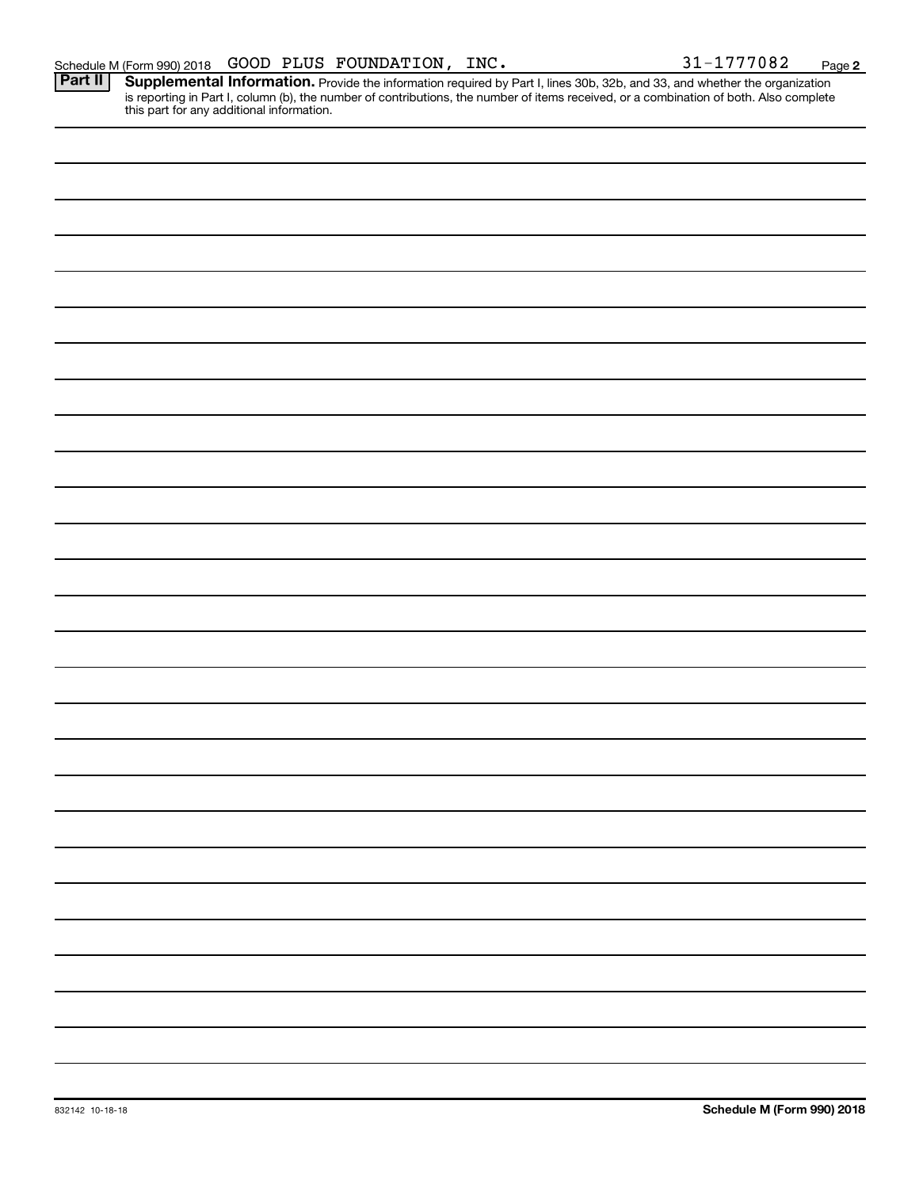**2**

Provide the information required by Part I, lines 30b, 32b, and 33, and whether the organization is reporting in Part I, column (b), the number of contributions, the number of items received, or a combination of both. Also complete this part for any additional information. **Part II Supplemental Information.**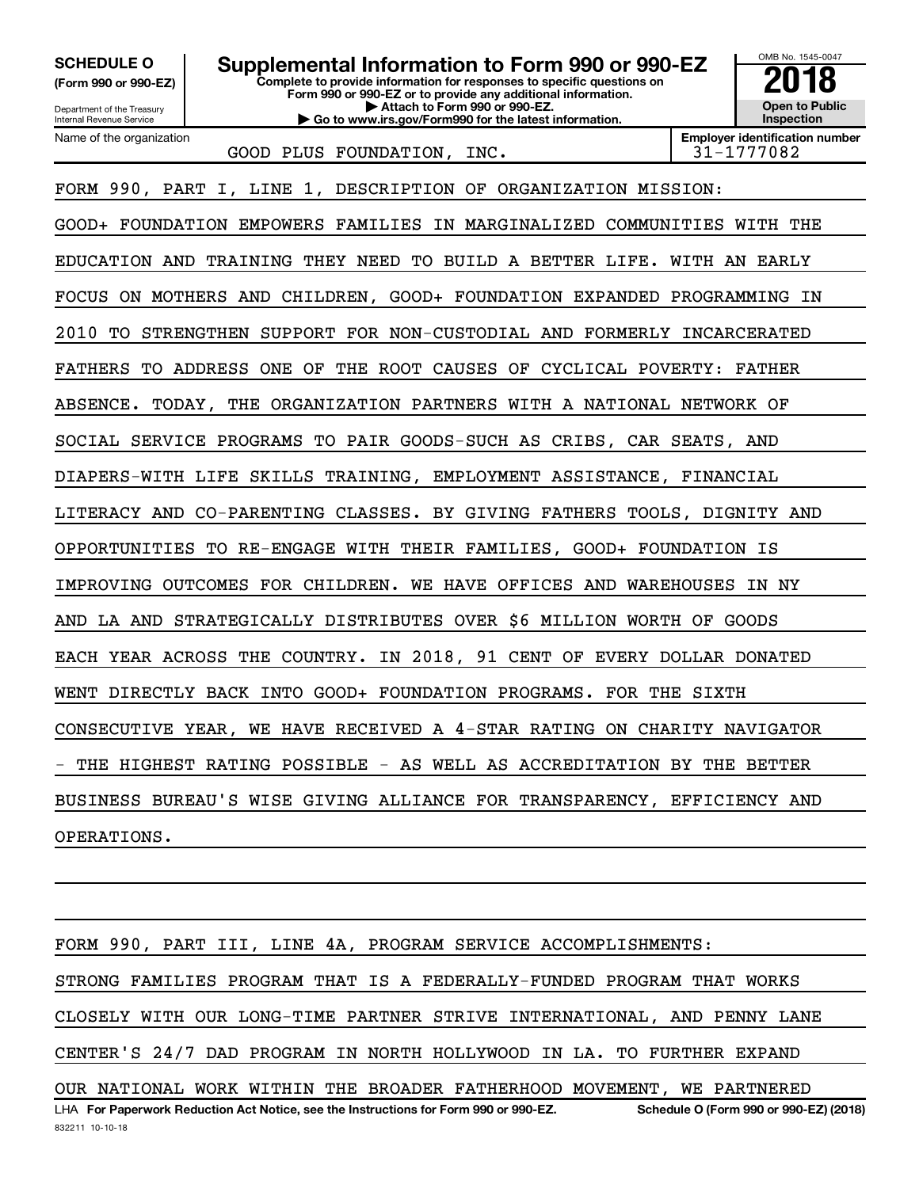OMB No. 1545-0047 Department of the Treasury Internal Revenue Service **Complete to provide information for responses to specific questions on Form 990 or 990-EZ or to provide any additional information. | Attach to Form 990 or 990-EZ. | Go to www.irs.gov/Form990 for the latest information. (Form 990 or 990-EZ) Open to Public Inspection Employer identification number** Name of the organization **SCHEDULE O Supplemental Information to Form 990 or 990-EZ 2018** GOOD PLUS FOUNDATION, INC.  $\vert$  31-1777082 FORM 990, PART I, LINE 1, DESCRIPTION OF ORGANIZATION MISSION: GOOD+ FOUNDATION EMPOWERS FAMILIES IN MARGINALIZED COMMUNITIES WITH THE EDUCATION AND TRAINING THEY NEED TO BUILD A BETTER LIFE. WITH AN EARLY FOCUS ON MOTHERS AND CHILDREN, GOOD+ FOUNDATION EXPANDED PROGRAMMING IN 2010 TO STRENGTHEN SUPPORT FOR NON-CUSTODIAL AND FORMERLY INCARCERATED FATHERS TO ADDRESS ONE OF THE ROOT CAUSES OF CYCLICAL POVERTY: FATHER ABSENCE. TODAY, THE ORGANIZATION PARTNERS WITH A NATIONAL NETWORK OF SOCIAL SERVICE PROGRAMS TO PAIR GOODS-SUCH AS CRIBS, CAR SEATS, AND DIAPERS-WITH LIFE SKILLS TRAINING, EMPLOYMENT ASSISTANCE, FINANCIAL LITERACY AND CO-PARENTING CLASSES. BY GIVING FATHERS TOOLS, DIGNITY AND OPPORTUNITIES TO RE-ENGAGE WITH THEIR FAMILIES, GOOD+ FOUNDATION IS IMPROVING OUTCOMES FOR CHILDREN. WE HAVE OFFICES AND WAREHOUSES IN NY AND LA AND STRATEGICALLY DISTRIBUTES OVER \$6 MILLION WORTH OF GOODS EACH YEAR ACROSS THE COUNTRY. IN 2018, 91 CENT OF EVERY DOLLAR DONATED WENT DIRECTLY BACK INTO GOOD+ FOUNDATION PROGRAMS. FOR THE SIXTH CONSECUTIVE YEAR, WE HAVE RECEIVED A 4-STAR RATING ON CHARITY NAVIGATOR THE HIGHEST RATING POSSIBLE - AS WELL AS ACCREDITATION BY THE BETTER BUSINESS BUREAU'S WISE GIVING ALLIANCE FOR TRANSPARENCY, EFFICIENCY AND OPERATIONS.

832211 10-10-18 LHA For Paperwork Reduction Act Notice, see the Instructions for Form 990 or 990-EZ. Schedule O (Form 990 or 990-EZ) (2018) FORM 990, PART III, LINE 4A, PROGRAM SERVICE ACCOMPLISHMENTS: STRONG FAMILIES PROGRAM THAT IS A FEDERALLY-FUNDED PROGRAM THAT WORKS CLOSELY WITH OUR LONG-TIME PARTNER STRIVE INTERNATIONAL, AND PENNY LANE CENTER'S 24/7 DAD PROGRAM IN NORTH HOLLYWOOD IN LA. TO FURTHER EXPAND OUR NATIONAL WORK WITHIN THE BROADER FATHERHOOD MOVEMENT, WE PARTNERED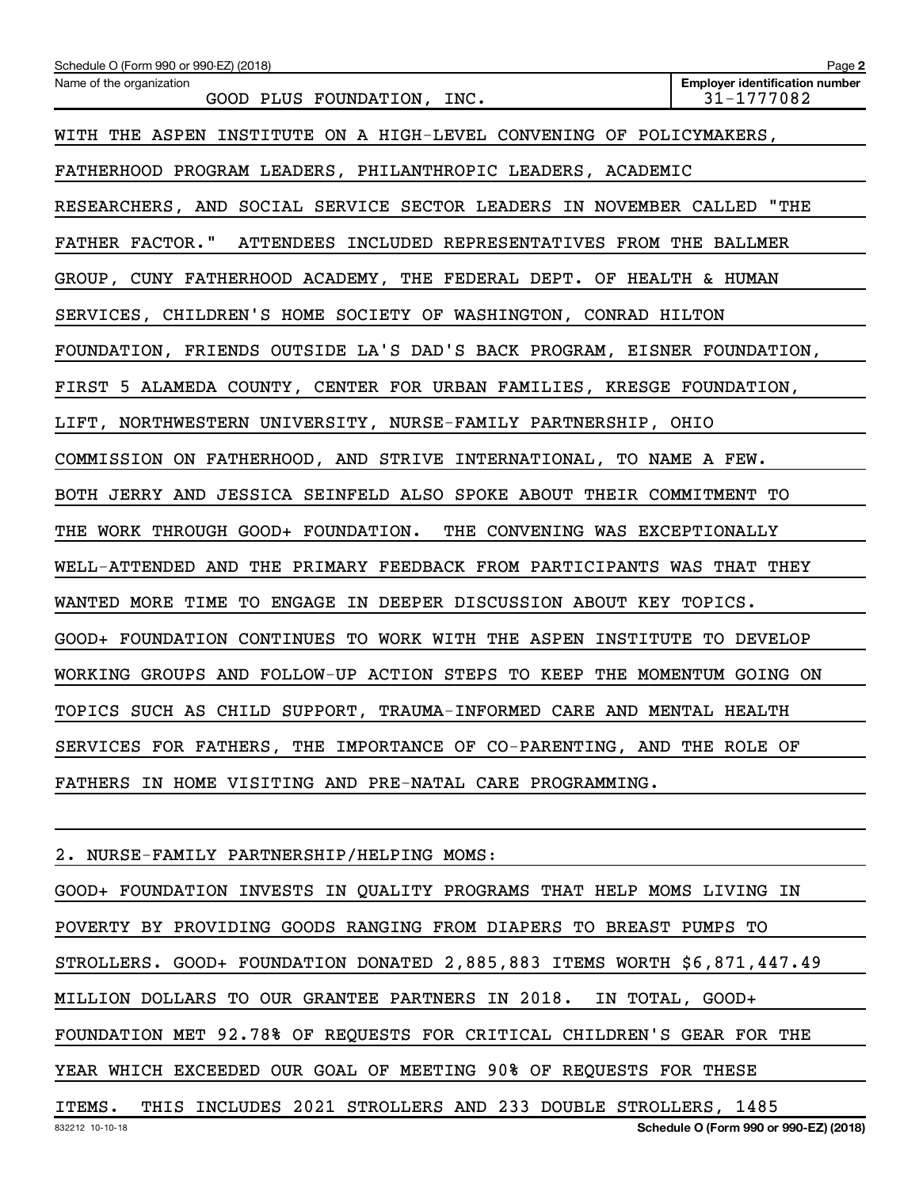| Schedule O (Form 990 or 990-EZ) (2018)                                  | Page 2                                              |
|-------------------------------------------------------------------------|-----------------------------------------------------|
| Name of the organization<br>GOOD PLUS FOUNDATION, INC.                  | <b>Employer identification number</b><br>31-1777082 |
| WITH THE ASPEN INSTITUTE ON A HIGH-LEVEL CONVENING OF POLICYMAKERS,     |                                                     |
| FATHERHOOD PROGRAM LEADERS, PHILANTHROPIC LEADERS, ACADEMIC             |                                                     |
| RESEARCHERS, AND SOCIAL SERVICE SECTOR LEADERS IN NOVEMBER CALLED "THE  |                                                     |
| FATHER FACTOR." ATTENDEES INCLUDED REPRESENTATIVES FROM THE BALLMER     |                                                     |
| GROUP, CUNY FATHERHOOD ACADEMY, THE FEDERAL DEPT. OF HEALTH & HUMAN     |                                                     |
| SERVICES, CHILDREN'S HOME SOCIETY OF WASHINGTON, CONRAD HILTON          |                                                     |
| FOUNDATION, FRIENDS OUTSIDE LA'S DAD'S BACK PROGRAM, EISNER FOUNDATION, |                                                     |
| FIRST 5 ALAMEDA COUNTY, CENTER FOR URBAN FAMILIES, KRESGE FOUNDATION,   |                                                     |
| LIFT, NORTHWESTERN UNIVERSITY, NURSE-FAMILY PARTNERSHIP, OHIO           |                                                     |
| COMMISSION ON FATHERHOOD, AND STRIVE INTERNATIONAL, TO NAME A FEW.      |                                                     |
| BOTH JERRY AND JESSICA SEINFELD ALSO SPOKE ABOUT THEIR COMMITMENT TO    |                                                     |
| THE WORK THROUGH GOOD+ FOUNDATION. THE CONVENING WAS EXCEPTIONALLY      |                                                     |
| WELL-ATTENDED AND THE PRIMARY FEEDBACK FROM PARTICIPANTS WAS THAT THEY  |                                                     |
| WANTED MORE TIME TO ENGAGE IN DEEPER DISCUSSION ABOUT KEY TOPICS.       |                                                     |
| GOOD+ FOUNDATION CONTINUES TO WORK WITH THE ASPEN INSTITUTE TO DEVELOP  |                                                     |
| WORKING GROUPS AND FOLLOW-UP ACTION STEPS TO KEEP THE MOMENTUM GOING ON |                                                     |
| TOPICS SUCH AS CHILD SUPPORT, TRAUMA-INFORMED CARE AND MENTAL HEALTH    |                                                     |
| SERVICES FOR FATHERS, THE IMPORTANCE OF CO-PARENTING, AND THE ROLE OF   |                                                     |
| FATHERS IN HOME VISITING AND PRE-NATAL CARE PROGRAMMING.                |                                                     |
|                                                                         |                                                     |

2. NURSE-FAMILY PARTNERSHIP/HELPING MOMS:

GOOD+ FOUNDATION INVESTS IN QUALITY PROGRAMS THAT HELP MOMS LIVING IN POVERTY BY PROVIDING GOODS RANGING FROM DIAPERS TO BREAST PUMPS TO STROLLERS. GOOD+ FOUNDATION DONATED 2,885,883 ITEMS WORTH \$6,871,447.49 MILLION DOLLARS TO OUR GRANTEE PARTNERS IN 2018. IN TOTAL, GOOD+ FOUNDATION MET 92.78% OF REQUESTS FOR CRITICAL CHILDREN'S GEAR FOR THE YEAR WHICH EXCEEDED OUR GOAL OF MEETING 90% OF REQUESTS FOR THESE ITEMS. THIS INCLUDES 2021 STROLLERS AND 233 DOUBLE STROLLERS, 1485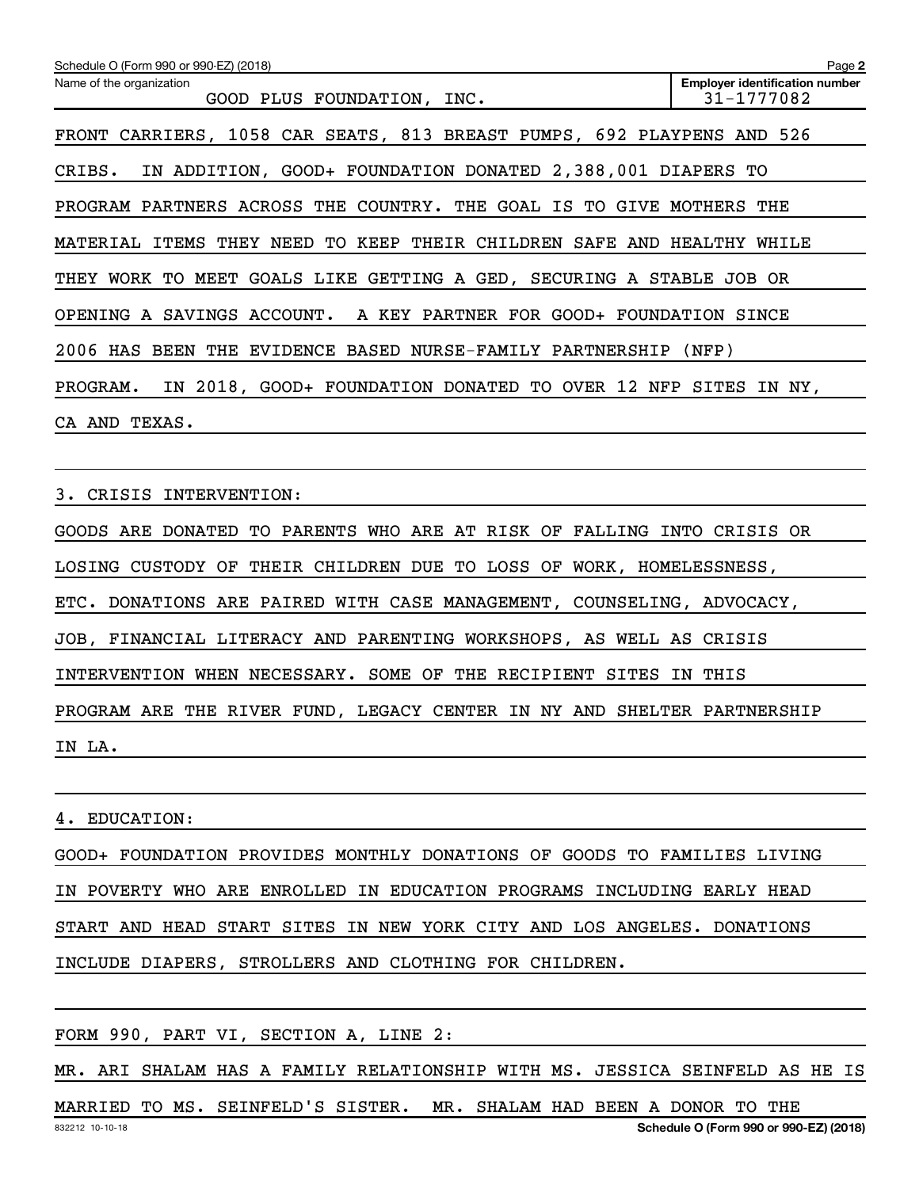| Schedule O (Form 990 or 990-EZ) (2018)                                    | Page 2                                              |
|---------------------------------------------------------------------------|-----------------------------------------------------|
| Name of the organization<br>GOOD PLUS FOUNDATION, INC.                    | <b>Employer identification number</b><br>31-1777082 |
| FRONT CARRIERS, 1058 CAR SEATS, 813 BREAST PUMPS, 692 PLAYPENS AND 526    |                                                     |
| IN ADDITION, GOOD+ FOUNDATION DONATED 2,388,001 DIAPERS TO<br>CRIBS.      |                                                     |
| PROGRAM PARTNERS ACROSS THE COUNTRY. THE GOAL IS TO GIVE MOTHERS THE      |                                                     |
| MATERIAL ITEMS THEY NEED TO KEEP THEIR CHILDREN SAFE AND HEALTHY WHILE    |                                                     |
| THEY WORK TO MEET GOALS LIKE GETTING A GED, SECURING A STABLE JOB OR      |                                                     |
| OPENING A SAVINGS ACCOUNT. A KEY PARTNER FOR GOOD+ FOUNDATION SINCE       |                                                     |
| 2006 HAS BEEN THE EVIDENCE BASED NURSE-FAMILY PARTNERSHIP (NFP)           |                                                     |
| IN 2018, GOOD+ FOUNDATION DONATED TO OVER 12 NFP SITES IN NY,<br>PROGRAM. |                                                     |
| CA AND TEXAS.                                                             |                                                     |
|                                                                           |                                                     |
| CRISIS INTERVENTION:<br>3.                                                |                                                     |
| GOODS ARE DONATED TO PARENTS WHO ARE AT RISK OF FALLING INTO CRISIS OR    |                                                     |
| LOSING CUSTODY OF THEIR CHILDREN DUE TO LOSS OF WORK, HOMELESSNESS,       |                                                     |

ETC. DONATIONS ARE PAIRED WITH CASE MANAGEMENT, COUNSELING, ADVOCACY,

JOB, FINANCIAL LITERACY AND PARENTING WORKSHOPS, AS WELL AS CRISIS

INTERVENTION WHEN NECESSARY. SOME OF THE RECIPIENT SITES IN THIS

PROGRAM ARE THE RIVER FUND, LEGACY CENTER IN NY AND SHELTER PARTNERSHIP

IN LA.

4. EDUCATION:

GOOD+ FOUNDATION PROVIDES MONTHLY DONATIONS OF GOODS TO FAMILIES LIVING IN POVERTY WHO ARE ENROLLED IN EDUCATION PROGRAMS INCLUDING EARLY HEAD START AND HEAD START SITES IN NEW YORK CITY AND LOS ANGELES. DONATIONS INCLUDE DIAPERS, STROLLERS AND CLOTHING FOR CHILDREN.

FORM 990, PART VI, SECTION A, LINE 2:

MR. ARI SHALAM HAS A FAMILY RELATIONSHIP WITH MS. JESSICA SEINFELD AS HE IS

832212 10-10-18 **Schedule O (Form 990 or 990-EZ) (2018)** MARRIED TO MS. SEINFELD'S SISTER. MR. SHALAM HAD BEEN A DONOR TO THE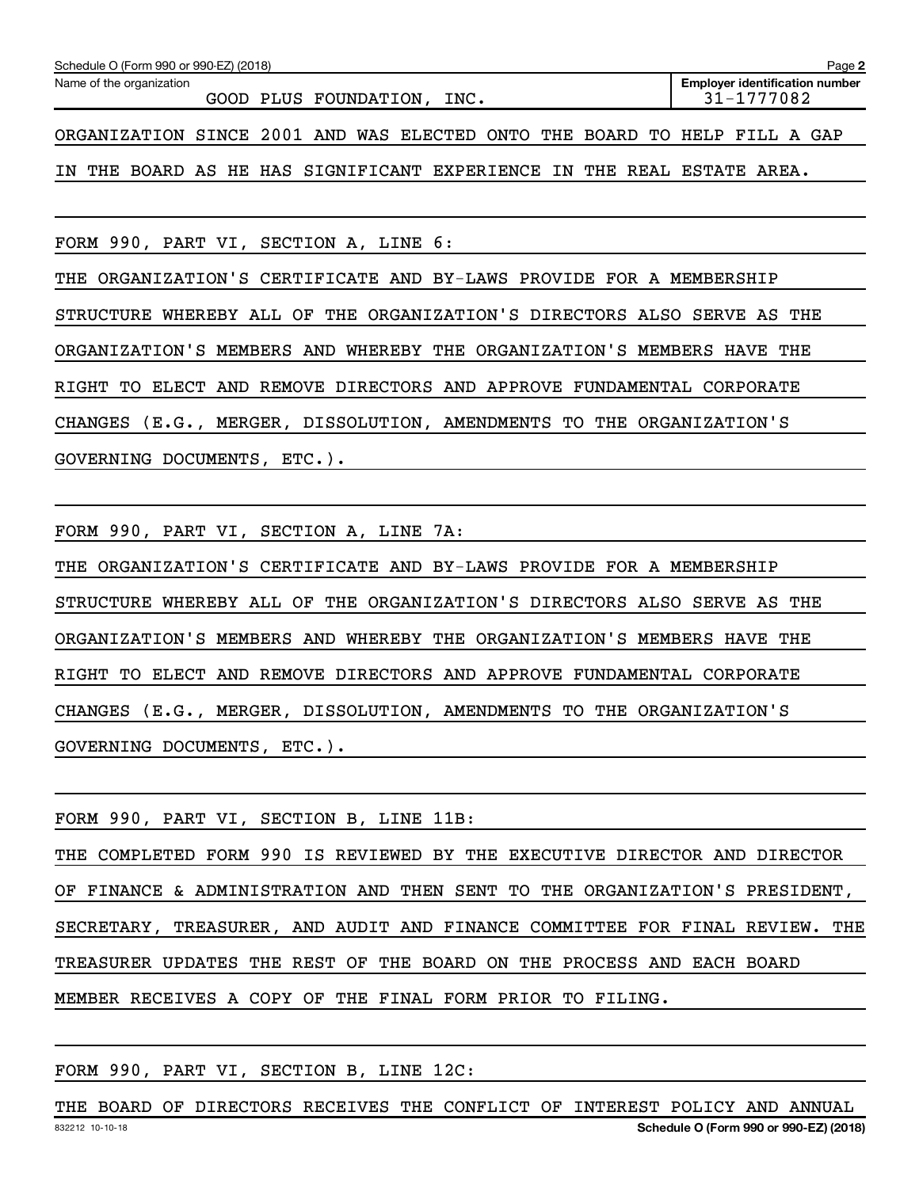| Schedule O (Form 990 or 990-EZ) (2018)<br>Page 2                          |                                                     |  |  |  |  |  |  |  |  |  |  |  |
|---------------------------------------------------------------------------|-----------------------------------------------------|--|--|--|--|--|--|--|--|--|--|--|
| Name of the organization<br>GOOD PLUS FOUNDATION, INC.                    | <b>Employer identification number</b><br>31-1777082 |  |  |  |  |  |  |  |  |  |  |  |
| ORGANIZATION SINCE 2001 AND WAS ELECTED ONTO THE BOARD TO HELP FILL A GAP |                                                     |  |  |  |  |  |  |  |  |  |  |  |
| IN THE BOARD AS HE HAS SIGNIFICANT EXPERIENCE IN THE REAL ESTATE AREA.    |                                                     |  |  |  |  |  |  |  |  |  |  |  |

FORM 990, PART VI, SECTION A, LINE 6:

THE ORGANIZATION'S CERTIFICATE AND BY-LAWS PROVIDE FOR A MEMBERSHIP STRUCTURE WHEREBY ALL OF THE ORGANIZATION'S DIRECTORS ALSO SERVE AS THE ORGANIZATION'S MEMBERS AND WHEREBY THE ORGANIZATION'S MEMBERS HAVE THE RIGHT TO ELECT AND REMOVE DIRECTORS AND APPROVE FUNDAMENTAL CORPORATE CHANGES (E.G., MERGER, DISSOLUTION, AMENDMENTS TO THE ORGANIZATION'S GOVERNING DOCUMENTS, ETC.).

FORM 990, PART VI, SECTION A, LINE 7A:

THE ORGANIZATION'S CERTIFICATE AND BY-LAWS PROVIDE FOR A MEMBERSHIP STRUCTURE WHEREBY ALL OF THE ORGANIZATION'S DIRECTORS ALSO SERVE AS THE ORGANIZATION'S MEMBERS AND WHEREBY THE ORGANIZATION'S MEMBERS HAVE THE RIGHT TO ELECT AND REMOVE DIRECTORS AND APPROVE FUNDAMENTAL CORPORATE CHANGES (E.G., MERGER, DISSOLUTION, AMENDMENTS TO THE ORGANIZATION'S GOVERNING DOCUMENTS, ETC.).

|  |  | FORM 990, PART VI, SECTION B, LINE 11B:                   |  |  |  |  |  |  |                                                                             |  |
|--|--|-----------------------------------------------------------|--|--|--|--|--|--|-----------------------------------------------------------------------------|--|
|  |  |                                                           |  |  |  |  |  |  | THE COMPLETED FORM 990 IS REVIEWED BY THE EXECUTIVE DIRECTOR AND DIRECTOR   |  |
|  |  |                                                           |  |  |  |  |  |  | OF FINANCE & ADMINISTRATION AND THEN SENT TO THE ORGANIZATION'S PRESIDENT,  |  |
|  |  |                                                           |  |  |  |  |  |  | SECRETARY, TREASURER, AND AUDIT AND FINANCE COMMITTEE FOR FINAL REVIEW. THE |  |
|  |  |                                                           |  |  |  |  |  |  | TREASURER UPDATES THE REST OF THE BOARD ON THE PROCESS AND EACH BOARD       |  |
|  |  | MEMBER RECEIVES A COPY OF THE FINAL FORM PRIOR TO FILING. |  |  |  |  |  |  |                                                                             |  |

FORM 990, PART VI, SECTION B, LINE 12C:

832212 10-10-18 **Schedule O (Form 990 or 990-EZ) (2018)** THE BOARD OF DIRECTORS RECEIVES THE CONFLICT OF INTEREST POLICY AND ANNUAL